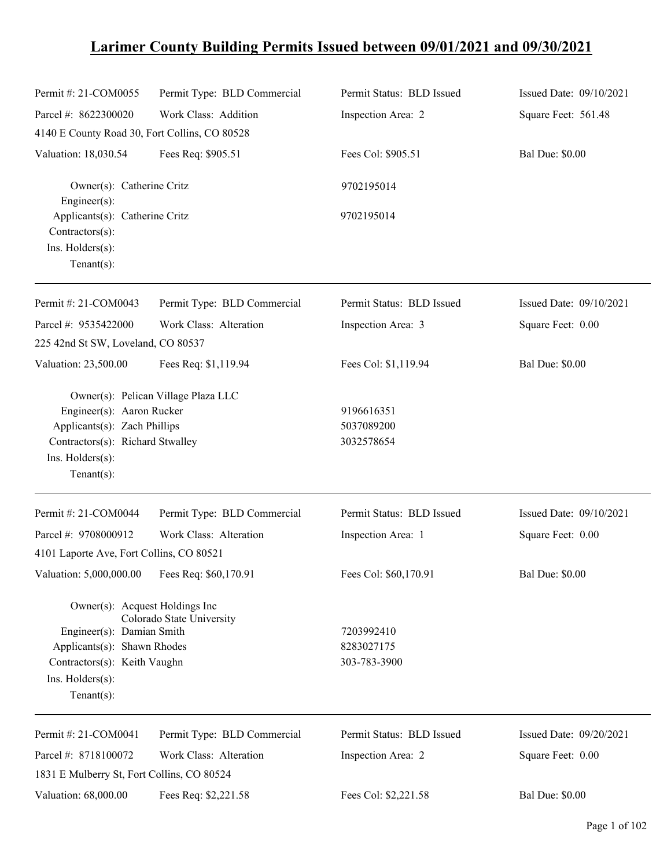# **Larimer County Building Permits Issued between 09/01/2021 and 09/30/2021**

| Permit #: 21-COM0055                                                                                                                                            | Permit Type: BLD Commercial         | Permit Status: BLD Issued                | Issued Date: 09/10/2021 |
|-----------------------------------------------------------------------------------------------------------------------------------------------------------------|-------------------------------------|------------------------------------------|-------------------------|
| Parcel #: 8622300020                                                                                                                                            | Work Class: Addition                | Inspection Area: 2                       | Square Feet: 561.48     |
| 4140 E County Road 30, Fort Collins, CO 80528                                                                                                                   |                                     |                                          |                         |
| Valuation: 18,030.54                                                                                                                                            | Fees Req: \$905.51                  | Fees Col: \$905.51                       | <b>Bal Due: \$0.00</b>  |
| Owner(s): Catherine Critz<br>Engineer(s):                                                                                                                       |                                     | 9702195014                               |                         |
| Applicants(s): Catherine Critz<br>Contractors(s):<br>Ins. $H$ olders $(s)$ :<br>$Tenant(s)$ :                                                                   |                                     | 9702195014                               |                         |
| Permit #: 21-COM0043                                                                                                                                            | Permit Type: BLD Commercial         | Permit Status: BLD Issued                | Issued Date: 09/10/2021 |
| Parcel #: 9535422000<br>225 42nd St SW, Loveland, CO 80537                                                                                                      | Work Class: Alteration              | Inspection Area: 3                       | Square Feet: 0.00       |
| Valuation: 23,500.00                                                                                                                                            | Fees Req: \$1,119.94                | Fees Col: \$1,119.94                     | <b>Bal Due: \$0.00</b>  |
| Engineer(s): Aaron Rucker<br>Applicants(s): Zach Phillips<br>Contractors(s): Richard Stwalley<br>Ins. Holders(s):<br>$Tenant(s)$ :                              | Owner(s): Pelican Village Plaza LLC | 9196616351<br>5037089200<br>3032578654   |                         |
| Permit #: 21-COM0044                                                                                                                                            | Permit Type: BLD Commercial         | Permit Status: BLD Issued                | Issued Date: 09/10/2021 |
| Parcel #: 9708000912                                                                                                                                            | Work Class: Alteration              | Inspection Area: 1                       | Square Feet: 0.00       |
| 4101 Laporte Ave, Fort Collins, CO 80521                                                                                                                        |                                     |                                          |                         |
| Valuation: 5,000,000.00                                                                                                                                         | Fees Req: \$60,170.91               | Fees Col: \$60,170.91                    | <b>Bal Due: \$0.00</b>  |
| Owner(s): Acquest Holdings Inc<br>Engineer(s): Damian Smith<br>Applicants(s): Shawn Rhodes<br>Contractors(s): Keith Vaughn<br>Ins. Holders(s):<br>$Tenant(s)$ : | Colorado State University           | 7203992410<br>8283027175<br>303-783-3900 |                         |
| Permit #: 21-COM0041                                                                                                                                            | Permit Type: BLD Commercial         | Permit Status: BLD Issued                | Issued Date: 09/20/2021 |
| Parcel #: 8718100072                                                                                                                                            | Work Class: Alteration              | Inspection Area: 2                       | Square Feet: 0.00       |
| 1831 E Mulberry St, Fort Collins, CO 80524                                                                                                                      |                                     |                                          |                         |
| Valuation: 68,000.00                                                                                                                                            | Fees Req: \$2,221.58                | Fees Col: \$2,221.58                     | <b>Bal Due: \$0.00</b>  |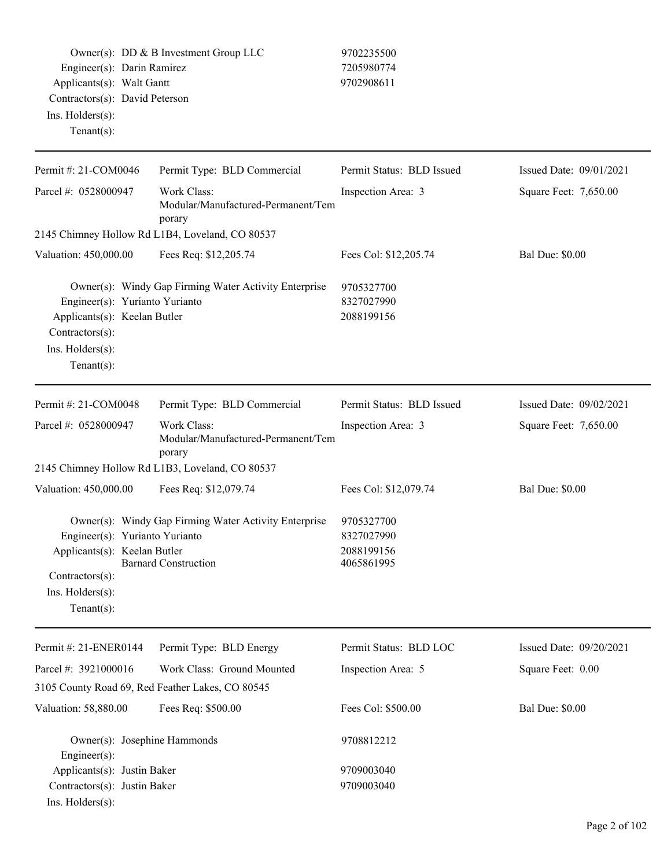Owner(s): DD & B Investment Group LLC 9702235500 Engineer(s): Darin Ramirez 7205980774 Applicants(s): Walt Gantt 9702908611 Contractors(s): David Peterson Ins. Holders(s):

Tenant(s):

Permit #: 21-COM0046 Parcel #: 0528000947 Permit Type: BLD Commercial Work Class: Modular/Manufactured-Permanent/Tem porary Permit Status: BLD Issued Inspection Area: 3 Issued Date: 09/01/2021 Square Feet: 7,650.00 2145 Chimney Hollow Rd L1B4, Loveland, CO 80537 Valuation: 450,000.00 Fees Req: \$12,205.74 Fees Col: \$12,205.74 Bal Due: \$0.00 Owner(s): Windy Gap Firming Water Activity Enterprise 9705327700 Engineer(s): Yurianto Yurianto 8327027990 Applicants(s): Keelan Butler 2088199156 Contractors(s): Ins. Holders(s): Tenant(s): Permit #: 21-COM0048 Parcel #: 0528000947 Permit Type: BLD Commercial Work Class: Modular/Manufactured-Permanent/Tem porary Permit Status: BLD Issued Inspection Area: 3 Issued Date: 09/02/2021 Square Feet: 7,650.00 2145 Chimney Hollow Rd L1B3, Loveland, CO 80537 Valuation: 450,000.00 Fees Req: \$12,079.74 Fees Col: \$12,079.74 Bal Due: \$0.00 Owner(s): Windy Gap Firming Water Activity Enterprise 9705327700 Engineer(s): Yurianto Yurianto 8327027990 Applicants(s): Keelan Butler 2088199156<br>Barnard Construction 4065861995 Barnard Construction Contractors(s): Ins. Holders(s): Tenant(s): Permit #: 21-ENER0144 Parcel #: 3921000016 Permit Type: BLD Energy Work Class: Ground Mounted Permit Status: BLD LOC Inspection Area: 5 Issued Date: 09/20/2021 Square Feet: 0.00 3105 County Road 69, Red Feather Lakes, CO 80545 Valuation: 58,880.00 Fees Req: \$500.00 Fees Col: \$500.00 Fees Col: \$500.00 Bal Due: \$0.00 Owner(s): Josephine Hammonds 9708812212 Engineer(s): Applicants(s): Justin Baker 9709003040 Contractors(s): Justin Baker 9709003040

Ins. Holders(s):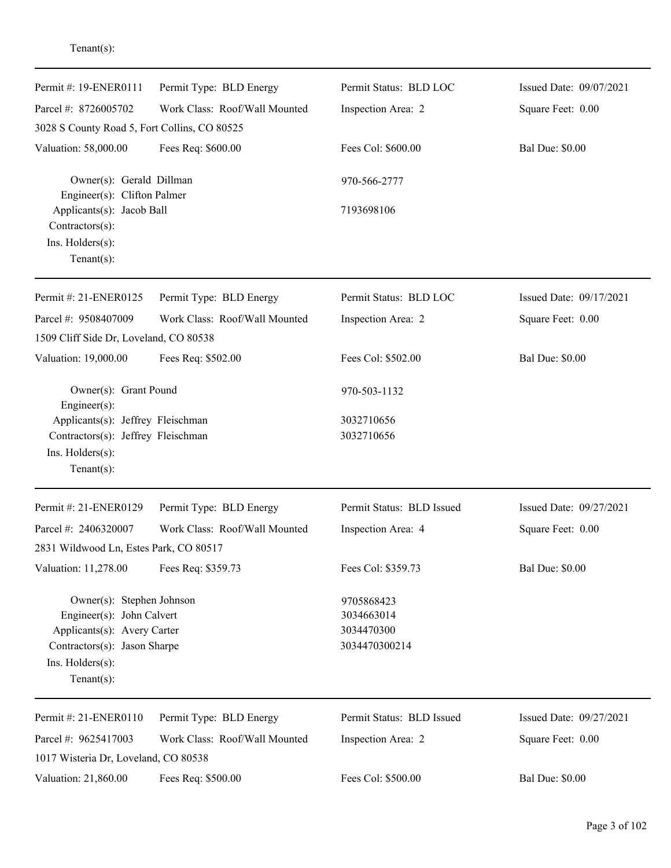| Permit #: 19-ENER0111<br>Parcel #: 8726005702                                                                                                               | Permit Type: BLD Energy<br>Work Class: Roof/Wall Mounted | Permit Status: BLD LOC<br>Inspection Area: 2            | Issued Date: 09/07/2021<br>Square Feet: 0.00 |
|-------------------------------------------------------------------------------------------------------------------------------------------------------------|----------------------------------------------------------|---------------------------------------------------------|----------------------------------------------|
| 3028 S County Road 5, Fort Collins, CO 80525                                                                                                                |                                                          |                                                         |                                              |
| Valuation: 58,000.00                                                                                                                                        | Fees Req: \$600.00                                       | Fees Col: \$600.00                                      | <b>Bal Due: \$0.00</b>                       |
| Owner(s): Gerald Dillman<br>Engineer(s): Clifton Palmer                                                                                                     |                                                          | 970-566-2777                                            |                                              |
| Applicants(s): Jacob Ball<br>Contractors(s):                                                                                                                |                                                          | 7193698106                                              |                                              |
| Ins. Holders(s):<br>Tenant $(s)$ :                                                                                                                          |                                                          |                                                         |                                              |
| Permit #: 21-ENER0125                                                                                                                                       | Permit Type: BLD Energy                                  | Permit Status: BLD LOC                                  | Issued Date: 09/17/2021                      |
| Parcel #: 9508407009<br>1509 Cliff Side Dr, Loveland, CO 80538                                                                                              | Work Class: Roof/Wall Mounted                            | Inspection Area: 2                                      | Square Feet: 0.00                            |
| Valuation: 19,000.00                                                                                                                                        | Fees Req: \$502.00                                       | Fees Col: \$502.00                                      | <b>Bal Due: \$0.00</b>                       |
| Owner(s): Grant Pound<br>Engineer(s):                                                                                                                       |                                                          | 970-503-1132                                            |                                              |
| Applicants(s): Jeffrey Fleischman<br>Contractors(s): Jeffrey Fleischman<br>Ins. Holders(s):<br>$Tenant(s)$ :                                                |                                                          | 3032710656<br>3032710656                                |                                              |
| Permit #: 21-ENER0129                                                                                                                                       | Permit Type: BLD Energy                                  | Permit Status: BLD Issued                               | Issued Date: 09/27/2021                      |
| Parcel #: 2406320007<br>2831 Wildwood Ln, Estes Park, CO 80517                                                                                              | Work Class: Roof/Wall Mounted                            | Inspection Area: 4                                      | Square Feet: 0.00                            |
| Valuation: 11,278.00                                                                                                                                        | Fees Req: \$359.73                                       | Fees Col: \$359.73                                      | <b>Bal Due: \$0.00</b>                       |
| Owner(s): Stephen Johnson<br>Engineer(s): John Calvert<br>Applicants(s): Avery Carter<br>Contractors(s): Jason Sharpe<br>Ins. Holders(s):<br>Tenant $(s)$ : |                                                          | 9705868423<br>3034663014<br>3034470300<br>3034470300214 |                                              |
| Permit #: 21-ENER0110                                                                                                                                       | Permit Type: BLD Energy                                  | Permit Status: BLD Issued                               | Issued Date: 09/27/2021                      |
| Parcel #: 9625417003<br>1017 Wisteria Dr, Loveland, CO 80538                                                                                                | Work Class: Roof/Wall Mounted                            | Inspection Area: 2                                      | Square Feet: 0.00                            |
| Valuation: 21,860.00                                                                                                                                        | Fees Req: \$500.00                                       | Fees Col: \$500.00                                      | <b>Bal Due: \$0.00</b>                       |

Tenant(s):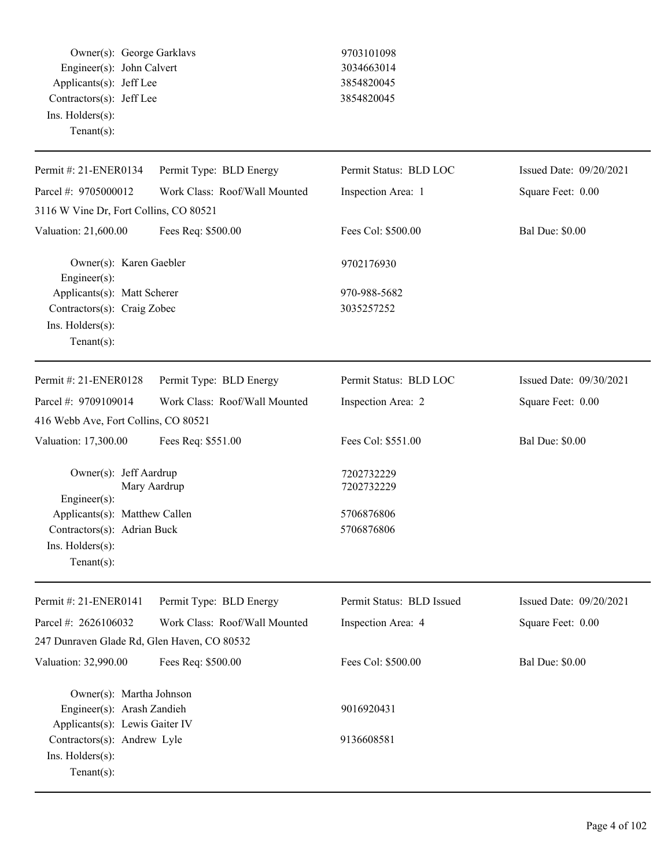Owner(s): George Garklavs 9703101098 Engineer(s): John Calvert 3034663014 Applicants(s): Jeff Lee 3854820045 Contractors(s): Jeff Lee 3854820045 Ins. Holders(s): Tenant(s):

| Permit #: 21-ENER0134                                                                                                   | Permit Type: BLD Energy       | Permit Status: BLD LOC     | Issued Date: 09/20/2021 |
|-------------------------------------------------------------------------------------------------------------------------|-------------------------------|----------------------------|-------------------------|
| Parcel #: 9705000012                                                                                                    | Work Class: Roof/Wall Mounted | Inspection Area: 1         | Square Feet: 0.00       |
| 3116 W Vine Dr, Fort Collins, CO 80521                                                                                  |                               |                            |                         |
| Valuation: 21,600.00                                                                                                    | Fees Req: \$500.00            | Fees Col: \$500.00         | <b>Bal Due: \$0.00</b>  |
| Owner(s): Karen Gaebler<br>Engineer(s):                                                                                 |                               | 9702176930                 |                         |
| Applicants(s): Matt Scherer<br>Contractors(s): Craig Zobec<br>Ins. Holders(s):<br>Tenant $(s)$ :                        |                               | 970-988-5682<br>3035257252 |                         |
| Permit #: 21-ENER0128                                                                                                   | Permit Type: BLD Energy       | Permit Status: BLD LOC     | Issued Date: 09/30/2021 |
| Parcel #: 9709109014                                                                                                    | Work Class: Roof/Wall Mounted | Inspection Area: 2         | Square Feet: 0.00       |
| 416 Webb Ave, Fort Collins, CO 80521                                                                                    |                               |                            |                         |
| Valuation: 17,300.00                                                                                                    | Fees Req: \$551.00            | Fees Col: \$551.00         | <b>Bal Due: \$0.00</b>  |
| Owner(s): Jeff Aardrup<br>Mary Aardrup<br>Engineer(s):                                                                  |                               | 7202732229<br>7202732229   |                         |
| Applicants(s): Matthew Callen                                                                                           |                               | 5706876806                 |                         |
| Contractors(s): Adrian Buck                                                                                             |                               | 5706876806                 |                         |
| Ins. Holders(s):<br>Tenant $(s)$ :                                                                                      |                               |                            |                         |
| Permit #: 21-ENER0141                                                                                                   | Permit Type: BLD Energy       | Permit Status: BLD Issued  | Issued Date: 09/20/2021 |
| Parcel #: 2626106032                                                                                                    | Work Class: Roof/Wall Mounted | Inspection Area: 4         | Square Feet: 0.00       |
| 247 Dunraven Glade Rd, Glen Haven, CO 80532                                                                             |                               |                            |                         |
| Valuation: 32,990.00                                                                                                    | Fees Req: \$500.00            | Fees Col: \$500.00         | <b>Bal Due: \$0.00</b>  |
| Owner(s): Martha Johnson<br>Engineer(s): Arash Zandieh<br>Applicants(s): Lewis Gaiter IV<br>Contractors(s): Andrew Lyle |                               | 9016920431<br>9136608581   |                         |
| Ins. Holders(s):<br>Tenant(s):                                                                                          |                               |                            |                         |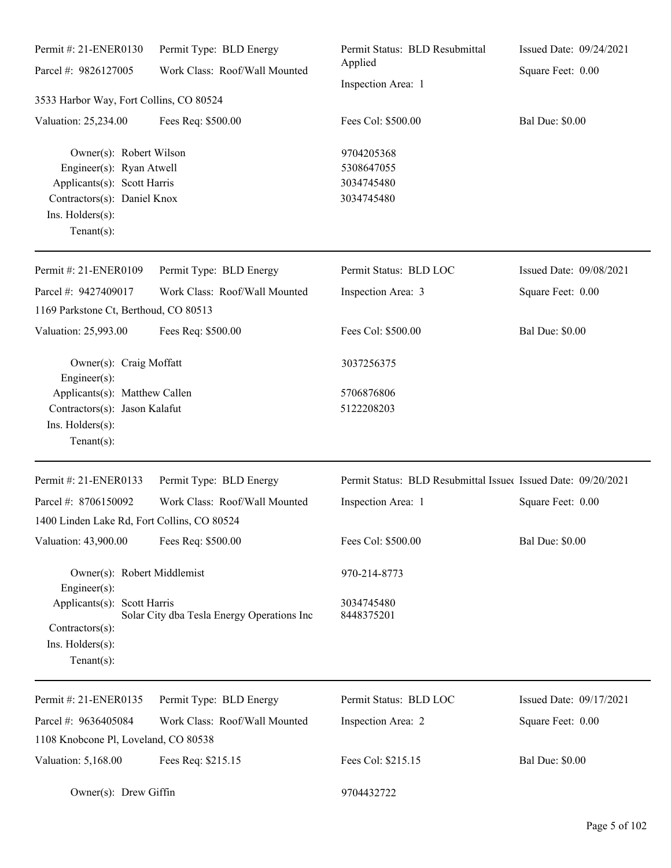| Permit #: 21-ENER0130<br>Parcel #: 9826127005                                                                                                           | Permit Type: BLD Energy<br>Work Class: Roof/Wall Mounted | Permit Status: BLD Resubmittal<br>Applied<br>Inspection Area: 1 | Issued Date: 09/24/2021 |  |
|---------------------------------------------------------------------------------------------------------------------------------------------------------|----------------------------------------------------------|-----------------------------------------------------------------|-------------------------|--|
|                                                                                                                                                         |                                                          |                                                                 | Square Feet: 0.00       |  |
| 3533 Harbor Way, Fort Collins, CO 80524                                                                                                                 |                                                          |                                                                 |                         |  |
| Valuation: 25,234.00                                                                                                                                    | Fees Req: \$500.00                                       | Fees Col: \$500.00                                              | <b>Bal Due: \$0.00</b>  |  |
| Owner(s): Robert Wilson<br>Engineer(s): Ryan Atwell<br>Applicants(s): Scott Harris<br>Contractors(s): Daniel Knox<br>Ins. Holders(s):<br>Tenant $(s)$ : |                                                          | 9704205368<br>5308647055<br>3034745480<br>3034745480            |                         |  |
| Permit #: 21-ENER0109                                                                                                                                   | Permit Type: BLD Energy                                  | Permit Status: BLD LOC                                          | Issued Date: 09/08/2021 |  |
| Parcel #: 9427409017                                                                                                                                    | Work Class: Roof/Wall Mounted                            | Inspection Area: 3                                              | Square Feet: 0.00       |  |
| 1169 Parkstone Ct, Berthoud, CO 80513                                                                                                                   |                                                          |                                                                 |                         |  |
| Valuation: 25,993.00                                                                                                                                    | Fees Req: \$500.00                                       | Fees Col: \$500.00                                              | <b>Bal Due: \$0.00</b>  |  |
| Owner(s): Craig Moffatt<br>Engineer $(s)$ :                                                                                                             |                                                          | 3037256375                                                      |                         |  |
| Applicants(s): Matthew Callen<br>Contractors(s): Jason Kalafut                                                                                          |                                                          | 5706876806<br>5122208203                                        |                         |  |
| Ins. Holders(s):<br>Tenant $(s)$ :                                                                                                                      |                                                          |                                                                 |                         |  |
| Permit #: 21-ENER0133                                                                                                                                   | Permit Type: BLD Energy                                  | Permit Status: BLD Resubmittal Issued Issued Date: 09/20/2021   |                         |  |
| Parcel #: 8706150092                                                                                                                                    | Work Class: Roof/Wall Mounted                            | Inspection Area: 1                                              | Square Feet: 0.00       |  |
| 1400 Linden Lake Rd, Fort Collins, CO 80524                                                                                                             |                                                          |                                                                 |                         |  |
| Valuation: 43,900.00                                                                                                                                    | Fees Req: \$500.00                                       | Fees Col: \$500.00                                              | <b>Bal Due: \$0.00</b>  |  |
| Owner(s): Robert Middlemist<br>Engineer(s):                                                                                                             |                                                          | 970-214-8773                                                    |                         |  |
| Applicants(s): Scott Harris                                                                                                                             |                                                          | 3034745480                                                      |                         |  |
| Contractors(s):                                                                                                                                         | Solar City dba Tesla Energy Operations Inc               | 8448375201                                                      |                         |  |
| Ins. Holders(s):<br>Tenant $(s)$ :                                                                                                                      |                                                          |                                                                 |                         |  |
| Permit #: 21-ENER0135                                                                                                                                   | Permit Type: BLD Energy                                  | Permit Status: BLD LOC                                          | Issued Date: 09/17/2021 |  |
| Parcel #: 9636405084                                                                                                                                    | Work Class: Roof/Wall Mounted                            | Inspection Area: 2                                              | Square Feet: 0.00       |  |
| 1108 Knobcone Pl, Loveland, CO 80538                                                                                                                    |                                                          |                                                                 |                         |  |
| Valuation: 5,168.00                                                                                                                                     | Fees Req: \$215.15                                       | Fees Col: \$215.15                                              | <b>Bal Due: \$0.00</b>  |  |
| Owner(s): Drew Giffin                                                                                                                                   |                                                          | 9704432722                                                      |                         |  |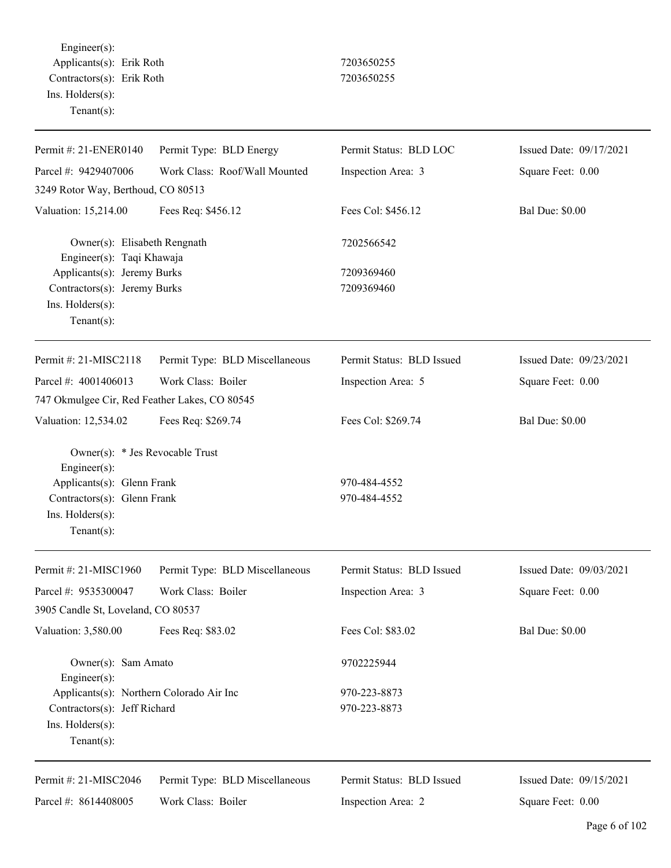Engineer(s): Applicants(s): Erik Roth 7203650255 Contractors(s): Erik Roth 7203650255 Ins. Holders(s): Tenant(s):

| Permit #: 21-ENER0140                                     | Permit Type: BLD Energy        | Permit Status: BLD LOC    | Issued Date: 09/17/2021 |
|-----------------------------------------------------------|--------------------------------|---------------------------|-------------------------|
| Parcel #: 9429407006                                      | Work Class: Roof/Wall Mounted  | Inspection Area: 3        | Square Feet: 0.00       |
| 3249 Rotor Way, Berthoud, CO 80513                        |                                |                           |                         |
| Valuation: 15,214.00                                      | Fees Req: \$456.12             | Fees Col: \$456.12        | <b>Bal Due: \$0.00</b>  |
| Owner(s): Elisabeth Rengnath<br>Engineer(s): Taqi Khawaja |                                | 7202566542                |                         |
| Applicants(s): Jeremy Burks                               |                                | 7209369460                |                         |
| Contractors(s): Jeremy Burks                              |                                | 7209369460                |                         |
| Ins. Holders(s):<br>Tenant $(s)$ :                        |                                |                           |                         |
|                                                           |                                |                           |                         |
| Permit #: 21-MISC2118                                     | Permit Type: BLD Miscellaneous | Permit Status: BLD Issued | Issued Date: 09/23/2021 |
| Parcel #: 4001406013                                      | Work Class: Boiler             | Inspection Area: 5        | Square Feet: 0.00       |
| 747 Okmulgee Cir, Red Feather Lakes, CO 80545             |                                |                           |                         |
| Valuation: 12,534.02                                      | Fees Req: \$269.74             | Fees Col: \$269.74        | <b>Bal Due: \$0.00</b>  |
| Owner(s): * Jes Revocable Trust<br>Engineer(s):           |                                |                           |                         |
| Applicants(s): Glenn Frank                                |                                | 970-484-4552              |                         |
| Contractors(s): Glenn Frank                               |                                | 970-484-4552              |                         |
| Ins. Holders(s):<br>Tenant $(s)$ :                        |                                |                           |                         |
| Permit #: 21-MISC1960                                     |                                | Permit Status: BLD Issued | Issued Date: 09/03/2021 |
|                                                           | Permit Type: BLD Miscellaneous |                           |                         |
| Parcel #: 9535300047                                      | Work Class: Boiler             | Inspection Area: 3        | Square Feet: 0.00       |
| 3905 Candle St, Loveland, CO 80537                        |                                |                           |                         |
| Valuation: 3,580.00                                       | Fees Req: \$83.02              | Fees Col: \$83.02         | <b>Bal Due: \$0.00</b>  |
| Owner(s): Sam Amato<br>$Engineering(s)$ :                 |                                | 9702225944                |                         |
| Applicants(s): Northern Colorado Air Inc                  |                                | 970-223-8873              |                         |
| Contractors(s): Jeff Richard                              |                                | 970-223-8873              |                         |
| Ins. Holders(s):<br>Tenant $(s)$ :                        |                                |                           |                         |
| Permit #: 21-MISC2046                                     | Permit Type: BLD Miscellaneous | Permit Status: BLD Issued | Issued Date: 09/15/2021 |
| Parcel #: 8614408005                                      | Work Class: Boiler             | Inspection Area: 2        | Square Feet: 0.00       |
|                                                           |                                |                           |                         |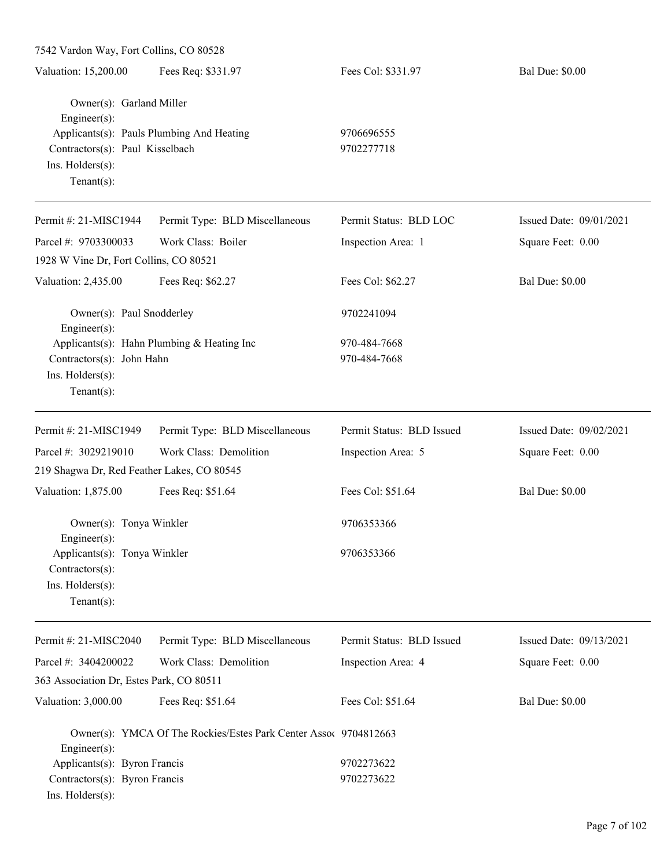| 7542 Vardon Way, Fort Collins, CO 80528                                                                           |                                                                  |                              |                         |  |  |
|-------------------------------------------------------------------------------------------------------------------|------------------------------------------------------------------|------------------------------|-------------------------|--|--|
| Valuation: 15,200.00                                                                                              | Fees Req: \$331.97                                               | Fees Col: \$331.97           | <b>Bal Due: \$0.00</b>  |  |  |
| Owner(s): Garland Miller<br>Engineer(s):<br>Contractors(s): Paul Kisselbach<br>Ins. Holders(s):<br>Tenant $(s)$ : | Applicants(s): Pauls Plumbing And Heating                        | 9706696555<br>9702277718     |                         |  |  |
| Permit #: 21-MISC1944                                                                                             | Permit Type: BLD Miscellaneous                                   | Permit Status: BLD LOC       | Issued Date: 09/01/2021 |  |  |
| Parcel #: 9703300033                                                                                              | Work Class: Boiler                                               | Inspection Area: 1           | Square Feet: 0.00       |  |  |
| 1928 W Vine Dr, Fort Collins, CO 80521                                                                            |                                                                  |                              |                         |  |  |
| Valuation: 2,435.00                                                                                               | Fees Req: \$62.27                                                | Fees Col: \$62.27            | <b>Bal Due: \$0.00</b>  |  |  |
| Owner(s): Paul Snodderley<br>Engineer(s):                                                                         |                                                                  | 9702241094                   |                         |  |  |
| Contractors(s): John Hahn<br>Ins. Holders(s):<br>Tenant $(s)$ :                                                   | Applicants(s): Hahn Plumbing & Heating Inc                       | 970-484-7668<br>970-484-7668 |                         |  |  |
| Permit #: 21-MISC1949                                                                                             | Permit Type: BLD Miscellaneous                                   | Permit Status: BLD Issued    | Issued Date: 09/02/2021 |  |  |
| Parcel #: 3029219010                                                                                              | Work Class: Demolition                                           | Inspection Area: 5           | Square Feet: 0.00       |  |  |
| 219 Shagwa Dr, Red Feather Lakes, CO 80545                                                                        |                                                                  |                              |                         |  |  |
| Valuation: 1,875.00                                                                                               | Fees Req: \$51.64                                                | Fees Col: \$51.64            | <b>Bal Due: \$0.00</b>  |  |  |
| Owner(s): Tonya Winkler<br>Engineer(s):                                                                           |                                                                  | 9706353366                   |                         |  |  |
| Applicants(s): Tonya Winkler<br>Contractors(s):<br>Ins. Holders(s):<br>Tenant $(s)$ :                             |                                                                  | 9706353366                   |                         |  |  |
| Permit #: 21-MISC2040                                                                                             | Permit Type: BLD Miscellaneous                                   | Permit Status: BLD Issued    | Issued Date: 09/13/2021 |  |  |
| Parcel #: 3404200022                                                                                              | Work Class: Demolition                                           | Inspection Area: 4           | Square Feet: 0.00       |  |  |
| 363 Association Dr, Estes Park, CO 80511                                                                          |                                                                  |                              |                         |  |  |
| Valuation: 3,000.00                                                                                               | Fees Req: \$51.64                                                | Fees Col: \$51.64            | <b>Bal Due: \$0.00</b>  |  |  |
| Engineer(s):                                                                                                      | Owner(s): YMCA Of The Rockies/Estes Park Center Assoc 9704812663 |                              |                         |  |  |
| Applicants(s): Byron Francis                                                                                      |                                                                  | 9702273622                   |                         |  |  |
| Contractors(s): Byron Francis<br>Ins. Holders(s):                                                                 |                                                                  | 9702273622                   |                         |  |  |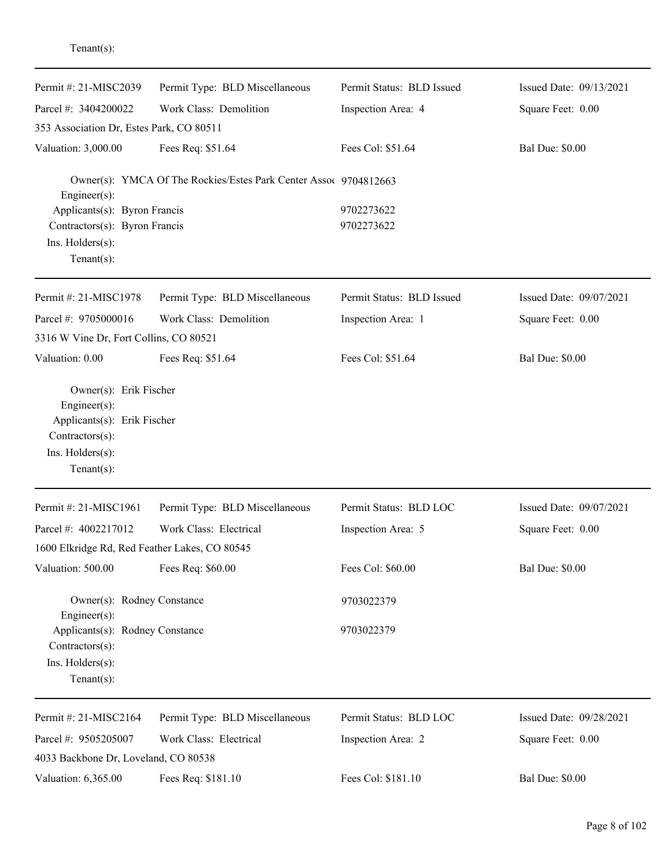| Permit #: 21-MISC2039                                                                                      | Permit Type: BLD Miscellaneous                                   | Permit Status: BLD Issued | Issued Date: 09/13/2021 |
|------------------------------------------------------------------------------------------------------------|------------------------------------------------------------------|---------------------------|-------------------------|
| Parcel #: 3404200022                                                                                       | Work Class: Demolition                                           | Inspection Area: 4        | Square Feet: 0.00       |
| 353 Association Dr, Estes Park, CO 80511                                                                   |                                                                  |                           |                         |
| Valuation: 3,000.00                                                                                        | Fees Req: \$51.64                                                | Fees Col: \$51.64         | <b>Bal Due: \$0.00</b>  |
| Engineer(s):                                                                                               | Owner(s): YMCA Of The Rockies/Estes Park Center Assoc 9704812663 |                           |                         |
| Applicants(s): Byron Francis                                                                               |                                                                  | 9702273622                |                         |
| Contractors(s): Byron Francis                                                                              |                                                                  | 9702273622                |                         |
| Ins. Holders(s):<br>Tenant $(s)$ :                                                                         |                                                                  |                           |                         |
|                                                                                                            |                                                                  |                           |                         |
| Permit #: 21-MISC1978                                                                                      | Permit Type: BLD Miscellaneous                                   | Permit Status: BLD Issued | Issued Date: 09/07/2021 |
| Parcel #: 9705000016                                                                                       | Work Class: Demolition                                           | Inspection Area: 1        | Square Feet: 0.00       |
| 3316 W Vine Dr, Fort Collins, CO 80521                                                                     |                                                                  |                           |                         |
| Valuation: 0.00                                                                                            | Fees Req: \$51.64                                                | Fees Col: \$51.64         | <b>Bal Due: \$0.00</b>  |
| $Engineering(s)$ :<br>Applicants(s): Erik Fischer<br>Contractors(s):<br>Ins. Holders(s):<br>Tenant $(s)$ : |                                                                  |                           |                         |
| Permit #: 21-MISC1961                                                                                      | Permit Type: BLD Miscellaneous                                   | Permit Status: BLD LOC    | Issued Date: 09/07/2021 |
| Parcel #: 4002217012                                                                                       | Work Class: Electrical                                           | Inspection Area: 5        | Square Feet: 0.00       |
| 1600 Elkridge Rd, Red Feather Lakes, CO 80545                                                              |                                                                  |                           |                         |
| Valuation: 500.00                                                                                          | Fees Req: \$60.00                                                | Fees Col: \$60.00         | <b>Bal Due: \$0.00</b>  |
| Owner(s): Rodney Constance<br>Engineer(s):                                                                 |                                                                  | 9703022379                |                         |
| Applicants(s): Rodney Constance                                                                            |                                                                  | 9703022379                |                         |
| Contractors(s):                                                                                            |                                                                  |                           |                         |
| Ins. Holders(s):                                                                                           |                                                                  |                           |                         |
| Tenant $(s)$ :                                                                                             |                                                                  |                           |                         |
| Permit #: 21-MISC2164                                                                                      | Permit Type: BLD Miscellaneous                                   | Permit Status: BLD LOC    | Issued Date: 09/28/2021 |
| Parcel #: 9505205007                                                                                       | Work Class: Electrical                                           | Inspection Area: 2        | Square Feet: 0.00       |
| 4033 Backbone Dr, Loveland, CO 80538                                                                       |                                                                  |                           |                         |
| Valuation: 6,365.00                                                                                        | Fees Req: \$181.10                                               | Fees Col: \$181.10        | <b>Bal Due: \$0.00</b>  |

Tenant(s):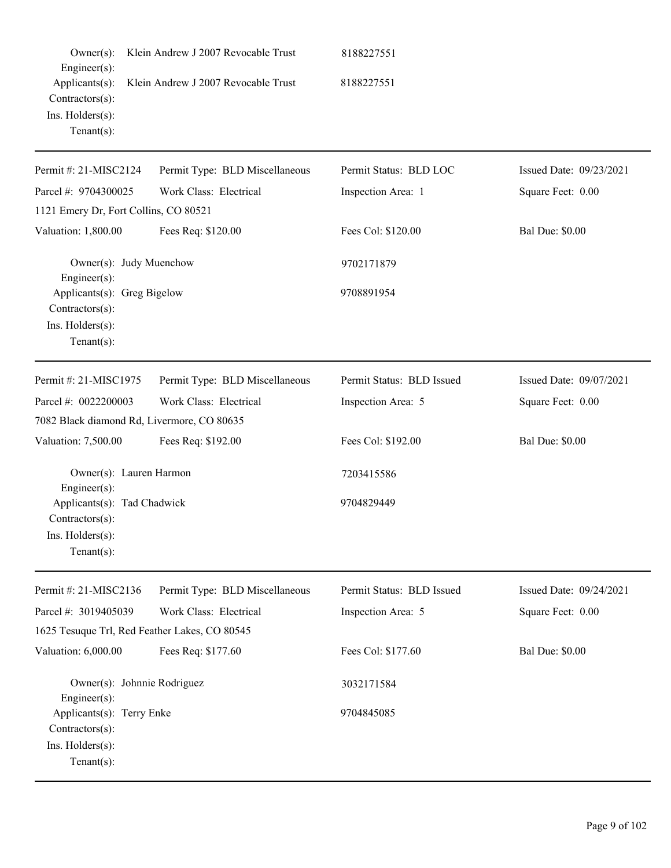| $Owner(s)$ :                                                                                   | Klein Andrew J 2007 Revocable Trust | 8188227551                |                         |
|------------------------------------------------------------------------------------------------|-------------------------------------|---------------------------|-------------------------|
| Engineer(s):<br>Applicants(s):<br>Contractors(s):<br>Ins. $H$ olders $(s)$ :<br>Tenant $(s)$ : | Klein Andrew J 2007 Revocable Trust | 8188227551                |                         |
| Permit #: 21-MISC2124                                                                          | Permit Type: BLD Miscellaneous      | Permit Status: BLD LOC    | Issued Date: 09/23/2021 |
| Parcel #: 9704300025                                                                           | Work Class: Electrical              | Inspection Area: 1        | Square Feet: 0.00       |
| 1121 Emery Dr, Fort Collins, CO 80521                                                          |                                     |                           |                         |
| Valuation: 1,800.00                                                                            | Fees Req: \$120.00                  | Fees Col: \$120.00        | <b>Bal Due: \$0.00</b>  |
| Owner(s): Judy Muenchow<br>Engineer(s):                                                        |                                     | 9702171879                |                         |
| Applicants(s): Greg Bigelow<br>Contractors(s):<br>Ins. Holders(s):<br>Tenant $(s)$ :           |                                     | 9708891954                |                         |
| Permit #: 21-MISC1975                                                                          | Permit Type: BLD Miscellaneous      | Permit Status: BLD Issued | Issued Date: 09/07/2021 |
| Parcel #: 0022200003                                                                           | Work Class: Electrical              | Inspection Area: 5        | Square Feet: 0.00       |
| 7082 Black diamond Rd, Livermore, CO 80635                                                     |                                     |                           |                         |
| Valuation: 7,500.00                                                                            | Fees Req: \$192.00                  | Fees Col: \$192.00        | <b>Bal Due: \$0.00</b>  |
| Owner(s): Lauren Harmon<br>Engineer(s):                                                        |                                     | 7203415586                |                         |
| Applicants(s): Tad Chadwick<br>Contractors(s):<br>Ins. Holders(s):<br>$Tenant(s)$ :            |                                     | 9704829449                |                         |
| Permit #: 21-MISC2136                                                                          | Permit Type: BLD Miscellaneous      | Permit Status: BLD Issued | Issued Date: 09/24/2021 |
| Parcel #: 3019405039                                                                           | Work Class: Electrical              | Inspection Area: 5        | Square Feet: 0.00       |
| 1625 Tesuque Trl, Red Feather Lakes, CO 80545                                                  |                                     |                           |                         |
| Valuation: 6,000.00                                                                            | Fees Req: \$177.60                  | Fees Col: \$177.60        | <b>Bal Due: \$0.00</b>  |
| Owner(s): Johnnie Rodriguez<br>Engineer(s):                                                    |                                     | 3032171584                |                         |
| Applicants(s): Terry Enke<br>Contractors(s):<br>Ins. Holders(s):<br>$Tenant(s)$ :              |                                     | 9704845085                |                         |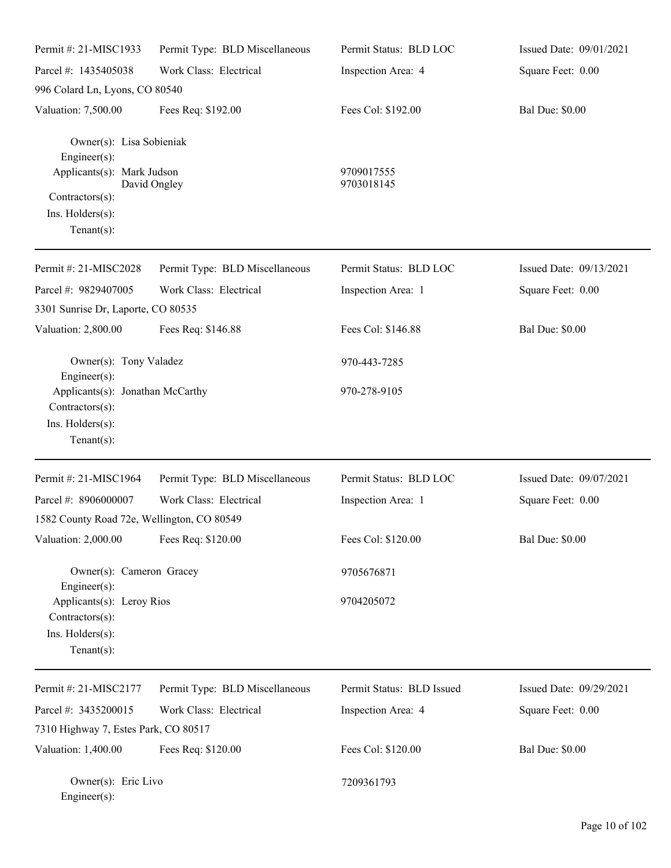| Permit #: 21-MISC1933                                                                              | Permit Type: BLD Miscellaneous | Permit Status: BLD LOC    | Issued Date: 09/01/2021 |
|----------------------------------------------------------------------------------------------------|--------------------------------|---------------------------|-------------------------|
| Parcel #: 1435405038                                                                               | Work Class: Electrical         | Inspection Area: 4        | Square Feet: 0.00       |
| 996 Colard Ln, Lyons, CO 80540                                                                     |                                |                           |                         |
| Valuation: 7,500.00                                                                                | Fees Req: \$192.00             | Fees Col: \$192.00        | <b>Bal Due: \$0.00</b>  |
| Owner(s): Lisa Sobieniak<br>Engineer(s):<br>Applicants(s): Mark Judson                             |                                | 9709017555                |                         |
|                                                                                                    | David Ongley                   | 9703018145                |                         |
| Contractors(s):<br>Ins. Holders(s):<br>Tenant $(s)$ :                                              |                                |                           |                         |
| Permit #: 21-MISC2028                                                                              | Permit Type: BLD Miscellaneous | Permit Status: BLD LOC    | Issued Date: 09/13/2021 |
| Parcel #: 9829407005                                                                               | Work Class: Electrical         | Inspection Area: 1        | Square Feet: 0.00       |
| 3301 Sunrise Dr, Laporte, CO 80535                                                                 |                                |                           |                         |
| Valuation: 2,800.00                                                                                | Fees Req: \$146.88             | Fees Col: \$146.88        | <b>Bal Due: \$0.00</b>  |
| Owner(s): Tony Valadez<br>$Engineering(s)$ :                                                       |                                | 970-443-7285              |                         |
| Applicants(s): Jonathan McCarthy<br>Contractors(s):<br>Ins. Holders(s):<br>Tenant $(s)$ :          |                                | 970-278-9105              |                         |
| Permit #: 21-MISC1964                                                                              | Permit Type: BLD Miscellaneous | Permit Status: BLD LOC    | Issued Date: 09/07/2021 |
| Parcel #: 8906000007                                                                               | Work Class: Electrical         | Inspection Area: 1        | Square Feet: 0.00       |
| 1582 County Road 72e, Wellington, CO 80549                                                         |                                |                           |                         |
| Valuation: 2,000.00                                                                                | Fees Req: \$120.00             | Fees Col: \$120.00        | <b>Bal Due: \$0.00</b>  |
| Owner(s): Cameron Gracey                                                                           |                                | 9705676871                |                         |
| Engineer(s):<br>Applicants(s): Leroy Rios<br>Contractors(s):<br>Ins. Holders(s):<br>Tenant $(s)$ : |                                | 9704205072                |                         |
| Permit #: 21-MISC2177                                                                              | Permit Type: BLD Miscellaneous | Permit Status: BLD Issued | Issued Date: 09/29/2021 |
| Parcel #: 3435200015                                                                               | Work Class: Electrical         | Inspection Area: 4        | Square Feet: 0.00       |
| 7310 Highway 7, Estes Park, CO 80517                                                               |                                |                           |                         |
| Valuation: 1,400.00                                                                                | Fees Req: \$120.00             | Fees Col: \$120.00        | <b>Bal Due: \$0.00</b>  |
| Owner(s): Eric Livo<br>$Engineer(s)$ :                                                             |                                | 7209361793                |                         |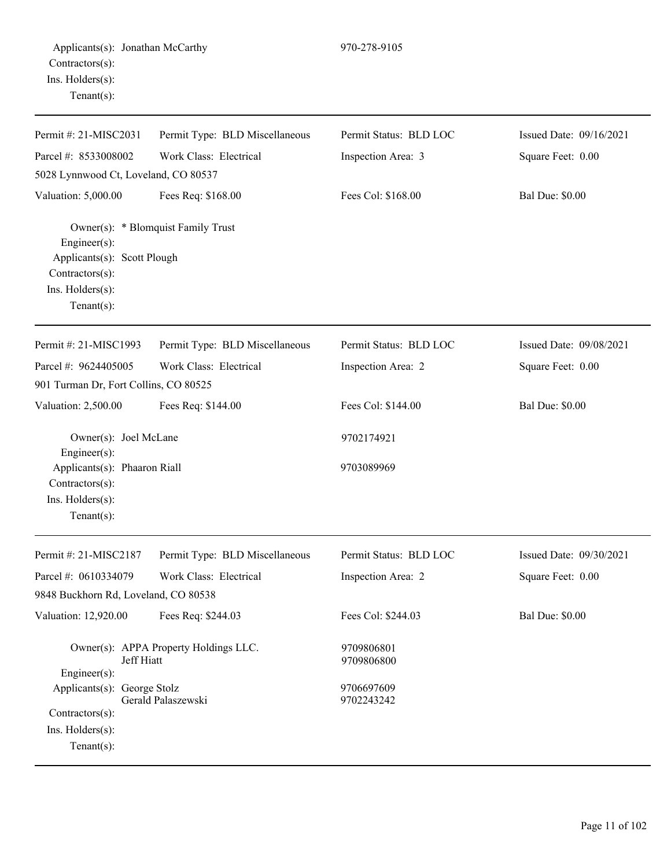| Permit #: 21-MISC2031                                                                                     | Permit Type: BLD Miscellaneous        | Permit Status: BLD LOC   | Issued Date: 09/16/2021 |
|-----------------------------------------------------------------------------------------------------------|---------------------------------------|--------------------------|-------------------------|
| Parcel #: 8533008002                                                                                      | Work Class: Electrical                | Inspection Area: 3       | Square Feet: 0.00       |
| 5028 Lynnwood Ct, Loveland, CO 80537                                                                      |                                       |                          |                         |
| Valuation: 5,000.00                                                                                       | Fees Req: \$168.00                    | Fees Col: \$168.00       | <b>Bal Due: \$0.00</b>  |
| $Engineering(s)$ :<br>Applicants(s): Scott Plough<br>Contractors(s):<br>Ins. Holders(s):<br>$Tenant(s)$ : | Owner(s): * Blomquist Family Trust    |                          |                         |
| Permit #: 21-MISC1993                                                                                     | Permit Type: BLD Miscellaneous        | Permit Status: BLD LOC   | Issued Date: 09/08/2021 |
| Parcel #: 9624405005                                                                                      | Work Class: Electrical                | Inspection Area: 2       | Square Feet: 0.00       |
| 901 Turman Dr, Fort Collins, CO 80525                                                                     |                                       |                          |                         |
| Valuation: 2,500.00                                                                                       | Fees Req: \$144.00                    | Fees Col: \$144.00       | <b>Bal Due: \$0.00</b>  |
| Owner(s): Joel McLane<br>$Engineer(s)$ :                                                                  |                                       | 9702174921               |                         |
| Applicants(s): Phaaron Riall<br>Contractors(s):                                                           |                                       | 9703089969               |                         |
| Ins. Holders(s):<br>Tenant $(s)$ :                                                                        |                                       |                          |                         |
| Permit #: 21-MISC2187                                                                                     | Permit Type: BLD Miscellaneous        | Permit Status: BLD LOC   | Issued Date: 09/30/2021 |
| Parcel #: 0610334079                                                                                      | Work Class: Electrical                | Inspection Area: 2       | Square Feet: 0.00       |
| 9848 Buckhorn Rd, Loveland, CO 80538                                                                      |                                       |                          |                         |
| Valuation: 12,920.00                                                                                      | Fees Req: \$244.03                    | Fees Col: \$244.03       | <b>Bal Due: \$0.00</b>  |
| Jeff Hiatt                                                                                                | Owner(s): APPA Property Holdings LLC. | 9709806801<br>9709806800 |                         |
| Engineer(s):                                                                                              |                                       |                          |                         |
| Applicants(s): George Stolz                                                                               | Gerald Palaszewski                    | 9706697609<br>9702243242 |                         |
| Contractors(s):                                                                                           |                                       |                          |                         |
| Ins. $H$ olders $(s)$ :                                                                                   |                                       |                          |                         |
| Tenant $(s)$ :                                                                                            |                                       |                          |                         |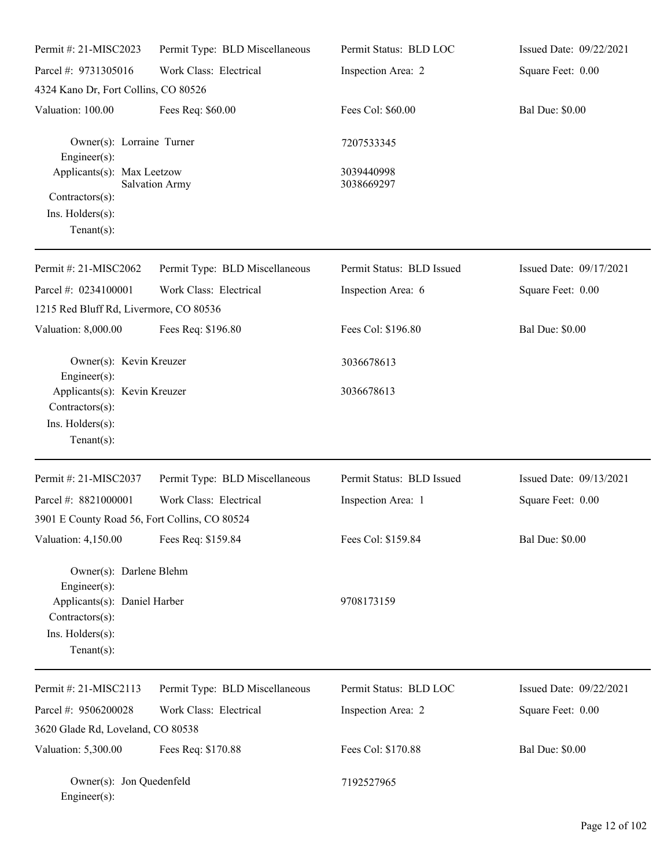| Permit #: 21-MISC2023                                                                                                            | Permit Type: BLD Miscellaneous | Permit Status: BLD LOC    | Issued Date: 09/22/2021 |
|----------------------------------------------------------------------------------------------------------------------------------|--------------------------------|---------------------------|-------------------------|
| Parcel #: 9731305016                                                                                                             | Work Class: Electrical         | Inspection Area: 2        | Square Feet: 0.00       |
| 4324 Kano Dr, Fort Collins, CO 80526                                                                                             |                                |                           |                         |
| Valuation: 100.00                                                                                                                | Fees Req: \$60.00              | Fees Col: \$60.00         | <b>Bal Due: \$0.00</b>  |
| Owner(s): Lorraine Turner<br>Engineer(s):                                                                                        |                                | 7207533345                |                         |
| Applicants(s): Max Leetzow                                                                                                       | <b>Salvation Army</b>          | 3039440998<br>3038669297  |                         |
| Contractors(s):<br>Ins. Holders(s):<br>Tenant $(s)$ :                                                                            |                                |                           |                         |
| Permit #: 21-MISC2062                                                                                                            | Permit Type: BLD Miscellaneous | Permit Status: BLD Issued | Issued Date: 09/17/2021 |
| Parcel #: 0234100001                                                                                                             | Work Class: Electrical         | Inspection Area: 6        | Square Feet: 0.00       |
| 1215 Red Bluff Rd, Livermore, CO 80536                                                                                           |                                |                           |                         |
| Valuation: 8,000.00                                                                                                              | Fees Req: \$196.80             | Fees Col: \$196.80        | <b>Bal Due: \$0.00</b>  |
| Owner(s): Kevin Kreuzer<br>Engineer(s):                                                                                          |                                | 3036678613                |                         |
| Applicants(s): Kevin Kreuzer<br>Contractors(s):<br>Ins. Holders(s):<br>Tenant $(s)$ :                                            |                                | 3036678613                |                         |
| Permit #: 21-MISC2037                                                                                                            | Permit Type: BLD Miscellaneous | Permit Status: BLD Issued | Issued Date: 09/13/2021 |
| Parcel #: 8821000001                                                                                                             | Work Class: Electrical         | Inspection Area: 1        | Square Feet: 0.00       |
| 3901 E County Road 56, Fort Collins, CO 80524                                                                                    |                                |                           |                         |
| Valuation: 4,150.00                                                                                                              | Fees Req: \$159.84             | Fees Col: \$159.84        | <b>Bal Due: \$0.00</b>  |
| Owner(s): Darlene Blehm<br>Engineer(s):<br>Applicants(s): Daniel Harber<br>Contractors(s):<br>Ins. Holders(s):<br>Tenant $(s)$ : |                                | 9708173159                |                         |
| Permit #: 21-MISC2113                                                                                                            | Permit Type: BLD Miscellaneous | Permit Status: BLD LOC    | Issued Date: 09/22/2021 |
| Parcel #: 9506200028                                                                                                             | Work Class: Electrical         | Inspection Area: 2        | Square Feet: 0.00       |
| 3620 Glade Rd, Loveland, CO 80538                                                                                                |                                |                           |                         |
| Valuation: 5,300.00                                                                                                              | Fees Req: \$170.88             | Fees Col: \$170.88        | <b>Bal Due: \$0.00</b>  |
| Owner(s): Jon Quedenfeld<br>Engineer(s):                                                                                         |                                | 7192527965                |                         |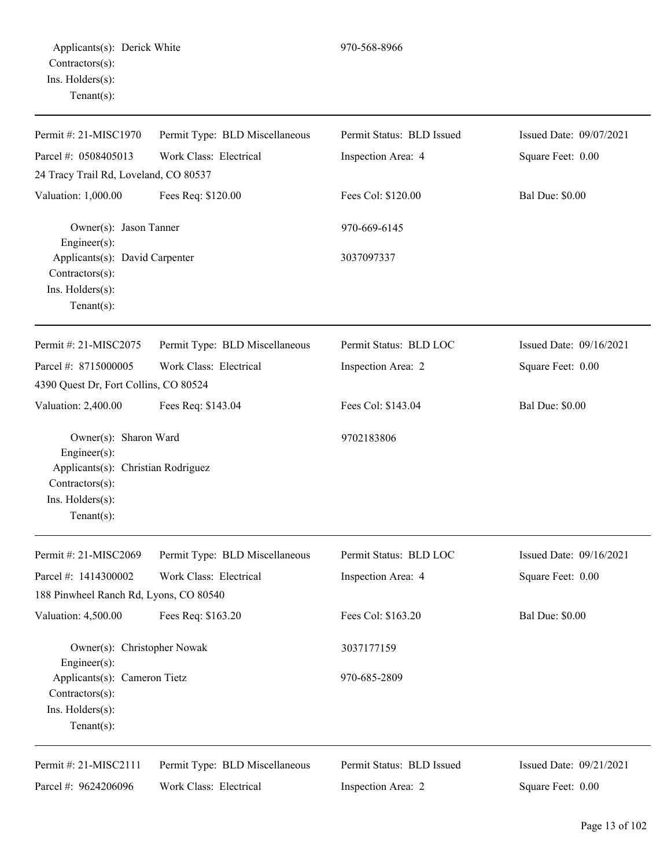| Permit #: 21-MISC1970                                                                                                               | Permit Type: BLD Miscellaneous | Permit Status: BLD Issued | Issued Date: 09/07/2021 |
|-------------------------------------------------------------------------------------------------------------------------------------|--------------------------------|---------------------------|-------------------------|
| Parcel #: 0508405013                                                                                                                | Work Class: Electrical         | Inspection Area: 4        | Square Feet: 0.00       |
| 24 Tracy Trail Rd, Loveland, CO 80537                                                                                               |                                |                           |                         |
| Valuation: 1,000.00                                                                                                                 | Fees Req: \$120.00             | Fees Col: \$120.00        | <b>Bal Due: \$0.00</b>  |
| Owner(s): Jason Tanner<br>Engineer(s):                                                                                              |                                | 970-669-6145              |                         |
| Applicants(s): David Carpenter<br>Contractors(s):<br>Ins. Holders(s):<br>$Tenant(s)$ :                                              |                                | 3037097337                |                         |
| Permit #: 21-MISC2075                                                                                                               | Permit Type: BLD Miscellaneous | Permit Status: BLD LOC    | Issued Date: 09/16/2021 |
| Parcel #: 8715000005                                                                                                                | Work Class: Electrical         | Inspection Area: 2        | Square Feet: 0.00       |
| 4390 Quest Dr, Fort Collins, CO 80524                                                                                               |                                |                           |                         |
| Valuation: 2,400.00                                                                                                                 | Fees Req: \$143.04             | Fees Col: \$143.04        | <b>Bal Due: \$0.00</b>  |
| Owner(s): Sharon Ward<br>Engineer(s):<br>Applicants(s): Christian Rodriguez<br>Contractors(s):<br>Ins. Holders(s):<br>$Tenant(s)$ : |                                | 9702183806                |                         |
| Permit #: 21-MISC2069                                                                                                               | Permit Type: BLD Miscellaneous | Permit Status: BLD LOC    | Issued Date: 09/16/2021 |
| Parcel #: 1414300002                                                                                                                | Work Class: Electrical         | Inspection Area: 4        | Square Feet: 0.00       |
| 188 Pinwheel Ranch Rd, Lyons, CO 80540                                                                                              |                                |                           |                         |
| Valuation: 4,500.00                                                                                                                 | Fees Req: \$163.20             | Fees Col: \$163.20        | <b>Bal Due: \$0.00</b>  |
| Owner(s): Christopher Nowak<br>Engineer(s):                                                                                         |                                | 3037177159                |                         |
| Applicants(s): Cameron Tietz<br>Contractors(s):<br>Ins. Holders(s):<br>$Tenant(s)$ :                                                |                                | 970-685-2809              |                         |
| Permit #: 21-MISC2111                                                                                                               | Permit Type: BLD Miscellaneous | Permit Status: BLD Issued | Issued Date: 09/21/2021 |
| Parcel #: 9624206096                                                                                                                | Work Class: Electrical         | Inspection Area: 2        | Square Feet: 0.00       |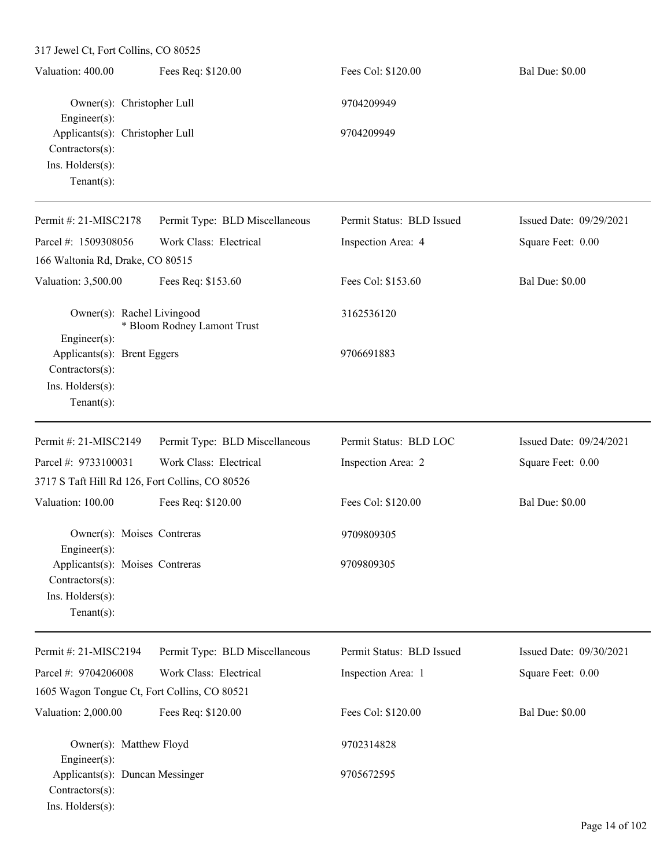317 Jewel Ct, Fort Collins, CO 80525 Valuation: 400.00 Fees Req: \$120.00 Fees Col: \$120.00 Bal Due: \$0.00 Owner(s): Christopher Lull 9704209949 Engineer(s): Applicants(s): Christopher Lull 9704209949 Contractors(s): Ins. Holders(s): Tenant(s): Permit #: 21-MISC2178 Parcel #: 1509308056 Permit Type: BLD Miscellaneous Work Class: Electrical Permit Status: BLD Issued Inspection Area: 4 Issued Date: 09/29/2021 Square Feet: 0.00 166 Waltonia Rd, Drake, CO 80515 Valuation: 3,500.00 Fees Req: \$153.60 Fees Col: \$153.60 Bal Due: \$0.00 Owner(s): Rachel Livingood 3162536120 \* Bloom Rodney Lamont Trust Engineer(s): Applicants(s): Brent Eggers 9706691883 Contractors(s): Ins. Holders(s): Tenant(s): Permit #: 21-MISC2149 Parcel #: 9733100031 Permit Type: BLD Miscellaneous Work Class: Electrical Permit Status: BLD LOC Inspection Area: 2 Issued Date: 09/24/2021 Square Feet: 0.00 3717 S Taft Hill Rd 126, Fort Collins, CO 80526 Valuation: 100.00 Fees Req: \$120.00 Fees Col: \$120.00 Bal Due: \$0.00 Owner(s): Moises Contreras 9709809305 Engineer(s): Applicants(s): Moises Contreras 9709809305 Contractors(s): Ins. Holders(s): Tenant(s): Permit #: 21-MISC2194 Parcel #: 9704206008 Permit Type: BLD Miscellaneous Work Class: Electrical Permit Status: BLD Issued Inspection Area: 1 Issued Date: 09/30/2021 Square Feet: 0.00 1605 Wagon Tongue Ct, Fort Collins, CO 80521 Valuation: 2,000.00 Fees Req: \$120.00 Fees Col: \$120.00 Bal Due: \$0.00 Owner(s): Matthew Floyd 9702314828 Engineer(s): Applicants(s): Duncan Messinger 9705672595 Contractors(s): Ins. Holders(s):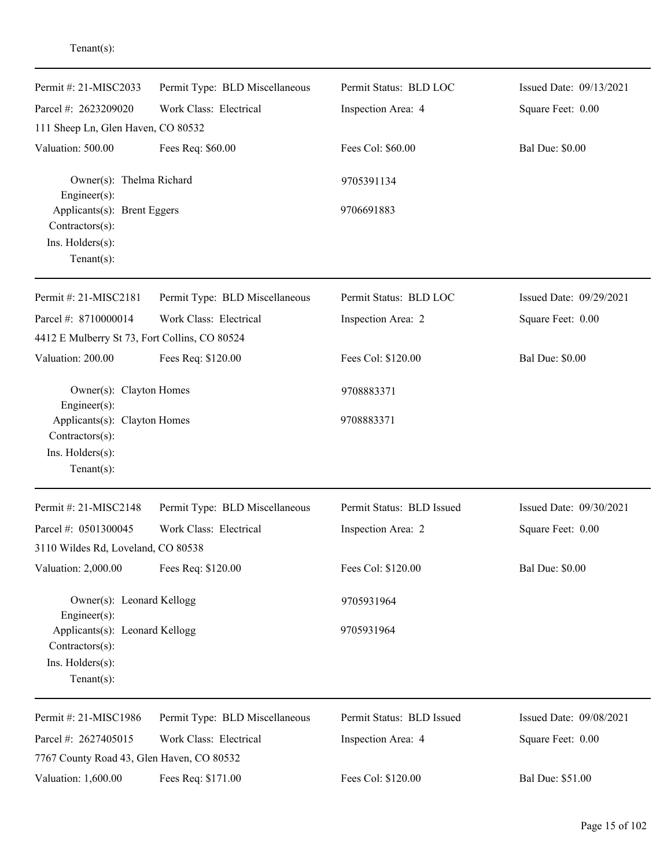| Permit #: 21-MISC2033                                                                   | Permit Type: BLD Miscellaneous | Permit Status: BLD LOC    | Issued Date: 09/13/2021 |
|-----------------------------------------------------------------------------------------|--------------------------------|---------------------------|-------------------------|
| Parcel #: 2623209020                                                                    | Work Class: Electrical         | Inspection Area: 4        | Square Feet: 0.00       |
| 111 Sheep Ln, Glen Haven, CO 80532                                                      |                                |                           |                         |
| Valuation: 500.00                                                                       | Fees Req: \$60.00              | Fees Col: \$60.00         | <b>Bal Due: \$0.00</b>  |
| Owner(s): Thelma Richard<br>Engineer(s):                                                |                                | 9705391134                |                         |
| Applicants(s): Brent Eggers<br>Contractors(s):<br>Ins. Holders(s):<br>Tenant $(s)$ :    |                                | 9706691883                |                         |
| Permit #: 21-MISC2181                                                                   | Permit Type: BLD Miscellaneous | Permit Status: BLD LOC    | Issued Date: 09/29/2021 |
| Parcel #: 8710000014                                                                    | Work Class: Electrical         | Inspection Area: 2        | Square Feet: 0.00       |
| 4412 E Mulberry St 73, Fort Collins, CO 80524                                           |                                |                           |                         |
| Valuation: 200.00                                                                       | Fees Req: \$120.00             | Fees Col: \$120.00        | <b>Bal Due: \$0.00</b>  |
| Owner(s): Clayton Homes<br>Engineer(s):                                                 |                                | 9708883371                |                         |
| Applicants(s): Clayton Homes<br>Contractors(s):<br>Ins. Holders(s):<br>$Tenant(s)$ :    |                                | 9708883371                |                         |
| Permit #: 21-MISC2148                                                                   | Permit Type: BLD Miscellaneous | Permit Status: BLD Issued | Issued Date: 09/30/2021 |
| Parcel #: 0501300045                                                                    | Work Class: Electrical         | Inspection Area: 2        | Square Feet: 0.00       |
| 3110 Wildes Rd, Loveland, CO 80538                                                      |                                |                           |                         |
| Valuation: 2,000.00                                                                     | Fees Req: \$120.00             | Fees Col: \$120.00        | <b>Bal Due: \$0.00</b>  |
| Owner(s): Leonard Kellogg<br>Engineer(s):                                               |                                | 9705931964                |                         |
| Applicants(s): Leonard Kellogg<br>Contractors(s):<br>Ins. Holders(s):<br>Tenant $(s)$ : |                                | 9705931964                |                         |
|                                                                                         |                                |                           |                         |
| Permit #: 21-MISC1986                                                                   | Permit Type: BLD Miscellaneous | Permit Status: BLD Issued | Issued Date: 09/08/2021 |
| Parcel #: 2627405015<br>7767 County Road 43, Glen Haven, CO 80532                       | Work Class: Electrical         | Inspection Area: 4        | Square Feet: 0.00       |
| Valuation: 1,600.00                                                                     | Fees Req: \$171.00             | Fees Col: \$120.00        | Bal Due: \$51.00        |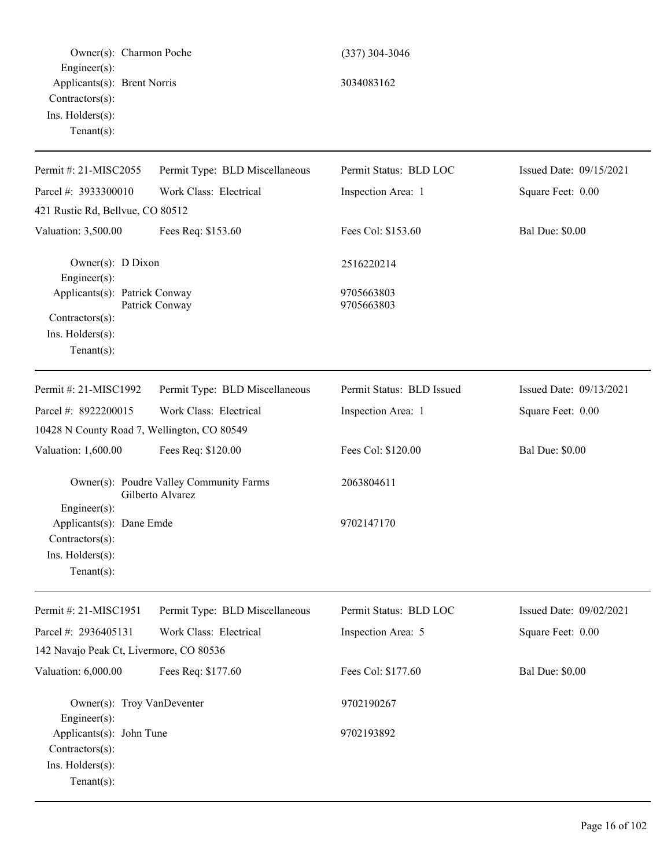| Owner(s): Charmon Poche                                                                          |                                                             | $(337)$ 304-3046          |                         |
|--------------------------------------------------------------------------------------------------|-------------------------------------------------------------|---------------------------|-------------------------|
| Engineer(s):<br>Applicants(s): Brent Norris<br>Contractors(s):<br>Ins. Holders(s):               |                                                             | 3034083162                |                         |
| $Tenant(s)$ :                                                                                    |                                                             |                           |                         |
| Permit #: 21-MISC2055                                                                            | Permit Type: BLD Miscellaneous                              | Permit Status: BLD LOC    | Issued Date: 09/15/2021 |
| Parcel #: 3933300010                                                                             | Work Class: Electrical                                      | Inspection Area: 1        | Square Feet: 0.00       |
| 421 Rustic Rd, Bellvue, CO 80512                                                                 |                                                             |                           |                         |
| Valuation: 3,500.00                                                                              | Fees Req: \$153.60                                          | Fees Col: \$153.60        | <b>Bal Due: \$0.00</b>  |
| Owner(s): D Dixon<br>Engineer(s):                                                                |                                                             | 2516220214                |                         |
| Applicants(s): Patrick Conway                                                                    | Patrick Conway                                              | 9705663803<br>9705663803  |                         |
| Contractors(s):<br>Ins. Holders(s):<br>Tenant $(s)$ :                                            |                                                             |                           |                         |
| Permit #: 21-MISC1992                                                                            | Permit Type: BLD Miscellaneous                              | Permit Status: BLD Issued | Issued Date: 09/13/2021 |
| Parcel #: 8922200015                                                                             | Work Class: Electrical                                      | Inspection Area: 1        | Square Feet: 0.00       |
| 10428 N County Road 7, Wellington, CO 80549                                                      |                                                             |                           |                         |
| Valuation: 1,600.00                                                                              | Fees Req: \$120.00                                          | Fees Col: \$120.00        | <b>Bal Due: \$0.00</b>  |
|                                                                                                  | Owner(s): Poudre Valley Community Farms<br>Gilberto Alvarez | 2063804611                |                         |
| Engineer(s):<br>Applicants(s): Dane Emde<br>Contractors(s):<br>Ins. Holders(s):<br>$Tenant(s)$ : |                                                             | 9702147170                |                         |
| Permit #: 21-MISC1951                                                                            | Permit Type: BLD Miscellaneous                              | Permit Status: BLD LOC    | Issued Date: 09/02/2021 |
| Parcel #: 2936405131                                                                             | Work Class: Electrical                                      | Inspection Area: 5        | Square Feet: 0.00       |
| 142 Navajo Peak Ct, Livermore, CO 80536                                                          |                                                             |                           |                         |
| Valuation: 6,000.00                                                                              | Fees Req: \$177.60                                          | Fees Col: \$177.60        | <b>Bal Due: \$0.00</b>  |
| Owner(s): Troy VanDeventer<br>Engineer(s):                                                       |                                                             | 9702190267                |                         |
| Applicants(s): John Tune<br>Contractors(s):<br>Ins. Holders(s):<br>$Tenant(s)$ :                 |                                                             | 9702193892                |                         |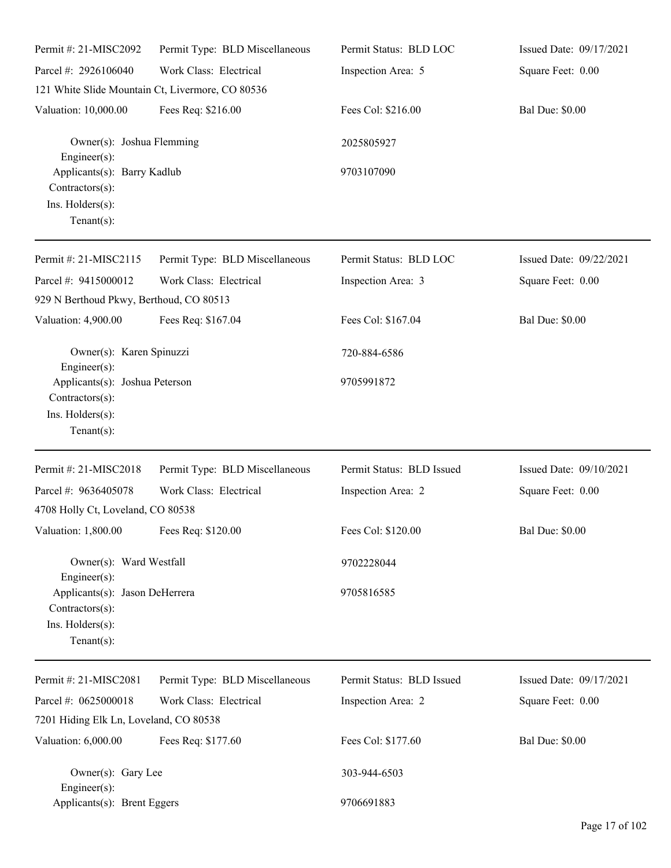| Permit #: 21-MISC2092                                                                                         | Permit Type: BLD Miscellaneous                   | Permit Status: BLD LOC    | Issued Date: 09/17/2021 |
|---------------------------------------------------------------------------------------------------------------|--------------------------------------------------|---------------------------|-------------------------|
| Parcel #: 2926106040                                                                                          | Work Class: Electrical                           | Inspection Area: 5        | Square Feet: 0.00       |
|                                                                                                               | 121 White Slide Mountain Ct, Livermore, CO 80536 |                           |                         |
| Valuation: 10,000.00                                                                                          | Fees Req: \$216.00                               | Fees Col: \$216.00        | <b>Bal Due: \$0.00</b>  |
| Owner(s): Joshua Flemming<br>Engineer(s):                                                                     |                                                  | 2025805927                |                         |
| Applicants(s): Barry Kadlub<br>Contractors(s):<br>Ins. Holders(s):<br>Tenant $(s)$ :                          |                                                  | 9703107090                |                         |
| Permit #: 21-MISC2115                                                                                         | Permit Type: BLD Miscellaneous                   | Permit Status: BLD LOC    | Issued Date: 09/22/2021 |
| Parcel #: 9415000012                                                                                          | Work Class: Electrical                           | Inspection Area: 3        | Square Feet: 0.00       |
| 929 N Berthoud Pkwy, Berthoud, CO 80513                                                                       |                                                  |                           |                         |
| Valuation: 4,900.00                                                                                           | Fees Req: \$167.04                               | Fees Col: \$167.04        | <b>Bal Due: \$0.00</b>  |
| Owner(s): Karen Spinuzzi<br>Engineer(s):                                                                      |                                                  | 720-884-6586              |                         |
| Applicants(s): Joshua Peterson<br>Contractors(s):<br>Ins. Holders(s):<br>Tenant $(s)$ :                       |                                                  | 9705991872                |                         |
| Permit #: 21-MISC2018                                                                                         | Permit Type: BLD Miscellaneous                   | Permit Status: BLD Issued | Issued Date: 09/10/2021 |
| Parcel #: 9636405078                                                                                          | Work Class: Electrical                           | Inspection Area: 2        | Square Feet: 0.00       |
| 4708 Holly Ct, Loveland, CO 80538                                                                             |                                                  |                           |                         |
| Valuation: 1,800.00                                                                                           | Fees Req: \$120.00                               | Fees Col: \$120.00        | <b>Bal Due: \$0.00</b>  |
| Owner(s): Ward Westfall                                                                                       |                                                  | 9702228044                |                         |
| $Engineering(s)$ :<br>Applicants(s): Jason DeHerrera<br>Contractors(s):<br>Ins. Holders(s):<br>Tenant $(s)$ : |                                                  | 9705816585                |                         |
| Permit #: 21-MISC2081                                                                                         | Permit Type: BLD Miscellaneous                   | Permit Status: BLD Issued | Issued Date: 09/17/2021 |
| Parcel #: 0625000018                                                                                          | Work Class: Electrical                           | Inspection Area: 2        | Square Feet: 0.00       |
| 7201 Hiding Elk Ln, Loveland, CO 80538                                                                        |                                                  |                           |                         |
| Valuation: 6,000.00                                                                                           | Fees Req: \$177.60                               | Fees Col: \$177.60        | <b>Bal Due: \$0.00</b>  |
| Owner(s): Gary Lee<br>Engineer $(s)$ :                                                                        |                                                  | 303-944-6503              |                         |
| Applicants(s): Brent Eggers                                                                                   |                                                  | 9706691883                |                         |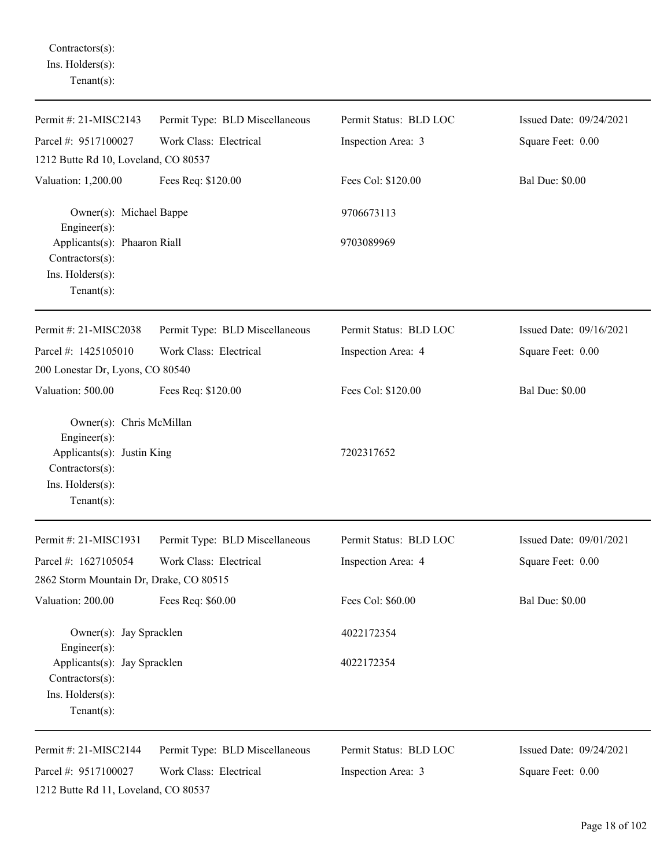Contractors(s): Ins. Holders(s): Tenant(s):

| Permit #: 21-MISC2143                                                                                                           | Permit Type: BLD Miscellaneous | Permit Status: BLD LOC | Issued Date: 09/24/2021 |
|---------------------------------------------------------------------------------------------------------------------------------|--------------------------------|------------------------|-------------------------|
| Parcel #: 9517100027                                                                                                            | Work Class: Electrical         | Inspection Area: 3     | Square Feet: 0.00       |
| 1212 Butte Rd 10, Loveland, CO 80537                                                                                            |                                |                        |                         |
| Valuation: 1,200.00                                                                                                             | Fees Req: \$120.00             | Fees Col: \$120.00     | <b>Bal Due: \$0.00</b>  |
| Owner(s): Michael Bappe<br>Engineer(s):                                                                                         |                                | 9706673113             |                         |
| Applicants(s): Phaaron Riall<br>Contractors(s):                                                                                 |                                | 9703089969             |                         |
| Ins. Holders(s):<br>Tenant $(s)$ :                                                                                              |                                |                        |                         |
| Permit #: 21-MISC2038                                                                                                           | Permit Type: BLD Miscellaneous | Permit Status: BLD LOC | Issued Date: 09/16/2021 |
| Parcel #: 1425105010<br>200 Lonestar Dr, Lyons, CO 80540                                                                        | Work Class: Electrical         | Inspection Area: 4     | Square Feet: 0.00       |
| Valuation: 500.00                                                                                                               | Fees Req: \$120.00             | Fees Col: \$120.00     | <b>Bal Due: \$0.00</b>  |
| Owner(s): Chris McMillan<br>Engineer(s):<br>Applicants(s): Justin King<br>Contractors(s):<br>Ins. Holders(s):<br>Tenant $(s)$ : |                                | 7202317652             |                         |
| Permit #: 21-MISC1931                                                                                                           | Permit Type: BLD Miscellaneous | Permit Status: BLD LOC | Issued Date: 09/01/2021 |
| Parcel #: 1627105054                                                                                                            | Work Class: Electrical         | Inspection Area: 4     | Square Feet: 0.00       |
| 2862 Storm Mountain Dr, Drake, CO 80515                                                                                         |                                |                        |                         |
| Valuation: 200.00                                                                                                               | Fees Req: \$60.00              | Fees Col: \$60.00      | <b>Bal Due: \$0.00</b>  |
| Owner(s): Jay Spracklen<br>Engineer(s):                                                                                         |                                | 4022172354             |                         |
| Applicants(s): Jay Spracklen<br>Contractors(s):<br>Ins. Holders(s):<br>Tenant $(s)$ :                                           |                                | 4022172354             |                         |
| Permit #: 21-MISC2144                                                                                                           | Permit Type: BLD Miscellaneous | Permit Status: BLD LOC | Issued Date: 09/24/2021 |
| Parcel #: 9517100027<br>1212 Butte Rd 11, Loveland, CO 80537                                                                    | Work Class: Electrical         | Inspection Area: 3     | Square Feet: 0.00       |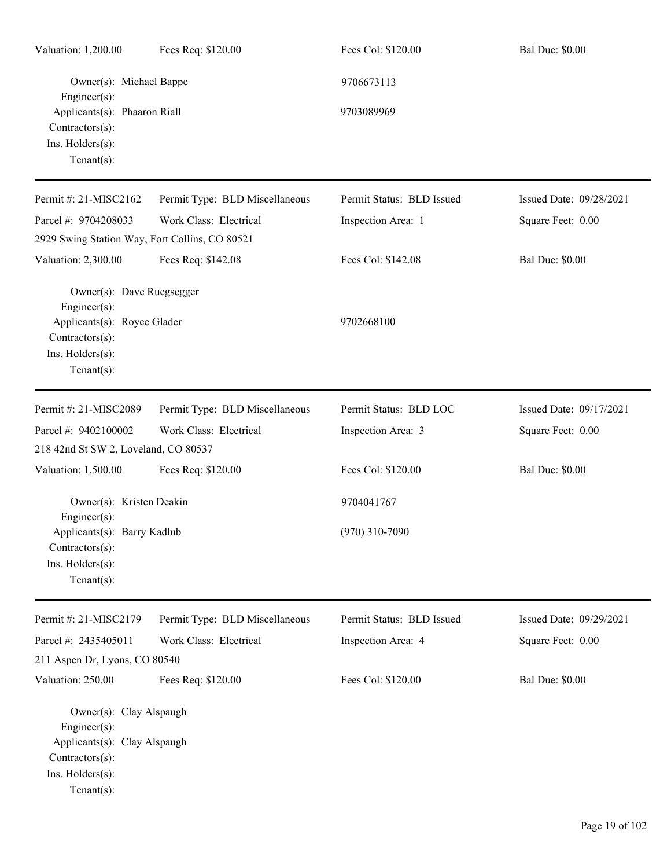| Valuation: 1,200.00                                                                                                                    | Fees Req: \$120.00             | Fees Col: \$120.00        | <b>Bal Due: \$0.00</b>  |
|----------------------------------------------------------------------------------------------------------------------------------------|--------------------------------|---------------------------|-------------------------|
| Owner(s): Michael Bappe<br>Engineer(s):                                                                                                |                                | 9706673113                |                         |
| Applicants(s): Phaaron Riall<br>Contractors(s):<br>Ins. Holders(s):<br>Tenant $(s)$ :                                                  |                                | 9703089969                |                         |
| Permit #: 21-MISC2162                                                                                                                  | Permit Type: BLD Miscellaneous | Permit Status: BLD Issued | Issued Date: 09/28/2021 |
| Parcel #: 9704208033                                                                                                                   | Work Class: Electrical         | Inspection Area: 1        | Square Feet: 0.00       |
| 2929 Swing Station Way, Fort Collins, CO 80521                                                                                         |                                |                           |                         |
| Valuation: 2,300.00                                                                                                                    | Fees Req: \$142.08             | Fees Col: \$142.08        | <b>Bal Due: \$0.00</b>  |
| Owner(s): Dave Ruegsegger<br>Engineer $(s)$ :<br>Applicants(s): Royce Glader                                                           |                                | 9702668100                |                         |
| Contractors(s):<br>Ins. Holders(s):<br>Tenant $(s)$ :                                                                                  |                                |                           |                         |
| Permit #: 21-MISC2089                                                                                                                  | Permit Type: BLD Miscellaneous | Permit Status: BLD LOC    | Issued Date: 09/17/2021 |
| Parcel #: 9402100002                                                                                                                   | Work Class: Electrical         | Inspection Area: 3        | Square Feet: 0.00       |
| 218 42nd St SW 2, Loveland, CO 80537                                                                                                   |                                |                           |                         |
| Valuation: 1,500.00                                                                                                                    | Fees Req: \$120.00             | Fees Col: \$120.00        | <b>Bal Due: \$0.00</b>  |
| Owner(s): Kristen Deakin<br>$Enginer(s)$ :                                                                                             |                                | 9704041767                |                         |
| Applicants(s): Barry Kadlub<br>Contractors(s):<br>Ins. Holders(s):<br>Tenant $(s)$ :                                                   |                                | $(970)$ 310-7090          |                         |
| Permit #: 21-MISC2179                                                                                                                  | Permit Type: BLD Miscellaneous | Permit Status: BLD Issued | Issued Date: 09/29/2021 |
| Parcel #: 2435405011                                                                                                                   | Work Class: Electrical         | Inspection Area: 4        | Square Feet: 0.00       |
| 211 Aspen Dr, Lyons, CO 80540                                                                                                          |                                |                           |                         |
| Valuation: 250.00                                                                                                                      | Fees Req: \$120.00             | Fees Col: \$120.00        | <b>Bal Due: \$0.00</b>  |
| Owner(s): Clay Alspaugh<br>$Engineering(s)$ :<br>Applicants(s): Clay Alspaugh<br>Contractors(s):<br>Ins. Holders(s):<br>Tenant $(s)$ : |                                |                           |                         |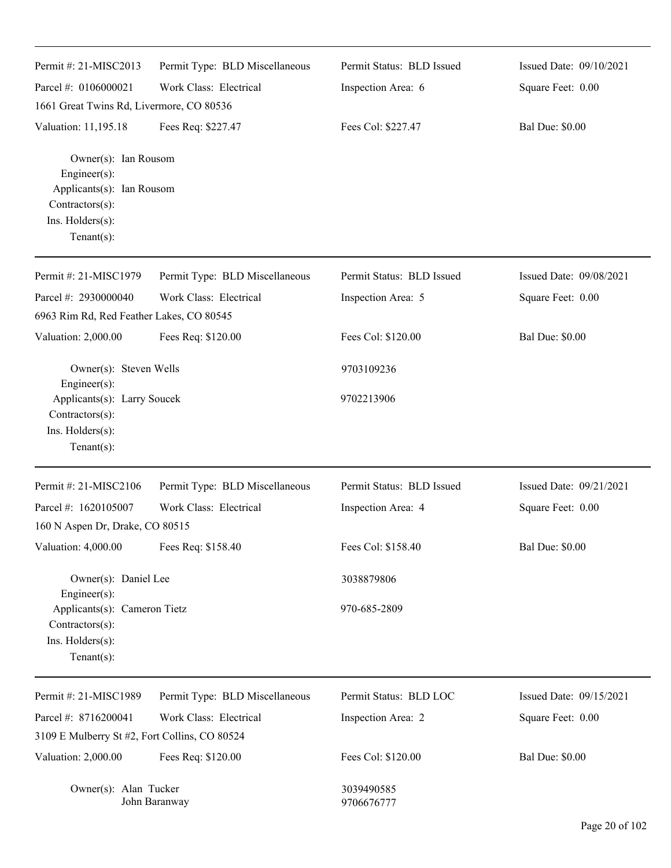| Permit #: 21-MISC2013                                                                                                          | Permit Type: BLD Miscellaneous | Permit Status: BLD Issued | Issued Date: 09/10/2021 |
|--------------------------------------------------------------------------------------------------------------------------------|--------------------------------|---------------------------|-------------------------|
| Parcel #: 0106000021                                                                                                           | Work Class: Electrical         | Inspection Area: 6        | Square Feet: 0.00       |
| 1661 Great Twins Rd, Livermore, CO 80536                                                                                       |                                |                           |                         |
| Valuation: 11,195.18                                                                                                           | Fees Req: \$227.47             | Fees Col: \$227.47        | <b>Bal Due: \$0.00</b>  |
| Owner(s): Ian Rousom<br>Engineer $(s)$ :<br>Applicants(s): Ian Rousom<br>Contractors(s):<br>Ins. Holders(s):<br>Tenant $(s)$ : |                                |                           |                         |
| Permit #: 21-MISC1979                                                                                                          | Permit Type: BLD Miscellaneous | Permit Status: BLD Issued | Issued Date: 09/08/2021 |
| Parcel #: 2930000040                                                                                                           | Work Class: Electrical         | Inspection Area: 5        | Square Feet: 0.00       |
| 6963 Rim Rd, Red Feather Lakes, CO 80545                                                                                       |                                |                           |                         |
| Valuation: 2,000.00                                                                                                            | Fees Req: \$120.00             | Fees Col: \$120.00        | <b>Bal Due: \$0.00</b>  |
| Owner(s): Steven Wells<br>Engineer(s):                                                                                         |                                | 9703109236                |                         |
| Applicants(s): Larry Soucek<br>Contractors(s):<br>Ins. Holders(s):<br>Tenant $(s)$ :                                           |                                | 9702213906                |                         |
|                                                                                                                                |                                |                           |                         |
| Permit #: 21-MISC2106                                                                                                          | Permit Type: BLD Miscellaneous | Permit Status: BLD Issued | Issued Date: 09/21/2021 |
| Parcel #: 1620105007                                                                                                           | Work Class: Electrical         | Inspection Area: 4        | Square Feet: 0.00       |
| 160 N Aspen Dr, Drake, CO 80515                                                                                                |                                |                           |                         |
| Valuation: 4,000.00                                                                                                            | Fees Req: \$158.40             | Fees Col: \$158.40        | <b>Bal Due: \$0.00</b>  |
| Owner(s): Daniel Lee<br>Engineer $(s)$ :                                                                                       |                                | 3038879806                |                         |
| Applicants(s): Cameron Tietz<br>Contractors(s):<br>Ins. Holders(s):<br>Tenant $(s)$ :                                          |                                | 970-685-2809              |                         |
| Permit #: 21-MISC1989                                                                                                          | Permit Type: BLD Miscellaneous | Permit Status: BLD LOC    | Issued Date: 09/15/2021 |
| Parcel #: 8716200041                                                                                                           | Work Class: Electrical         | Inspection Area: 2        | Square Feet: 0.00       |
| 3109 E Mulberry St #2, Fort Collins, CO 80524                                                                                  |                                |                           |                         |
| Valuation: 2,000.00                                                                                                            | Fees Req: \$120.00             | Fees Col: \$120.00        | <b>Bal Due: \$0.00</b>  |
| Owner(s): Alan Tucker                                                                                                          | John Baranway                  | 3039490585<br>9706676777  |                         |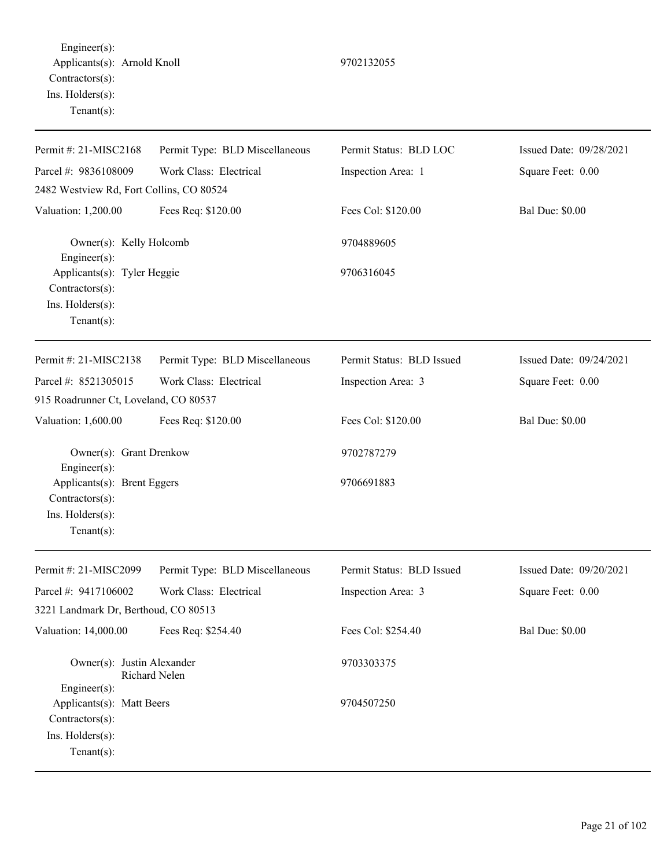Engineer(s): Applicants(s): Arnold Knoll 9702132055 Contractors(s): Ins. Holders(s): Tenant(s):

Permit #: 21-MISC2168 Parcel #: 9836108009 Permit Type: BLD Miscellaneous Work Class: Electrical Permit Status: BLD LOC Inspection Area: 1 Issued Date: 09/28/2021 Square Feet: 0.00 2482 Westview Rd, Fort Collins, CO 80524 Valuation: 1,200.00 Fees Req: \$120.00 Fees Col: \$120.00 Bal Due: \$0.00 Owner(s): Kelly Holcomb 9704889605 Engineer(s): Applicants(s): Tyler Heggie 9706316045 Contractors(s): Ins. Holders(s): Tenant(s): Permit #: 21-MISC2138 Parcel #: 8521305015 Permit Type: BLD Miscellaneous Work Class: Electrical Permit Status: BLD Issued Inspection Area: 3 Issued Date: 09/24/2021 Square Feet: 0.00 915 Roadrunner Ct, Loveland, CO 80537 Valuation: 1,600.00 Fees Req: \$120.00 Fees Col: \$120.00 Bal Due: \$0.00 Owner(s): Grant Drenkow 9702787279 Engineer(s): Applicants(s): Brent Eggers 9706691883 Contractors(s): Ins. Holders(s): Tenant(s): Permit #: 21-MISC2099 Parcel #: 9417106002 Permit Type: BLD Miscellaneous Work Class: Electrical Permit Status: BLD Issued Inspection Area: 3 Issued Date: 09/20/2021 Square Feet: 0.00 3221 Landmark Dr, Berthoud, CO 80513 Valuation: 14,000.00 Fees Req: \$254.40 Fees Col: \$254.40 Bal Due: \$0.00 Owner(s): Justin Alexander 9703303375 Richard Nelen Engineer(s): Applicants(s): Matt Beers 9704507250 Contractors(s): Ins. Holders(s): Tenant(s):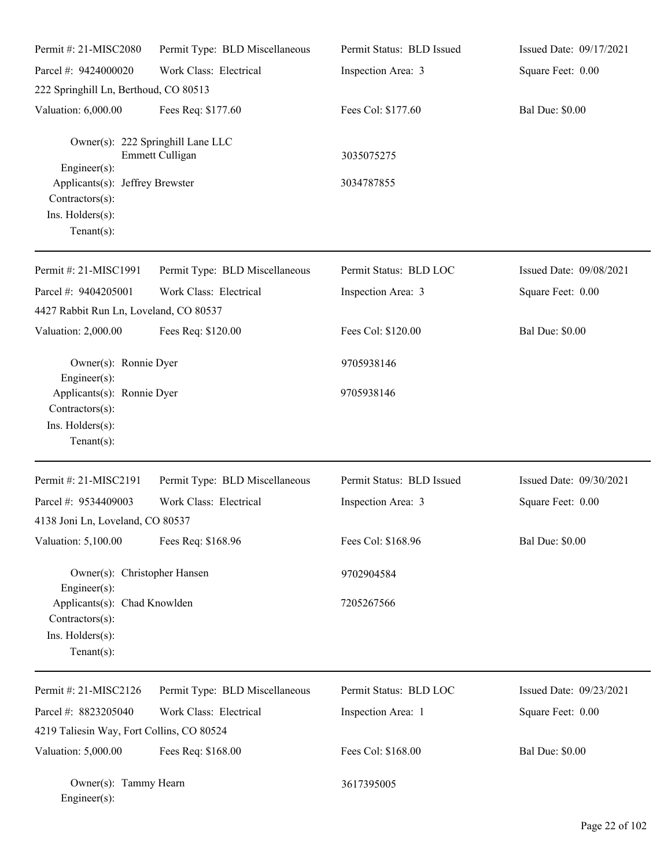| Permit #: 21-MISC2080                                                                                 | Permit Type: BLD Miscellaneous                       | Permit Status: BLD Issued | Issued Date: 09/17/2021 |
|-------------------------------------------------------------------------------------------------------|------------------------------------------------------|---------------------------|-------------------------|
| Parcel #: 9424000020                                                                                  | Work Class: Electrical                               | Inspection Area: 3        | Square Feet: 0.00       |
| 222 Springhill Ln, Berthoud, CO 80513                                                                 |                                                      |                           |                         |
| Valuation: 6,000.00                                                                                   | Fees Req: \$177.60                                   | Fees Col: \$177.60        | <b>Bal Due: \$0.00</b>  |
| Engineer(s):                                                                                          | Owner(s): 222 Springhill Lane LLC<br>Emmett Culligan | 3035075275                |                         |
| Applicants(s): Jeffrey Brewster<br>Contractors(s):<br>Ins. Holders(s):<br>Tenant $(s)$ :              |                                                      | 3034787855                |                         |
| Permit #: 21-MISC1991                                                                                 | Permit Type: BLD Miscellaneous                       | Permit Status: BLD LOC    | Issued Date: 09/08/2021 |
| Parcel #: 9404205001                                                                                  | Work Class: Electrical                               | Inspection Area: 3        | Square Feet: 0.00       |
| 4427 Rabbit Run Ln, Loveland, CO 80537                                                                |                                                      |                           |                         |
| Valuation: 2,000.00                                                                                   | Fees Req: \$120.00                                   | Fees Col: \$120.00        | <b>Bal Due: \$0.00</b>  |
| Owner(s): Ronnie Dyer<br>Engineer(s):                                                                 |                                                      | 9705938146                |                         |
| Applicants(s): Ronnie Dyer<br>Contractors(s):<br>Ins. Holders(s):<br>Tenant $(s)$ :                   |                                                      | 9705938146                |                         |
| Permit #: 21-MISC2191                                                                                 | Permit Type: BLD Miscellaneous                       | Permit Status: BLD Issued | Issued Date: 09/30/2021 |
| Parcel #: 9534409003                                                                                  | Work Class: Electrical                               | Inspection Area: 3        | Square Feet: 0.00       |
| 4138 Joni Ln, Loveland, CO 80537                                                                      |                                                      |                           |                         |
| Valuation: 5,100.00                                                                                   | Fees Req: \$168.96                                   | Fees Col: \$168.96        | <b>Bal Due: \$0.00</b>  |
| Owner(s): Christopher Hansen                                                                          |                                                      | 9702904584                |                         |
| Engineer(s):<br>Applicants(s): Chad Knowlden<br>Contractors(s):<br>Ins. Holders(s):<br>Tenant $(s)$ : |                                                      | 7205267566                |                         |
| Permit #: 21-MISC2126                                                                                 | Permit Type: BLD Miscellaneous                       | Permit Status: BLD LOC    | Issued Date: 09/23/2021 |
| Parcel #: 8823205040                                                                                  | Work Class: Electrical                               | Inspection Area: 1        | Square Feet: 0.00       |
| 4219 Taliesin Way, Fort Collins, CO 80524                                                             |                                                      |                           |                         |
| Valuation: 5,000.00                                                                                   | Fees Req: \$168.00                                   | Fees Col: \$168.00        | <b>Bal Due: \$0.00</b>  |
| Owner(s): Tammy Hearn<br>Engineer(s):                                                                 |                                                      | 3617395005                |                         |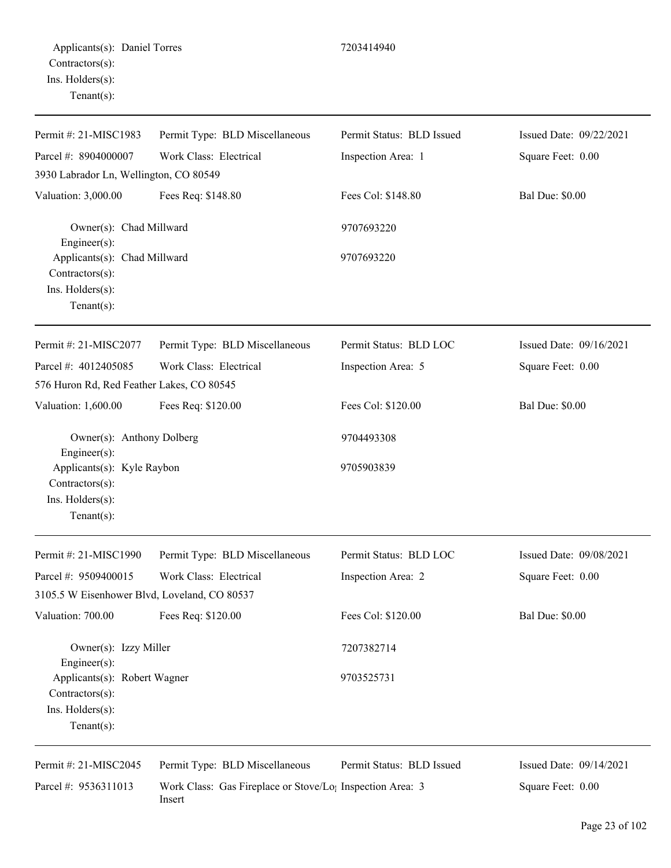| Permit #: 21-MISC1983                                                                | Permit Type: BLD Miscellaneous | Permit Status: BLD Issued | Issued Date: 09/22/2021 |
|--------------------------------------------------------------------------------------|--------------------------------|---------------------------|-------------------------|
| Parcel #: 8904000007                                                                 | Work Class: Electrical         | Inspection Area: 1        | Square Feet: 0.00       |
| 3930 Labrador Ln, Wellington, CO 80549                                               |                                |                           |                         |
| Valuation: 3,000.00                                                                  | Fees Req: \$148.80             | Fees Col: \$148.80        | <b>Bal Due: \$0.00</b>  |
| Owner(s): Chad Millward<br>Engineer(s):                                              |                                | 9707693220                |                         |
| Applicants(s): Chad Millward<br>Contractors(s):<br>Ins. Holders(s):<br>$Tenant(s)$ : |                                | 9707693220                |                         |
| Permit #: 21-MISC2077                                                                | Permit Type: BLD Miscellaneous | Permit Status: BLD LOC    | Issued Date: 09/16/2021 |
| Parcel #: 4012405085                                                                 | Work Class: Electrical         | Inspection Area: 5        | Square Feet: 0.00       |
| 576 Huron Rd, Red Feather Lakes, CO 80545                                            |                                |                           |                         |
| Valuation: 1,600.00                                                                  | Fees Req: \$120.00             | Fees Col: \$120.00        | <b>Bal Due: \$0.00</b>  |
| Owner(s): Anthony Dolberg<br>Engineer(s):                                            |                                | 9704493308                |                         |
| Applicants(s): Kyle Raybon<br>Contractors(s):<br>Ins. Holders(s):<br>$Tenant(s)$ :   |                                | 9705903839                |                         |
|                                                                                      |                                |                           |                         |
| Permit #: 21-MISC1990                                                                | Permit Type: BLD Miscellaneous | Permit Status: BLD LOC    | Issued Date: 09/08/2021 |
| Parcel #: 9509400015                                                                 | Work Class: Electrical         | Inspection Area: 2        | Square Feet: 0.00       |
| 3105.5 W Eisenhower Blvd, Loveland, CO 80537                                         |                                |                           |                         |
| Valuation: 700.00                                                                    | Fees Req: \$120.00             | Fees Col: \$120.00        | <b>Bal Due: \$0.00</b>  |
| Owner(s): Izzy Miller<br>Engineer(s):                                                |                                | 7207382714                |                         |
| Applicants(s): Robert Wagner<br>Contractors(s):                                      |                                | 9703525731                |                         |

Ins. Holders(s):

 $\overline{\phantom{0}}$ 

Tenant(s):

Permit #: 21-MISC2045 Parcel #: 9536311013

Permit Type: BLD Miscellaneous Work Class: Gas Fireplace or Stove/Log Inspection Area: 3 Insert Permit Status: BLD Issued Issued Date: 09/14/2021 Square Feet: 0.00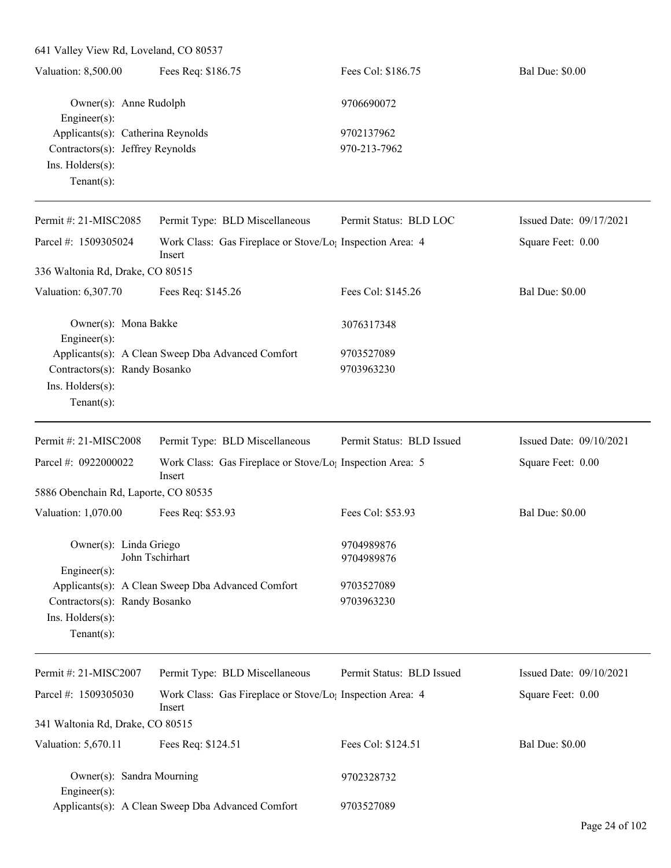| Valuation: 8,500.00<br>Fees Req: \$186.75<br>Fees Col: \$186.75<br><b>Bal Due: \$0.00</b><br>Owner(s): Anne Rudolph<br>9706690072<br>Engineer $(s)$ :<br>Applicants(s): Catherina Reynolds<br>9702137962<br>Contractors(s): Jeffrey Reynolds<br>970-213-7962<br>Ins. Holders(s):<br>Tenant $(s)$ :<br>Permit Status: BLD LOC<br>Issued Date: 09/17/2021<br>Permit #: 21-MISC2085<br>Permit Type: BLD Miscellaneous<br>Parcel #: 1509305024<br>Work Class: Gas Fireplace or Stove/Lo <sub>!</sub> Inspection Area: 4<br>Square Feet: 0.00<br>Insert<br>336 Waltonia Rd, Drake, CO 80515<br>Valuation: 6,307.70<br>Fees Req: \$145.26<br>Fees Col: \$145.26<br><b>Bal Due: \$0.00</b><br>Owner(s): Mona Bakke<br>3076317348<br>Engineer $(s)$ :<br>Applicants(s): A Clean Sweep Dba Advanced Comfort<br>9703527089<br>Contractors(s): Randy Bosanko<br>9703963230<br>Ins. Holders(s):<br>Tenant $(s)$ :<br>Permit #: 21-MISC2008<br>Permit Type: BLD Miscellaneous<br>Permit Status: BLD Issued<br>Issued Date: 09/10/2021<br>Parcel #: 0922000022<br>Work Class: Gas Fireplace or Stove/Lo <sub>1</sub> Inspection Area: 5<br>Square Feet: 0.00<br>Insert<br>5886 Obenchain Rd, Laporte, CO 80535<br>Valuation: 1,070.00<br>Fees Req: \$53.93<br>Fees Col: \$53.93<br><b>Bal Due: \$0.00</b><br>Owner(s): Linda Griego<br>9704989876<br>John Tschirhart<br>9704989876<br>Engineer $(s)$ :<br>Applicants(s): A Clean Sweep Dba Advanced Comfort<br>9703527089<br>Contractors(s): Randy Bosanko<br>9703963230<br>Ins. Holders(s):<br>Tenant $(s)$ :<br>Permit #: 21-MISC2007<br>Permit Type: BLD Miscellaneous<br>Permit Status: BLD Issued<br>Issued Date: 09/10/2021<br>Parcel #: 1509305030<br>Work Class: Gas Fireplace or Stove/Lo <sub>1</sub> Inspection Area: 4<br>Square Feet: 0.00<br>Insert<br>341 Waltonia Rd, Drake, CO 80515<br>Valuation: 5,670.11<br>Fees Col: \$124.51<br><b>Bal Due: \$0.00</b><br>Fees Req: \$124.51<br>Owner(s): Sandra Mourning<br>9702328732<br>Engineer(s):<br>Applicants(s): A Clean Sweep Dba Advanced Comfort<br>9703527089 | 641 Valley View Rd, Loveland, CO 80537 |  |  |
|--------------------------------------------------------------------------------------------------------------------------------------------------------------------------------------------------------------------------------------------------------------------------------------------------------------------------------------------------------------------------------------------------------------------------------------------------------------------------------------------------------------------------------------------------------------------------------------------------------------------------------------------------------------------------------------------------------------------------------------------------------------------------------------------------------------------------------------------------------------------------------------------------------------------------------------------------------------------------------------------------------------------------------------------------------------------------------------------------------------------------------------------------------------------------------------------------------------------------------------------------------------------------------------------------------------------------------------------------------------------------------------------------------------------------------------------------------------------------------------------------------------------------------------------------------------------------------------------------------------------------------------------------------------------------------------------------------------------------------------------------------------------------------------------------------------------------------------------------------------------------------------------------------------------------------------------------------------------------------------------------------------------------------------------------------------------|----------------------------------------|--|--|
|                                                                                                                                                                                                                                                                                                                                                                                                                                                                                                                                                                                                                                                                                                                                                                                                                                                                                                                                                                                                                                                                                                                                                                                                                                                                                                                                                                                                                                                                                                                                                                                                                                                                                                                                                                                                                                                                                                                                                                                                                                                                    |                                        |  |  |
|                                                                                                                                                                                                                                                                                                                                                                                                                                                                                                                                                                                                                                                                                                                                                                                                                                                                                                                                                                                                                                                                                                                                                                                                                                                                                                                                                                                                                                                                                                                                                                                                                                                                                                                                                                                                                                                                                                                                                                                                                                                                    |                                        |  |  |
|                                                                                                                                                                                                                                                                                                                                                                                                                                                                                                                                                                                                                                                                                                                                                                                                                                                                                                                                                                                                                                                                                                                                                                                                                                                                                                                                                                                                                                                                                                                                                                                                                                                                                                                                                                                                                                                                                                                                                                                                                                                                    |                                        |  |  |
|                                                                                                                                                                                                                                                                                                                                                                                                                                                                                                                                                                                                                                                                                                                                                                                                                                                                                                                                                                                                                                                                                                                                                                                                                                                                                                                                                                                                                                                                                                                                                                                                                                                                                                                                                                                                                                                                                                                                                                                                                                                                    |                                        |  |  |
|                                                                                                                                                                                                                                                                                                                                                                                                                                                                                                                                                                                                                                                                                                                                                                                                                                                                                                                                                                                                                                                                                                                                                                                                                                                                                                                                                                                                                                                                                                                                                                                                                                                                                                                                                                                                                                                                                                                                                                                                                                                                    |                                        |  |  |
|                                                                                                                                                                                                                                                                                                                                                                                                                                                                                                                                                                                                                                                                                                                                                                                                                                                                                                                                                                                                                                                                                                                                                                                                                                                                                                                                                                                                                                                                                                                                                                                                                                                                                                                                                                                                                                                                                                                                                                                                                                                                    |                                        |  |  |
|                                                                                                                                                                                                                                                                                                                                                                                                                                                                                                                                                                                                                                                                                                                                                                                                                                                                                                                                                                                                                                                                                                                                                                                                                                                                                                                                                                                                                                                                                                                                                                                                                                                                                                                                                                                                                                                                                                                                                                                                                                                                    |                                        |  |  |
|                                                                                                                                                                                                                                                                                                                                                                                                                                                                                                                                                                                                                                                                                                                                                                                                                                                                                                                                                                                                                                                                                                                                                                                                                                                                                                                                                                                                                                                                                                                                                                                                                                                                                                                                                                                                                                                                                                                                                                                                                                                                    |                                        |  |  |
|                                                                                                                                                                                                                                                                                                                                                                                                                                                                                                                                                                                                                                                                                                                                                                                                                                                                                                                                                                                                                                                                                                                                                                                                                                                                                                                                                                                                                                                                                                                                                                                                                                                                                                                                                                                                                                                                                                                                                                                                                                                                    |                                        |  |  |
|                                                                                                                                                                                                                                                                                                                                                                                                                                                                                                                                                                                                                                                                                                                                                                                                                                                                                                                                                                                                                                                                                                                                                                                                                                                                                                                                                                                                                                                                                                                                                                                                                                                                                                                                                                                                                                                                                                                                                                                                                                                                    |                                        |  |  |
|                                                                                                                                                                                                                                                                                                                                                                                                                                                                                                                                                                                                                                                                                                                                                                                                                                                                                                                                                                                                                                                                                                                                                                                                                                                                                                                                                                                                                                                                                                                                                                                                                                                                                                                                                                                                                                                                                                                                                                                                                                                                    |                                        |  |  |
|                                                                                                                                                                                                                                                                                                                                                                                                                                                                                                                                                                                                                                                                                                                                                                                                                                                                                                                                                                                                                                                                                                                                                                                                                                                                                                                                                                                                                                                                                                                                                                                                                                                                                                                                                                                                                                                                                                                                                                                                                                                                    |                                        |  |  |
|                                                                                                                                                                                                                                                                                                                                                                                                                                                                                                                                                                                                                                                                                                                                                                                                                                                                                                                                                                                                                                                                                                                                                                                                                                                                                                                                                                                                                                                                                                                                                                                                                                                                                                                                                                                                                                                                                                                                                                                                                                                                    |                                        |  |  |
|                                                                                                                                                                                                                                                                                                                                                                                                                                                                                                                                                                                                                                                                                                                                                                                                                                                                                                                                                                                                                                                                                                                                                                                                                                                                                                                                                                                                                                                                                                                                                                                                                                                                                                                                                                                                                                                                                                                                                                                                                                                                    |                                        |  |  |
|                                                                                                                                                                                                                                                                                                                                                                                                                                                                                                                                                                                                                                                                                                                                                                                                                                                                                                                                                                                                                                                                                                                                                                                                                                                                                                                                                                                                                                                                                                                                                                                                                                                                                                                                                                                                                                                                                                                                                                                                                                                                    |                                        |  |  |
|                                                                                                                                                                                                                                                                                                                                                                                                                                                                                                                                                                                                                                                                                                                                                                                                                                                                                                                                                                                                                                                                                                                                                                                                                                                                                                                                                                                                                                                                                                                                                                                                                                                                                                                                                                                                                                                                                                                                                                                                                                                                    |                                        |  |  |
|                                                                                                                                                                                                                                                                                                                                                                                                                                                                                                                                                                                                                                                                                                                                                                                                                                                                                                                                                                                                                                                                                                                                                                                                                                                                                                                                                                                                                                                                                                                                                                                                                                                                                                                                                                                                                                                                                                                                                                                                                                                                    |                                        |  |  |
|                                                                                                                                                                                                                                                                                                                                                                                                                                                                                                                                                                                                                                                                                                                                                                                                                                                                                                                                                                                                                                                                                                                                                                                                                                                                                                                                                                                                                                                                                                                                                                                                                                                                                                                                                                                                                                                                                                                                                                                                                                                                    |                                        |  |  |
|                                                                                                                                                                                                                                                                                                                                                                                                                                                                                                                                                                                                                                                                                                                                                                                                                                                                                                                                                                                                                                                                                                                                                                                                                                                                                                                                                                                                                                                                                                                                                                                                                                                                                                                                                                                                                                                                                                                                                                                                                                                                    |                                        |  |  |
|                                                                                                                                                                                                                                                                                                                                                                                                                                                                                                                                                                                                                                                                                                                                                                                                                                                                                                                                                                                                                                                                                                                                                                                                                                                                                                                                                                                                                                                                                                                                                                                                                                                                                                                                                                                                                                                                                                                                                                                                                                                                    |                                        |  |  |
|                                                                                                                                                                                                                                                                                                                                                                                                                                                                                                                                                                                                                                                                                                                                                                                                                                                                                                                                                                                                                                                                                                                                                                                                                                                                                                                                                                                                                                                                                                                                                                                                                                                                                                                                                                                                                                                                                                                                                                                                                                                                    |                                        |  |  |
|                                                                                                                                                                                                                                                                                                                                                                                                                                                                                                                                                                                                                                                                                                                                                                                                                                                                                                                                                                                                                                                                                                                                                                                                                                                                                                                                                                                                                                                                                                                                                                                                                                                                                                                                                                                                                                                                                                                                                                                                                                                                    |                                        |  |  |
|                                                                                                                                                                                                                                                                                                                                                                                                                                                                                                                                                                                                                                                                                                                                                                                                                                                                                                                                                                                                                                                                                                                                                                                                                                                                                                                                                                                                                                                                                                                                                                                                                                                                                                                                                                                                                                                                                                                                                                                                                                                                    |                                        |  |  |
|                                                                                                                                                                                                                                                                                                                                                                                                                                                                                                                                                                                                                                                                                                                                                                                                                                                                                                                                                                                                                                                                                                                                                                                                                                                                                                                                                                                                                                                                                                                                                                                                                                                                                                                                                                                                                                                                                                                                                                                                                                                                    |                                        |  |  |
|                                                                                                                                                                                                                                                                                                                                                                                                                                                                                                                                                                                                                                                                                                                                                                                                                                                                                                                                                                                                                                                                                                                                                                                                                                                                                                                                                                                                                                                                                                                                                                                                                                                                                                                                                                                                                                                                                                                                                                                                                                                                    |                                        |  |  |
|                                                                                                                                                                                                                                                                                                                                                                                                                                                                                                                                                                                                                                                                                                                                                                                                                                                                                                                                                                                                                                                                                                                                                                                                                                                                                                                                                                                                                                                                                                                                                                                                                                                                                                                                                                                                                                                                                                                                                                                                                                                                    |                                        |  |  |
|                                                                                                                                                                                                                                                                                                                                                                                                                                                                                                                                                                                                                                                                                                                                                                                                                                                                                                                                                                                                                                                                                                                                                                                                                                                                                                                                                                                                                                                                                                                                                                                                                                                                                                                                                                                                                                                                                                                                                                                                                                                                    |                                        |  |  |
|                                                                                                                                                                                                                                                                                                                                                                                                                                                                                                                                                                                                                                                                                                                                                                                                                                                                                                                                                                                                                                                                                                                                                                                                                                                                                                                                                                                                                                                                                                                                                                                                                                                                                                                                                                                                                                                                                                                                                                                                                                                                    |                                        |  |  |
|                                                                                                                                                                                                                                                                                                                                                                                                                                                                                                                                                                                                                                                                                                                                                                                                                                                                                                                                                                                                                                                                                                                                                                                                                                                                                                                                                                                                                                                                                                                                                                                                                                                                                                                                                                                                                                                                                                                                                                                                                                                                    |                                        |  |  |
|                                                                                                                                                                                                                                                                                                                                                                                                                                                                                                                                                                                                                                                                                                                                                                                                                                                                                                                                                                                                                                                                                                                                                                                                                                                                                                                                                                                                                                                                                                                                                                                                                                                                                                                                                                                                                                                                                                                                                                                                                                                                    |                                        |  |  |
|                                                                                                                                                                                                                                                                                                                                                                                                                                                                                                                                                                                                                                                                                                                                                                                                                                                                                                                                                                                                                                                                                                                                                                                                                                                                                                                                                                                                                                                                                                                                                                                                                                                                                                                                                                                                                                                                                                                                                                                                                                                                    |                                        |  |  |
|                                                                                                                                                                                                                                                                                                                                                                                                                                                                                                                                                                                                                                                                                                                                                                                                                                                                                                                                                                                                                                                                                                                                                                                                                                                                                                                                                                                                                                                                                                                                                                                                                                                                                                                                                                                                                                                                                                                                                                                                                                                                    |                                        |  |  |
|                                                                                                                                                                                                                                                                                                                                                                                                                                                                                                                                                                                                                                                                                                                                                                                                                                                                                                                                                                                                                                                                                                                                                                                                                                                                                                                                                                                                                                                                                                                                                                                                                                                                                                                                                                                                                                                                                                                                                                                                                                                                    |                                        |  |  |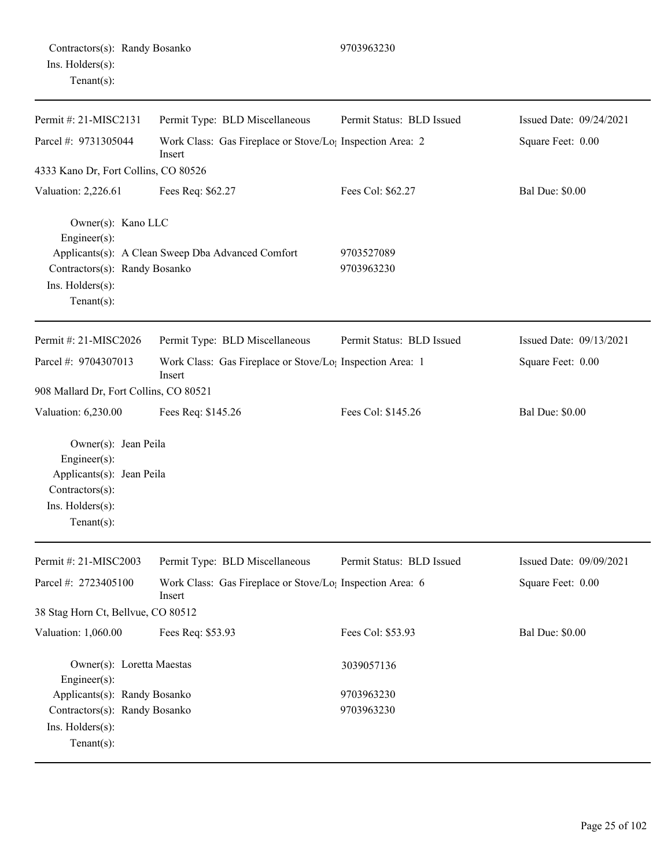|                  | Contractors(s): Randy Bosanko |
|------------------|-------------------------------|
| Ins. Holders(s): |                               |
| $Tenant(s)$ :    |                               |

Permit #: 21-MISC2131 Parcel #: 9731305044 Permit Type: BLD Miscellaneous Work Class: Gas Fireplace or Stove/Log Inspection Area: 2 Insert Permit Status: BLD Issued Issued Date: 09/24/2021 Square Feet: 0.00 4333 Kano Dr, Fort Collins, CO 80526 Valuation: 2,226.61 Fees Req: \$62.27 Fees Col: \$62.27 Bal Due: \$0.00 Owner(s): Kano LLC Engineer(s): Applicants(s): A Clean Sweep Dba Advanced Comfort 9703527089 Contractors(s): Randy Bosanko 9703963230 Ins. Holders(s): Tenant(s): Permit #: 21-MISC2026 Parcel #: 9704307013 Permit Type: BLD Miscellaneous Work Class: Gas Fireplace or Stove/Log Inspection Area: 1 Insert Permit Status: BLD Issued Issued Date: 09/13/2021 Square Feet: 0.00 908 Mallard Dr, Fort Collins, CO 80521 Valuation: 6,230.00 Fees Req: \$145.26 Fees Col: \$145.26 Bal Due: \$0.00 Owner(s): Jean Peila Engineer(s): Applicants(s): Jean Peila Contractors(s): Ins. Holders(s): Tenant(s):

9703963230

| Permit #: $21-MISC2003$                       | Permit Type: BLD Miscellaneous                                      | Permit Status: BLD Issued | Issued Date: $09/09/2021$ |
|-----------------------------------------------|---------------------------------------------------------------------|---------------------------|---------------------------|
| Parcel #: $2723405100$                        | Work Class: Gas Fireplace or Stove/Lo; Inspection Area: 6<br>Insert |                           | Square Feet: 0.00         |
| 38 Stag Horn Ct, Bellvue, CO 80512            |                                                                     |                           |                           |
| Valuation: 1,060.00                           | Fees Req: \$53.93                                                   | Fees Col: \$53.93         | <b>Bal Due: \$0.00</b>    |
| Owner(s): Loretta Maestas<br>Engineer $(s)$ : |                                                                     | 3039057136                |                           |
| Applicants(s): Randy Bosanko                  |                                                                     | 9703963230                |                           |
| Contractors(s): Randy Bosanko                 |                                                                     | 9703963230                |                           |
| $Ins.$ Holders $(s)$ :                        |                                                                     |                           |                           |
| Tenant $(s)$ :                                |                                                                     |                           |                           |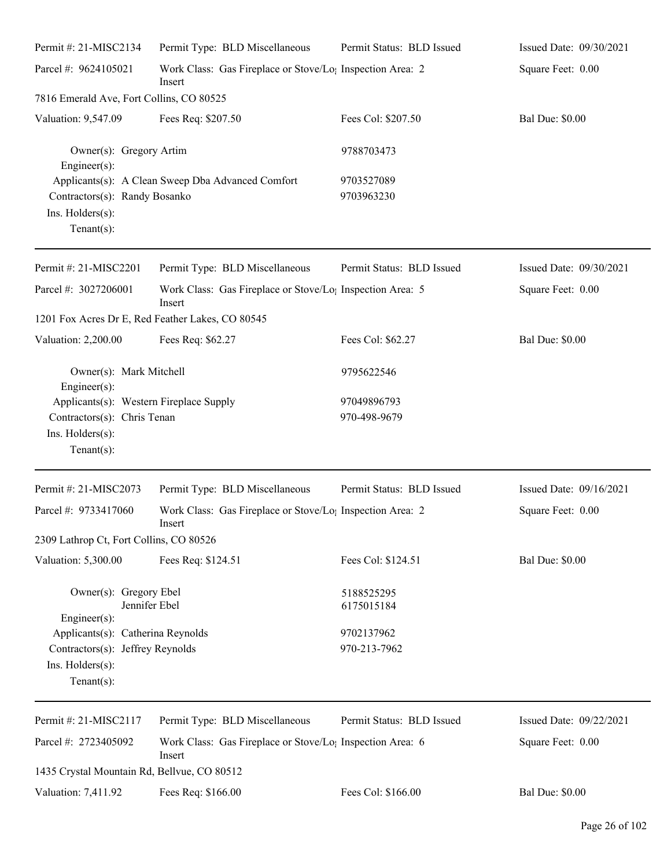| Permit #: 21-MISC2134                                               | Permit Type: BLD Miscellaneous                                                  | Permit Status: BLD Issued | Issued Date: 09/30/2021   |
|---------------------------------------------------------------------|---------------------------------------------------------------------------------|---------------------------|---------------------------|
| Parcel #: 9624105021                                                | Work Class: Gas Fireplace or Stove/Lo <sub>1</sub> Inspection Area: 2<br>Insert |                           | Square Feet: 0.00         |
| 7816 Emerald Ave, Fort Collins, CO 80525                            |                                                                                 |                           |                           |
| Valuation: 9,547.09                                                 | Fees Req: \$207.50                                                              | Fees Col: \$207.50        | <b>Bal Due: \$0.00</b>    |
| Owner(s): Gregory Artim<br>$Engineering(s)$ :                       |                                                                                 | 9788703473                |                           |
| Contractors(s): Randy Bosanko<br>Ins. Holders(s):<br>Tenant $(s)$ : | Applicants(s): A Clean Sweep Dba Advanced Comfort                               | 9703527089<br>9703963230  |                           |
| Permit #: 21-MISC2201                                               | Permit Type: BLD Miscellaneous                                                  | Permit Status: BLD Issued | Issued Date: $09/30/2021$ |
| Parcel #: 3027206001                                                | Work Class: Gas Fireplace or Stove/Lo <sub>1</sub> Inspection Area: 5<br>Insert |                           | Square Feet: 0.00         |
| 1201 Fox Acres Dr E, Red Feather Lakes, CO 80545                    |                                                                                 |                           |                           |
| Valuation: 2,200.00                                                 | Fees Req: \$62.27                                                               | Fees Col: \$62.27         | <b>Bal Due: \$0.00</b>    |
| Owner(s): Mark Mitchell<br>$Engineering(s)$ :                       |                                                                                 | 9795622546                |                           |
| Applicants(s): Western Fireplace Supply                             |                                                                                 | 97049896793               |                           |
| Contractors(s): Chris Tenan                                         |                                                                                 | 970-498-9679              |                           |
| Ins. Holders(s):<br>Tenant $(s)$ :                                  |                                                                                 |                           |                           |
| Permit #: 21-MISC2073                                               | Permit Type: BLD Miscellaneous                                                  | Permit Status: BLD Issued | Issued Date: 09/16/2021   |
| Parcel #: 9733417060                                                | Work Class: Gas Fireplace or Stove/Lo <sub>1</sub> Inspection Area: 2<br>Insert |                           | Square Feet: 0.00         |
| 2309 Lathrop Ct, Fort Collins, CO 80526                             |                                                                                 |                           |                           |
| Valuation: 5,300.00                                                 | Fees Req: \$124.51                                                              | Fees Col: \$124.51        | <b>Bal Due: \$0.00</b>    |
| Owner(s): Gregory Ebel<br>Jennifer Ebel                             |                                                                                 | 5188525295<br>6175015184  |                           |
| Engineer $(s)$ :                                                    |                                                                                 |                           |                           |
| Applicants(s): Catherina Reynolds                                   |                                                                                 | 9702137962                |                           |
| Contractors(s): Jeffrey Reynolds                                    |                                                                                 | 970-213-7962              |                           |
| Ins. Holders(s):<br>Tenant $(s)$ :                                  |                                                                                 |                           |                           |
| Permit #: 21-MISC2117                                               | Permit Type: BLD Miscellaneous                                                  | Permit Status: BLD Issued | Issued Date: 09/22/2021   |
| Parcel #: 2723405092                                                | Work Class: Gas Fireplace or Stove/Lo <sub>l</sub> Inspection Area: 6<br>Insert |                           | Square Feet: 0.00         |
| 1435 Crystal Mountain Rd, Bellvue, CO 80512                         |                                                                                 |                           |                           |
| Valuation: 7,411.92                                                 | Fees Req: \$166.00                                                              | Fees Col: \$166.00        | <b>Bal Due: \$0.00</b>    |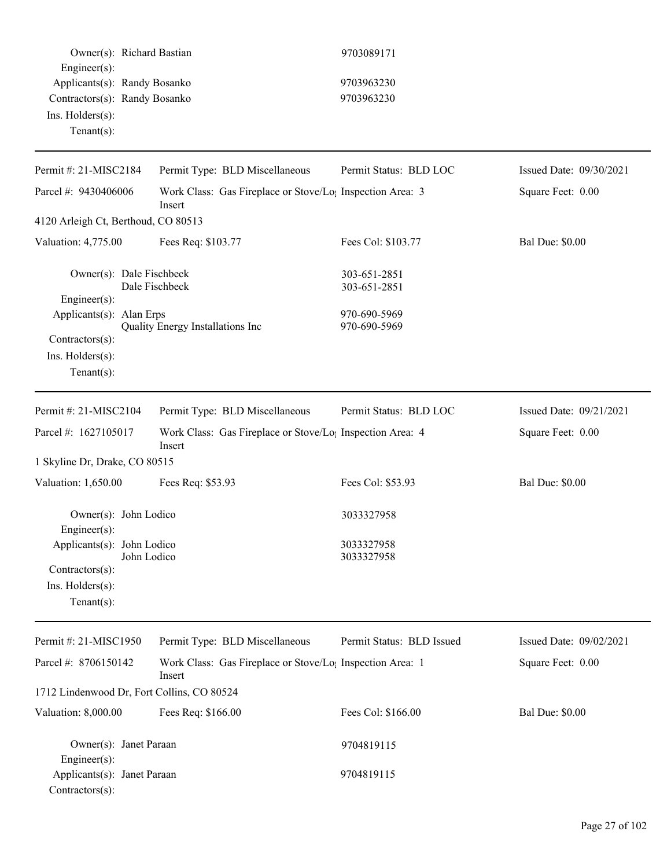| Owner(s): Richard Bastian<br>Engineer(s):                      |                                                                                 | 9703089171                   |                         |
|----------------------------------------------------------------|---------------------------------------------------------------------------------|------------------------------|-------------------------|
| Applicants(s): Randy Bosanko                                   |                                                                                 | 9703963230                   |                         |
| Contractors(s): Randy Bosanko                                  |                                                                                 | 9703963230                   |                         |
| Ins. Holders(s):                                               |                                                                                 |                              |                         |
| Tenant $(s)$ :                                                 |                                                                                 |                              |                         |
|                                                                |                                                                                 |                              |                         |
| Permit #: 21-MISC2184                                          | Permit Type: BLD Miscellaneous                                                  | Permit Status: BLD LOC       | Issued Date: 09/30/2021 |
| Parcel #: 9430406006                                           | Work Class: Gas Fireplace or Stove/Lo; Inspection Area: 3<br>Insert             |                              | Square Feet: 0.00       |
| 4120 Arleigh Ct, Berthoud, CO 80513                            |                                                                                 |                              |                         |
| Valuation: 4,775.00                                            | Fees Req: \$103.77                                                              | Fees Col: \$103.77           | <b>Bal Due: \$0.00</b>  |
| Owner(s): Dale Fischbeck                                       | Dale Fischbeck                                                                  | 303-651-2851<br>303-651-2851 |                         |
| Engineer(s):                                                   |                                                                                 | 970-690-5969                 |                         |
| Applicants(s): Alan Erps                                       | Quality Energy Installations Inc                                                | 970-690-5969                 |                         |
| Contractors(s):                                                |                                                                                 |                              |                         |
| Ins. $H$ olders $(s)$ :                                        |                                                                                 |                              |                         |
| $Tenant(s)$ :                                                  |                                                                                 |                              |                         |
| Permit #: 21-MISC2104                                          | Permit Type: BLD Miscellaneous                                                  | Permit Status: BLD LOC       | Issued Date: 09/21/2021 |
| Parcel #: 1627105017                                           | Work Class: Gas Fireplace or Stove/Lo <sub>1</sub> Inspection Area: 4<br>Insert |                              | Square Feet: 0.00       |
| 1 Skyline Dr, Drake, CO 80515                                  |                                                                                 |                              |                         |
| Valuation: 1,650.00                                            | Fees Req: \$53.93                                                               | Fees Col: \$53.93            | <b>Bal Due: \$0.00</b>  |
| Owner(s): John Lodico<br>Engineer(s):                          |                                                                                 | 3033327958                   |                         |
| Applicants(s): John Lodico                                     |                                                                                 | 3033327958                   |                         |
| John Lodico                                                    |                                                                                 | 3033327958                   |                         |
| Contractors(s):                                                |                                                                                 |                              |                         |
| Ins. Holders(s):                                               |                                                                                 |                              |                         |
| Tenant $(s)$ :                                                 |                                                                                 |                              |                         |
| Permit #: 21-MISC1950                                          | Permit Type: BLD Miscellaneous                                                  | Permit Status: BLD Issued    | Issued Date: 09/02/2021 |
| Parcel #: 8706150142                                           | Work Class: Gas Fireplace or Stove/Lo <sub>!</sub> Inspection Area: 1<br>Insert |                              | Square Feet: 0.00       |
| 1712 Lindenwood Dr, Fort Collins, CO 80524                     |                                                                                 |                              |                         |
| Valuation: 8,000.00                                            | Fees Req: \$166.00                                                              | Fees Col: \$166.00           | <b>Bal Due: \$0.00</b>  |
| Owner(s): Janet Paraan                                         |                                                                                 | 9704819115                   |                         |
| Engineer(s):<br>Applicants(s): Janet Paraan<br>Contractors(s): |                                                                                 | 9704819115                   |                         |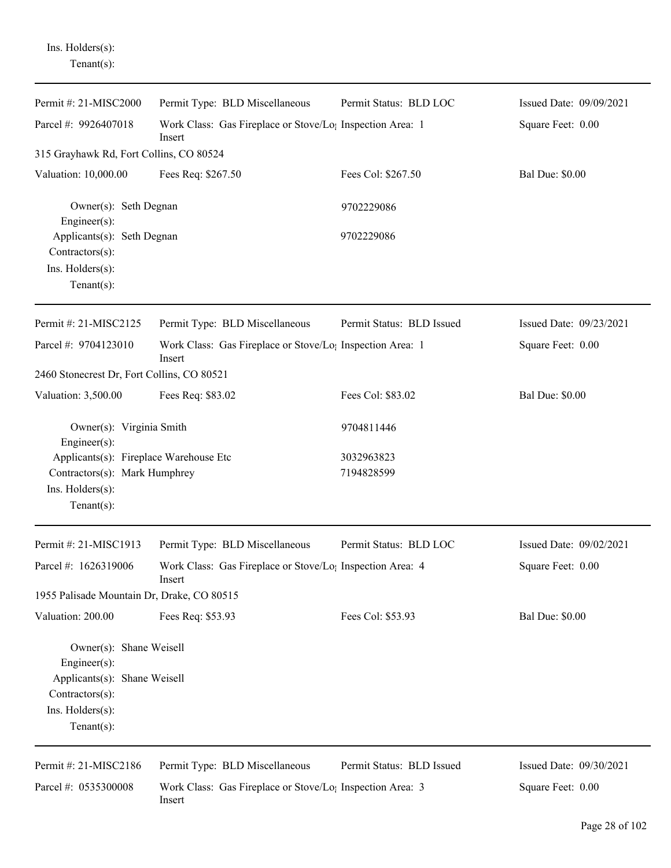| Ins. Holders(s): |
|------------------|
| Tenant(s):       |

| Permit #: 21-MISC2000                                                                                                           | Permit Type: BLD Miscellaneous                                                  | Permit Status: BLD LOC    | Issued Date: 09/09/2021 |
|---------------------------------------------------------------------------------------------------------------------------------|---------------------------------------------------------------------------------|---------------------------|-------------------------|
| Parcel #: 9926407018                                                                                                            | Work Class: Gas Fireplace or Stove/Lo <sub>1</sub> Inspection Area: 1<br>Insert |                           | Square Feet: 0.00       |
| 315 Grayhawk Rd, Fort Collins, CO 80524                                                                                         |                                                                                 |                           |                         |
| Valuation: 10,000.00                                                                                                            | Fees Req: \$267.50                                                              | Fees Col: \$267.50        | <b>Bal Due: \$0.00</b>  |
| Owner(s): Seth Degnan<br>Engineer(s):                                                                                           |                                                                                 | 9702229086                |                         |
| Applicants(s): Seth Degnan<br>Contractors(s):<br>Ins. Holders(s):<br>Tenant $(s)$ :                                             |                                                                                 | 9702229086                |                         |
| Permit #: 21-MISC2125                                                                                                           | Permit Type: BLD Miscellaneous                                                  | Permit Status: BLD Issued | Issued Date: 09/23/2021 |
| Parcel #: 9704123010                                                                                                            | Work Class: Gas Fireplace or Stove/Lo; Inspection Area: 1<br>Insert             |                           | Square Feet: 0.00       |
| 2460 Stonecrest Dr, Fort Collins, CO 80521                                                                                      |                                                                                 |                           |                         |
| Valuation: 3,500.00                                                                                                             | Fees Req: \$83.02                                                               | Fees Col: \$83.02         | <b>Bal Due: \$0.00</b>  |
| Owner(s): Virginia Smith<br>Engineer(s):                                                                                        |                                                                                 | 9704811446                |                         |
| Applicants(s): Fireplace Warehouse Etc<br>Contractors(s): Mark Humphrey<br>Ins. Holders(s):<br>Tenant $(s)$ :                   |                                                                                 | 3032963823<br>7194828599  |                         |
| Permit #: 21-MISC1913                                                                                                           | Permit Type: BLD Miscellaneous                                                  | Permit Status: BLD LOC    | Issued Date: 09/02/2021 |
| Parcel #: 1626319006                                                                                                            | Work Class: Gas Fireplace or Stove/Lo; Inspection Area: 4<br>Insert             |                           | Square Feet: 0.00       |
| 1955 Palisade Mountain Dr, Drake, CO 80515                                                                                      |                                                                                 |                           |                         |
| Valuation: 200.00                                                                                                               | Fees Req: \$53.93                                                               | Fees Col: \$53.93         | <b>Bal Due: \$0.00</b>  |
| Owner(s): Shane Weisell<br>Engineer(s):<br>Applicants(s): Shane Weisell<br>Contractors(s):<br>Ins. Holders(s):<br>$Tenant(s)$ : |                                                                                 |                           |                         |
| Permit #: 21-MISC2186                                                                                                           | Permit Type: BLD Miscellaneous                                                  | Permit Status: BLD Issued | Issued Date: 09/30/2021 |
| Parcel #: 0535300008                                                                                                            | Work Class: Gas Fireplace or Stove/Lo <sub>1</sub> Inspection Area: 3<br>Insert |                           | Square Feet: 0.00       |

Page 28 of 102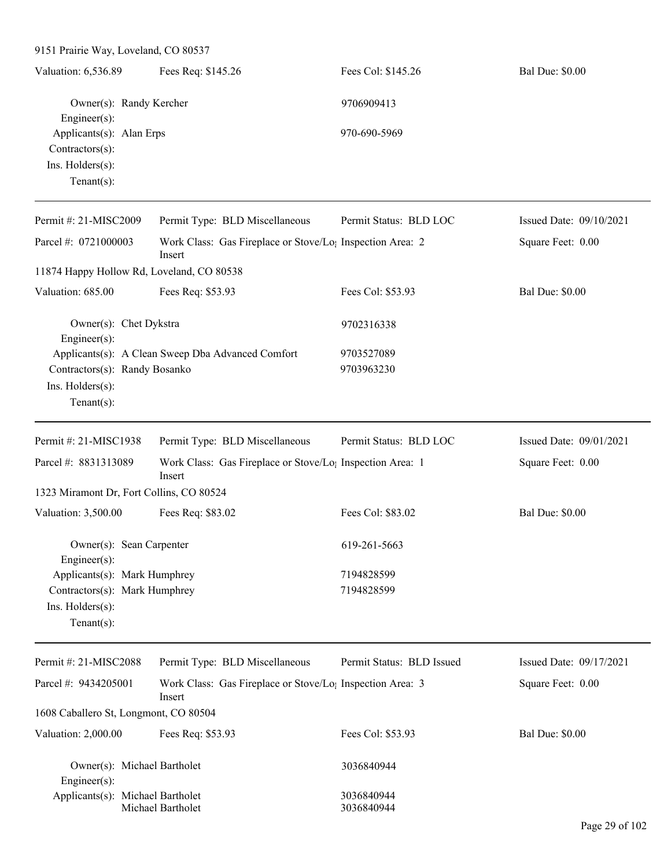| 9151 Prairie Way, Loveland, CO 80537                                                                |                                                                                 |                           |                           |
|-----------------------------------------------------------------------------------------------------|---------------------------------------------------------------------------------|---------------------------|---------------------------|
| Valuation: 6,536.89                                                                                 | Fees Req: \$145.26                                                              | Fees Col: \$145.26        | <b>Bal Due: \$0.00</b>    |
| Owner(s): Randy Kercher<br>Engineer(s):                                                             |                                                                                 | 9706909413                |                           |
| Applicants(s): Alan Erps<br>Contractors(s):<br>Ins. Holders(s):<br>Tenant $(s)$ :                   |                                                                                 | 970-690-5969              |                           |
| Permit #: 21-MISC2009                                                                               | Permit Type: BLD Miscellaneous                                                  | Permit Status: BLD LOC    | Issued Date: $09/10/2021$ |
| Parcel #: 0721000003                                                                                | Work Class: Gas Fireplace or Stove/Lo <sub>1</sub> Inspection Area: 2<br>Insert |                           | Square Feet: 0.00         |
| 11874 Happy Hollow Rd, Loveland, CO 80538                                                           |                                                                                 |                           |                           |
| Valuation: 685.00                                                                                   | Fees Req: \$53.93                                                               | Fees Col: \$53.93         | <b>Bal Due: \$0.00</b>    |
| Owner(s): Chet Dykstra<br>Engineer $(s)$ :                                                          |                                                                                 | 9702316338                |                           |
| Contractors(s): Randy Bosanko<br>Ins. Holders(s):<br>Tenant $(s)$ :                                 | Applicants(s): A Clean Sweep Dba Advanced Comfort                               | 9703527089<br>9703963230  |                           |
| Permit #: 21-MISC1938                                                                               | Permit Type: BLD Miscellaneous                                                  | Permit Status: BLD LOC    | Issued Date: 09/01/2021   |
| Parcel #: 8831313089                                                                                | Work Class: Gas Fireplace or Stove/Lo <sub>1</sub> Inspection Area: 1<br>Insert |                           | Square Feet: 0.00         |
| 1323 Miramont Dr, Fort Collins, CO 80524                                                            |                                                                                 |                           |                           |
| Valuation: 3,500.00                                                                                 | Fees Req: \$83.02                                                               | Fees Col: \$83.02         | <b>Bal Due: \$0.00</b>    |
| Owner(s): Sean Carpenter<br>Engineer $(s)$ :                                                        |                                                                                 | 619-261-5663              |                           |
| Applicants(s): Mark Humphrey<br>Contractors(s): Mark Humphrey<br>Ins. Holders(s):<br>Tenant $(s)$ : |                                                                                 | 7194828599<br>7194828599  |                           |
| Permit #: 21-MISC2088                                                                               | Permit Type: BLD Miscellaneous                                                  | Permit Status: BLD Issued | Issued Date: 09/17/2021   |
| Parcel #: 9434205001                                                                                | Work Class: Gas Fireplace or Stove/Lo <sub>1</sub> Inspection Area: 3<br>Insert |                           | Square Feet: 0.00         |
| 1608 Caballero St, Longmont, CO 80504                                                               |                                                                                 |                           |                           |
| Valuation: 2,000.00                                                                                 | Fees Req: \$53.93                                                               | Fees Col: \$53.93         | <b>Bal Due: \$0.00</b>    |
| Owner(s): Michael Bartholet<br>Engineer(s):                                                         |                                                                                 | 3036840944                |                           |
| Applicants(s): Michael Bartholet                                                                    | Michael Bartholet                                                               | 3036840944<br>3036840944  |                           |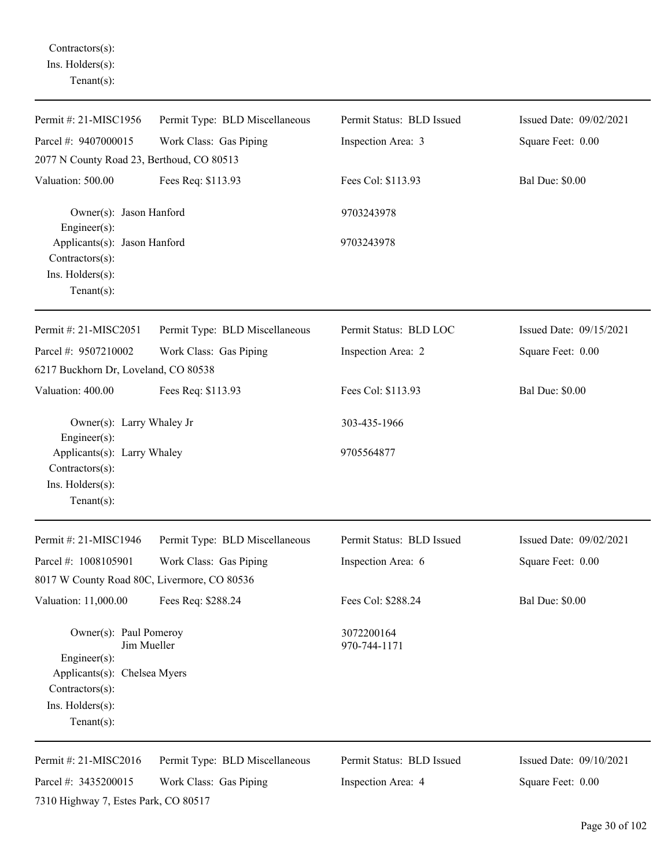Contractors(s): Ins. Holders(s): Tenant(s):

| Permit #: 21-MISC1956                                                                                                                          | Permit Type: BLD Miscellaneous                           | Permit Status: BLD Issued                       | Issued Date: 09/02/2021                      |
|------------------------------------------------------------------------------------------------------------------------------------------------|----------------------------------------------------------|-------------------------------------------------|----------------------------------------------|
| Parcel #: 9407000015                                                                                                                           | Work Class: Gas Piping                                   | Inspection Area: 3                              | Square Feet: 0.00                            |
| 2077 N County Road 23, Berthoud, CO 80513                                                                                                      |                                                          |                                                 |                                              |
| Valuation: 500.00                                                                                                                              | Fees Req: \$113.93                                       | Fees Col: \$113.93                              | <b>Bal Due: \$0.00</b>                       |
| Owner(s): Jason Hanford<br>$Engineering(s)$ :                                                                                                  |                                                          | 9703243978                                      |                                              |
| Applicants(s): Jason Hanford<br>Contractors(s):<br>Ins. Holders(s):<br>Tenant $(s)$ :                                                          |                                                          | 9703243978                                      |                                              |
| Permit #: 21-MISC2051                                                                                                                          | Permit Type: BLD Miscellaneous                           | Permit Status: BLD LOC                          | Issued Date: 09/15/2021                      |
| Parcel #: 9507210002<br>6217 Buckhorn Dr, Loveland, CO 80538                                                                                   | Work Class: Gas Piping                                   | Inspection Area: 2                              | Square Feet: 0.00                            |
| Valuation: 400.00                                                                                                                              | Fees Req: \$113.93                                       | Fees Col: \$113.93                              | <b>Bal Due: \$0.00</b>                       |
| Owner(s): Larry Whaley Jr<br>Engineer $(s)$ :                                                                                                  |                                                          | 303-435-1966                                    |                                              |
| Applicants(s): Larry Whaley<br>Contractors(s):<br>Ins. Holders(s):<br>Tenant $(s)$ :                                                           |                                                          | 9705564877                                      |                                              |
| Permit #: 21-MISC1946                                                                                                                          | Permit Type: BLD Miscellaneous                           | Permit Status: BLD Issued                       | Issued Date: 09/02/2021                      |
| Parcel #: 1008105901<br>8017 W County Road 80C, Livermore, CO 80536                                                                            | Work Class: Gas Piping                                   | Inspection Area: 6                              | Square Feet: 0.00                            |
| Valuation: 11,000.00                                                                                                                           | Fees Req: \$288.24                                       | Fees Col: \$288.24                              | <b>Bal Due: \$0.00</b>                       |
| Owner(s): Paul Pomeroy<br>Jim Mueller<br>Engineer(s):<br>Applicants(s): Chelsea Myers<br>Contractors(s):<br>Ins. Holders(s):<br>Tenant $(s)$ : |                                                          | 3072200164<br>970-744-1171                      |                                              |
| Permit #: 21-MISC2016<br>Parcel #: 3435200015<br>7310 Highway 7, Estes Park, CO 80517                                                          | Permit Type: BLD Miscellaneous<br>Work Class: Gas Piping | Permit Status: BLD Issued<br>Inspection Area: 4 | Issued Date: 09/10/2021<br>Square Feet: 0.00 |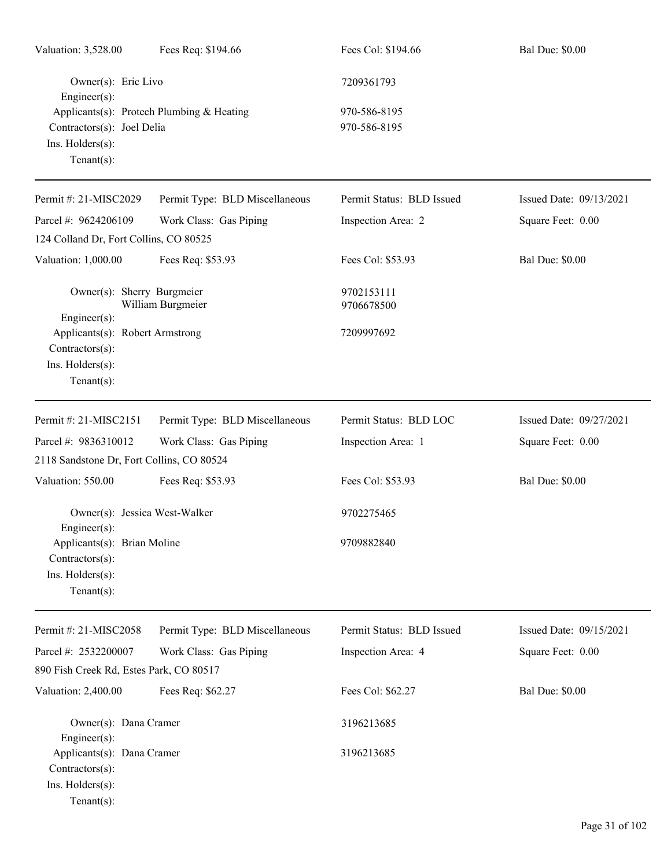| Valuation: 3,528.00                                                                      | Fees Req: \$194.66                        | Fees Col: \$194.66           | <b>Bal Due: \$0.00</b>  |
|------------------------------------------------------------------------------------------|-------------------------------------------|------------------------------|-------------------------|
| Owner(s): Eric Livo<br>$Engineering(s)$ :                                                |                                           | 7209361793                   |                         |
| Contractors(s): Joel Delia<br>Ins. Holders(s):<br>Tenant $(s)$ :                         | Applicants(s): Protech Plumbing & Heating | 970-586-8195<br>970-586-8195 |                         |
| Permit #: 21-MISC2029                                                                    | Permit Type: BLD Miscellaneous            | Permit Status: BLD Issued    | Issued Date: 09/13/2021 |
| Parcel #: 9624206109<br>124 Colland Dr, Fort Collins, CO 80525                           | Work Class: Gas Piping                    | Inspection Area: 2           | Square Feet: 0.00       |
| Valuation: 1,000.00                                                                      | Fees Req: \$53.93                         | Fees Col: \$53.93            | <b>Bal Due: \$0.00</b>  |
| Owner(s): Sherry Burgmeier<br>$Engineering(s)$ :                                         | William Burgmeier                         | 9702153111<br>9706678500     |                         |
| Applicants(s): Robert Armstrong<br>Contractors(s):<br>Ins. Holders(s):<br>Tenant $(s)$ : |                                           | 7209997692                   |                         |
| Permit #: 21-MISC2151                                                                    | Permit Type: BLD Miscellaneous            | Permit Status: BLD LOC       | Issued Date: 09/27/2021 |
| Parcel #: 9836310012                                                                     | Work Class: Gas Piping                    | Inspection Area: 1           | Square Feet: 0.00       |
| 2118 Sandstone Dr, Fort Collins, CO 80524                                                |                                           |                              |                         |
| Valuation: 550.00                                                                        | Fees Req: \$53.93                         | Fees Col: \$53.93            | <b>Bal Due: \$0.00</b>  |
| Owner(s): Jessica West-Walker<br>$Engineer(s)$ :                                         |                                           | 9702275465                   |                         |
| Applicants(s): Brian Moline<br>Contractors(s):<br>Ins. Holders(s):<br>Tenant $(s)$ :     |                                           | 9709882840                   |                         |
| Permit #: 21-MISC2058                                                                    | Permit Type: BLD Miscellaneous            | Permit Status: BLD Issued    | Issued Date: 09/15/2021 |
| Parcel #: 2532200007<br>890 Fish Creek Rd, Estes Park, CO 80517                          | Work Class: Gas Piping                    | Inspection Area: 4           | Square Feet: 0.00       |
| Valuation: 2,400.00                                                                      | Fees Req: \$62.27                         | Fees Col: \$62.27            | <b>Bal Due: \$0.00</b>  |
| Owner(s): Dana Cramer<br>$Engineering(s)$ :                                              |                                           | 3196213685                   |                         |
| Applicants(s): Dana Cramer<br>$Contractors(s)$ :<br>Ins. Holders(s):<br>$Tenant(s)$ :    |                                           | 3196213685                   |                         |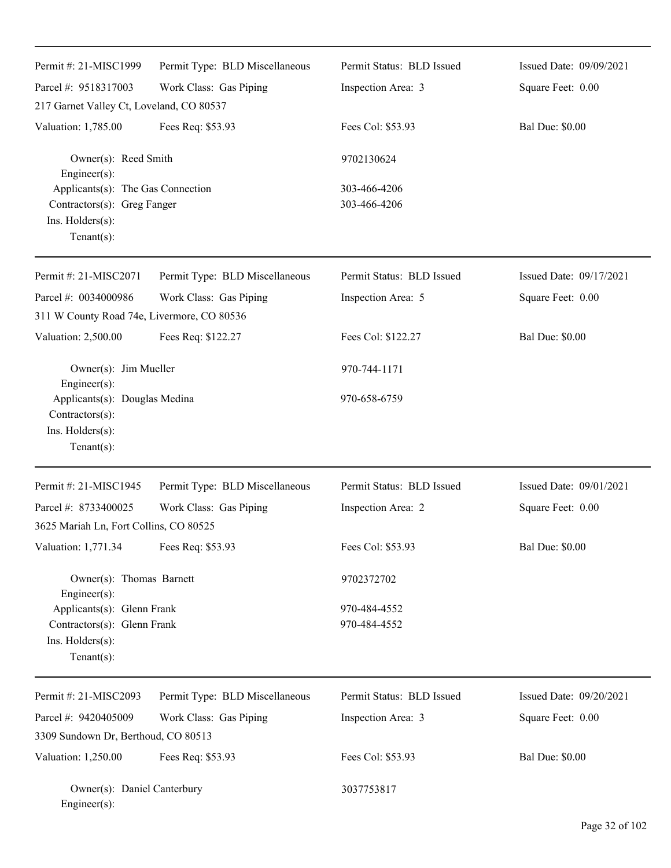| Permit #: 21-MISC1999                                                                                 | Permit Type: BLD Miscellaneous | Permit Status: BLD Issued    | Issued Date: 09/09/2021 |
|-------------------------------------------------------------------------------------------------------|--------------------------------|------------------------------|-------------------------|
| Parcel #: 9518317003                                                                                  | Work Class: Gas Piping         | Inspection Area: 3           | Square Feet: 0.00       |
| 217 Garnet Valley Ct, Loveland, CO 80537                                                              |                                |                              |                         |
| Valuation: 1,785.00                                                                                   | Fees Req: \$53.93              | Fees Col: \$53.93            | <b>Bal Due: \$0.00</b>  |
| Owner(s): Reed Smith<br>Engineer(s):                                                                  |                                | 9702130624                   |                         |
| Applicants(s): The Gas Connection<br>Contractors(s): Greg Fanger<br>Ins. Holders(s):<br>$Tenant(s)$ : |                                | 303-466-4206<br>303-466-4206 |                         |
| Permit #: 21-MISC2071                                                                                 | Permit Type: BLD Miscellaneous | Permit Status: BLD Issued    | Issued Date: 09/17/2021 |
| Parcel #: 0034000986<br>311 W County Road 74e, Livermore, CO 80536                                    | Work Class: Gas Piping         | Inspection Area: 5           | Square Feet: 0.00       |
| Valuation: 2,500.00                                                                                   | Fees Req: \$122.27             | Fees Col: \$122.27           | <b>Bal Due: \$0.00</b>  |
| Owner(s): Jim Mueller                                                                                 |                                | 970-744-1171                 |                         |
| Engineer(s):<br>Applicants(s): Douglas Medina<br>Contractors(s):<br>Ins. Holders(s):<br>$Tenant(s)$ : |                                | 970-658-6759                 |                         |
| Permit #: 21-MISC1945                                                                                 | Permit Type: BLD Miscellaneous | Permit Status: BLD Issued    | Issued Date: 09/01/2021 |
| Parcel #: 8733400025                                                                                  | Work Class: Gas Piping         | Inspection Area: 2           | Square Feet: 0.00       |
| 3625 Mariah Ln, Fort Collins, CO 80525                                                                |                                |                              |                         |
| Valuation: 1,771.34                                                                                   | Fees Req: \$53.93              | Fees Col: \$53.93            | <b>Bal Due: \$0.00</b>  |
| Owner(s): Thomas Barnett<br>Engineer(s):                                                              |                                | 9702372702                   |                         |
| Applicants(s): Glenn Frank<br>Contractors(s): Glenn Frank<br>Ins. Holders(s):<br>$Tenant(s)$ :        |                                | 970-484-4552<br>970-484-4552 |                         |
| Permit #: 21-MISC2093                                                                                 | Permit Type: BLD Miscellaneous | Permit Status: BLD Issued    | Issued Date: 09/20/2021 |
| Parcel #: 9420405009                                                                                  | Work Class: Gas Piping         | Inspection Area: 3           | Square Feet: 0.00       |
| 3309 Sundown Dr, Berthoud, CO 80513                                                                   |                                |                              |                         |
| Valuation: 1,250.00                                                                                   | Fees Req: \$53.93              | Fees Col: \$53.93            | <b>Bal Due: \$0.00</b>  |
| Owner(s): Daniel Canterbury<br>Engineer(s):                                                           |                                | 3037753817                   |                         |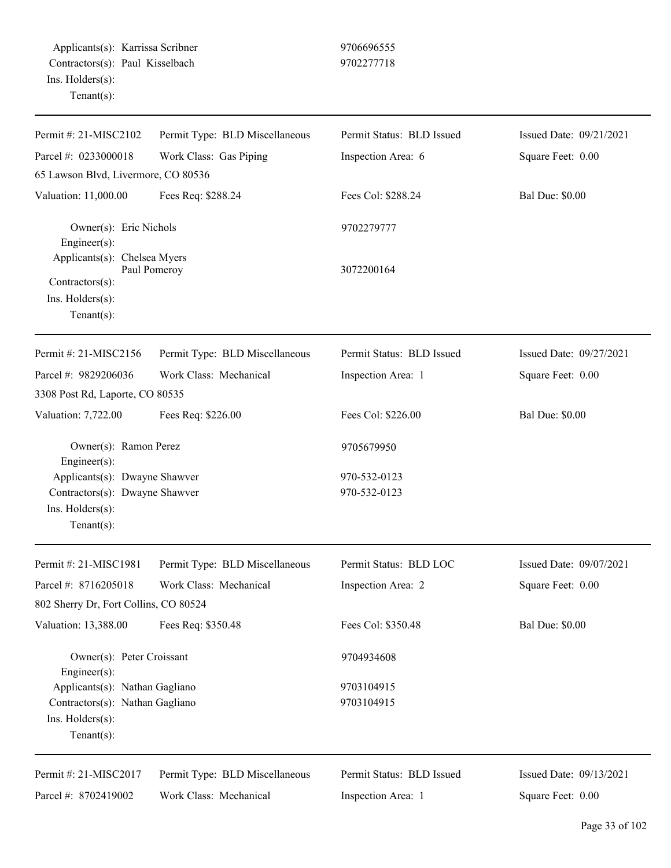| Permit #: 21-MISC2102                                                                                 | Permit Type: BLD Miscellaneous | Permit Status: BLD Issued    | Issued Date: 09/21/2021 |
|-------------------------------------------------------------------------------------------------------|--------------------------------|------------------------------|-------------------------|
| Parcel #: 0233000018                                                                                  | Work Class: Gas Piping         | Inspection Area: 6           | Square Feet: 0.00       |
| 65 Lawson Blvd, Livermore, CO 80536                                                                   |                                |                              |                         |
| Valuation: 11,000.00                                                                                  | Fees Req: \$288.24             | Fees Col: \$288.24           | <b>Bal Due: \$0.00</b>  |
| Owner(s): Eric Nichols<br>Engineer(s):                                                                |                                | 9702279777                   |                         |
| Applicants(s): Chelsea Myers<br>Contractors(s):<br>Ins. Holders(s):<br>Tenant $(s)$ :                 | Paul Pomeroy                   | 3072200164                   |                         |
| Permit #: 21-MISC2156                                                                                 | Permit Type: BLD Miscellaneous | Permit Status: BLD Issued    | Issued Date: 09/27/2021 |
| Parcel #: 9829206036                                                                                  | Work Class: Mechanical         | Inspection Area: 1           | Square Feet: 0.00       |
| 3308 Post Rd, Laporte, CO 80535                                                                       |                                |                              |                         |
| Valuation: 7,722.00                                                                                   | Fees Req: \$226.00             | Fees Col: \$226.00           | <b>Bal Due: \$0.00</b>  |
| Owner(s): Ramon Perez<br>Engineer(s):                                                                 |                                | 9705679950                   |                         |
| Applicants(s): Dwayne Shawver<br>Contractors(s): Dwayne Shawver<br>Ins. Holders(s):<br>Tenant $(s)$ : |                                | 970-532-0123<br>970-532-0123 |                         |
| Permit #: 21-MISC1981                                                                                 | Permit Type: BLD Miscellaneous | Permit Status: BLD LOC       | Issued Date: 09/07/2021 |
| Parcel #: 8716205018                                                                                  | Work Class: Mechanical         | Inspection Area: 2           | Square Feet: 0.00       |
| 802 Sherry Dr, Fort Collins, CO 80524                                                                 |                                |                              |                         |
| Valuation: 13,388.00                                                                                  | Fees Req: \$350.48             | Fees Col: \$350.48           | <b>Bal Due: \$0.00</b>  |
| Owner(s): Peter Croissant<br>Engineer(s):                                                             |                                | 9704934608                   |                         |
| Applicants(s): Nathan Gagliano                                                                        |                                | 9703104915                   |                         |
| Contractors(s): Nathan Gagliano<br>Ins. Holders(s):<br>$Tenant(s)$ :                                  |                                | 9703104915                   |                         |
| Permit #: 21-MISC2017                                                                                 | Permit Type: BLD Miscellaneous | Permit Status: BLD Issued    | Issued Date: 09/13/2021 |
| Parcel #: 8702419002                                                                                  | Work Class: Mechanical         | Inspection Area: 1           | Square Feet: 0.00       |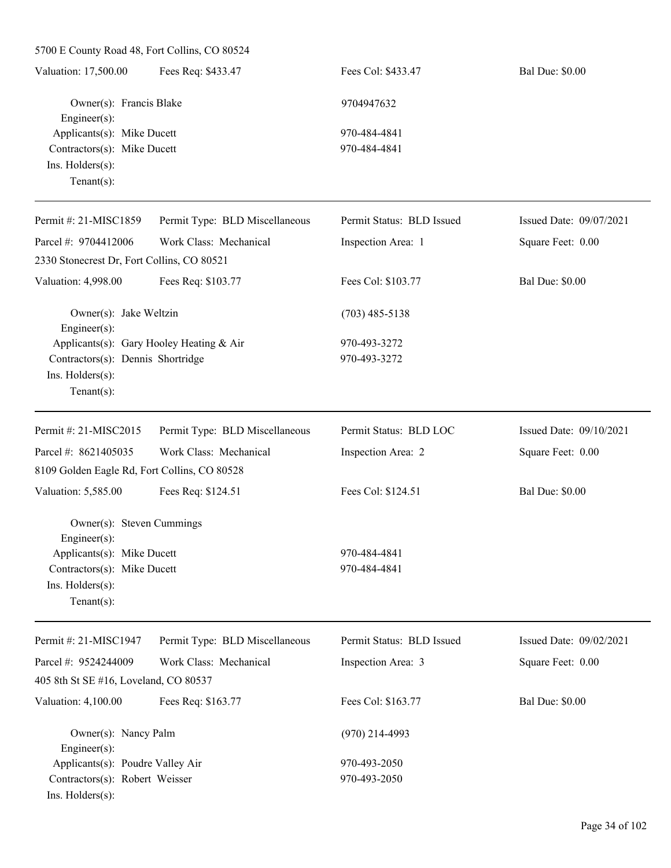5700 E County Road 48, Fort Collins, CO 80524

| Fees Req: \$433.47<br>Valuation: 17,500.00 | Fees Col: \$433.47 | <b>Bal Due: \$0.00</b> |
|--------------------------------------------|--------------------|------------------------|
| Owner(s): Francis Blake                    | 9704947632         |                        |
| Engineer $(s)$ :                           |                    |                        |
| Applicants(s): Mike Ducett                 | 970-484-4841       |                        |
| Contractors(s): Mike Ducett                | 970-484-4841       |                        |
| $Ins.$ Holders $(s)$ :                     |                    |                        |
| Tenant $(s)$ :                             |                    |                        |

| Permit #: 21-MISC1859                         | Permit Type: BLD Miscellaneous | Permit Status: BLD Issued | Issued Date: 09/07/2021 |
|-----------------------------------------------|--------------------------------|---------------------------|-------------------------|
| Parcel #: 9704412006                          | Work Class: Mechanical         | Inspection Area: 1        | Square Feet: 0.00       |
| 2330 Stonecrest Dr, Fort Collins, CO 80521    |                                |                           |                         |
| Valuation: 4,998.00                           | Fees Req: \$103.77             | Fees Col: \$103.77        | <b>Bal Due: \$0.00</b>  |
| Owner(s): Jake Weltzin<br>Engineer $(s)$ :    |                                | $(703)$ 485-5138          |                         |
| Applicants(s): Gary Hooley Heating & Air      |                                | 970-493-3272              |                         |
| Contractors(s): Dennis Shortridge             |                                | 970-493-3272              |                         |
| Ins. Holders(s):<br>Tenant $(s)$ :            |                                |                           |                         |
| Permit #: 21-MISC2015                         | Permit Type: BLD Miscellaneous | Permit Status: BLD LOC    | Issued Date: 09/10/2021 |
| Parcel #: 8621405035                          | Work Class: Mechanical         | Inspection Area: 2        | Square Feet: 0.00       |
| 8109 Golden Eagle Rd, Fort Collins, CO 80528  |                                |                           |                         |
| Valuation: 5,585.00                           | Fees Req: \$124.51             | Fees Col: \$124.51        | <b>Bal Due: \$0.00</b>  |
| Owner(s): Steven Cummings<br>Engineer $(s)$ : |                                |                           |                         |
| Applicants(s): Mike Ducett                    |                                | 970-484-4841              |                         |
| Contractors(s): Mike Ducett                   |                                | 970-484-4841              |                         |
| Ins. Holders(s):                              |                                |                           |                         |
| Tenant $(s)$ :                                |                                |                           |                         |
| Permit #: 21-MISC1947                         | Permit Type: BLD Miscellaneous | Permit Status: BLD Issued | Issued Date: 09/02/2021 |

| I CHIII $\pi$ . 21-ivilid $\sigma$ 17-7 | TULILLE TYPE. DED IVISCURATIONS | T UTHII Dialus. DLD ISSUCC | $138409$ Date: $02/02/2021$ |
|-----------------------------------------|---------------------------------|----------------------------|-----------------------------|
| Parcel #: $9524244009$                  | Work Class: Mechanical          | Inspection Area: 3         | Square Feet: 0.00           |
| 405 8th St SE #16, Loveland, CO 80537   |                                 |                            |                             |
| Valuation: 4,100.00                     | Fees Req: \$163.77              | Fees Col: \$163.77         | <b>Bal Due: \$0.00</b>      |
| Owner(s): Nancy Palm                    |                                 | $(970)$ 214-4993           |                             |
| $Engineering(s)$ :                      |                                 |                            |                             |
| Applicants(s): Poudre Valley Air        |                                 | 970-493-2050               |                             |
| Contractors(s): Robert Weisser          |                                 | 970-493-2050               |                             |
| $Ins.$ Holders $(s)$ :                  |                                 |                            |                             |
|                                         |                                 |                            |                             |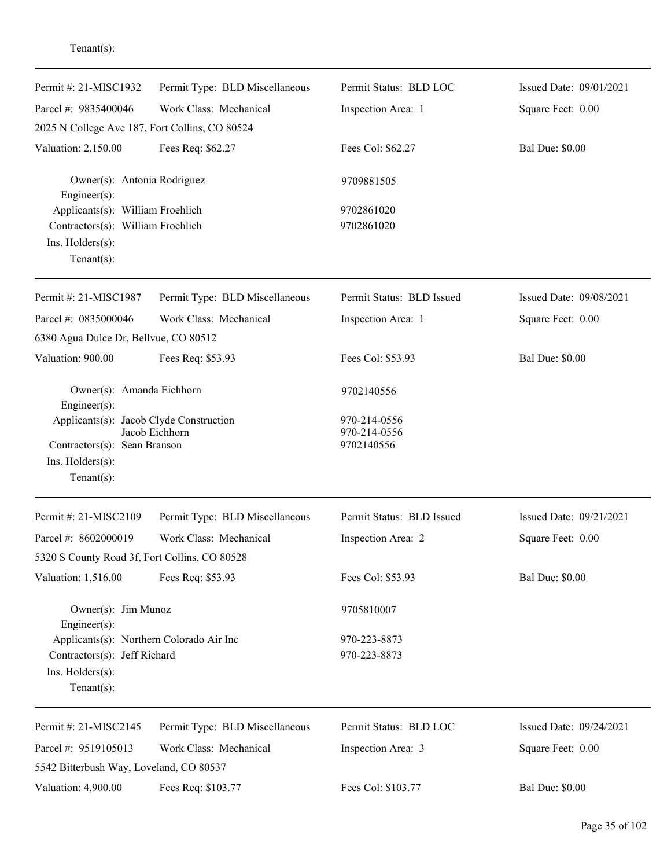| Permit #: 21-MISC1932                                                                                       | Permit Type: BLD Miscellaneous | Permit Status: BLD LOC       | Issued Date: 09/01/2021 |
|-------------------------------------------------------------------------------------------------------------|--------------------------------|------------------------------|-------------------------|
| Parcel #: 9835400046                                                                                        | Work Class: Mechanical         | Inspection Area: 1           | Square Feet: 0.00       |
| 2025 N College Ave 187, Fort Collins, CO 80524                                                              |                                |                              |                         |
| Valuation: 2,150.00                                                                                         | Fees Req: \$62.27              | Fees Col: \$62.27            | <b>Bal Due: \$0.00</b>  |
| Owner(s): Antonia Rodriguez<br>Engineer(s):                                                                 |                                | 9709881505                   |                         |
| Applicants(s): William Froehlich<br>Contractors(s): William Froehlich<br>Ins. Holders(s):<br>Tenant $(s)$ : |                                | 9702861020<br>9702861020     |                         |
| Permit #: 21-MISC1987                                                                                       | Permit Type: BLD Miscellaneous | Permit Status: BLD Issued    | Issued Date: 09/08/2021 |
| Parcel #: 0835000046                                                                                        | Work Class: Mechanical         | Inspection Area: 1           | Square Feet: 0.00       |
| 6380 Agua Dulce Dr, Bellvue, CO 80512                                                                       |                                |                              |                         |
| Valuation: 900.00                                                                                           | Fees Req: \$53.93              | Fees Col: \$53.93            | <b>Bal Due: \$0.00</b>  |
| Owner(s): Amanda Eichhorn<br>Engineer(s):                                                                   |                                | 9702140556                   |                         |
| Applicants(s): Jacob Clyde Construction                                                                     | Jacob Eichhorn                 | 970-214-0556<br>970-214-0556 |                         |
| Contractors(s): Sean Branson                                                                                |                                | 9702140556                   |                         |
| Ins. Holders(s):                                                                                            |                                |                              |                         |
| Tenant $(s)$ :                                                                                              |                                |                              |                         |
| Permit #: 21-MISC2109                                                                                       | Permit Type: BLD Miscellaneous | Permit Status: BLD Issued    | Issued Date: 09/21/2021 |
| Parcel #: 8602000019                                                                                        | Work Class: Mechanical         | Inspection Area: 2           | Square Feet: 0.00       |
| 5320 S County Road 3f, Fort Collins, CO 80528                                                               |                                |                              |                         |
| Valuation: 1,516.00                                                                                         | Fees Req: \$53.93              | Fees Col: \$53.93            | <b>Bal Due: \$0.00</b>  |
| Owner(s): Jim Munoz                                                                                         |                                | 9705810007                   |                         |
| $Engineering(s)$ :<br>Applicants(s): Northern Colorado Air Inc                                              |                                | 970-223-8873                 |                         |
| Contractors(s): Jeff Richard                                                                                |                                | 970-223-8873                 |                         |
| Ins. Holders(s):<br>Tenant $(s)$ :                                                                          |                                |                              |                         |
| Permit #: 21-MISC2145                                                                                       | Permit Type: BLD Miscellaneous | Permit Status: BLD LOC       | Issued Date: 09/24/2021 |
| Parcel #: 9519105013                                                                                        | Work Class: Mechanical         | Inspection Area: 3           | Square Feet: 0.00       |
| 5542 Bitterbush Way, Loveland, CO 80537                                                                     |                                |                              |                         |
| Valuation: 4,900.00                                                                                         | Fees Req: \$103.77             | Fees Col: \$103.77           | <b>Bal Due: \$0.00</b>  |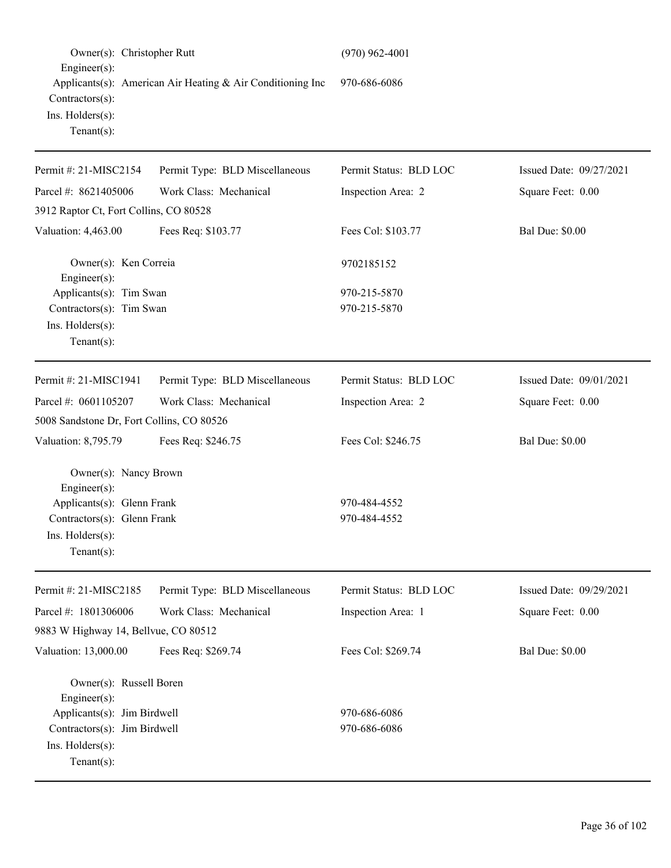| Owner(s): Christopher Rutt<br>Engineer(s):                                                                                               |                                                            | $(970)$ 962-4001             |                         |
|------------------------------------------------------------------------------------------------------------------------------------------|------------------------------------------------------------|------------------------------|-------------------------|
| Contractors(s):<br>Ins. Holders(s):<br>Tenant $(s)$ :                                                                                    | Applicants(s): American Air Heating & Air Conditioning Inc | 970-686-6086                 |                         |
| Permit #: 21-MISC2154                                                                                                                    | Permit Type: BLD Miscellaneous                             | Permit Status: BLD LOC       | Issued Date: 09/27/2021 |
| Parcel #: 8621405006                                                                                                                     | Work Class: Mechanical                                     | Inspection Area: 2           | Square Feet: 0.00       |
| 3912 Raptor Ct, Fort Collins, CO 80528                                                                                                   |                                                            |                              |                         |
| Valuation: 4,463.00                                                                                                                      | Fees Req: \$103.77                                         | Fees Col: \$103.77           | <b>Bal Due: \$0.00</b>  |
| Owner(s): Ken Correia<br>Engineer(s):                                                                                                    |                                                            | 9702185152                   |                         |
| Applicants(s): Tim Swan<br>Contractors(s): Tim Swan<br>Ins. Holders(s):<br>Tenant $(s)$ :                                                |                                                            | 970-215-5870<br>970-215-5870 |                         |
| Permit #: 21-MISC1941                                                                                                                    | Permit Type: BLD Miscellaneous                             | Permit Status: BLD LOC       | Issued Date: 09/01/2021 |
| Parcel #: 0601105207                                                                                                                     | Work Class: Mechanical                                     | Inspection Area: 2           | Square Feet: 0.00       |
| 5008 Sandstone Dr, Fort Collins, CO 80526                                                                                                |                                                            |                              |                         |
| Valuation: 8,795.79                                                                                                                      | Fees Req: \$246.75                                         | Fees Col: \$246.75           | <b>Bal Due: \$0.00</b>  |
| Owner(s): Nancy Brown<br>Engineer(s):<br>Applicants(s): Glenn Frank<br>Contractors(s): Glenn Frank<br>Ins. Holders(s):<br>Tenant $(s)$ : |                                                            | 970-484-4552<br>970-484-4552 |                         |
| Permit #: 21-MISC2185                                                                                                                    | Permit Type: BLD Miscellaneous                             | Permit Status: BLD LOC       | Issued Date: 09/29/2021 |
| Parcel #: 1801306006                                                                                                                     | Work Class: Mechanical                                     | Inspection Area: 1           | Square Feet: 0.00       |
| 9883 W Highway 14, Bellvue, CO 80512                                                                                                     |                                                            |                              |                         |
| Valuation: 13,000.00                                                                                                                     | Fees Req: \$269.74                                         | Fees Col: \$269.74           | <b>Bal Due: \$0.00</b>  |
| Owner(s): Russell Boren<br>$Engineering(s)$ :                                                                                            |                                                            |                              |                         |
| Applicants(s): Jim Birdwell                                                                                                              |                                                            | 970-686-6086                 |                         |
| Contractors(s): Jim Birdwell<br>Ins. Holders(s):<br>Tenant $(s)$ :                                                                       |                                                            | 970-686-6086                 |                         |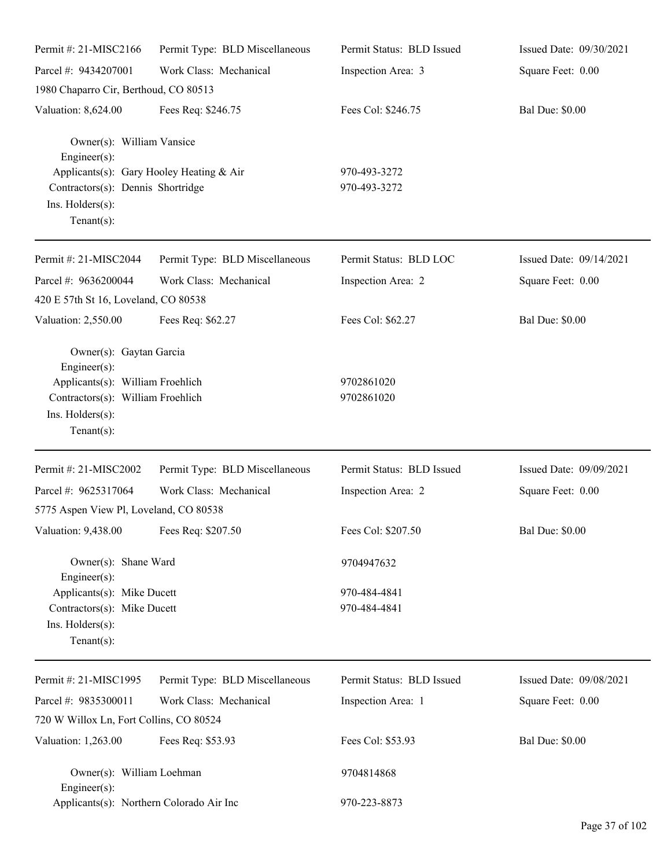| Permit #: 21-MISC2166                                                                                                                                            | Permit Type: BLD Miscellaneous | Permit Status: BLD Issued    | Issued Date: 09/30/2021 |
|------------------------------------------------------------------------------------------------------------------------------------------------------------------|--------------------------------|------------------------------|-------------------------|
| Parcel #: 9434207001                                                                                                                                             | Work Class: Mechanical         | Inspection Area: 3           | Square Feet: 0.00       |
| 1980 Chaparro Cir, Berthoud, CO 80513                                                                                                                            |                                |                              |                         |
| Valuation: 8,624.00                                                                                                                                              | Fees Req: \$246.75             | Fees Col: \$246.75           | <b>Bal Due: \$0.00</b>  |
| Owner(s): William Vansice<br>Engineer(s):<br>Applicants(s): Gary Hooley Heating & Air<br>Contractors(s): Dennis Shortridge<br>Ins. Holders(s):<br>Tenant $(s)$ : |                                | 970-493-3272<br>970-493-3272 |                         |
| Permit #: 21-MISC2044                                                                                                                                            | Permit Type: BLD Miscellaneous | Permit Status: BLD LOC       | Issued Date: 09/14/2021 |
| Parcel #: 9636200044<br>420 E 57th St 16, Loveland, CO 80538                                                                                                     | Work Class: Mechanical         | Inspection Area: 2           | Square Feet: 0.00       |
| Valuation: 2,550.00                                                                                                                                              | Fees Req: \$62.27              | Fees Col: \$62.27            | <b>Bal Due: \$0.00</b>  |
| Owner(s): Gaytan Garcia<br>$Engineering(s)$ :<br>Applicants(s): William Froehlich<br>Contractors(s): William Froehlich<br>Ins. Holders(s):<br>Tenant $(s)$ :     |                                | 9702861020<br>9702861020     |                         |
| Permit #: 21-MISC2002                                                                                                                                            | Permit Type: BLD Miscellaneous | Permit Status: BLD Issued    | Issued Date: 09/09/2021 |
| Parcel #: 9625317064                                                                                                                                             | Work Class: Mechanical         | Inspection Area: 2           | Square Feet: 0.00       |
| 5775 Aspen View Pl, Loveland, CO 80538                                                                                                                           |                                |                              |                         |
| Valuation: 9,438.00 Fees Req: \$207.50                                                                                                                           |                                | Fees Col: \$207.50           | <b>Bal Due: \$0.00</b>  |
| Owner(s): Shane Ward<br>$Engineering(s)$ :                                                                                                                       |                                | 9704947632                   |                         |
| Applicants(s): Mike Ducett<br>Contractors(s): Mike Ducett<br>Ins. Holders(s):<br>Tenant $(s)$ :                                                                  |                                | 970-484-4841<br>970-484-4841 |                         |
| Permit #: 21-MISC1995                                                                                                                                            | Permit Type: BLD Miscellaneous | Permit Status: BLD Issued    | Issued Date: 09/08/2021 |
| Parcel #: 9835300011                                                                                                                                             | Work Class: Mechanical         | Inspection Area: 1           | Square Feet: 0.00       |
| 720 W Willox Ln, Fort Collins, CO 80524                                                                                                                          |                                |                              |                         |
| Valuation: 1,263.00                                                                                                                                              | Fees Req: \$53.93              | Fees Col: \$53.93            | <b>Bal Due: \$0.00</b>  |
| Owner(s): William Loehman<br>$Engineering(s)$ :                                                                                                                  |                                | 9704814868                   |                         |
| Applicants(s): Northern Colorado Air Inc                                                                                                                         |                                | 970-223-8873                 |                         |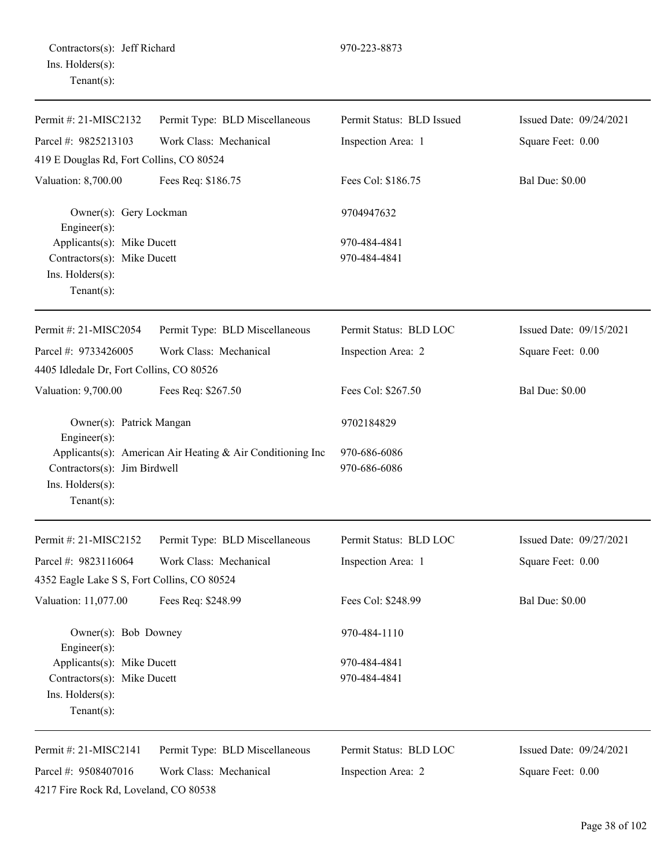| Permit #: 21-MISC2132                                                | Permit Type: BLD Miscellaneous                             | Permit Status: BLD Issued    | Issued Date: 09/24/2021 |
|----------------------------------------------------------------------|------------------------------------------------------------|------------------------------|-------------------------|
| Parcel #: 9825213103                                                 | Work Class: Mechanical                                     | Inspection Area: 1           | Square Feet: 0.00       |
| 419 E Douglas Rd, Fort Collins, CO 80524                             |                                                            |                              |                         |
| Valuation: 8,700.00                                                  | Fees Req: \$186.75                                         | Fees Col: \$186.75           | <b>Bal Due: \$0.00</b>  |
| Owner(s): Gery Lockman<br>Engineer(s):<br>Applicants(s): Mike Ducett |                                                            | 9704947632                   |                         |
|                                                                      |                                                            | 970-484-4841                 |                         |
| Contractors(s): Mike Ducett                                          |                                                            | 970-484-4841                 |                         |
| Ins. Holders(s):<br>Tenant $(s)$ :                                   |                                                            |                              |                         |
| Permit #: 21-MISC2054                                                | Permit Type: BLD Miscellaneous                             | Permit Status: BLD LOC       | Issued Date: 09/15/2021 |
| Parcel #: 9733426005                                                 | Work Class: Mechanical                                     | Inspection Area: 2           | Square Feet: 0.00       |
| 4405 Idledale Dr, Fort Collins, CO 80526                             |                                                            |                              |                         |
| Valuation: 9,700.00                                                  | Fees Req: \$267.50                                         | Fees Col: \$267.50           | <b>Bal Due: \$0.00</b>  |
| Owner(s): Patrick Mangan<br>$Engineering(s)$ :                       |                                                            | 9702184829                   |                         |
| Contractors(s): Jim Birdwell<br>Ins. Holders(s):<br>Tenant $(s)$ :   | Applicants(s): American Air Heating & Air Conditioning Inc | 970-686-6086<br>970-686-6086 |                         |
| Permit #: 21-MISC2152                                                | Permit Type: BLD Miscellaneous                             | Permit Status: BLD LOC       | Issued Date: 09/27/2021 |
| Parcel #: 9823116064                                                 | Work Class: Mechanical                                     | Inspection Area: 1           | Square Feet: 0.00       |
| 4352 Eagle Lake S S, Fort Collins, CO 80524                          |                                                            |                              |                         |
| Valuation: 11,077.00                                                 | Fees Req: \$248.99                                         | Fees Col: \$248.99           | <b>Bal Due: \$0.00</b>  |
| Owner(s): Bob Downey<br>$Engineering(s)$ :                           |                                                            | 970-484-1110                 |                         |
| Applicants(s): Mike Ducett                                           |                                                            | 970-484-4841                 |                         |
| Contractors(s): Mike Ducett                                          |                                                            | 970-484-4841                 |                         |
| Ins. Holders(s):<br>Tenant $(s)$ :                                   |                                                            |                              |                         |
| Permit #: 21-MISC2141                                                | Permit Type: BLD Miscellaneous                             | Permit Status: BLD LOC       | Issued Date: 09/24/2021 |
| Parcel #: 9508407016                                                 | Work Class: Mechanical                                     | Inspection Area: 2           | Square Feet: 0.00       |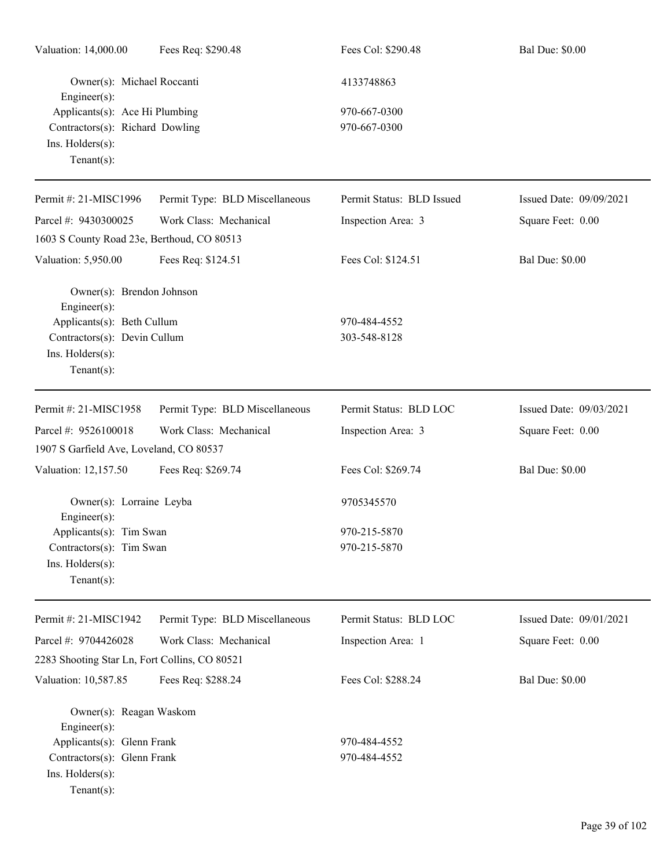| Valuation: 14,000.00                           | Fees Req: \$290.48             | Fees Col: \$290.48        | <b>Bal Due: \$0.00</b>  |
|------------------------------------------------|--------------------------------|---------------------------|-------------------------|
| Owner(s): Michael Roccanti<br>Engineer(s):     |                                | 4133748863                |                         |
| Applicants(s): Ace Hi Plumbing                 |                                | 970-667-0300              |                         |
| Contractors(s): Richard Dowling                |                                | 970-667-0300              |                         |
| Ins. Holders(s):<br>Tenant $(s)$ :             |                                |                           |                         |
| Permit #: 21-MISC1996                          | Permit Type: BLD Miscellaneous | Permit Status: BLD Issued | Issued Date: 09/09/2021 |
| Parcel #: 9430300025                           | Work Class: Mechanical         | Inspection Area: 3        | Square Feet: 0.00       |
| 1603 S County Road 23e, Berthoud, CO 80513     |                                |                           |                         |
| Valuation: 5,950.00                            | Fees Req: \$124.51             | Fees Col: \$124.51        | <b>Bal Due: \$0.00</b>  |
| Owner(s): Brendon Johnson<br>Engineer(s):      |                                |                           |                         |
| Applicants(s): Beth Cullum                     |                                | 970-484-4552              |                         |
| Contractors(s): Devin Cullum                   |                                | 303-548-8128              |                         |
| Ins. Holders(s):<br>$Tenant(s)$ :              |                                |                           |                         |
| Permit #: 21-MISC1958                          | Permit Type: BLD Miscellaneous | Permit Status: BLD LOC    | Issued Date: 09/03/2021 |
| Parcel #: 9526100018                           | Work Class: Mechanical         | Inspection Area: 3        | Square Feet: 0.00       |
| 1907 S Garfield Ave, Loveland, CO 80537        |                                |                           |                         |
| Valuation: 12,157.50                           | Fees Req: \$269.74             | Fees Col: \$269.74        | <b>Bal Due: \$0.00</b>  |
| Owner(s): Lorraine Leyba<br>$Engineering(s)$ : |                                | 9705345570                |                         |
| Applicants(s): Tim Swan                        |                                | 970-215-5870              |                         |
| Contractors(s): Tim Swan                       |                                | 970-215-5870              |                         |
| $Ins.$ Holders $(s)$ :<br>$Tenant(s)$ :        |                                |                           |                         |
| Permit #: 21-MISC1942                          | Permit Type: BLD Miscellaneous | Permit Status: BLD LOC    | Issued Date: 09/01/2021 |
| Parcel #: 9704426028                           | Work Class: Mechanical         | Inspection Area: 1        | Square Feet: 0.00       |
| 2283 Shooting Star Ln, Fort Collins, CO 80521  |                                |                           |                         |
| Valuation: 10,587.85                           | Fees Req: \$288.24             | Fees Col: \$288.24        | <b>Bal Due: \$0.00</b>  |
| Owner(s): Reagan Waskom<br>Engineer(s):        |                                |                           |                         |
| Applicants(s): Glenn Frank                     |                                | 970-484-4552              |                         |
| Contractors(s): Glenn Frank                    |                                | 970-484-4552              |                         |
| Ins. Holders(s):                               |                                |                           |                         |
| $Tenant(s)$ :                                  |                                |                           |                         |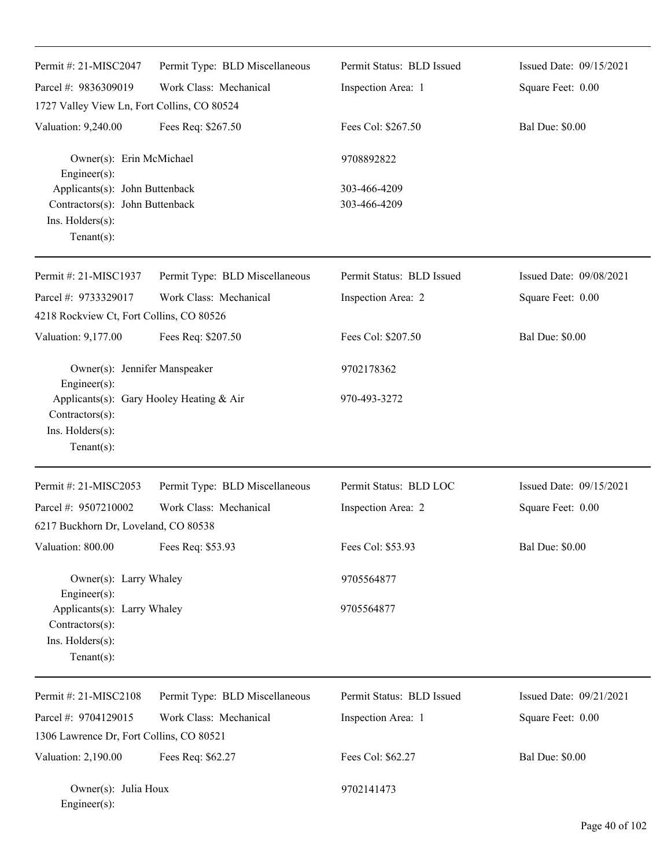| Permit #: 21-MISC2047                                                                                             | Permit Type: BLD Miscellaneous | Permit Status: BLD Issued    | Issued Date: 09/15/2021 |
|-------------------------------------------------------------------------------------------------------------------|--------------------------------|------------------------------|-------------------------|
| Parcel #: 9836309019                                                                                              | Work Class: Mechanical         | Inspection Area: 1           | Square Feet: 0.00       |
| 1727 Valley View Ln, Fort Collins, CO 80524                                                                       |                                |                              |                         |
| Valuation: 9,240.00                                                                                               | Fees Req: \$267.50             | Fees Col: \$267.50           | <b>Bal Due: \$0.00</b>  |
| Owner(s): Erin McMichael<br>Engineer(s):                                                                          |                                | 9708892822                   |                         |
| Applicants(s): John Buttenback<br>Contractors(s): John Buttenback<br>Ins. Holders(s):<br>Tenant $(s)$ :           |                                | 303-466-4209<br>303-466-4209 |                         |
| Permit #: 21-MISC1937                                                                                             | Permit Type: BLD Miscellaneous | Permit Status: BLD Issued    | Issued Date: 09/08/2021 |
| Parcel #: 9733329017<br>4218 Rockview Ct, Fort Collins, CO 80526                                                  | Work Class: Mechanical         | Inspection Area: 2           | Square Feet: 0.00       |
| Valuation: 9,177.00                                                                                               | Fees Req: \$207.50             | Fees Col: \$207.50           | <b>Bal Due: \$0.00</b>  |
| Owner(s): Jennifer Manspeaker                                                                                     |                                | 9702178362                   |                         |
| Engineer(s):<br>Applicants(s): Gary Hooley Heating & Air<br>Contractors(s):<br>Ins. Holders(s):<br>Tenant $(s)$ : |                                | 970-493-3272                 |                         |
| Permit #: 21-MISC2053                                                                                             | Permit Type: BLD Miscellaneous | Permit Status: BLD LOC       | Issued Date: 09/15/2021 |
| Parcel #: 9507210002                                                                                              | Work Class: Mechanical         | Inspection Area: 2           | Square Feet: 0.00       |
| 6217 Buckhorn Dr, Loveland, CO 80538                                                                              |                                |                              |                         |
| Valuation: 800.00                                                                                                 | Fees Req: \$53.93              | Fees Col: \$53.93            | <b>Bal Due: \$0.00</b>  |
| Owner(s): Larry Whaley                                                                                            |                                | 9705564877                   |                         |
| Engineer(s):<br>Applicants(s): Larry Whaley<br>Contractors(s):<br>Ins. Holders(s):<br>Tenant $(s)$ :              |                                | 9705564877                   |                         |
| Permit #: 21-MISC2108                                                                                             | Permit Type: BLD Miscellaneous | Permit Status: BLD Issued    | Issued Date: 09/21/2021 |
| Parcel #: 9704129015                                                                                              | Work Class: Mechanical         | Inspection Area: 1           | Square Feet: 0.00       |
| 1306 Lawrence Dr, Fort Collins, CO 80521                                                                          |                                |                              |                         |
| Valuation: 2,190.00                                                                                               | Fees Req: \$62.27              | Fees Col: \$62.27            | <b>Bal Due: \$0.00</b>  |
| Owner(s): Julia Houx<br>Engineer(s):                                                                              |                                | 9702141473                   |                         |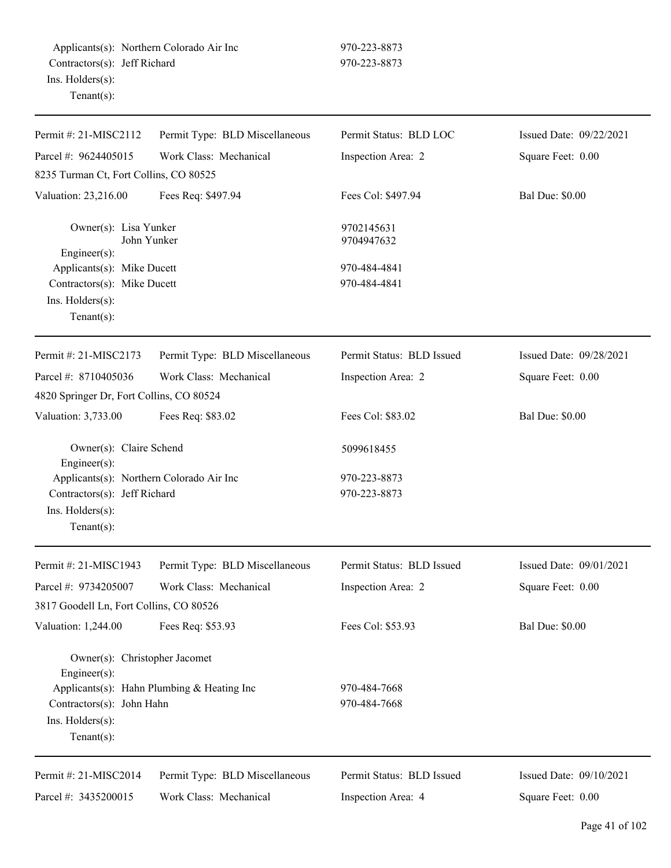| Permit #: 21-MISC2112                                                                                          | Permit Type: BLD Miscellaneous             | Permit Status: BLD LOC       | Issued Date: 09/22/2021 |
|----------------------------------------------------------------------------------------------------------------|--------------------------------------------|------------------------------|-------------------------|
| Parcel #: 9624405015                                                                                           | Work Class: Mechanical                     | Inspection Area: 2           | Square Feet: 0.00       |
| 8235 Turman Ct, Fort Collins, CO 80525                                                                         |                                            |                              |                         |
| Valuation: 23,216.00                                                                                           | Fees Req: \$497.94                         | Fees Col: \$497.94           | <b>Bal Due: \$0.00</b>  |
| Owner(s): Lisa Yunker<br>$Engineering(s)$ :                                                                    | John Yunker                                | 9702145631<br>9704947632     |                         |
| Applicants(s): Mike Ducett<br>Contractors(s): Mike Ducett<br>Ins. Holders(s):<br>Tenant $(s)$ :                |                                            | 970-484-4841<br>970-484-4841 |                         |
| Permit #: 21-MISC2173                                                                                          | Permit Type: BLD Miscellaneous             | Permit Status: BLD Issued    | Issued Date: 09/28/2021 |
| Parcel #: 8710405036<br>4820 Springer Dr, Fort Collins, CO 80524                                               | Work Class: Mechanical                     | Inspection Area: 2           | Square Feet: 0.00       |
| Valuation: 3,733.00                                                                                            | Fees Req: \$83.02                          | Fees Col: \$83.02            | <b>Bal Due: \$0.00</b>  |
| Owner(s): Claire Schend<br>$Engineering(s)$ :                                                                  |                                            | 5099618455                   |                         |
| Applicants(s): Northern Colorado Air Inc<br>Contractors(s): Jeff Richard<br>Ins. Holders(s):<br>Tenant $(s)$ : |                                            | 970-223-8873<br>970-223-8873 |                         |
| Permit #: 21-MISC1943                                                                                          | Permit Type: BLD Miscellaneous             | Permit Status: BLD Issued    | Issued Date: 09/01/2021 |
| Parcel #: 9734205007<br>3817 Goodell Ln, Fort Collins, CO 80526                                                | Work Class: Mechanical                     | Inspection Area: 2           | Square Feet: 0.00       |
| Valuation: 1,244.00                                                                                            | Fees Req: \$53.93                          | Fees Col: \$53.93            | <b>Bal Due: \$0.00</b>  |
| Owner(s): Christopher Jacomet<br>Engineer(s):                                                                  |                                            |                              |                         |
| Contractors(s): John Hahn<br>Ins. Holders(s):<br>Tenant $(s)$ :                                                | Applicants(s): Hahn Plumbing & Heating Inc | 970-484-7668<br>970-484-7668 |                         |
| Permit #: 21-MISC2014                                                                                          | Permit Type: BLD Miscellaneous             | Permit Status: BLD Issued    | Issued Date: 09/10/2021 |
| Parcel #: 3435200015                                                                                           | Work Class: Mechanical                     | Inspection Area: 4           | Square Feet: 0.00       |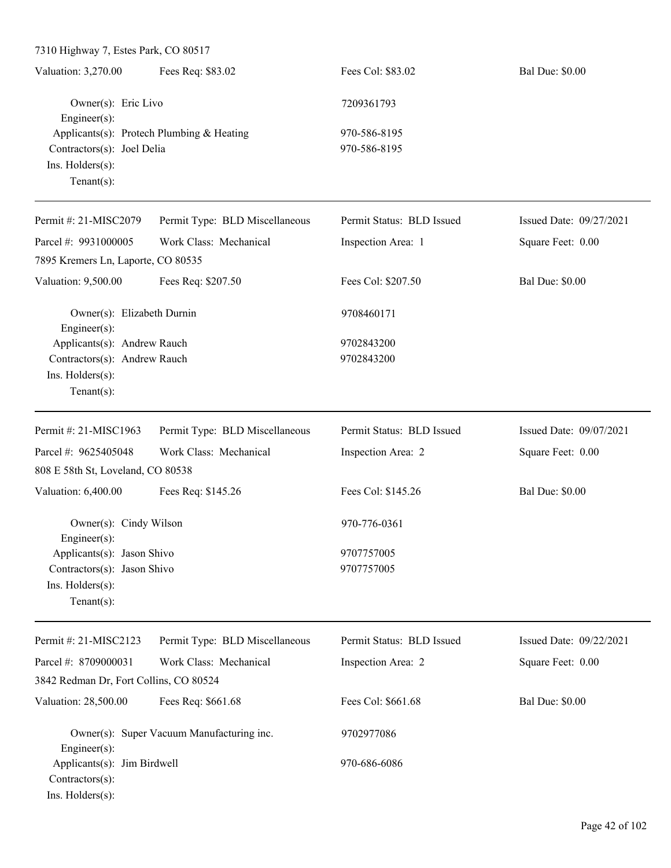| Owner(s): Eric Livo<br>7209361793                         |  |
|-----------------------------------------------------------|--|
| Engineer $(s)$ :                                          |  |
| Applicants(s): Protech Plumbing & Heating<br>970-586-8195 |  |
| Contractors(s): Joel Delia<br>970-586-8195                |  |
| $Ins.$ Holders $(s)$ :                                    |  |
| Tenant $(s)$ :                                            |  |
|                                                           |  |

| Permit #: 21-MISC2079                      | Permit Type: BLD Miscellaneous | Permit Status: BLD Issued | Issued Date: 09/27/2021 |
|--------------------------------------------|--------------------------------|---------------------------|-------------------------|
| Parcel #: 9931000005                       | Work Class: Mechanical         | Inspection Area: 1        | Square Feet: 0.00       |
| 7895 Kremers Ln, Laporte, CO 80535         |                                |                           |                         |
| Valuation: 9,500.00                        | Fees Req: \$207.50             | Fees Col: \$207.50        | <b>Bal Due: \$0.00</b>  |
| Owner(s): Elizabeth Durnin<br>Engineer(s): |                                | 9708460171                |                         |
| Applicants(s): Andrew Rauch                |                                | 9702843200                |                         |
| Contractors(s): Andrew Rauch               |                                | 9702843200                |                         |
| Ins. Holders(s):<br>Tenant $(s)$ :         |                                |                           |                         |
| Permit #: $21-MISC1963$                    | Permit Type: BLD Miscellaneous | Permit Status: BLD Issued | Issued Date: 09/07/2021 |
| Parcel #: 9625405048                       | Work Class: Mechanical         | Inspection Area: 2        | Square Feet: 0.00       |
| 808 E 58th St, Loveland, CO 80538          |                                |                           |                         |
| Valuation: 6,400.00                        | Fees Req: \$145.26             | Fees Col: \$145.26        | <b>Bal Due: \$0.00</b>  |
| Owner(s): Cindy Wilson<br>Engineer $(s)$ : |                                | 970-776-0361              |                         |
| Applicants(s): Jason Shivo                 |                                | 9707757005                |                         |
| Contractors(s): Jason Shivo                |                                | 9707757005                |                         |
| Ins. Holders(s):                           |                                |                           |                         |
| Tenant $(s)$ :                             |                                |                           |                         |
| Permit #: 21-MISC2123                      | Permit Type: BLD Miscellaneous | Permit Status: BLD Issued | Issued Date: 09/22/2021 |

| Parcel #: $8709000031$                                                      | Work Class: Mechanical                    | Inspection Area: 2 | Square Feet: 0.00      |
|-----------------------------------------------------------------------------|-------------------------------------------|--------------------|------------------------|
|                                                                             | 3842 Redman Dr, Fort Collins, CO 80524    |                    |                        |
| Valuation: 28,500.00                                                        | Fees Req: \$661.68                        | Fees Col: \$661.68 | <b>Bal Due: \$0.00</b> |
| $Engineering(s)$ :                                                          | Owner(s): Super Vacuum Manufacturing inc. | 9702977086         |                        |
| Applicants(s): Jim Birdwell<br>$Contractors(s)$ :<br>$Ins.$ Holders $(s)$ : |                                           | 970-686-6086       |                        |
|                                                                             |                                           |                    |                        |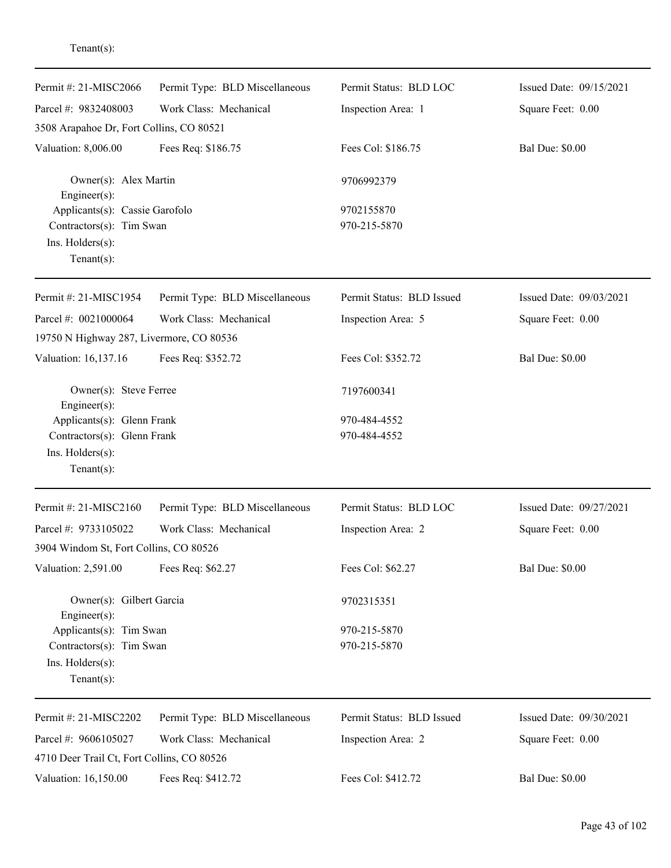| Permit #: 21-MISC2066                                          | Permit Type: BLD Miscellaneous | Permit Status: BLD LOC    | Issued Date: 09/15/2021 |
|----------------------------------------------------------------|--------------------------------|---------------------------|-------------------------|
| Parcel #: 9832408003                                           | Work Class: Mechanical         | Inspection Area: 1        | Square Feet: 0.00       |
| 3508 Arapahoe Dr, Fort Collins, CO 80521                       |                                |                           |                         |
| Valuation: 8,006.00                                            | Fees Req: \$186.75             | Fees Col: \$186.75        | <b>Bal Due: \$0.00</b>  |
| Owner(s): Alex Martin<br>Engineer(s):                          |                                | 9706992379                |                         |
| Applicants(s): Cassie Garofolo                                 |                                | 9702155870                |                         |
| Contractors(s): Tim Swan<br>Ins. Holders(s):<br>Tenant $(s)$ : |                                | 970-215-5870              |                         |
| Permit #: 21-MISC1954                                          | Permit Type: BLD Miscellaneous | Permit Status: BLD Issued | Issued Date: 09/03/2021 |
| Parcel #: 0021000064                                           | Work Class: Mechanical         | Inspection Area: 5        | Square Feet: 0.00       |
| 19750 N Highway 287, Livermore, CO 80536                       |                                |                           |                         |
| Valuation: 16,137.16                                           | Fees Req: \$352.72             | Fees Col: \$352.72        | <b>Bal Due: \$0.00</b>  |
| Owner(s): Steve Ferree<br>Engineer(s):                         |                                | 7197600341                |                         |
| Applicants(s): Glenn Frank                                     |                                | 970-484-4552              |                         |
| Contractors(s): Glenn Frank                                    |                                | 970-484-4552              |                         |
| Ins. Holders(s):<br>Tenant $(s)$ :                             |                                |                           |                         |
|                                                                |                                |                           |                         |
| Permit #: 21-MISC2160                                          | Permit Type: BLD Miscellaneous | Permit Status: BLD LOC    | Issued Date: 09/27/2021 |
| Parcel #: 9733105022                                           | Work Class: Mechanical         | Inspection Area: 2        | Square Feet: 0.00       |
| 3904 Windom St, Fort Collins, CO 80526                         |                                |                           |                         |
| Valuation: 2,591.00                                            | Fees Req: \$62.27              | Fees Col: \$62.27         | <b>Bal Due: \$0.00</b>  |
| Owner(s): Gilbert Garcia<br>Engineer(s):                       |                                | 9702315351                |                         |
| Applicants(s): Tim Swan                                        |                                | 970-215-5870              |                         |
| Contractors(s): Tim Swan                                       |                                | 970-215-5870              |                         |
| Ins. Holders(s):<br>$Tenant(s)$ :                              |                                |                           |                         |
| Permit #: 21-MISC2202                                          | Permit Type: BLD Miscellaneous | Permit Status: BLD Issued | Issued Date: 09/30/2021 |
| Parcel #: 9606105027                                           | Work Class: Mechanical         | Inspection Area: 2        | Square Feet: 0.00       |
| 4710 Deer Trail Ct, Fort Collins, CO 80526                     |                                |                           |                         |
| Valuation: 16,150.00                                           | Fees Req: \$412.72             | Fees Col: \$412.72        | <b>Bal Due: \$0.00</b>  |

Tenant(s):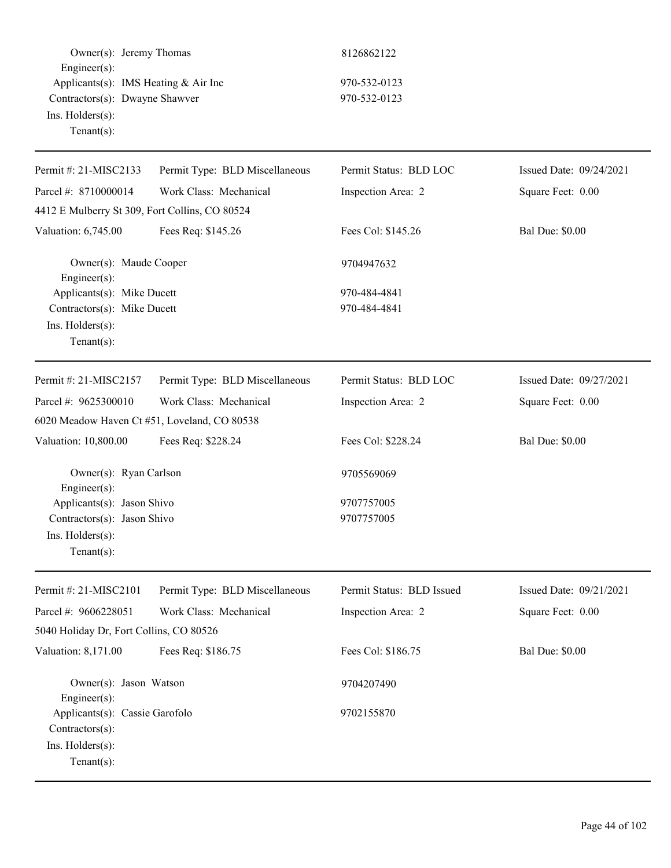|                    | Owner(s): Jeremy Thomas              |
|--------------------|--------------------------------------|
| $Engineering(s)$ : |                                      |
|                    | Applicants(s): IMS Heating & Air Inc |
|                    | Contractors(s): Dwayne Shawver       |
| Ins. Holders(s):   |                                      |
| $Tenant(s)$ :      |                                      |

# 970-532-0123 970-532-0123

| Permit #: 21-MISC2133                          | Permit Type: BLD Miscellaneous | Permit Status: BLD LOC    | Issued Date: 09/24/2021 |
|------------------------------------------------|--------------------------------|---------------------------|-------------------------|
| Parcel #: 8710000014                           | Work Class: Mechanical         | Inspection Area: 2        | Square Feet: 0.00       |
| 4412 E Mulberry St 309, Fort Collins, CO 80524 |                                |                           |                         |
| Valuation: 6,745.00                            | Fees Req: \$145.26             | Fees Col: \$145.26        | <b>Bal Due: \$0.00</b>  |
| Owner(s): Maude Cooper<br>Engineer(s):         |                                | 9704947632                |                         |
| Applicants(s): Mike Ducett                     |                                | 970-484-4841              |                         |
| Contractors(s): Mike Ducett                    |                                | 970-484-4841              |                         |
| Ins. Holders(s):                               |                                |                           |                         |
| Tenant $(s)$ :                                 |                                |                           |                         |
| Permit #: 21-MISC2157                          | Permit Type: BLD Miscellaneous | Permit Status: BLD LOC    | Issued Date: 09/27/2021 |
| Parcel #: 9625300010                           | Work Class: Mechanical         | Inspection Area: 2        | Square Feet: 0.00       |
| 6020 Meadow Haven Ct #51, Loveland, CO 80538   |                                |                           |                         |
| Valuation: 10,800.00                           | Fees Req: \$228.24             | Fees Col: \$228.24        | <b>Bal Due: \$0.00</b>  |
| Owner(s): Ryan Carlson<br>Engineer(s):         |                                | 9705569069                |                         |
| Applicants(s): Jason Shivo                     |                                | 9707757005                |                         |
| Contractors(s): Jason Shivo                    |                                | 9707757005                |                         |
| Ins. Holders(s):                               |                                |                           |                         |
| $Tenant(s)$ :                                  |                                |                           |                         |
| Permit #: 21-MISC2101                          | Permit Type: BLD Miscellaneous | Permit Status: BLD Issued | Issued Date: 09/21/2021 |
| Parcel #: 9606228051                           | Work Class: Mechanical         | Inspection Area: 2        | Square Feet: 0.00       |
| 5040 Holiday Dr, Fort Collins, CO 80526        |                                |                           |                         |
| Valuation: 8,171.00                            | Fees Req: \$186.75             | Fees Col: \$186.75        | <b>Bal Due: \$0.00</b>  |
| Owner(s): Jason Watson<br>Engineer(s):         |                                | 9704207490                |                         |
| Applicants(s): Cassie Garofolo                 |                                | 9702155870                |                         |
| Contractors(s):                                |                                |                           |                         |
| Ins. Holders(s):                               |                                |                           |                         |
| $Tenant(s)$ :                                  |                                |                           |                         |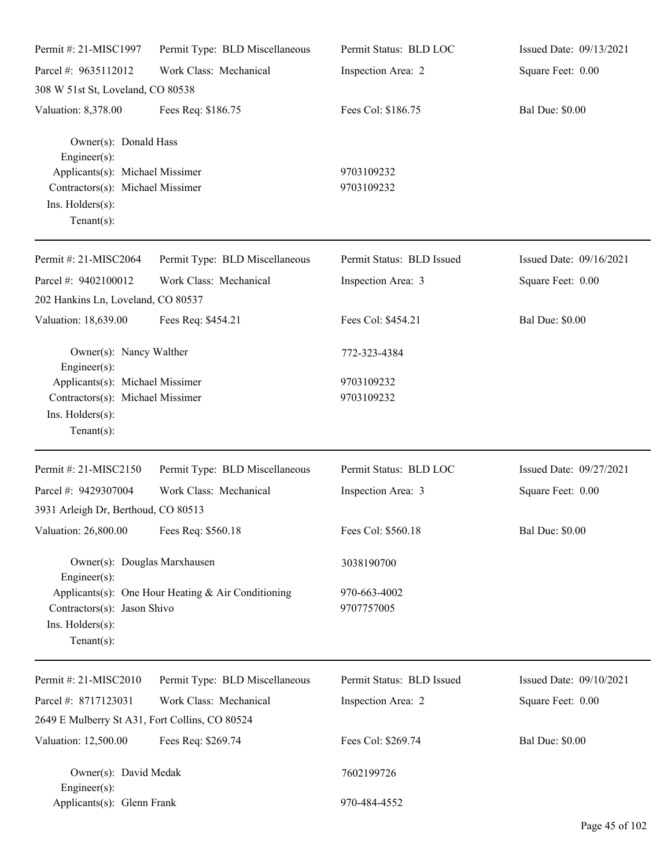| Permit #: 21-MISC1997                                                                                     | Permit Type: BLD Miscellaneous                     | Permit Status: BLD LOC     | Issued Date: 09/13/2021 |
|-----------------------------------------------------------------------------------------------------------|----------------------------------------------------|----------------------------|-------------------------|
| Parcel #: 9635112012                                                                                      | Work Class: Mechanical                             | Inspection Area: 2         | Square Feet: 0.00       |
| 308 W 51st St, Loveland, CO 80538                                                                         |                                                    |                            |                         |
| Valuation: 8,378.00                                                                                       | Fees Req: \$186.75                                 | Fees Col: \$186.75         | <b>Bal Due: \$0.00</b>  |
| Owner(s): Donald Hass<br>$Engineering(s)$ :                                                               |                                                    |                            |                         |
| Applicants(s): Michael Missimer<br>Contractors(s): Michael Missimer<br>Ins. Holders(s):<br>Tenant $(s)$ : |                                                    | 9703109232<br>9703109232   |                         |
| Permit #: 21-MISC2064                                                                                     | Permit Type: BLD Miscellaneous                     | Permit Status: BLD Issued  | Issued Date: 09/16/2021 |
| Parcel #: 9402100012                                                                                      | Work Class: Mechanical                             | Inspection Area: 3         | Square Feet: 0.00       |
| 202 Hankins Ln, Loveland, CO 80537                                                                        |                                                    |                            |                         |
| Valuation: 18,639.00                                                                                      | Fees Req: \$454.21                                 | Fees Col: \$454.21         | <b>Bal Due: \$0.00</b>  |
| Owner(s): Nancy Walther<br>Engineer $(s)$ :                                                               |                                                    | 772-323-4384               |                         |
| Applicants(s): Michael Missimer                                                                           |                                                    | 9703109232                 |                         |
| Contractors(s): Michael Missimer<br>Ins. Holders(s):<br>Tenant $(s)$ :                                    |                                                    | 9703109232                 |                         |
| Permit #: 21-MISC2150                                                                                     | Permit Type: BLD Miscellaneous                     | Permit Status: BLD LOC     | Issued Date: 09/27/2021 |
| Parcel #: 9429307004                                                                                      | Work Class: Mechanical                             | Inspection Area: 3         | Square Feet: 0.00       |
| 3931 Arleigh Dr, Berthoud, CO 80513                                                                       |                                                    |                            |                         |
| Valuation: 26,800.00                                                                                      | Fees Req: \$560.18                                 | Fees Col: \$560.18         | <b>Bal Due: \$0.00</b>  |
| Owner(s): Douglas Marxhausen<br>Engineer $(s)$ :                                                          |                                                    | 3038190700                 |                         |
| Contractors(s): Jason Shivo<br>Ins. Holders(s):<br>Tenant $(s)$ :                                         | Applicants(s): One Hour Heating & Air Conditioning | 970-663-4002<br>9707757005 |                         |
| Permit #: 21-MISC2010                                                                                     | Permit Type: BLD Miscellaneous                     | Permit Status: BLD Issued  | Issued Date: 09/10/2021 |
| Parcel #: 8717123031                                                                                      | Work Class: Mechanical                             | Inspection Area: 2         | Square Feet: 0.00       |
| 2649 E Mulberry St A31, Fort Collins, CO 80524                                                            |                                                    |                            |                         |
| Valuation: 12,500.00                                                                                      | Fees Req: \$269.74                                 | Fees Col: \$269.74         | <b>Bal Due: \$0.00</b>  |
| Owner(s): David Medak<br>Engineer $(s)$ :                                                                 |                                                    | 7602199726                 |                         |
| Applicants(s): Glenn Frank                                                                                |                                                    | 970-484-4552               |                         |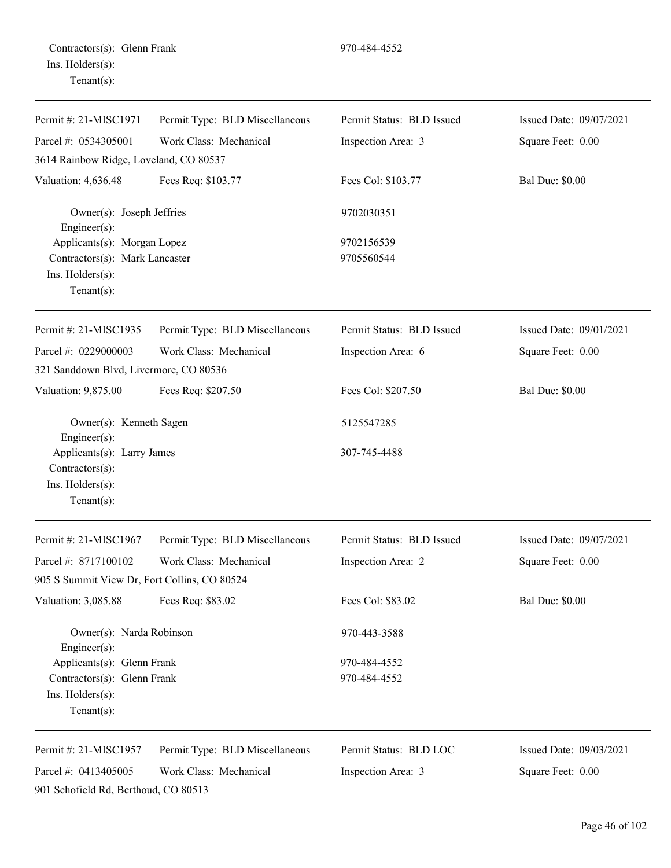901 Schofield Rd, Berthoud, CO 80513

| Permit #: 21-MISC1971                                                              | Permit Type: BLD Miscellaneous | Permit Status: BLD Issued | Issued Date: 09/07/2021 |
|------------------------------------------------------------------------------------|--------------------------------|---------------------------|-------------------------|
| Parcel #: 0534305001                                                               | Work Class: Mechanical         | Inspection Area: 3        | Square Feet: 0.00       |
| 3614 Rainbow Ridge, Loveland, CO 80537                                             |                                |                           |                         |
| Valuation: 4,636.48                                                                | Fees Req: \$103.77             | Fees Col: \$103.77        | <b>Bal Due: \$0.00</b>  |
| Owner(s): Joseph Jeffries<br>Engineer(s):                                          |                                | 9702030351                |                         |
| Applicants(s): Morgan Lopez                                                        |                                | 9702156539                |                         |
| Contractors(s): Mark Lancaster<br>Ins. Holders(s):<br>$Tenant(s)$ :                |                                | 9705560544                |                         |
| Permit #: 21-MISC1935                                                              | Permit Type: BLD Miscellaneous | Permit Status: BLD Issued | Issued Date: 09/01/2021 |
| Parcel #: 0229000003                                                               | Work Class: Mechanical         | Inspection Area: 6        | Square Feet: 0.00       |
| 321 Sanddown Blvd, Livermore, CO 80536                                             |                                |                           |                         |
| Valuation: 9,875.00                                                                | Fees Req: \$207.50             | Fees Col: \$207.50        | <b>Bal Due: \$0.00</b>  |
| Owner(s): Kenneth Sagen<br>Engineer(s):                                            |                                | 5125547285                |                         |
| Applicants(s): Larry James<br>Contractors(s):<br>Ins. Holders(s):<br>$Tenant(s)$ : |                                | 307-745-4488              |                         |
| Permit #: 21-MISC1967                                                              | Permit Type: BLD Miscellaneous | Permit Status: BLD Issued | Issued Date: 09/07/2021 |
| Parcel #: 8717100102                                                               | Work Class: Mechanical         | Inspection Area: 2        | Square Feet: 0.00       |
| 905 S Summit View Dr, Fort Collins, CO 80524                                       |                                |                           |                         |
| Valuation: 3,085.88                                                                | Fees Req: \$83.02              | Fees Col: \$83.02         | <b>Bal Due: \$0.00</b>  |
| Owner(s): Narda Robinson<br>Engineer(s):                                           |                                | 970-443-3588              |                         |
| Applicants(s): Glenn Frank                                                         |                                | 970-484-4552              |                         |
| Contractors(s): Glenn Frank<br>Ins. Holders(s):<br>Tenant $(s)$ :                  |                                | 970-484-4552              |                         |
| Permit #: 21-MISC1957                                                              | Permit Type: BLD Miscellaneous | Permit Status: BLD LOC    | Issued Date: 09/03/2021 |
| Parcel #: 0413405005                                                               | Work Class: Mechanical         | Inspection Area: 3        | Square Feet: 0.00       |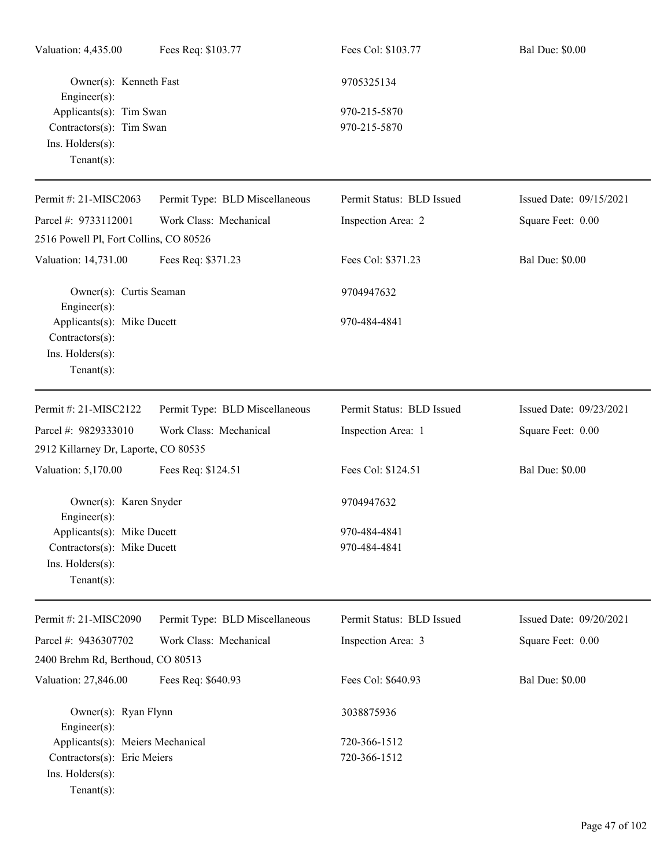| Valuation: 4,435.00                           | Fees Req: \$103.77             | Fees Col: \$103.77        | <b>Bal Due: \$0.00</b>  |
|-----------------------------------------------|--------------------------------|---------------------------|-------------------------|
| Owner(s): Kenneth Fast<br>Engineer(s):        |                                | 9705325134                |                         |
| Applicants(s): Tim Swan                       |                                | 970-215-5870              |                         |
| Contractors(s): Tim Swan                      |                                | 970-215-5870              |                         |
| Ins. Holders(s):<br>Tenant $(s)$ :            |                                |                           |                         |
| Permit #: 21-MISC2063                         | Permit Type: BLD Miscellaneous | Permit Status: BLD Issued | Issued Date: 09/15/2021 |
| Parcel #: 9733112001                          | Work Class: Mechanical         | Inspection Area: 2        | Square Feet: 0.00       |
| 2516 Powell Pl, Fort Collins, CO 80526        |                                |                           |                         |
| Valuation: 14,731.00                          | Fees Req: \$371.23             | Fees Col: \$371.23        | <b>Bal Due: \$0.00</b>  |
| Owner(s): Curtis Seaman<br>Engineer(s):       |                                | 9704947632                |                         |
| Applicants(s): Mike Ducett<br>Contractors(s): |                                | 970-484-4841              |                         |
| Ins. Holders(s):<br>$Tenant(s)$ :             |                                |                           |                         |
| Permit #: 21-MISC2122                         | Permit Type: BLD Miscellaneous | Permit Status: BLD Issued | Issued Date: 09/23/2021 |
| Parcel #: 9829333010                          | Work Class: Mechanical         | Inspection Area: 1        | Square Feet: 0.00       |
| 2912 Killarney Dr, Laporte, CO 80535          |                                |                           |                         |
| Valuation: 5,170.00                           | Fees Req: \$124.51             | Fees Col: \$124.51        | <b>Bal Due: \$0.00</b>  |
| Owner(s): Karen Snyder<br>Engineer(s):        |                                | 9704947632                |                         |
| Applicants(s): Mike Ducett                    |                                | 970-484-4841              |                         |
| Contractors(s): Mike Ducett                   |                                | 970-484-4841              |                         |
| Ins. Holders(s):<br>$Tenant(s)$ :             |                                |                           |                         |
| Permit #: 21-MISC2090                         | Permit Type: BLD Miscellaneous | Permit Status: BLD Issued | Issued Date: 09/20/2021 |
| Parcel #: 9436307702                          | Work Class: Mechanical         | Inspection Area: 3        | Square Feet: 0.00       |
| 2400 Brehm Rd, Berthoud, CO 80513             |                                |                           |                         |
| Valuation: 27,846.00                          | Fees Req: \$640.93             | Fees Col: \$640.93        | <b>Bal Due: \$0.00</b>  |
| Owner(s): Ryan Flynn<br>Engineer(s):          |                                | 3038875936                |                         |
| Applicants(s): Meiers Mechanical              |                                | 720-366-1512              |                         |
| Contractors(s): Eric Meiers                   |                                | 720-366-1512              |                         |
| Ins. Holders(s):<br>$Tenant(s)$ :             |                                |                           |                         |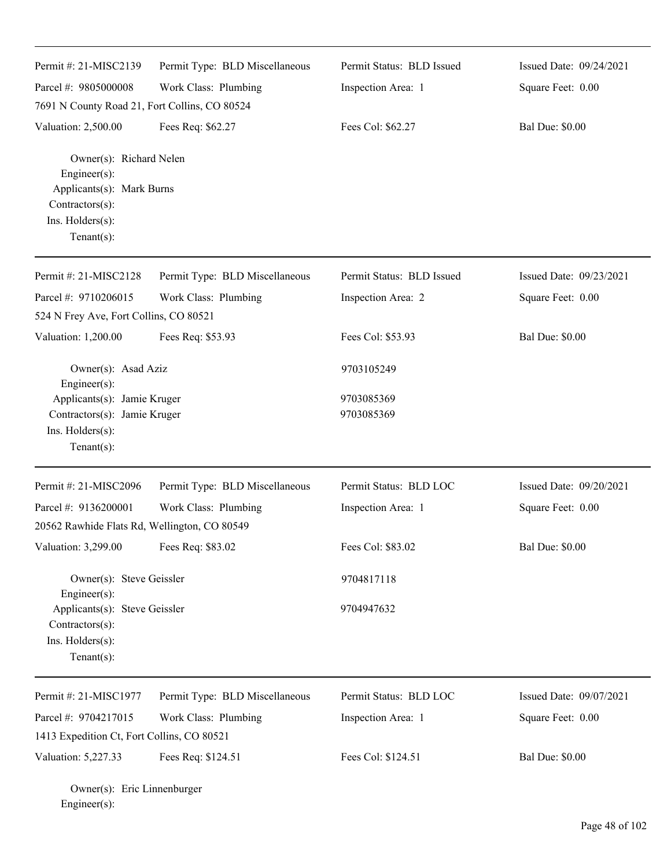| Permit #: 21-MISC2139                                                                                                        | Permit Type: BLD Miscellaneous | Permit Status: BLD Issued | Issued Date: 09/24/2021 |
|------------------------------------------------------------------------------------------------------------------------------|--------------------------------|---------------------------|-------------------------|
| Parcel #: 9805000008                                                                                                         | Work Class: Plumbing           | Inspection Area: 1        | Square Feet: 0.00       |
| 7691 N County Road 21, Fort Collins, CO 80524                                                                                |                                |                           |                         |
| Valuation: 2,500.00                                                                                                          | Fees Req: \$62.27              | Fees Col: \$62.27         | <b>Bal Due: \$0.00</b>  |
| Owner(s): Richard Nelen<br>Engineer(s):<br>Applicants(s): Mark Burns<br>Contractors(s):<br>Ins. Holders(s):<br>$Tenant(s)$ : |                                |                           |                         |
| Permit #: 21-MISC2128                                                                                                        | Permit Type: BLD Miscellaneous | Permit Status: BLD Issued | Issued Date: 09/23/2021 |
| Parcel #: 9710206015                                                                                                         | Work Class: Plumbing           | Inspection Area: 2        | Square Feet: 0.00       |
| 524 N Frey Ave, Fort Collins, CO 80521                                                                                       |                                |                           |                         |
| Valuation: 1,200.00                                                                                                          | Fees Req: \$53.93              | Fees Col: \$53.93         | <b>Bal Due: \$0.00</b>  |
| Owner(s): Asad Aziz<br>Engineer(s):                                                                                          |                                | 9703105249                |                         |
| Applicants(s): Jamie Kruger                                                                                                  |                                | 9703085369                |                         |
| Contractors(s): Jamie Kruger<br>Ins. Holders(s):<br>$Tenant(s)$ :                                                            |                                | 9703085369                |                         |
| Permit#: 21-MISC2096                                                                                                         | Permit Type: BLD Miscellaneous | Permit Status: BLD LOC    | Issued Date: 09/20/2021 |
| Parcel #: 9136200001                                                                                                         | Work Class: Plumbing           | Inspection Area: 1        | Square Feet: 0.00       |
| 20562 Rawhide Flats Rd, Wellington, CO 80549                                                                                 |                                |                           |                         |
| Valuation: 3,299.00                                                                                                          | Fees Req: \$83.02              | Fees Col: \$83.02         | <b>Bal Due: \$0.00</b>  |
| Owner(s): Steve Geissler                                                                                                     |                                | 9704817118                |                         |
| Engineer(s):<br>Applicants(s): Steve Geissler<br>Contractors(s):<br>Ins. Holders(s):<br>Tenant $(s)$ :                       |                                | 9704947632                |                         |
| Permit #: 21-MISC1977                                                                                                        | Permit Type: BLD Miscellaneous | Permit Status: BLD LOC    | Issued Date: 09/07/2021 |
| Parcel #: 9704217015                                                                                                         | Work Class: Plumbing           | Inspection Area: 1        | Square Feet: 0.00       |
| 1413 Expedition Ct, Fort Collins, CO 80521                                                                                   |                                |                           |                         |
| Valuation: 5,227.33                                                                                                          | Fees Req: \$124.51             | Fees Col: \$124.51        | <b>Bal Due: \$0.00</b>  |

Owner(s): Eric Linnenburger Engineer(s):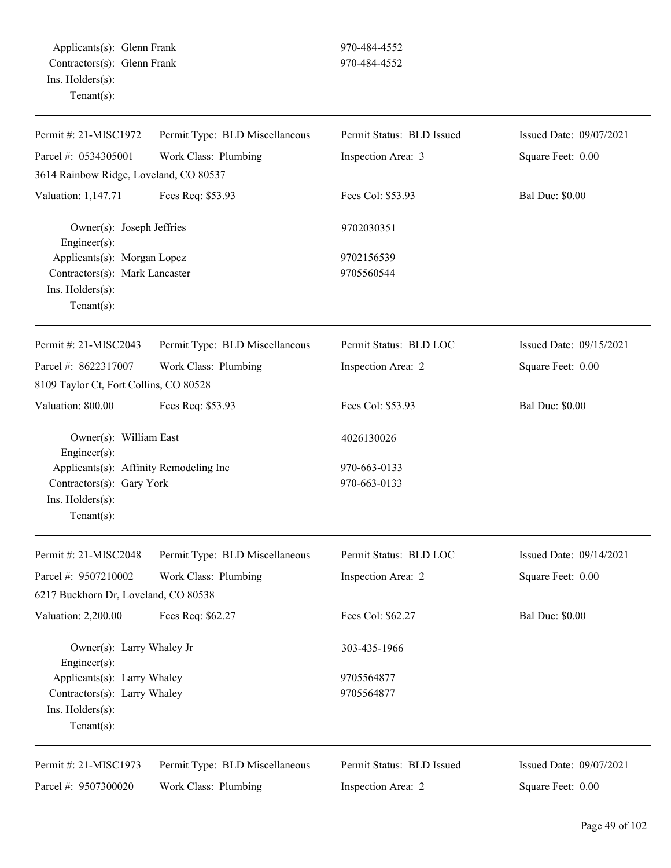| Permit #: 21-MISC1972                     | Permit Type: BLD Miscellaneous | Permit Status: BLD Issued | Issued Date: 09/07/2021 |
|-------------------------------------------|--------------------------------|---------------------------|-------------------------|
| Parcel #: 0534305001                      | Work Class: Plumbing           | Inspection Area: 3        | Square Feet: 0.00       |
| 3614 Rainbow Ridge, Loveland, CO 80537    |                                |                           |                         |
| Valuation: 1,147.71                       | Fees Req: \$53.93              | Fees Col: \$53.93         | <b>Bal Due: \$0.00</b>  |
| Owner(s): Joseph Jeffries<br>Engineer(s): |                                | 9702030351                |                         |
| Applicants(s): Morgan Lopez               |                                | 9702156539                |                         |
| Contractors(s): Mark Lancaster            |                                | 9705560544                |                         |
| Ins. Holders(s):<br>Tenant $(s)$ :        |                                |                           |                         |
| Permit #: 21-MISC2043                     | Permit Type: BLD Miscellaneous | Permit Status: BLD LOC    | Issued Date: 09/15/2021 |
| Parcel #: 8622317007                      | Work Class: Plumbing           | Inspection Area: 2        | Square Feet: 0.00       |
| 8109 Taylor Ct, Fort Collins, CO 80528    |                                |                           |                         |
| Valuation: 800.00                         | Fees Req: \$53.93              | Fees Col: \$53.93         | <b>Bal Due: \$0.00</b>  |
| Owner(s): William East<br>Engineer(s):    |                                | 4026130026                |                         |
| Applicants(s): Affinity Remodeling Inc    |                                | 970-663-0133              |                         |
| Contractors(s): Gary York                 |                                | 970-663-0133              |                         |
| Ins. Holders(s):<br>$Tenant(s)$ :         |                                |                           |                         |
| Permit #: 21-MISC2048                     | Permit Type: BLD Miscellaneous | Permit Status: BLD LOC    | Issued Date: 09/14/2021 |
| Parcel #: 9507210002                      | Work Class: Plumbing           | Inspection Area: 2        | Square Feet: 0.00       |
| 6217 Buckhorn Dr, Loveland, CO 80538      |                                |                           |                         |
| Valuation: 2,200.00                       | Fees Req: \$62.27              | Fees Col: \$62.27         | <b>Bal Due: \$0.00</b>  |
| Owner(s): Larry Whaley Jr<br>Engineer(s): |                                | 303-435-1966              |                         |
| Applicants(s): Larry Whaley               |                                | 9705564877                |                         |
| Contractors(s): Larry Whaley              |                                | 9705564877                |                         |
| Ins. Holders(s):                          |                                |                           |                         |
| Tenant $(s)$ :                            |                                |                           |                         |
| Permit #: 21-MISC1973                     | Permit Type: BLD Miscellaneous | Permit Status: BLD Issued | Issued Date: 09/07/2021 |
| Parcel #: 9507300020                      | Work Class: Plumbing           | Inspection Area: 2        | Square Feet: 0.00       |
|                                           |                                |                           |                         |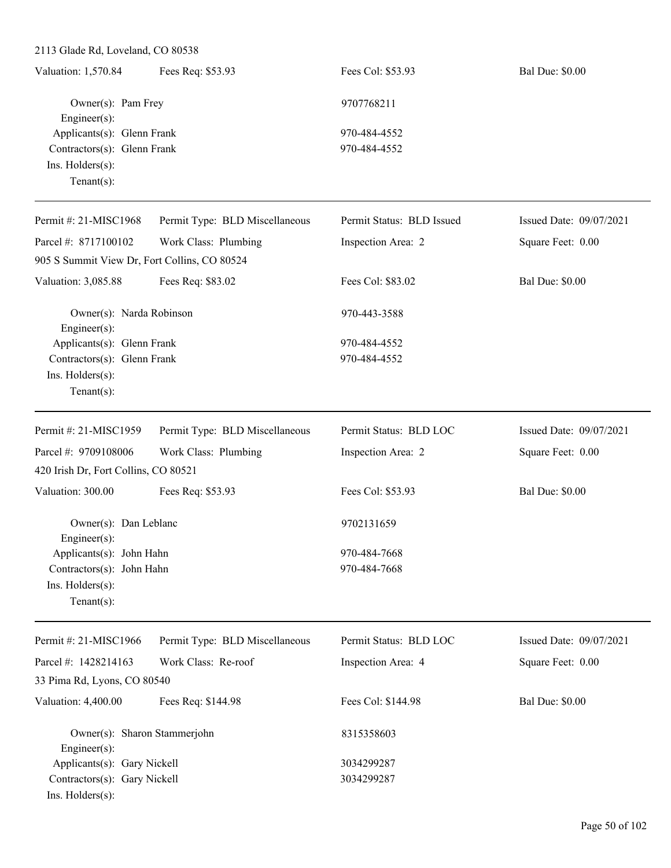| Valuation: 1,570.84         | Fees Req: \$53.93 | Fees Col: \$53.93 | <b>Bal Due: \$0.00</b> |
|-----------------------------|-------------------|-------------------|------------------------|
| Owner(s): Pam Frey          |                   | 9707768211        |                        |
| $Engineering(s)$ :          |                   |                   |                        |
| Applicants(s): Glenn Frank  |                   | 970-484-4552      |                        |
| Contractors(s): Glenn Frank |                   | 970-484-4552      |                        |
| $Ins.$ Holders $(s)$ :      |                   |                   |                        |
| Tenant $(s)$ :              |                   |                   |                        |
|                             |                   |                   |                        |

| Permit #: 21-MISC1968                        | Permit Type: BLD Miscellaneous | Permit Status: BLD Issued | Issued Date: 09/07/2021 |
|----------------------------------------------|--------------------------------|---------------------------|-------------------------|
| Parcel #: 8717100102                         | Work Class: Plumbing           | Inspection Area: 2        | Square Feet: 0.00       |
| 905 S Summit View Dr, Fort Collins, CO 80524 |                                |                           |                         |
| Valuation: 3,085.88                          | Fees Req: \$83.02              | Fees Col: \$83.02         | <b>Bal Due: \$0.00</b>  |
| Owner(s): Narda Robinson<br>Engineer(s):     |                                | 970-443-3588              |                         |
| Applicants(s): Glenn Frank                   |                                | 970-484-4552              |                         |
| Contractors(s): Glenn Frank                  |                                | 970-484-4552              |                         |
| Ins. Holders(s):<br>Tenant $(s)$ :           |                                |                           |                         |
| Permit #: 21-MISC1959                        | Permit Type: BLD Miscellaneous | Permit Status: BLD LOC    | Issued Date: 09/07/2021 |
| Parcel #: 9709108006                         | Work Class: Plumbing           | Inspection Area: 2        | Square Feet: 0.00       |
| 420 Irish Dr, Fort Collins, CO 80521         |                                |                           |                         |
| Valuation: 300.00                            | Fees Req: \$53.93              | Fees Col: \$53.93         | <b>Bal Due: \$0.00</b>  |
| Owner(s): Dan Leblanc<br>Engineer(s):        |                                | 9702131659                |                         |
| Applicants(s): John Hahn                     |                                | 970-484-7668              |                         |
| Contractors(s): John Hahn                    |                                | 970-484-7668              |                         |
| Ins. Holders(s):<br>Tenant $(s)$ :           |                                |                           |                         |
| Permit #: 21-MISC1966                        | Permit Type: BLD Miscellaneous | Permit Status: BLD LOC    | Issued Date: 09/07/2021 |
| Parcel #: 1428214163                         | Work Class: Re-roof            | Inspection Area: 4        | Square Feet: 0.00       |
| 33 Pima Rd, Lyons, CO 80540                  |                                |                           |                         |
| <b>Valuation: 4,400.00</b>                   | Fees Req: \$144.98             | Fees Col: \$144.98        | <b>Bal Due: \$0.00</b>  |

|                              | Owner(s): Sharon Stammerjohn | 8315358603 |
|------------------------------|------------------------------|------------|
| $Engineer(s)$ :              |                              |            |
| Applicants(s): Gary Nickell  |                              | 3034299287 |
| Contractors(s): Gary Nickell |                              | 3034299287 |
| $Ins.$ Holders $(s)$ :       |                              |            |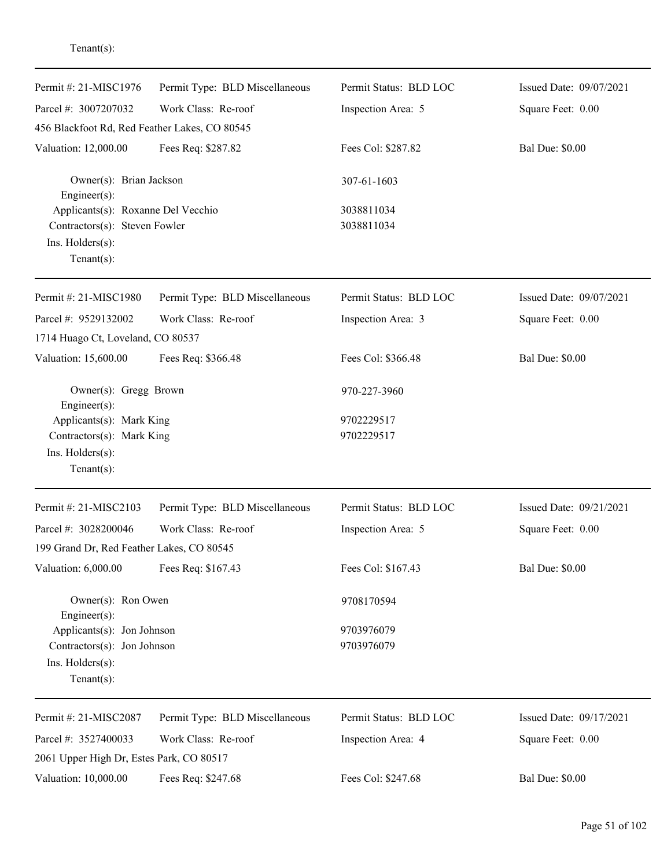| Permit #: 21-MISC1976                         | Permit Type: BLD Miscellaneous | Permit Status: BLD LOC | Issued Date: 09/07/2021 |
|-----------------------------------------------|--------------------------------|------------------------|-------------------------|
| Parcel #: 3007207032                          | Work Class: Re-roof            | Inspection Area: 5     | Square Feet: 0.00       |
| 456 Blackfoot Rd, Red Feather Lakes, CO 80545 |                                |                        |                         |
| Valuation: 12,000.00                          | Fees Req: \$287.82             | Fees Col: \$287.82     | <b>Bal Due: \$0.00</b>  |
| Owner(s): Brian Jackson<br>Engineer(s):       |                                | 307-61-1603            |                         |
| Applicants(s): Roxanne Del Vecchio            |                                | 3038811034             |                         |
| Contractors(s): Steven Fowler                 |                                | 3038811034             |                         |
| Ins. Holders(s):<br>Tenant $(s)$ :            |                                |                        |                         |
| Permit #: 21-MISC1980                         | Permit Type: BLD Miscellaneous | Permit Status: BLD LOC | Issued Date: 09/07/2021 |
| Parcel #: 9529132002                          | Work Class: Re-roof            | Inspection Area: 3     | Square Feet: 0.00       |
| 1714 Huago Ct, Loveland, CO 80537             |                                |                        |                         |
| Valuation: 15,600.00                          | Fees Req: \$366.48             | Fees Col: \$366.48     | <b>Bal Due: \$0.00</b>  |
| Owner(s): Gregg Brown<br>Engineer(s):         |                                | 970-227-3960           |                         |
| Applicants(s): Mark King                      |                                | 9702229517             |                         |
| Contractors(s): Mark King                     |                                | 9702229517             |                         |
| Ins. Holders(s):<br>$Tenant(s)$ :             |                                |                        |                         |
| Permit #: 21-MISC2103                         | Permit Type: BLD Miscellaneous | Permit Status: BLD LOC | Issued Date: 09/21/2021 |
| Parcel #: 3028200046                          | Work Class: Re-roof            | Inspection Area: 5     | Square Feet: 0.00       |
| 199 Grand Dr, Red Feather Lakes, CO 80545     |                                |                        |                         |
| Valuation: 6,000.00                           | Fees Req: \$167.43             | Fees Col: \$167.43     | <b>Bal Due: \$0.00</b>  |
| Owner(s): Ron Owen<br>Engineer(s):            |                                | 9708170594             |                         |
| Applicants(s): Jon Johnson                    |                                | 9703976079             |                         |
| Contractors(s): Jon Johnson                   |                                | 9703976079             |                         |
| Ins. Holders(s):<br>Tenant $(s)$ :            |                                |                        |                         |
| Permit #: 21-MISC2087                         | Permit Type: BLD Miscellaneous | Permit Status: BLD LOC | Issued Date: 09/17/2021 |
| Parcel #: 3527400033                          | Work Class: Re-roof            | Inspection Area: 4     | Square Feet: 0.00       |
| 2061 Upper High Dr, Estes Park, CO 80517      |                                |                        |                         |
| Valuation: 10,000.00                          | Fees Req: \$247.68             | Fees Col: \$247.68     | <b>Bal Due: \$0.00</b>  |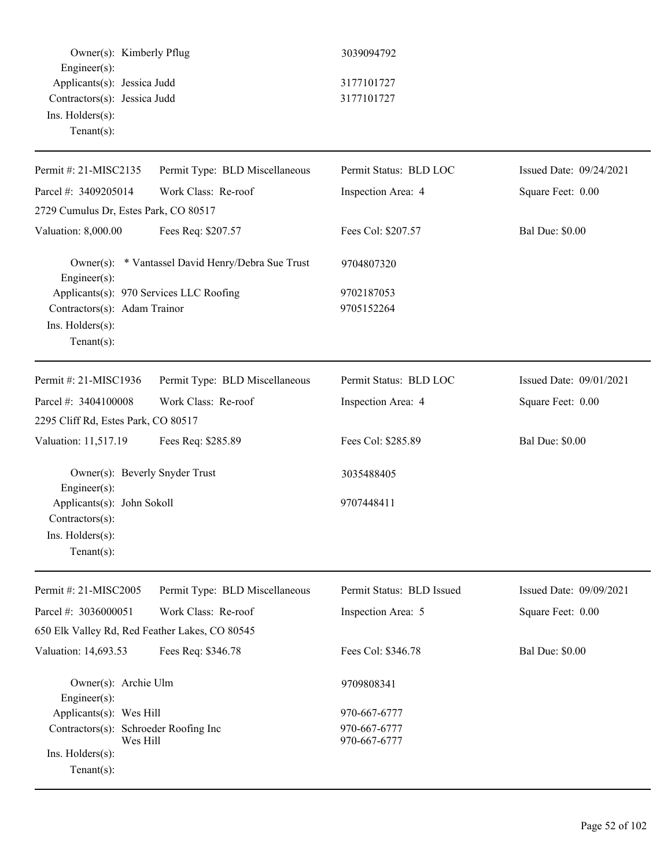| Owner(s): Kimberly Pflug<br>$Engineering(s)$ :                                                            |                                                       | 3039094792                   |                         |
|-----------------------------------------------------------------------------------------------------------|-------------------------------------------------------|------------------------------|-------------------------|
| Applicants(s): Jessica Judd<br>Contractors(s): Jessica Judd<br>Ins. Holders(s):<br>Tenant(s):             |                                                       | 3177101727<br>3177101727     |                         |
|                                                                                                           |                                                       |                              |                         |
| Permit #: 21-MISC2135                                                                                     | Permit Type: BLD Miscellaneous<br>Work Class: Re-roof | Permit Status: BLD LOC       | Issued Date: 09/24/2021 |
| Parcel #: 3409205014<br>2729 Cumulus Dr, Estes Park, CO 80517                                             |                                                       | Inspection Area: 4           | Square Feet: 0.00       |
|                                                                                                           |                                                       |                              | <b>Bal Due: \$0.00</b>  |
| Valuation: 8,000.00                                                                                       | Fees Req: \$207.57                                    | Fees Col: \$207.57           |                         |
| Engineer $(s)$ :                                                                                          | Owner(s): * Vantassel David Henry/Debra Sue Trust     | 9704807320                   |                         |
| Applicants(s): 970 Services LLC Roofing<br>Contractors(s): Adam Trainor<br>Ins. Holders(s):<br>Tenant(s): |                                                       | 9702187053<br>9705152264     |                         |
| Permit #: 21-MISC1936                                                                                     | Permit Type: BLD Miscellaneous                        | Permit Status: BLD LOC       | Issued Date: 09/01/2021 |
| Parcel #: 3404100008                                                                                      | Work Class: Re-roof                                   | Inspection Area: 4           | Square Feet: 0.00       |
| 2295 Cliff Rd, Estes Park, CO 80517                                                                       |                                                       |                              |                         |
| Valuation: 11,517.19                                                                                      | Fees Req: \$285.89                                    | Fees Col: \$285.89           | <b>Bal Due: \$0.00</b>  |
| Owner(s): Beverly Snyder Trust<br>$Engineer(s)$ :                                                         |                                                       | 3035488405                   |                         |
| Applicants(s): John Sokoll<br>Contractors(s):<br>Ins. Holders(s):<br>$Tenant(s)$ :                        |                                                       | 9707448411                   |                         |
| Permit #: 21-MISC2005                                                                                     | Permit Type: BLD Miscellaneous                        | Permit Status: BLD Issued    | Issued Date: 09/09/2021 |
| Parcel #: 3036000051<br>650 Elk Valley Rd, Red Feather Lakes, CO 80545                                    | Work Class: Re-roof                                   | Inspection Area: 5           | Square Feet: 0.00       |
| Valuation: 14,693.53                                                                                      | Fees Req: \$346.78                                    | Fees Col: \$346.78           | <b>Bal Due: \$0.00</b>  |
| Owner(s): Archie Ulm<br>Engineer(s):                                                                      |                                                       | 9709808341                   |                         |
| Applicants(s): Wes Hill                                                                                   |                                                       | 970-667-6777                 |                         |
| Contractors(s): Schroeder Roofing Inc<br>Wes Hill<br>Ins. Holders(s):<br>Tenant $(s)$ :                   |                                                       | 970-667-6777<br>970-667-6777 |                         |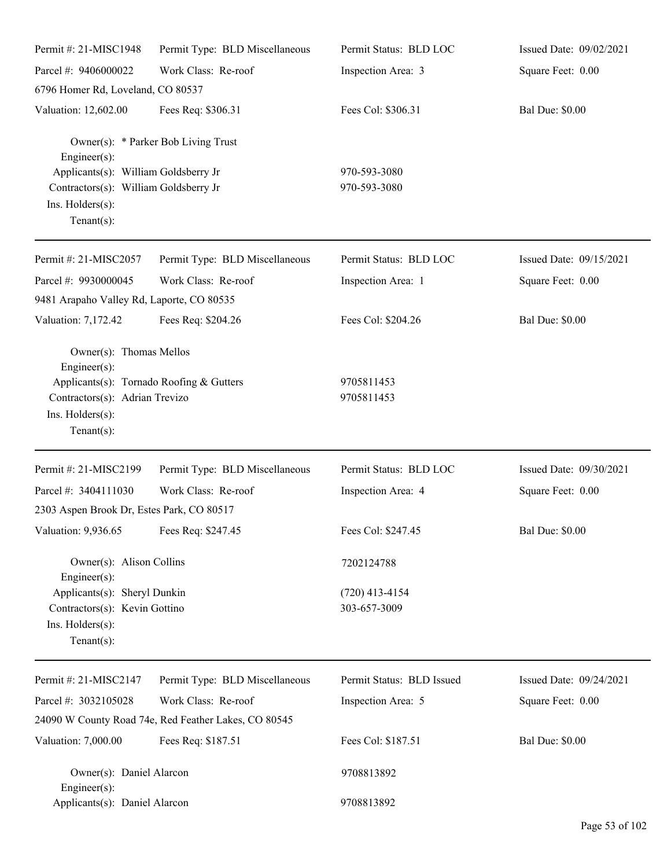| Permit #: 21-MISC1948                                                                                                                                            | Permit Type: BLD Miscellaneous                       | Permit Status: BLD LOC           | Issued Date: 09/02/2021 |
|------------------------------------------------------------------------------------------------------------------------------------------------------------------|------------------------------------------------------|----------------------------------|-------------------------|
| Parcel #: 9406000022                                                                                                                                             | Work Class: Re-roof                                  | Inspection Area: 3               | Square Feet: 0.00       |
| 6796 Homer Rd, Loveland, CO 80537                                                                                                                                |                                                      |                                  |                         |
| Valuation: 12,602.00                                                                                                                                             | Fees Req: \$306.31                                   | Fees Col: \$306.31               | <b>Bal Due: \$0.00</b>  |
| $Engineering(s)$ :                                                                                                                                               | Owner(s): * Parker Bob Living Trust                  |                                  |                         |
| Applicants(s): William Goldsberry Jr<br>Contractors(s): William Goldsberry Jr<br>Ins. Holders(s):<br>$Tenant(s)$ :                                               |                                                      | 970-593-3080<br>970-593-3080     |                         |
| Permit #: 21-MISC2057                                                                                                                                            | Permit Type: BLD Miscellaneous                       | Permit Status: BLD LOC           | Issued Date: 09/15/2021 |
| Parcel #: 9930000045<br>9481 Arapaho Valley Rd, Laporte, CO 80535                                                                                                | Work Class: Re-roof                                  | Inspection Area: 1               | Square Feet: 0.00       |
| Valuation: 7,172.42                                                                                                                                              | Fees Req: \$204.26                                   | Fees Col: \$204.26               | <b>Bal Due: \$0.00</b>  |
| Owner(s): Thomas Mellos<br>$Engineering(s)$ :<br>Applicants(s): Tornado Roofing & Gutters<br>Contractors(s): Adrian Trevizo<br>Ins. Holders(s):<br>$Tenant(s)$ : |                                                      | 9705811453<br>9705811453         |                         |
| Permit #: 21-MISC2199                                                                                                                                            | Permit Type: BLD Miscellaneous                       | Permit Status: BLD LOC           | Issued Date: 09/30/2021 |
| Parcel #: 3404111030                                                                                                                                             | Work Class: Re-roof                                  | Inspection Area: 4               | Square Feet: 0.00       |
| 2303 Aspen Brook Dr, Estes Park, CO 80517                                                                                                                        |                                                      |                                  |                         |
| Valuation: 9,936.65 Fees Req: \$247.45                                                                                                                           |                                                      | Fees Col: \$247.45               | <b>Bal Due: \$0.00</b>  |
| Owner(s): Alison Collins<br>$Engineering(s)$ :                                                                                                                   |                                                      | 7202124788                       |                         |
| Applicants(s): Sheryl Dunkin<br>Contractors(s): Kevin Gottino<br>Ins. Holders(s):<br>Tenant $(s)$ :                                                              |                                                      | $(720)$ 413-4154<br>303-657-3009 |                         |
| Permit #: 21-MISC2147                                                                                                                                            | Permit Type: BLD Miscellaneous                       | Permit Status: BLD Issued        | Issued Date: 09/24/2021 |
| Parcel #: 3032105028                                                                                                                                             | Work Class: Re-roof                                  | Inspection Area: 5               | Square Feet: 0.00       |
|                                                                                                                                                                  | 24090 W County Road 74e, Red Feather Lakes, CO 80545 |                                  |                         |
| Valuation: 7,000.00                                                                                                                                              | Fees Req: \$187.51                                   | Fees Col: \$187.51               | <b>Bal Due: \$0.00</b>  |
| Owner(s): Daniel Alarcon<br>$Engineering(s)$ :                                                                                                                   |                                                      | 9708813892                       |                         |
| Applicants(s): Daniel Alarcon                                                                                                                                    |                                                      | 9708813892                       |                         |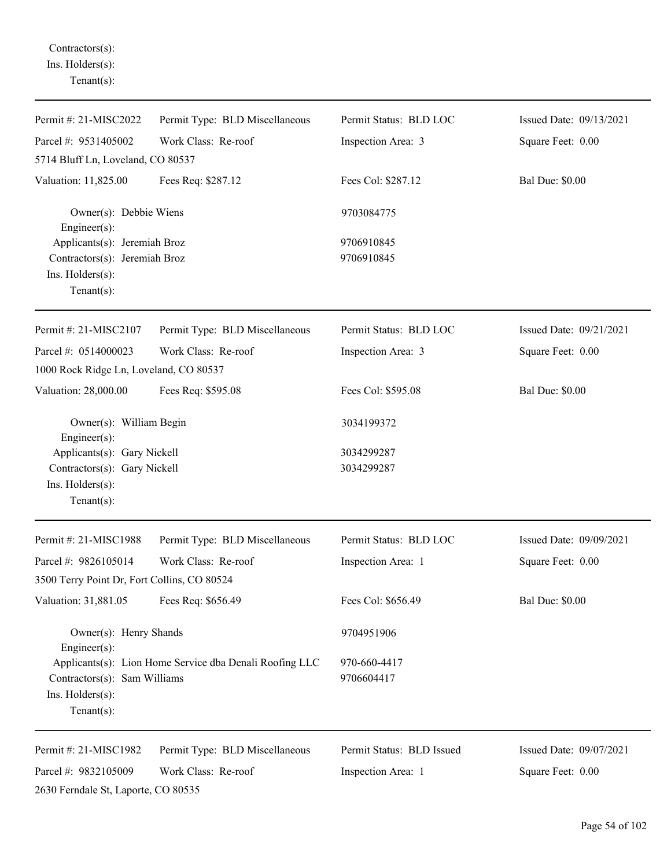Contractors(s): Ins. Holders(s): Tenant(s):

| Permit #: 21-MISC2022                                                                               | Permit Type: BLD Miscellaneous                          | Permit Status: BLD LOC     | Issued Date: 09/13/2021 |
|-----------------------------------------------------------------------------------------------------|---------------------------------------------------------|----------------------------|-------------------------|
| Parcel #: 9531405002                                                                                | Work Class: Re-roof                                     | Inspection Area: 3         | Square Feet: 0.00       |
| 5714 Bluff Ln, Loveland, CO 80537                                                                   |                                                         |                            |                         |
| Valuation: 11,825.00                                                                                | Fees Req: \$287.12                                      | Fees Col: \$287.12         | <b>Bal Due: \$0.00</b>  |
| Owner(s): Debbie Wiens<br>Engineer(s):                                                              |                                                         | 9703084775                 |                         |
| Applicants(s): Jeremiah Broz<br>Contractors(s): Jeremiah Broz<br>Ins. Holders(s):<br>Tenant $(s)$ : |                                                         | 9706910845<br>9706910845   |                         |
| Permit #: 21-MISC2107                                                                               | Permit Type: BLD Miscellaneous                          | Permit Status: BLD LOC     | Issued Date: 09/21/2021 |
| Parcel #: 0514000023<br>1000 Rock Ridge Ln, Loveland, CO 80537                                      | Work Class: Re-roof                                     | Inspection Area: 3         | Square Feet: 0.00       |
| Valuation: 28,000.00                                                                                | Fees Req: \$595.08                                      | Fees Col: \$595.08         | <b>Bal Due: \$0.00</b>  |
| Owner(s): William Begin<br>Engineer(s):                                                             |                                                         | 3034199372                 |                         |
| Applicants(s): Gary Nickell<br>Contractors(s): Gary Nickell<br>Ins. Holders(s):<br>Tenant $(s)$ :   |                                                         | 3034299287<br>3034299287   |                         |
| Permit #: 21-MISC1988                                                                               | Permit Type: BLD Miscellaneous                          | Permit Status: BLD LOC     | Issued Date: 09/09/2021 |
| Parcel #: 9826105014                                                                                | Work Class: Re-roof                                     | Inspection Area: 1         | Square Feet: 0.00       |
| 3500 Terry Point Dr, Fort Collins, CO 80524                                                         |                                                         |                            |                         |
| Valuation: 31,881.05                                                                                | Fees Req: \$656.49                                      | Fees Col: \$656.49         | <b>Bal Due: \$0.00</b>  |
| Owner(s): Henry Shands<br>Engineer(s):                                                              |                                                         | 9704951906                 |                         |
| Contractors(s): Sam Williams<br>Ins. Holders(s):<br>Tenant $(s)$ :                                  | Applicants(s): Lion Home Service dba Denali Roofing LLC | 970-660-4417<br>9706604417 |                         |
| Permit #: 21-MISC1982                                                                               | Permit Type: BLD Miscellaneous                          | Permit Status: BLD Issued  | Issued Date: 09/07/2021 |
| Parcel #: 9832105009<br>2630 Ferndale St, Laporte, CO 80535                                         | Work Class: Re-roof                                     | Inspection Area: 1         | Square Feet: 0.00       |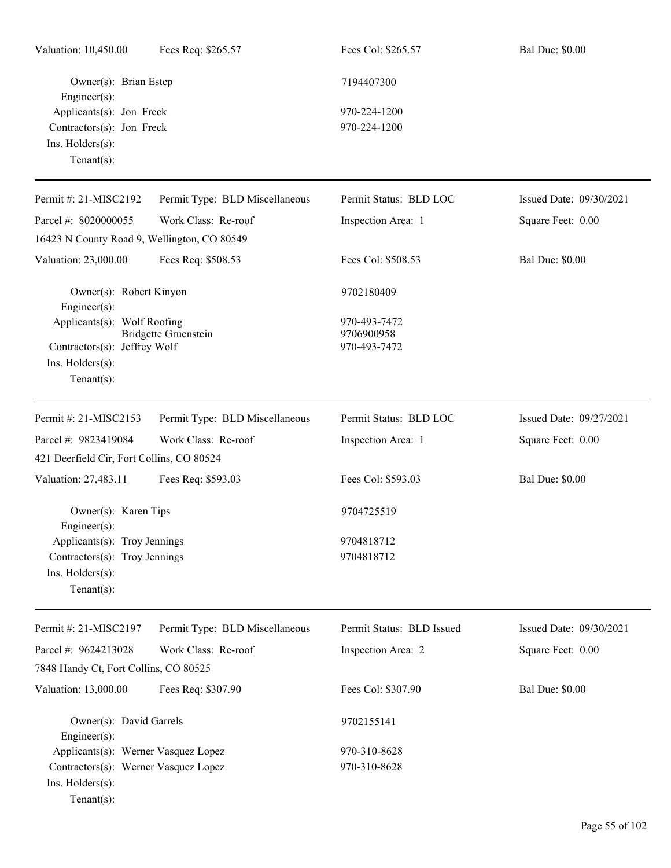| Valuation: 10,450.00                             | Fees Req: \$265.57             | Fees Col: \$265.57        | <b>Bal Due: \$0.00</b>  |
|--------------------------------------------------|--------------------------------|---------------------------|-------------------------|
| Owner(s): Brian Estep<br>Engineer(s):            |                                | 7194407300                |                         |
| Applicants(s): Jon Freck                         |                                | 970-224-1200              |                         |
| Contractors(s): Jon Freck                        |                                | 970-224-1200              |                         |
| Ins. Holders(s):                                 |                                |                           |                         |
| Tenant $(s)$ :                                   |                                |                           |                         |
| Permit #: 21-MISC2192                            | Permit Type: BLD Miscellaneous | Permit Status: BLD LOC    | Issued Date: 09/30/2021 |
| Parcel #: 8020000055                             | Work Class: Re-roof            | Inspection Area: 1        | Square Feet: 0.00       |
| 16423 N County Road 9, Wellington, CO 80549      |                                |                           |                         |
| Valuation: 23,000.00                             | Fees Req: \$508.53             | Fees Col: \$508.53        | <b>Bal Due: \$0.00</b>  |
| Owner(s): Robert Kinyon<br>Engineer $(s)$ :      |                                | 9702180409                |                         |
| Applicants(s): Wolf Roofing                      |                                | 970-493-7472              |                         |
|                                                  | <b>Bridgette Gruenstein</b>    | 9706900958                |                         |
| Contractors(s): Jeffrey Wolf<br>Ins. Holders(s): |                                | 970-493-7472              |                         |
| $Tenant(s)$ :                                    |                                |                           |                         |
|                                                  |                                |                           |                         |
| Permit #: 21-MISC2153                            | Permit Type: BLD Miscellaneous | Permit Status: BLD LOC    | Issued Date: 09/27/2021 |
| Parcel #: 9823419084                             | Work Class: Re-roof            | Inspection Area: 1        | Square Feet: 0.00       |
| 421 Deerfield Cir, Fort Collins, CO 80524        |                                |                           |                         |
| Valuation: 27,483.11                             | Fees Req: \$593.03             | Fees Col: \$593.03        | <b>Bal Due: \$0.00</b>  |
| Owner(s): Karen Tips<br>Engineer(s):             |                                | 9704725519                |                         |
| Applicants(s): Troy Jennings                     |                                | 9704818712                |                         |
| Contractors(s): Troy Jennings                    |                                | 9704818712                |                         |
| Ins. Holders(s):                                 |                                |                           |                         |
| $Tenant(s)$ :                                    |                                |                           |                         |
| Permit #: 21-MISC2197                            | Permit Type: BLD Miscellaneous | Permit Status: BLD Issued | Issued Date: 09/30/2021 |
| Parcel #: 9624213028                             | Work Class: Re-roof            | Inspection Area: 2        | Square Feet: 0.00       |
| 7848 Handy Ct, Fort Collins, CO 80525            |                                |                           |                         |
| Valuation: 13,000.00                             | Fees Req: \$307.90             | Fees Col: \$307.90        | <b>Bal Due: \$0.00</b>  |
|                                                  |                                |                           |                         |
| Owner(s): David Garrels<br>Engineer(s):          |                                | 9702155141                |                         |
| Applicants(s): Werner Vasquez Lopez              |                                | 970-310-8628              |                         |
| Contractors(s): Werner Vasquez Lopez             |                                | 970-310-8628              |                         |
| Ins. Holders(s):                                 |                                |                           |                         |
| $Tenant(s)$ :                                    |                                |                           |                         |
|                                                  |                                |                           |                         |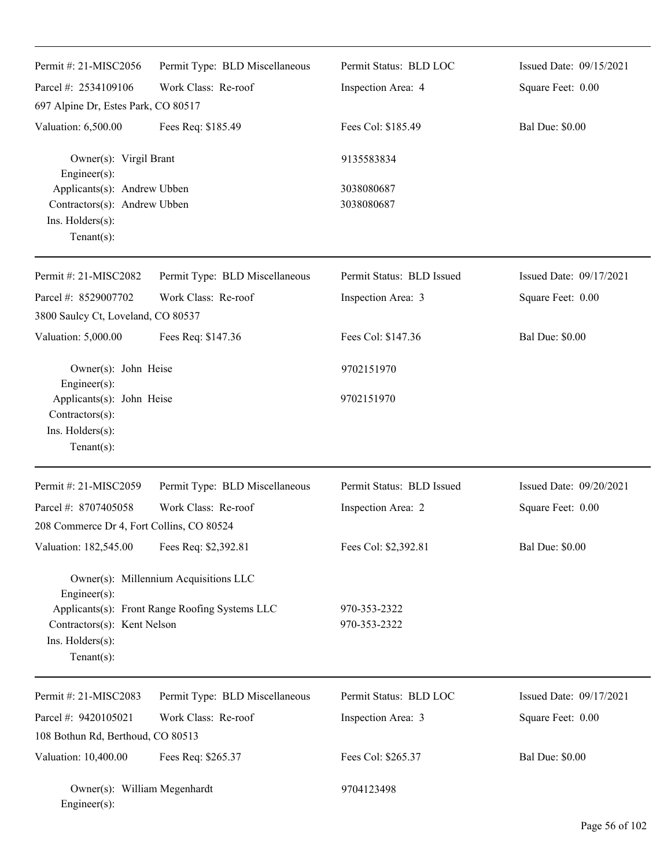| Permit #: 21-MISC2056                                                                            | Permit Type: BLD Miscellaneous                                                          | Permit Status: BLD LOC       | Issued Date: 09/15/2021 |
|--------------------------------------------------------------------------------------------------|-----------------------------------------------------------------------------------------|------------------------------|-------------------------|
| Parcel #: 2534109106                                                                             | Work Class: Re-roof                                                                     | Inspection Area: 4           | Square Feet: 0.00       |
| 697 Alpine Dr, Estes Park, CO 80517                                                              |                                                                                         |                              |                         |
| Valuation: 6,500.00                                                                              | Fees Req: \$185.49                                                                      | Fees Col: \$185.49           | <b>Bal Due: \$0.00</b>  |
| Owner(s): Virgil Brant<br>Engineer(s):                                                           |                                                                                         | 9135583834                   |                         |
| Applicants(s): Andrew Ubben<br>Contractors(s): Andrew Ubben<br>Ins. Holders(s):<br>$Tenant(s)$ : |                                                                                         | 3038080687<br>3038080687     |                         |
| Permit #: 21-MISC2082                                                                            | Permit Type: BLD Miscellaneous                                                          | Permit Status: BLD Issued    | Issued Date: 09/17/2021 |
| Parcel #: 8529007702                                                                             | Work Class: Re-roof                                                                     | Inspection Area: 3           | Square Feet: 0.00       |
| 3800 Saulcy Ct, Loveland, CO 80537                                                               |                                                                                         |                              |                         |
| Valuation: 5,000.00                                                                              | Fees Req: \$147.36                                                                      | Fees Col: \$147.36           | <b>Bal Due: \$0.00</b>  |
| Owner(s): John Heise<br>Engineer(s):                                                             |                                                                                         | 9702151970                   |                         |
| Applicants(s): John Heise<br>Contractors(s):<br>Ins. Holders(s):<br>$Tenant(s)$ :                |                                                                                         | 9702151970                   |                         |
| Permit #: 21-MISC2059                                                                            | Permit Type: BLD Miscellaneous                                                          | Permit Status: BLD Issued    | Issued Date: 09/20/2021 |
| Parcel #: 8707405058                                                                             | Work Class: Re-roof                                                                     | Inspection Area: 2           | Square Feet: 0.00       |
| 208 Commerce Dr 4, Fort Collins, CO 80524                                                        |                                                                                         |                              |                         |
| Valuation: 182,545.00                                                                            | Fees Req: \$2,392.81                                                                    | Fees Col: \$2,392.81         | <b>Bal Due: \$0.00</b>  |
| Engineer(s):<br>Contractors(s): Kent Nelson<br>Ins. Holders(s):<br>Tenant $(s)$ :                | Owner(s): Millennium Acquisitions LLC<br>Applicants(s): Front Range Roofing Systems LLC | 970-353-2322<br>970-353-2322 |                         |
| Permit #: 21-MISC2083                                                                            | Permit Type: BLD Miscellaneous                                                          | Permit Status: BLD LOC       | Issued Date: 09/17/2021 |
| Parcel #: 9420105021                                                                             | Work Class: Re-roof                                                                     | Inspection Area: 3           | Square Feet: 0.00       |
| 108 Bothun Rd, Berthoud, CO 80513                                                                |                                                                                         |                              |                         |
| Valuation: 10,400.00                                                                             | Fees Req: \$265.37                                                                      | Fees Col: \$265.37           | <b>Bal Due: \$0.00</b>  |
| Owner(s): William Megenhardt<br>Engineer(s):                                                     |                                                                                         | 9704123498                   |                         |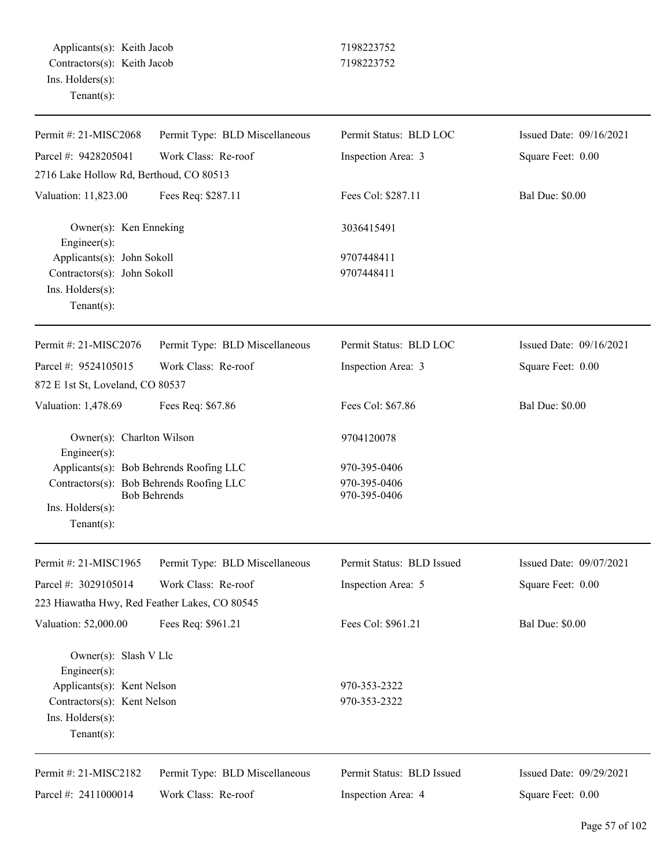| Permit #: 21-MISC2068                                                                                  | Permit Type: BLD Miscellaneous          | Permit Status: BLD LOC       | Issued Date: 09/16/2021 |
|--------------------------------------------------------------------------------------------------------|-----------------------------------------|------------------------------|-------------------------|
| Parcel #: 9428205041                                                                                   | Work Class: Re-roof                     | Inspection Area: 3           | Square Feet: 0.00       |
| 2716 Lake Hollow Rd, Berthoud, CO 80513                                                                |                                         |                              |                         |
| Valuation: 11,823.00                                                                                   | Fees Req: \$287.11                      | Fees Col: \$287.11           | <b>Bal Due: \$0.00</b>  |
| Owner(s): Ken Enneking<br>Engineer $(s)$ :                                                             |                                         | 3036415491                   |                         |
| Applicants(s): John Sokoll<br>Contractors(s): John Sokoll<br>Ins. $H$ olders $(s)$ :<br>Tenant $(s)$ : |                                         | 9707448411<br>9707448411     |                         |
| Permit #: 21-MISC2076                                                                                  | Permit Type: BLD Miscellaneous          | Permit Status: BLD LOC       | Issued Date: 09/16/2021 |
| Parcel #: 9524105015                                                                                   | Work Class: Re-roof                     | Inspection Area: 3           | Square Feet: 0.00       |
| 872 E 1st St, Loveland, CO 80537                                                                       |                                         |                              |                         |
| Valuation: 1,478.69                                                                                    | Fees Req: \$67.86                       | Fees Col: \$67.86            | <b>Bal Due: \$0.00</b>  |
| Owner(s): Charlton Wilson<br>$Engineering(s)$ :                                                        |                                         | 9704120078                   |                         |
|                                                                                                        | Applicants(s): Bob Behrends Roofing LLC | 970-395-0406                 |                         |
| Contractors(s): Bob Behrends Roofing LLC                                                               | <b>Bob Behrends</b>                     | 970-395-0406<br>970-395-0406 |                         |
| Ins. Holders(s):                                                                                       |                                         |                              |                         |
| Tenant $(s)$ :                                                                                         |                                         |                              |                         |
| Permit #: 21-MISC1965                                                                                  | Permit Type: BLD Miscellaneous          | Permit Status: BLD Issued    | Issued Date: 09/07/2021 |
| Parcel #: 3029105014                                                                                   | Work Class: Re-roof                     | Inspection Area: 5           | Square Feet: 0.00       |
| 223 Hiawatha Hwy, Red Feather Lakes, CO 80545                                                          |                                         |                              |                         |
| Valuation: 52,000.00                                                                                   | Fees Req: \$961.21                      | Fees Col: \$961.21           | <b>Bal Due: \$0.00</b>  |
| Owner(s): Slash V Llc<br>Engineer(s):                                                                  |                                         |                              |                         |
| Applicants(s): Kent Nelson                                                                             |                                         | 970-353-2322                 |                         |
| Contractors(s): Kent Nelson                                                                            |                                         | 970-353-2322                 |                         |
| Ins. Holders(s):                                                                                       |                                         |                              |                         |
| Tenant $(s)$ :                                                                                         |                                         |                              |                         |
| Permit #: 21-MISC2182                                                                                  | Permit Type: BLD Miscellaneous          | Permit Status: BLD Issued    | Issued Date: 09/29/2021 |
| Parcel #: 2411000014                                                                                   | Work Class: Re-roof                     | Inspection Area: 4           | Square Feet: 0.00       |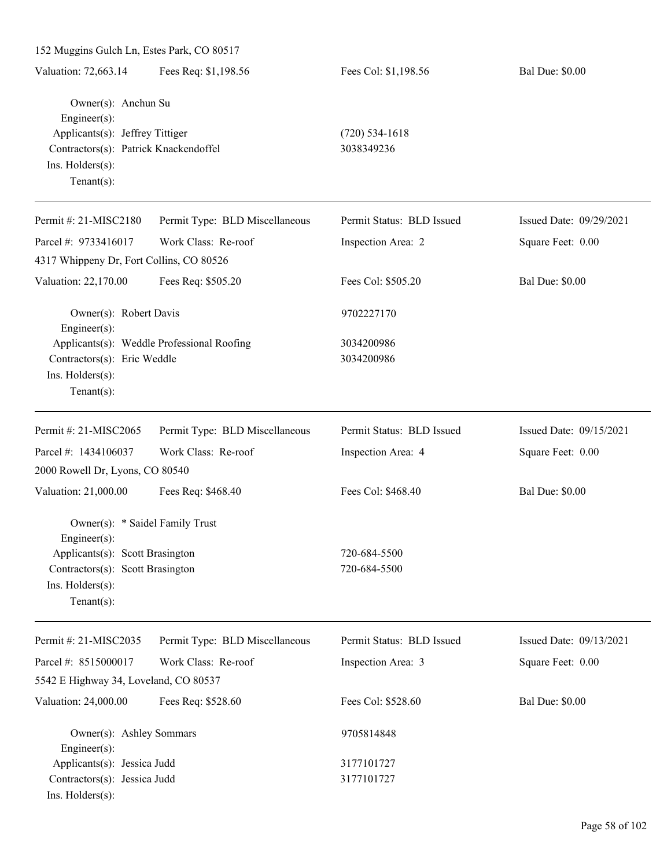| 152 Muggins Gulch Ln, Estes Park, CO 80517                                                                                                                   |                                            |                                |                         |
|--------------------------------------------------------------------------------------------------------------------------------------------------------------|--------------------------------------------|--------------------------------|-------------------------|
| Valuation: 72,663.14                                                                                                                                         | Fees Req: \$1,198.56                       | Fees Col: \$1,198.56           | <b>Bal Due: \$0.00</b>  |
| Owner(s): Anchun Su<br>$Engineering(s)$ :<br>Applicants(s): Jeffrey Tittiger<br>Contractors(s): Patrick Knackendoffel<br>Ins. Holders(s):<br>Tenant $(s)$ :  |                                            | $(720)$ 534-1618<br>3038349236 |                         |
| Permit #: 21-MISC2180                                                                                                                                        | Permit Type: BLD Miscellaneous             | Permit Status: BLD Issued      | Issued Date: 09/29/2021 |
| Parcel #: 9733416017                                                                                                                                         | Work Class: Re-roof                        | Inspection Area: 2             | Square Feet: 0.00       |
| 4317 Whippeny Dr, Fort Collins, CO 80526                                                                                                                     |                                            |                                |                         |
| Valuation: 22,170.00                                                                                                                                         | Fees Req: \$505.20                         | Fees Col: \$505.20             | <b>Bal Due: \$0.00</b>  |
| Owner(s): Robert Davis                                                                                                                                       |                                            | 9702227170                     |                         |
| $Engineering(s)$ :<br>Contractors(s): Eric Weddle<br>Ins. Holders(s):<br>Tenant $(s)$ :                                                                      | Applicants(s): Weddle Professional Roofing | 3034200986<br>3034200986       |                         |
| Permit #: 21-MISC2065                                                                                                                                        | Permit Type: BLD Miscellaneous             | Permit Status: BLD Issued      | Issued Date: 09/15/2021 |
| Parcel #: 1434106037                                                                                                                                         | Work Class: Re-roof                        | Inspection Area: 4             | Square Feet: 0.00       |
| 2000 Rowell Dr, Lyons, CO 80540                                                                                                                              |                                            |                                |                         |
| Valuation: 21,000.00                                                                                                                                         | Fees Req: \$468.40                         | Fees Col: \$468.40             | <b>Bal Due: \$0.00</b>  |
| Owner(s): * Saidel Family Trust<br>Engineer(s):<br>Applicants(s): Scott Brasington<br>Contractors(s): Scott Brasington<br>Ins. Holders(s):<br>Tenant $(s)$ : |                                            | 720-684-5500<br>720-684-5500   |                         |
| Permit #: 21-MISC2035                                                                                                                                        | Permit Type: BLD Miscellaneous             | Permit Status: BLD Issued      | Issued Date: 09/13/2021 |
| Parcel #: 8515000017                                                                                                                                         | Work Class: Re-roof                        | Inspection Area: 3             | Square Feet: 0.00       |
| 5542 E Highway 34, Loveland, CO 80537                                                                                                                        |                                            |                                |                         |
| Valuation: 24,000.00                                                                                                                                         | Fees Req: \$528.60                         | Fees Col: \$528.60             | <b>Bal Due: \$0.00</b>  |
| Owner(s): Ashley Sommars<br>$Engineer(s)$ :                                                                                                                  |                                            | 9705814848                     |                         |
| Applicants(s): Jessica Judd                                                                                                                                  |                                            | 3177101727                     |                         |
| Contractors(s): Jessica Judd<br>Ins. Holders(s):                                                                                                             |                                            | 3177101727                     |                         |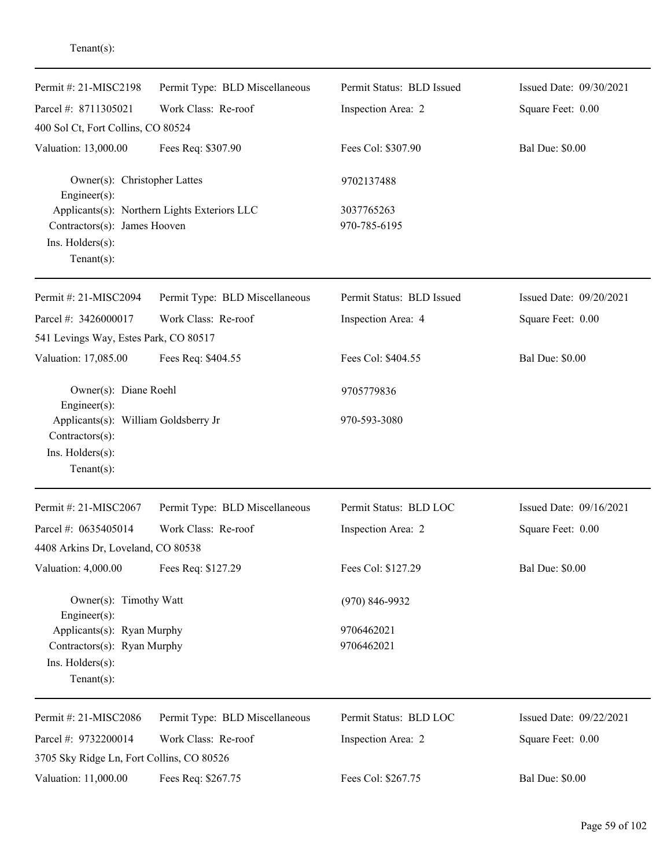| Permit #: 21-MISC2198                                              | Permit Type: BLD Miscellaneous               | Permit Status: BLD Issued  | Issued Date: 09/30/2021 |
|--------------------------------------------------------------------|----------------------------------------------|----------------------------|-------------------------|
| Parcel #: 8711305021                                               | Work Class: Re-roof                          | Inspection Area: 2         | Square Feet: 0.00       |
| 400 Sol Ct, Fort Collins, CO 80524                                 |                                              |                            |                         |
| Valuation: 13,000.00                                               | Fees Req: \$307.90                           | Fees Col: \$307.90         | <b>Bal Due: \$0.00</b>  |
| Owner(s): Christopher Lattes<br>$Engineering(s)$ :                 |                                              | 9702137488                 |                         |
| Contractors(s): James Hooven<br>Ins. Holders(s):<br>Tenant $(s)$ : | Applicants(s): Northern Lights Exteriors LLC | 3037765263<br>970-785-6195 |                         |
| Permit #: 21-MISC2094                                              | Permit Type: BLD Miscellaneous               | Permit Status: BLD Issued  | Issued Date: 09/20/2021 |
| Parcel #: 3426000017                                               | Work Class: Re-roof                          | Inspection Area: 4         | Square Feet: 0.00       |
| 541 Levings Way, Estes Park, CO 80517                              |                                              |                            |                         |
| Valuation: 17,085.00                                               | Fees Req: \$404.55                           | Fees Col: \$404.55         | <b>Bal Due: \$0.00</b>  |
| Owner(s): Diane Roehl<br>$Engineering(s)$ :                        |                                              | 9705779836                 |                         |
| Applicants(s): William Goldsberry Jr<br>Contractors(s):            |                                              | 970-593-3080               |                         |
| Ins. Holders(s):<br>$Tenant(s)$ :                                  |                                              |                            |                         |
| Permit #: 21-MISC2067                                              | Permit Type: BLD Miscellaneous               | Permit Status: BLD LOC     | Issued Date: 09/16/2021 |
| Parcel #: 0635405014                                               | Work Class: Re-roof                          | Inspection Area: 2         | Square Feet: 0.00       |
| 4408 Arkins Dr, Loveland, CO 80538                                 |                                              |                            |                         |
| Valuation: 4,000.00                                                | Fees Req: \$127.29                           | Fees Col: \$127.29         | <b>Bal Due: \$0.00</b>  |
| Owner(s): Timothy Watt<br>Engineer(s):                             |                                              | $(970) 846 - 9932$         |                         |
| Applicants(s): Ryan Murphy                                         |                                              | 9706462021                 |                         |
| Contractors(s): Ryan Murphy<br>Ins. Holders(s):                    |                                              | 9706462021                 |                         |
| $Tenant(s)$ :                                                      |                                              |                            |                         |
| Permit #: 21-MISC2086                                              | Permit Type: BLD Miscellaneous               | Permit Status: BLD LOC     | Issued Date: 09/22/2021 |
| Parcel #: 9732200014                                               | Work Class: Re-roof                          | Inspection Area: 2         | Square Feet: 0.00       |
| 3705 Sky Ridge Ln, Fort Collins, CO 80526                          |                                              |                            |                         |
| Valuation: 11,000.00                                               | Fees Req: \$267.75                           | Fees Col: \$267.75         | <b>Bal Due: \$0.00</b>  |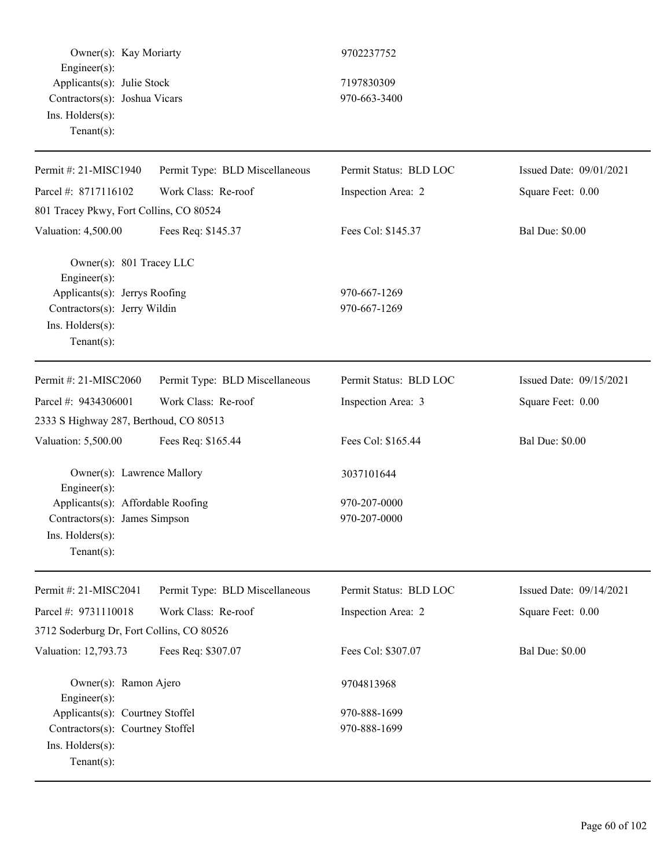Owner(s): Kay Moriarty 9702237752 Engineer(s): Applicants(s): Julie Stock 7197830309 Contractors(s): Joshua Vicars 970-663-3400 Ins. Holders(s): Tenant(s):

| Permit #: 21-MISC1940                                                                                                                          | Permit Type: BLD Miscellaneous | Permit Status: BLD LOC       | Issued Date: 09/01/2021 |
|------------------------------------------------------------------------------------------------------------------------------------------------|--------------------------------|------------------------------|-------------------------|
| Parcel #: 8717116102                                                                                                                           | Work Class: Re-roof            | Inspection Area: 2           | Square Feet: 0.00       |
| 801 Tracey Pkwy, Fort Collins, CO 80524                                                                                                        |                                |                              |                         |
| Valuation: 4,500.00                                                                                                                            | Fees Req: \$145.37             | Fees Col: \$145.37           | <b>Bal Due: \$0.00</b>  |
| Owner(s): 801 Tracey LLC<br>Engineer(s):<br>Applicants(s): Jerrys Roofing<br>Contractors(s): Jerry Wildin<br>Ins. Holders(s):<br>$Tenant(s)$ : |                                | 970-667-1269<br>970-667-1269 |                         |
| Permit #: 21-MISC2060                                                                                                                          | Permit Type: BLD Miscellaneous | Permit Status: BLD LOC       | Issued Date: 09/15/2021 |
| Parcel #: 9434306001                                                                                                                           | Work Class: Re-roof            | Inspection Area: 3           | Square Feet: 0.00       |
| 2333 S Highway 287, Berthoud, CO 80513                                                                                                         |                                |                              |                         |
| Valuation: 5,500.00                                                                                                                            | Fees Req: \$165.44             | Fees Col: \$165.44           | <b>Bal Due: \$0.00</b>  |
| Owner(s): Lawrence Mallory<br>Engineer(s):                                                                                                     |                                | 3037101644                   |                         |
| Applicants(s): Affordable Roofing                                                                                                              |                                | 970-207-0000                 |                         |
| Contractors(s): James Simpson                                                                                                                  |                                | 970-207-0000                 |                         |
| Ins. Holders(s):                                                                                                                               |                                |                              |                         |
| $Tenant(s)$ :                                                                                                                                  |                                |                              |                         |
| Permit #: 21-MISC2041                                                                                                                          | Permit Type: BLD Miscellaneous | Permit Status: BLD LOC       | Issued Date: 09/14/2021 |
| Parcel #: 9731110018                                                                                                                           | Work Class: Re-roof            | Inspection Area: 2           | Square Feet: 0.00       |
| 3712 Soderburg Dr, Fort Collins, CO 80526                                                                                                      |                                |                              |                         |
| Valuation: 12,793.73                                                                                                                           | Fees Req: \$307.07             | Fees Col: \$307.07           | <b>Bal Due: \$0.00</b>  |
| Owner(s): Ramon Ajero<br>Engineer(s):                                                                                                          |                                | 9704813968                   |                         |
| Applicants(s): Courtney Stoffel                                                                                                                |                                | 970-888-1699                 |                         |
| Contractors(s): Courtney Stoffel                                                                                                               |                                | 970-888-1699                 |                         |
| Ins. Holders(s):<br>Tenant $(s)$ :                                                                                                             |                                |                              |                         |
|                                                                                                                                                |                                |                              |                         |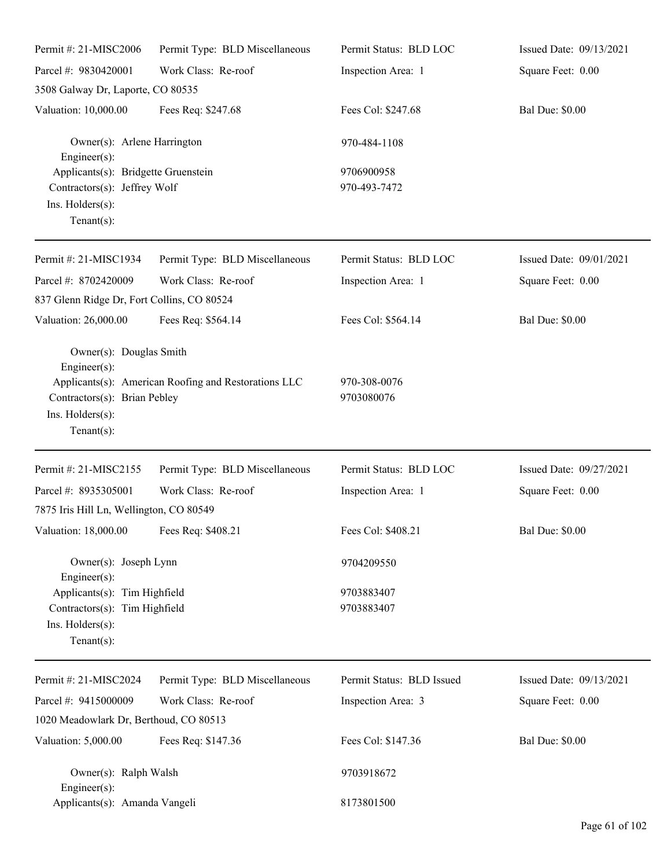| Permit #: 21-MISC2006                                                                                             | Permit Type: BLD Miscellaneous                       | Permit Status: BLD LOC     | Issued Date: 09/13/2021 |
|-------------------------------------------------------------------------------------------------------------------|------------------------------------------------------|----------------------------|-------------------------|
| Parcel #: 9830420001                                                                                              | Work Class: Re-roof                                  | Inspection Area: 1         | Square Feet: 0.00       |
| 3508 Galway Dr, Laporte, CO 80535                                                                                 |                                                      |                            |                         |
| Valuation: 10,000.00                                                                                              | Fees Req: \$247.68                                   | Fees Col: \$247.68         | <b>Bal Due: \$0.00</b>  |
| Owner(s): Arlene Harrington<br>Engineer(s):                                                                       |                                                      | 970-484-1108               |                         |
| Applicants(s): Bridgette Gruenstein<br>Contractors(s): Jeffrey Wolf<br>Ins. Holders(s):<br>Tenant $(s)$ :         |                                                      | 9706900958<br>970-493-7472 |                         |
| Permit #: 21-MISC1934                                                                                             | Permit Type: BLD Miscellaneous                       | Permit Status: BLD LOC     | Issued Date: 09/01/2021 |
| Parcel #: 8702420009<br>837 Glenn Ridge Dr, Fort Collins, CO 80524                                                | Work Class: Re-roof                                  | Inspection Area: 1         | Square Feet: 0.00       |
| Valuation: 26,000.00                                                                                              | Fees Req: \$564.14                                   | Fees Col: \$564.14         | <b>Bal Due: \$0.00</b>  |
| Owner(s): Douglas Smith<br>Engineer $(s)$ :<br>Contractors(s): Brian Pebley<br>Ins. Holders(s):<br>Tenant $(s)$ : | Applicants(s): American Roofing and Restorations LLC | 970-308-0076<br>9703080076 |                         |
| Permit #: 21-MISC2155                                                                                             | Permit Type: BLD Miscellaneous                       | Permit Status: BLD LOC     | Issued Date: 09/27/2021 |
| Parcel #: 8935305001<br>7875 Iris Hill Ln, Wellington, CO 80549                                                   | Work Class: Re-roof                                  | Inspection Area: 1         | Square Feet: 0.00       |
| Valuation: 18,000.00 Fees Req: \$408.21                                                                           |                                                      | Fees Col: \$408.21         | <b>Bal Due: \$0.00</b>  |
| Owner(s): Joseph Lynn<br>Engineer $(s)$ :                                                                         |                                                      | 9704209550                 |                         |
| Applicants(s): Tim Highfield<br>Contractors(s): Tim Highfield<br>Ins. Holders(s):<br>Tenant $(s)$ :               |                                                      | 9703883407<br>9703883407   |                         |
| Permit #: 21-MISC2024                                                                                             | Permit Type: BLD Miscellaneous                       | Permit Status: BLD Issued  | Issued Date: 09/13/2021 |
| Parcel #: 9415000009                                                                                              | Work Class: Re-roof                                  | Inspection Area: 3         | Square Feet: 0.00       |
| 1020 Meadowlark Dr, Berthoud, CO 80513                                                                            |                                                      |                            |                         |
| Valuation: 5,000.00                                                                                               | Fees Req: \$147.36                                   | Fees Col: \$147.36         | <b>Bal Due: \$0.00</b>  |
| Owner(s): Ralph Walsh<br>Engineer $(s)$ :                                                                         |                                                      | 9703918672                 |                         |
| Applicants(s): Amanda Vangeli                                                                                     |                                                      | 8173801500                 |                         |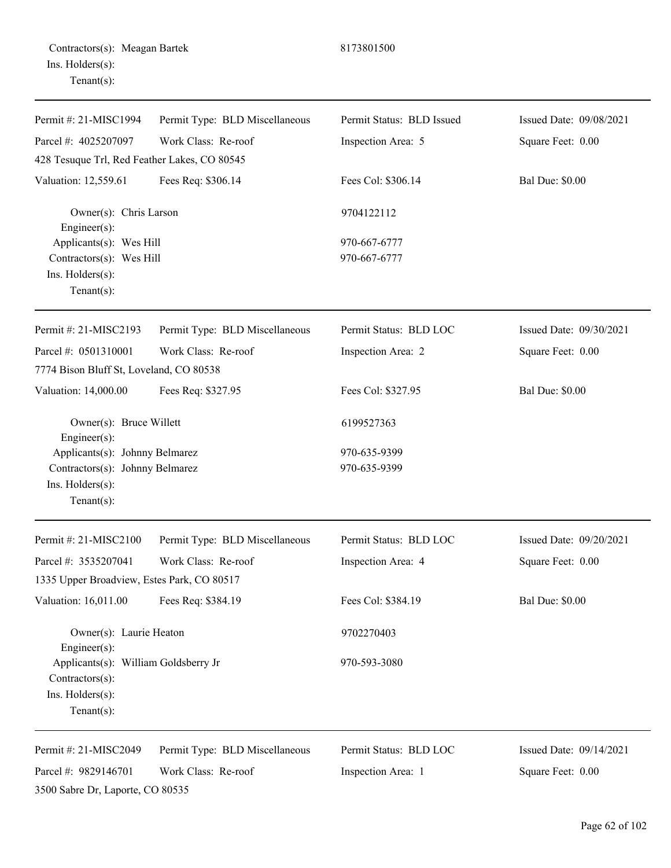|                  | Contractors(s): Meagan Bartek |
|------------------|-------------------------------|
| Ins. Holders(s): |                               |
| $Tenant(s)$ :    |                               |

## Permit #: 21-MISC1994 Parcel #: 4025207097 Permit Type: BLD Miscellaneous Work Class: Re-roof Permit Status: BLD Issued Inspection Area: 5 Issued Date: 09/08/2021 Square Feet: 0.00 428 Tesuque Trl, Red Feather Lakes, CO 80545 Valuation: 12,559.61 Fees Req: \$306.14 Fees Col: \$306.14 Bal Due: \$0.00 Owner(s): Chris Larson 9704122112 Engineer(s): Applicants(s): Wes Hill  $970-667-6777$  $Contractors(s):$  Wes Hill 970-667-6777 Ins. Holders(s): Tenant(s): Permit #: 21-MISC2193 Parcel #: 0501310001 Permit Type: BLD Miscellaneous Work Class: Re-roof Permit Status: BLD LOC Inspection Area: 2 Issued Date: 09/30/2021 Square Feet: 0.00 7774 Bison Bluff St, Loveland, CO 80538 Valuation: 14,000.00 Fees Req: \$327.95 Fees Col: \$327.95 Bal Due: \$0.00 Owner(s): Bruce Willett 6199527363 Engineer(s): Applicants(s): Johnny Belmarez 970-635-9399 Contractors(s): Johnny Belmarez 970-635-9399 Ins. Holders(s): Tenant(s): Permit #: 21-MISC2100 Parcel #: 3535207041 Permit Type: BLD Miscellaneous Work Class: Re-roof Permit Status: BLD LOC Inspection Area: 4 Issued Date: 09/20/2021 Square Feet: 0.00 1335 Upper Broadview, Estes Park, CO 80517 Valuation: 16,011.00 Fees Req: \$384.19 Fees Col: \$384.19 Bal Due: \$0.00 Owner(s): Laurie Heaton 9702270403 Engineer(s): Applicants(s): William Goldsberry Jr 970-593-3080 Contractors(s): Ins. Holders(s): Tenant(s): Permit #: 21-MISC2049 Parcel #: 9829146701 Permit Type: BLD Miscellaneous Work Class: Re-roof Permit Status: BLD LOC Inspection Area: 1 Issued Date: 09/14/2021 Square Feet: 0.00 3500 Sabre Dr, Laporte, CO 80535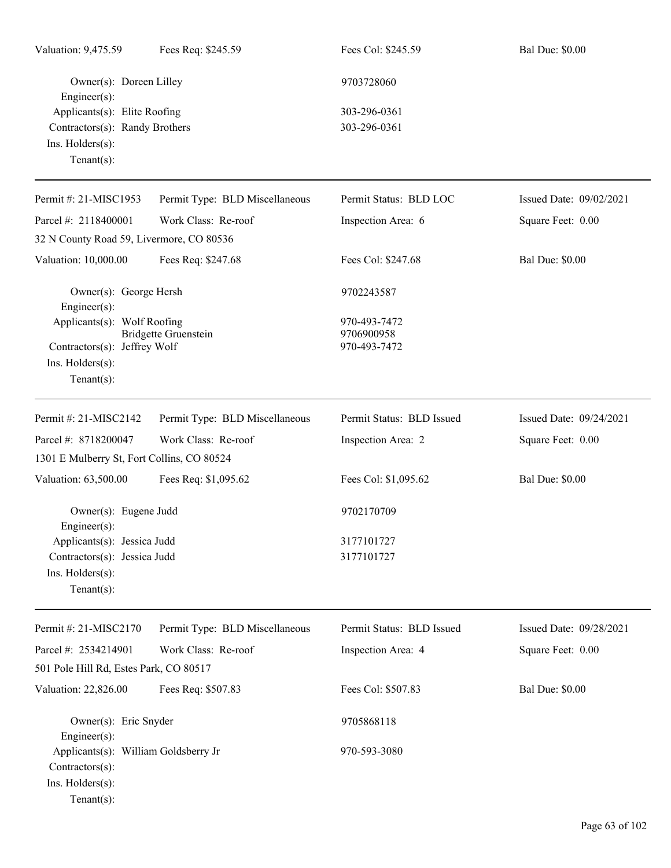| Valuation: 9,475.59                                     | Fees Req: \$245.59             | Fees Col: \$245.59        | <b>Bal Due: \$0.00</b>  |
|---------------------------------------------------------|--------------------------------|---------------------------|-------------------------|
| Owner(s): Doreen Lilley<br>Engineer(s):                 |                                | 9703728060                |                         |
| Applicants(s): Elite Roofing                            |                                | 303-296-0361              |                         |
| Contractors(s): Randy Brothers                          |                                | 303-296-0361              |                         |
| Ins. Holders(s):<br>Tenant $(s)$ :                      |                                |                           |                         |
| Permit #: 21-MISC1953                                   | Permit Type: BLD Miscellaneous | Permit Status: BLD LOC    | Issued Date: 09/02/2021 |
| Parcel #: 2118400001                                    | Work Class: Re-roof            | Inspection Area: 6        | Square Feet: 0.00       |
| 32 N County Road 59, Livermore, CO 80536                |                                |                           |                         |
| Valuation: 10,000.00                                    | Fees Req: \$247.68             | Fees Col: \$247.68        | <b>Bal Due: \$0.00</b>  |
| Owner(s): George Hersh<br>Engineer $(s)$ :              |                                | 9702243587                |                         |
| Applicants(s): Wolf Roofing                             |                                | 970-493-7472              |                         |
|                                                         | Bridgette Gruenstein           | 9706900958                |                         |
| Contractors(s): Jeffrey Wolf<br>Ins. Holders(s):        |                                | 970-493-7472              |                         |
| Tenant $(s)$ :                                          |                                |                           |                         |
| Permit #: 21-MISC2142                                   | Permit Type: BLD Miscellaneous | Permit Status: BLD Issued | Issued Date: 09/24/2021 |
| Parcel #: 8718200047                                    | Work Class: Re-roof            | Inspection Area: 2        | Square Feet: 0.00       |
| 1301 E Mulberry St, Fort Collins, CO 80524              |                                |                           |                         |
| Valuation: 63,500.00                                    | Fees Req: \$1,095.62           | Fees Col: \$1,095.62      | <b>Bal Due: \$0.00</b>  |
| Owner(s): Eugene Judd<br>$Engineering(s)$ :             |                                | 9702170709                |                         |
| Applicants(s): Jessica Judd                             |                                | 3177101727                |                         |
| Contractors(s): Jessica Judd                            |                                | 3177101727                |                         |
| Ins. Holders(s):                                        |                                |                           |                         |
| Tenant $(s)$ :                                          |                                |                           |                         |
| Permit #: 21-MISC2170                                   | Permit Type: BLD Miscellaneous | Permit Status: BLD Issued | Issued Date: 09/28/2021 |
| Parcel #: 2534214901                                    | Work Class: Re-roof            | Inspection Area: 4        | Square Feet: 0.00       |
| 501 Pole Hill Rd, Estes Park, CO 80517                  |                                |                           |                         |
| Valuation: 22,826.00                                    | Fees Req: \$507.83             | Fees Col: \$507.83        | <b>Bal Due: \$0.00</b>  |
| Owner(s): Eric Snyder<br>Engineer(s):                   |                                | 9705868118                |                         |
| Applicants(s): William Goldsberry Jr<br>Contractors(s): |                                | 970-593-3080              |                         |
| Ins. Holders(s):<br>$Tenant(s)$ :                       |                                |                           |                         |
|                                                         |                                |                           |                         |
|                                                         |                                |                           |                         |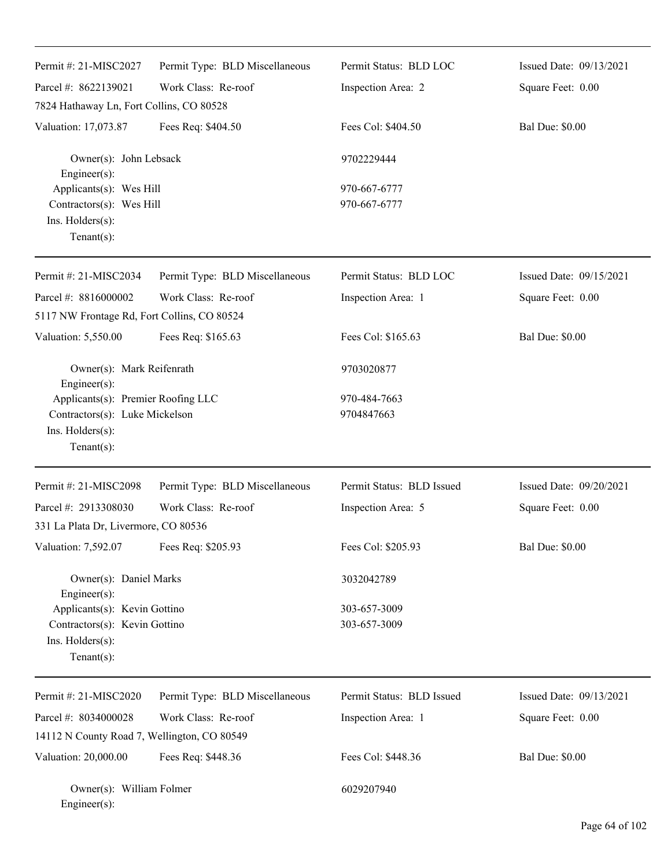| Permit #: 21-MISC2027                                                                                      | Permit Type: BLD Miscellaneous | Permit Status: BLD LOC       | Issued Date: 09/13/2021 |
|------------------------------------------------------------------------------------------------------------|--------------------------------|------------------------------|-------------------------|
| Parcel #: 8622139021                                                                                       | Work Class: Re-roof            | Inspection Area: 2           | Square Feet: 0.00       |
| 7824 Hathaway Ln, Fort Collins, CO 80528                                                                   |                                |                              |                         |
| Valuation: 17,073.87                                                                                       | Fees Req: \$404.50             | Fees Col: \$404.50           | <b>Bal Due: \$0.00</b>  |
| Owner(s): John Lebsack<br>Engineer(s):                                                                     |                                | 9702229444                   |                         |
| Applicants(s): Wes Hill<br>Contractors(s): Wes Hill<br>Ins. Holders(s):<br>Tenant $(s)$ :                  |                                | 970-667-6777<br>970-667-6777 |                         |
| Permit #: 21-MISC2034                                                                                      | Permit Type: BLD Miscellaneous | Permit Status: BLD LOC       | Issued Date: 09/15/2021 |
| Parcel #: 8816000002                                                                                       | Work Class: Re-roof            | Inspection Area: 1           | Square Feet: 0.00       |
| 5117 NW Frontage Rd, Fort Collins, CO 80524                                                                |                                |                              |                         |
| Valuation: 5,550.00                                                                                        | Fees Req: \$165.63             | Fees Col: \$165.63           | <b>Bal Due: \$0.00</b>  |
| Owner(s): Mark Reifenrath<br>Engineer(s):                                                                  |                                | 9703020877                   |                         |
| Applicants(s): Premier Roofing LLC<br>Contractors(s): Luke Mickelson<br>Ins. Holders(s):<br>Tenant $(s)$ : |                                | 970-484-7663<br>9704847663   |                         |
| Permit #: 21-MISC2098                                                                                      | Permit Type: BLD Miscellaneous | Permit Status: BLD Issued    | Issued Date: 09/20/2021 |
| Parcel #: 2913308030                                                                                       | Work Class: Re-roof            | Inspection Area: 5           | Square Feet: 0.00       |
| 331 La Plata Dr, Livermore, CO 80536                                                                       |                                |                              |                         |
| Valuation: 7,592.07                                                                                        | Fees Req: \$205.93             | Fees Col: \$205.93           | <b>Bal Due: \$0.00</b>  |
| Owner(s): Daniel Marks<br>$Engineering(s)$ :                                                               |                                | 3032042789                   |                         |
| Applicants(s): Kevin Gottino<br>Contractors(s): Kevin Gottino<br>Ins. Holders(s):<br>Tenant $(s)$ :        |                                | 303-657-3009<br>303-657-3009 |                         |
| Permit #: 21-MISC2020                                                                                      | Permit Type: BLD Miscellaneous | Permit Status: BLD Issued    | Issued Date: 09/13/2021 |
| Parcel #: 8034000028                                                                                       | Work Class: Re-roof            | Inspection Area: 1           | Square Feet: 0.00       |
| 14112 N County Road 7, Wellington, CO 80549                                                                |                                |                              |                         |
| Valuation: 20,000.00                                                                                       | Fees Req: \$448.36             | Fees Col: \$448.36           | <b>Bal Due: \$0.00</b>  |
| Owner(s): William Folmer<br>Engineer(s):                                                                   |                                | 6029207940                   |                         |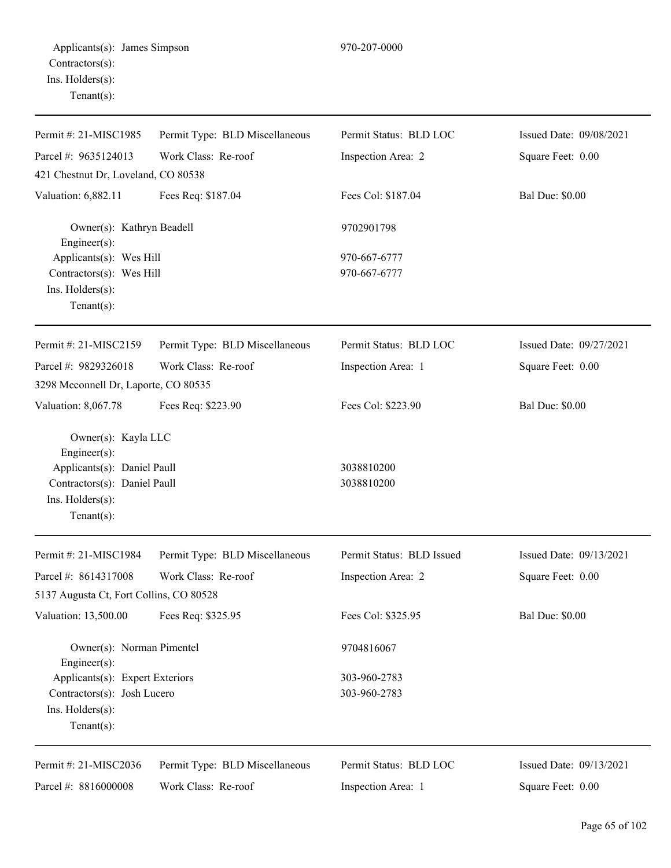| Permit #: 21-MISC1985                     | Permit Type: BLD Miscellaneous | Permit Status: BLD LOC    | Issued Date: 09/08/2021 |  |
|-------------------------------------------|--------------------------------|---------------------------|-------------------------|--|
| Parcel #: 9635124013                      | Work Class: Re-roof            | Inspection Area: 2        | Square Feet: 0.00       |  |
| 421 Chestnut Dr, Loveland, CO 80538       |                                |                           |                         |  |
| Valuation: 6,882.11                       | Fees Req: \$187.04             | Fees Col: \$187.04        | <b>Bal Due: \$0.00</b>  |  |
| Owner(s): Kathryn Beadell<br>Engineer(s): |                                | 9702901798                |                         |  |
| Applicants(s): Wes Hill                   |                                | 970-667-6777              |                         |  |
| Contractors(s): Wes Hill                  |                                | 970-667-6777              |                         |  |
| Ins. Holders(s):<br>Tenant $(s)$ :        |                                |                           |                         |  |
| Permit #: 21-MISC2159                     | Permit Type: BLD Miscellaneous | Permit Status: BLD LOC    | Issued Date: 09/27/2021 |  |
| Parcel #: 9829326018                      | Work Class: Re-roof            | Inspection Area: 1        | Square Feet: 0.00       |  |
| 3298 Mcconnell Dr, Laporte, CO 80535      |                                |                           |                         |  |
| Valuation: 8,067.78                       | Fees Req: \$223.90             | Fees Col: \$223.90        | <b>Bal Due: \$0.00</b>  |  |
| Owner(s): Kayla LLC<br>Engineer(s):       |                                |                           |                         |  |
| Applicants(s): Daniel Paull               |                                | 3038810200                |                         |  |
| Contractors(s): Daniel Paull              |                                | 3038810200                |                         |  |
| Ins. Holders(s):<br>Tenant $(s)$ :        |                                |                           |                         |  |
| Permit #: 21-MISC1984                     | Permit Type: BLD Miscellaneous | Permit Status: BLD Issued | Issued Date: 09/13/2021 |  |
| Parcel #: 8614317008                      | Work Class: Re-roof            | Inspection Area: 2        | Square Feet: 0.00       |  |
| 5137 Augusta Ct, Fort Collins, CO 80528   |                                |                           |                         |  |
| Valuation: 13,500.00                      | Fees Req: \$325.95             | Fees Col: \$325.95        | <b>Bal Due: \$0.00</b>  |  |
| Owner(s): Norman Pimentel<br>Engineer(s): |                                | 9704816067                |                         |  |
| Applicants(s): Expert Exteriors           |                                | 303-960-2783              |                         |  |
| Contractors(s): Josh Lucero               |                                | 303-960-2783              |                         |  |
| Ins. Holders(s):<br>Tenant $(s)$ :        |                                |                           |                         |  |
| Permit #: 21-MISC2036                     | Permit Type: BLD Miscellaneous | Permit Status: BLD LOC    | Issued Date: 09/13/2021 |  |
| Parcel #: 8816000008                      | Work Class: Re-roof            | Inspection Area: 1        | Square Feet: 0.00       |  |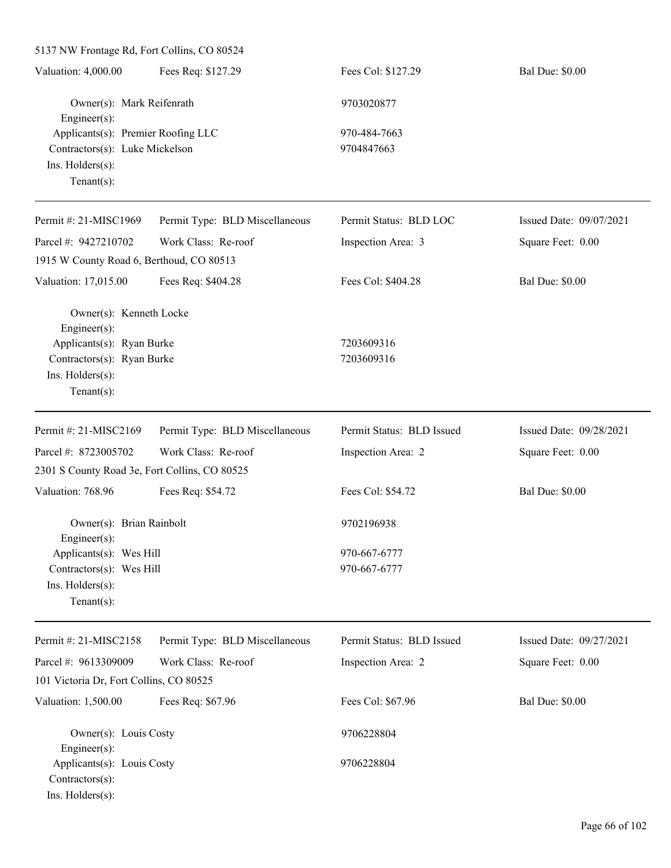5137 NW Frontage Rd, Fort Collins, CO 80524 Valuation: 4,000.00 Fees Req: \$127.29 Fees Col: \$127.29 Bal Due: \$0.00 Owner(s): Mark Reifenrath 9703020877 Engineer(s): Applicants(s): Premier Roofing LLC 970-484-7663 Contractors(s): Luke Mickelson 9704847663 Ins. Holders(s): Tenant(s): Permit #: 21-MISC1969 Parcel #: 9427210702 Permit Type: BLD Miscellaneous Work Class: Re-roof Permit Status: BLD LOC Inspection Area: 3 Issued Date: 09/07/2021 Square Feet: 0.00 1915 W County Road 6, Berthoud, CO 80513 Valuation: 17,015.00 Fees Req: \$404.28 Fees Col: \$404.28 Bal Due: \$0.00 Owner(s): Kenneth Locke Engineer(s): Applicants(s): Ryan Burke 7203609316 Contractors(s): Ryan Burke 7203609316 Ins. Holders(s): Tenant(s): Permit #: 21-MISC2169 Parcel #: 8723005702 Permit Type: BLD Miscellaneous Work Class: Re-roof Permit Status: BLD Issued Inspection Area: 2 Issued Date: 09/28/2021 Square Feet: 0.00 2301 S County Road 3e, Fort Collins, CO 80525 Valuation: 768.96 Fees Req: \$54.72 Fees Col: \$54.72 Bal Due: \$0.00 Owner(s): Brian Rainbolt 9702196938 Engineer(s): Applicants(s): Wes Hill 970-667-6777 Contractors(s): Wes Hill 970-667-6777 Ins. Holders(s): Tenant(s): Permit #: 21-MISC2158 Parcel #: 9613309009 Permit Type: BLD Miscellaneous Work Class: Re-roof Permit Status: BLD Issued Inspection Area: 2 Issued Date: 09/27/2021 Square Feet: 0.00 101 Victoria Dr, Fort Collins, CO 80525 Valuation: 1,500.00 Fees Req: \$67.96 Fees Col: \$67.96 Bal Due: \$0.00 Owner(s): Louis Costy 9706228804 Engineer(s): Applicants(s): Louis Costy 9706228804 Contractors(s): Ins. Holders(s):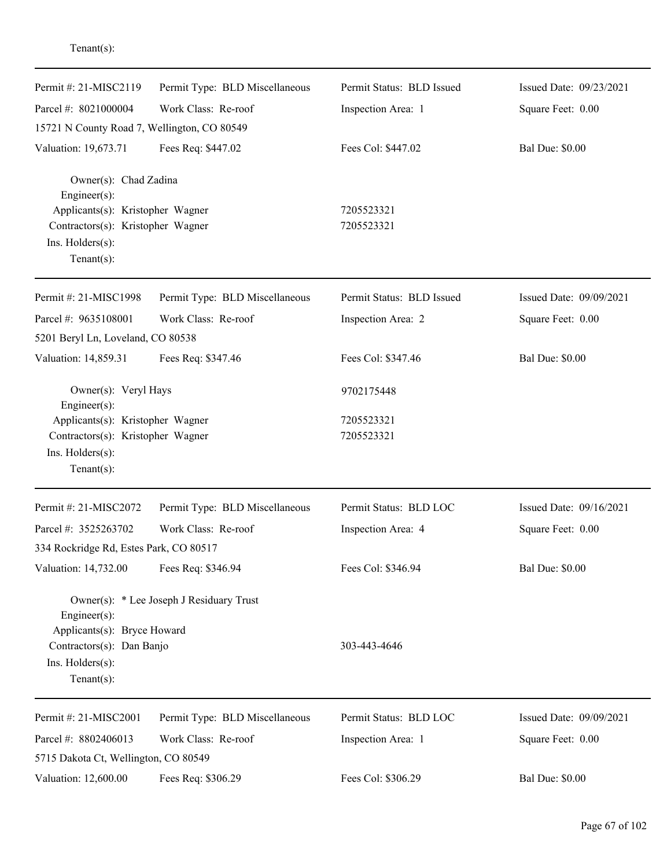| Permit #: 21-MISC2119                                        | Permit Type: BLD Miscellaneous           | Permit Status: BLD Issued | Issued Date: 09/23/2021 |
|--------------------------------------------------------------|------------------------------------------|---------------------------|-------------------------|
| Parcel #: 8021000004                                         | Work Class: Re-roof                      | Inspection Area: 1        | Square Feet: 0.00       |
| 15721 N County Road 7, Wellington, CO 80549                  |                                          |                           |                         |
| Valuation: 19,673.71                                         | Fees Req: \$447.02                       | Fees Col: \$447.02        | <b>Bal Due: \$0.00</b>  |
| Owner(s): Chad Zadina<br>Engineer(s):                        |                                          |                           |                         |
| Applicants(s): Kristopher Wagner                             |                                          | 7205523321                |                         |
| Contractors(s): Kristopher Wagner<br>Ins. $H$ olders $(s)$ : |                                          | 7205523321                |                         |
| $Tenant(s)$ :                                                |                                          |                           |                         |
| Permit #: 21-MISC1998                                        | Permit Type: BLD Miscellaneous           | Permit Status: BLD Issued | Issued Date: 09/09/2021 |
| Parcel #: 9635108001                                         | Work Class: Re-roof                      | Inspection Area: 2        | Square Feet: 0.00       |
| 5201 Beryl Ln, Loveland, CO 80538                            |                                          |                           |                         |
| Valuation: 14,859.31                                         | Fees Req: \$347.46                       | Fees Col: \$347.46        | <b>Bal Due: \$0.00</b>  |
| Owner(s): Veryl Hays<br>Engineer(s):                         |                                          | 9702175448                |                         |
| Applicants(s): Kristopher Wagner                             |                                          | 7205523321                |                         |
| Contractors(s): Kristopher Wagner                            |                                          | 7205523321                |                         |
| Ins. Holders(s):                                             |                                          |                           |                         |
| $Tenant(s)$ :                                                |                                          |                           |                         |
| Permit #: 21-MISC2072                                        | Permit Type: BLD Miscellaneous           | Permit Status: BLD LOC    | Issued Date: 09/16/2021 |
| Parcel #: 3525263702                                         | Work Class: Re-roof                      | Inspection Area: 4        | Square Feet: 0.00       |
| 334 Rockridge Rd, Estes Park, CO 80517                       |                                          |                           |                         |
| Valuation: 14,732.00                                         | Fees Req: \$346.94                       | Fees Col: \$346.94        | <b>Bal Due: \$0.00</b>  |
| Engineer(s):                                                 | Owner(s): * Lee Joseph J Residuary Trust |                           |                         |
| Applicants(s): Bryce Howard                                  |                                          |                           |                         |
| Contractors(s): Dan Banjo                                    |                                          | 303-443-4646              |                         |
| Ins. Holders(s):<br>$Tenant(s)$ :                            |                                          |                           |                         |
|                                                              |                                          |                           |                         |
| Permit #: 21-MISC2001                                        | Permit Type: BLD Miscellaneous           | Permit Status: BLD LOC    | Issued Date: 09/09/2021 |
| Parcel #: 8802406013                                         | Work Class: Re-roof                      | Inspection Area: 1        | Square Feet: 0.00       |
| 5715 Dakota Ct, Wellington, CO 80549                         |                                          |                           |                         |
| Valuation: 12,600.00                                         | Fees Req: \$306.29                       | Fees Col: \$306.29        | <b>Bal Due: \$0.00</b>  |

Tenant(s):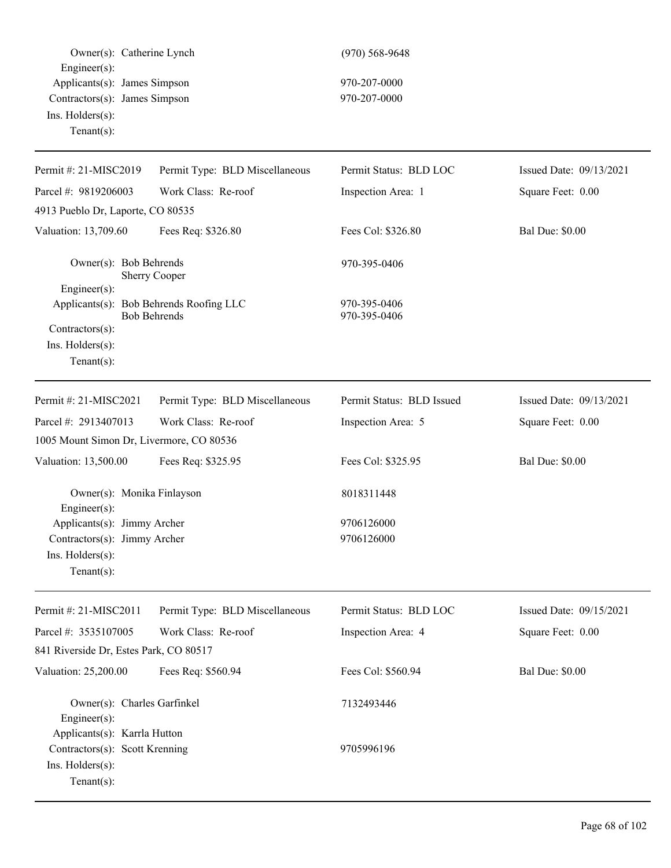| Owner(s): Catherine Lynch                                                                                                 |                                | $(970)$ 568-9648             |                         |
|---------------------------------------------------------------------------------------------------------------------------|--------------------------------|------------------------------|-------------------------|
| $Engineering(s)$ :<br>Applicants(s): James Simpson<br>Contractors(s): James Simpson<br>Ins. Holders(s):<br>Tenant $(s)$ : |                                | 970-207-0000<br>970-207-0000 |                         |
| Permit #: 21-MISC2019                                                                                                     | Permit Type: BLD Miscellaneous | Permit Status: BLD LOC       | Issued Date: 09/13/2021 |
| Parcel #: 9819206003                                                                                                      | Work Class: Re-roof            | Inspection Area: 1           | Square Feet: 0.00       |
| 4913 Pueblo Dr, Laporte, CO 80535                                                                                         |                                |                              |                         |
| Valuation: 13,709.60                                                                                                      | Fees Req: \$326.80             | Fees Col: \$326.80           | <b>Bal Due: \$0.00</b>  |
| Owner(s): Bob Behrends<br>$Engineer(s)$ :                                                                                 | Sherry Cooper                  | 970-395-0406                 |                         |
| Applicants(s): Bob Behrends Roofing LLC<br>Contractors(s):<br>Ins. $H$ olders $(s)$ :<br>Tenant $(s)$ :                   | <b>Bob Behrends</b>            | 970-395-0406<br>970-395-0406 |                         |
| Permit #: 21-MISC2021                                                                                                     | Permit Type: BLD Miscellaneous | Permit Status: BLD Issued    | Issued Date: 09/13/2021 |
| Parcel #: 2913407013                                                                                                      | Work Class: Re-roof            | Inspection Area: 5           | Square Feet: 0.00       |
| 1005 Mount Simon Dr, Livermore, CO 80536                                                                                  |                                |                              |                         |
| Valuation: 13,500.00                                                                                                      | Fees Req: \$325.95             | Fees Col: \$325.95           | <b>Bal Due: \$0.00</b>  |
| Owner(s): Monika Finlayson<br>Engineer(s):                                                                                |                                | 8018311448                   |                         |
| Applicants(s): Jimmy Archer                                                                                               |                                | 9706126000                   |                         |
| Contractors(s): Jimmy Archer<br>Ins. Holders(s):<br>Tenant $(s)$ :                                                        |                                | 9706126000                   |                         |
| Permit #: 21-MISC2011                                                                                                     | Permit Type: BLD Miscellaneous | Permit Status: BLD LOC       | Issued Date: 09/15/2021 |
| Parcel #: 3535107005                                                                                                      | Work Class: Re-roof            | Inspection Area: 4           | Square Feet: 0.00       |
| 841 Riverside Dr, Estes Park, CO 80517                                                                                    |                                |                              |                         |
| Valuation: 25,200.00                                                                                                      | Fees Req: \$560.94             | Fees Col: \$560.94           | <b>Bal Due: \$0.00</b>  |
| Owner(s): Charles Garfinkel<br>Engineer(s):<br>Applicants(s): Karrla Hutton                                               |                                | 7132493446                   |                         |
| Contractors(s): Scott Krenning<br>Ins. Holders(s):<br>Tenant $(s)$ :                                                      |                                | 9705996196                   |                         |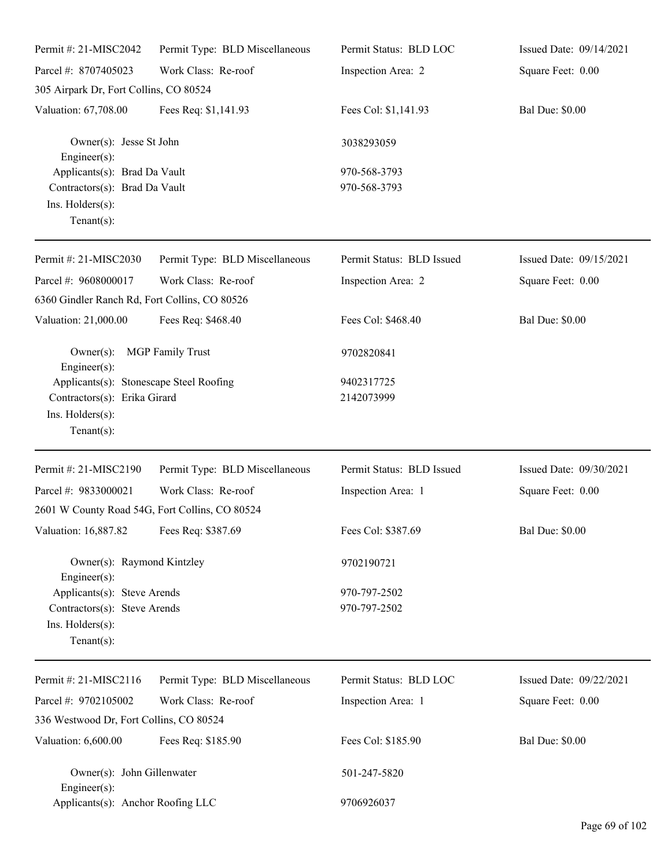| Permit #: 21-MISC2042                                                                                                                                | Permit Type: BLD Miscellaneous | Permit Status: BLD LOC       | Issued Date: 09/14/2021 |  |
|------------------------------------------------------------------------------------------------------------------------------------------------------|--------------------------------|------------------------------|-------------------------|--|
| Parcel #: 8707405023                                                                                                                                 | Work Class: Re-roof            | Inspection Area: 2           | Square Feet: 0.00       |  |
| 305 Airpark Dr, Fort Collins, CO 80524                                                                                                               |                                |                              |                         |  |
| Valuation: 67,708.00                                                                                                                                 | Fees Req: \$1,141.93           | Fees Col: \$1,141.93         | <b>Bal Due: \$0.00</b>  |  |
| Owner(s): Jesse St John<br>$Engineering(s)$ :<br>Applicants(s): Brad Da Vault<br>Contractors(s): Brad Da Vault<br>Ins. Holders(s):<br>Tenant $(s)$ : |                                | 3038293059                   |                         |  |
|                                                                                                                                                      |                                | 970-568-3793<br>970-568-3793 |                         |  |
| Permit #: 21-MISC2030                                                                                                                                | Permit Type: BLD Miscellaneous | Permit Status: BLD Issued    | Issued Date: 09/15/2021 |  |
| Parcel #: 9608000017<br>6360 Gindler Ranch Rd, Fort Collins, CO 80526                                                                                | Work Class: Re-roof            | Inspection Area: 2           | Square Feet: 0.00       |  |
| Valuation: 21,000.00                                                                                                                                 | Fees Req: \$468.40             | Fees Col: \$468.40           | <b>Bal Due: \$0.00</b>  |  |
| <b>MGP</b> Family Trust<br>$Owner(s)$ :<br>$Engineering(s)$ :                                                                                        |                                | 9702820841                   |                         |  |
| Applicants(s): Stonescape Steel Roofing<br>Contractors(s): Erika Girard<br>Ins. Holders(s):<br>Tenant $(s)$ :                                        |                                | 9402317725<br>2142073999     |                         |  |
| Permit #: 21-MISC2190                                                                                                                                | Permit Type: BLD Miscellaneous | Permit Status: BLD Issued    | Issued Date: 09/30/2021 |  |
| Parcel #: 9833000021<br>2601 W County Road 54G, Fort Collins, CO 80524                                                                               | Work Class: Re-roof            | Inspection Area: 1           | Square Feet: 0.00       |  |
| Valuation: 16,887.82 Fees Req: \$387.69                                                                                                              |                                | Fees Col: \$387.69           | <b>Bal Due: \$0.00</b>  |  |
| Owner(s): Raymond Kintzley<br>Engineer $(s)$ :                                                                                                       |                                | 9702190721                   |                         |  |
| Applicants(s): Steve Arends<br>Contractors(s): Steve Arends<br>Ins. Holders(s):<br>Tenant $(s)$ :                                                    |                                | 970-797-2502<br>970-797-2502 |                         |  |
| Permit #: 21-MISC2116                                                                                                                                | Permit Type: BLD Miscellaneous | Permit Status: BLD LOC       | Issued Date: 09/22/2021 |  |
| Parcel #: 9702105002                                                                                                                                 | Work Class: Re-roof            | Inspection Area: 1           | Square Feet: 0.00       |  |
| 336 Westwood Dr, Fort Collins, CO 80524                                                                                                              |                                |                              |                         |  |
| Valuation: 6,600.00                                                                                                                                  | Fees Req: \$185.90             | Fees Col: \$185.90           | <b>Bal Due: \$0.00</b>  |  |
| Owner(s): John Gillenwater<br>Engineer $(s)$ :                                                                                                       |                                | 501-247-5820                 |                         |  |
| Applicants(s): Anchor Roofing LLC                                                                                                                    |                                | 9706926037                   |                         |  |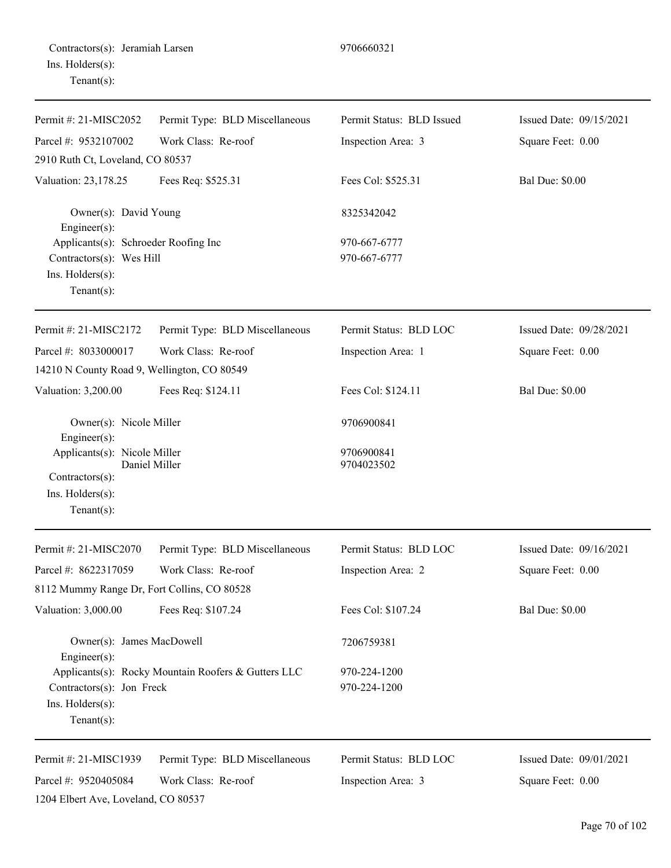| Permit #: 21-MISC2052                                                                                                                           | Permit Type: BLD Miscellaneous | Permit Status: BLD Issued    | Issued Date: 09/15/2021 |  |
|-------------------------------------------------------------------------------------------------------------------------------------------------|--------------------------------|------------------------------|-------------------------|--|
| Parcel #: 9532107002                                                                                                                            | Work Class: Re-roof            | Inspection Area: 3           | Square Feet: 0.00       |  |
| 2910 Ruth Ct, Loveland, CO 80537                                                                                                                |                                |                              |                         |  |
| Valuation: 23,178.25                                                                                                                            | Fees Req: \$525.31             | Fees Col: \$525.31           | <b>Bal Due: \$0.00</b>  |  |
| Owner(s): David Young<br>Engineer(s):<br>Applicants(s): Schroeder Roofing Inc<br>Contractors(s): Wes Hill<br>Ins. Holders(s):<br>Tenant $(s)$ : |                                | 8325342042                   |                         |  |
|                                                                                                                                                 |                                | 970-667-6777<br>970-667-6777 |                         |  |
| Permit #: 21-MISC2172                                                                                                                           | Permit Type: BLD Miscellaneous | Permit Status: BLD LOC       | Issued Date: 09/28/2021 |  |
| Parcel #: 8033000017                                                                                                                            | Work Class: Re-roof            | Inspection Area: 1           | Square Feet: 0.00       |  |
| 14210 N County Road 9, Wellington, CO 80549                                                                                                     |                                |                              |                         |  |
| Valuation: 3,200.00                                                                                                                             | Fees Req: \$124.11             | Fees Col: \$124.11           | <b>Bal Due: \$0.00</b>  |  |
| Owner(s): Nicole Miller<br>Engineer(s):                                                                                                         |                                | 9706900841                   |                         |  |
| Applicants(s): Nicole Miller<br>Contractors(s):<br>Ins. Holders(s):<br>Tenant $(s)$ :                                                           | Daniel Miller                  | 9706900841<br>9704023502     |                         |  |
| Permit #: 21-MISC2070                                                                                                                           | Permit Type: BLD Miscellaneous | Permit Status: BLD LOC       | Issued Date: 09/16/2021 |  |
| Parcel #: 8622317059                                                                                                                            | Work Class: Re-roof            | Inspection Area: 2           | Square Feet: 0.00       |  |
| 8112 Mummy Range Dr, Fort Collins, CO 80528                                                                                                     |                                |                              |                         |  |
| Valuation: 3,000.00                                                                                                                             | Fees Req: \$107.24             | Fees Col: \$107.24           | <b>Bal Due: \$0.00</b>  |  |
| Owner(s): James MacDowell<br>Engineer(s):                                                                                                       |                                | 7206759381                   |                         |  |
| Applicants(s): Rocky Mountain Roofers & Gutters LLC<br>Contractors(s): Jon Freck<br>Ins. Holders(s):<br>Tenant $(s)$ :                          |                                | 970-224-1200<br>970-224-1200 |                         |  |
| Permit #: 21-MISC1939                                                                                                                           | Permit Type: BLD Miscellaneous | Permit Status: BLD LOC       | Issued Date: 09/01/2021 |  |
| Parcel #: 9520405084<br>1204 Elbert Ave, Loveland, CO 80537                                                                                     | Work Class: Re-roof            | Inspection Area: 3           | Square Feet: 0.00       |  |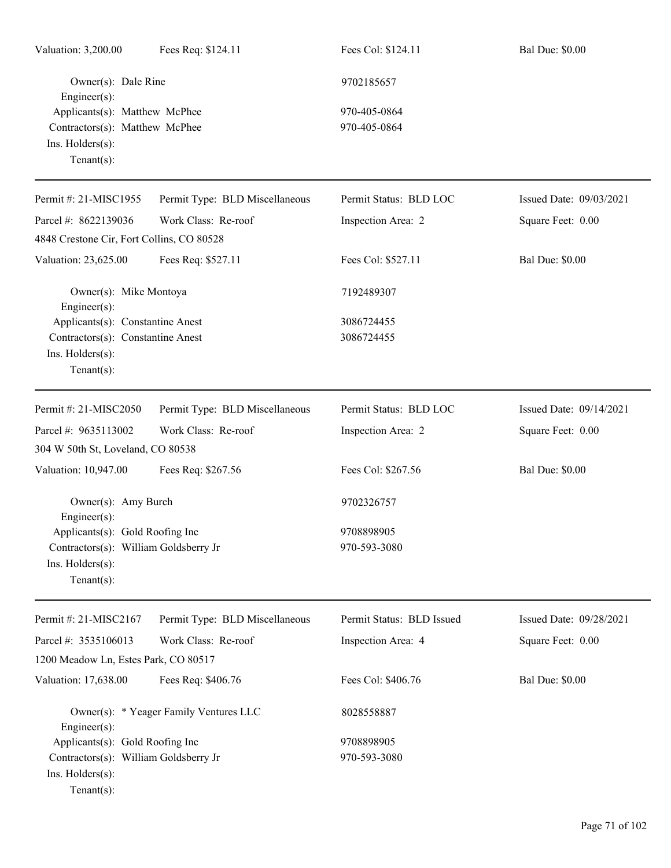| Valuation: 3,200.00                                                                                                                                | Fees Req: \$124.11             | Fees Col: \$124.11           | <b>Bal Due: \$0.00</b>  |
|----------------------------------------------------------------------------------------------------------------------------------------------------|--------------------------------|------------------------------|-------------------------|
| Owner(s): Dale Rine<br>$Engineering(s)$ :<br>Applicants(s): Matthew McPhee<br>Contractors(s): Matthew McPhee<br>Ins. Holders(s):<br>Tenant $(s)$ : |                                | 9702185657                   |                         |
|                                                                                                                                                    |                                | 970-405-0864<br>970-405-0864 |                         |
| Permit #: 21-MISC1955                                                                                                                              | Permit Type: BLD Miscellaneous | Permit Status: BLD LOC       | Issued Date: 09/03/2021 |
| Parcel #: 8622139036                                                                                                                               | Work Class: Re-roof            | Inspection Area: 2           | Square Feet: 0.00       |
| 4848 Crestone Cir, Fort Collins, CO 80528                                                                                                          |                                |                              |                         |
| Valuation: 23,625.00                                                                                                                               | Fees Req: \$527.11             | Fees Col: \$527.11           | <b>Bal Due: \$0.00</b>  |
| Owner(s): Mike Montoya<br>$Engineering(s)$ :                                                                                                       |                                | 7192489307                   |                         |
| Applicants(s): Constantine Anest<br>Contractors(s): Constantine Anest<br>Ins. Holders(s):<br>Tenant $(s)$ :                                        |                                | 3086724455<br>3086724455     |                         |
| Permit #: 21-MISC2050                                                                                                                              | Permit Type: BLD Miscellaneous | Permit Status: BLD LOC       | Issued Date: 09/14/2021 |
| Parcel #: 9635113002<br>304 W 50th St, Loveland, CO 80538                                                                                          | Work Class: Re-roof            | Inspection Area: 2           | Square Feet: 0.00       |
| Valuation: 10,947.00                                                                                                                               | Fees Req: \$267.56             | Fees Col: \$267.56           | <b>Bal Due: \$0.00</b>  |
| Owner(s): Amy Burch<br>$Engineer(s)$ :                                                                                                             |                                | 9702326757                   |                         |
| Applicants(s): Gold Roofing Inc<br>Contractors(s): William Goldsberry Jr<br>Ins. Holders(s):<br>Tenant $(s)$ :                                     |                                | 9708898905<br>970-593-3080   |                         |
| Permit #: 21-MISC2167                                                                                                                              | Permit Type: BLD Miscellaneous | Permit Status: BLD Issued    | Issued Date: 09/28/2021 |
| Parcel #: 3535106013                                                                                                                               | Work Class: Re-roof            | Inspection Area: 4           | Square Feet: 0.00       |
| 1200 Meadow Ln, Estes Park, CO 80517                                                                                                               |                                |                              |                         |
| Valuation: 17,638.00                                                                                                                               | Fees Req: \$406.76             | Fees Col: \$406.76           | <b>Bal Due: \$0.00</b>  |
| Owner(s): * Yeager Family Ventures LLC<br>$Engineering(s)$ :                                                                                       |                                | 8028558887                   |                         |
| Applicants(s): Gold Roofing Inc                                                                                                                    |                                | 9708898905                   |                         |
| Contractors(s): William Goldsberry Jr<br>Ins. Holders(s):<br>Tenant $(s)$ :                                                                        |                                | 970-593-3080                 |                         |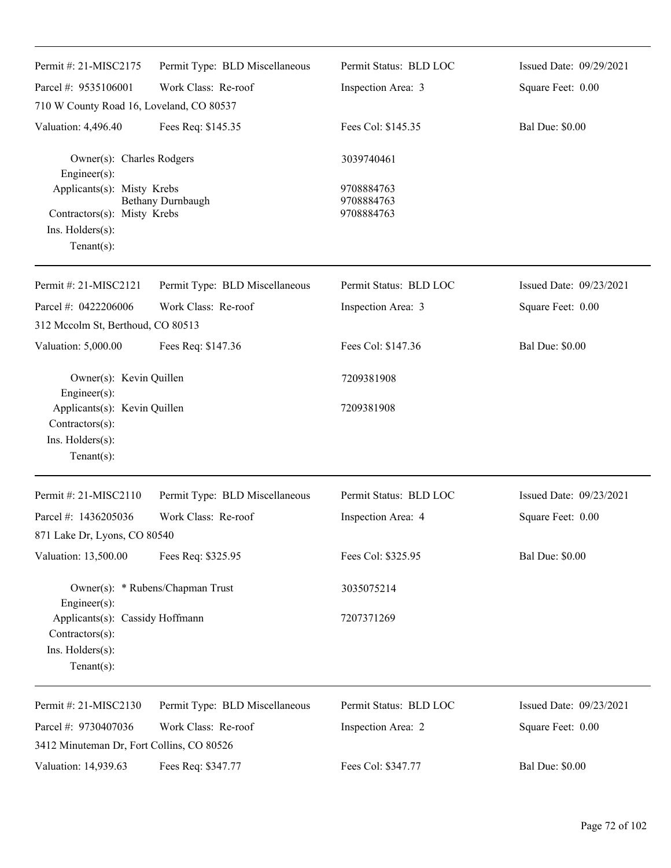| Permit #: 21-MISC2175                                                                                | Permit Type: BLD Miscellaneous | Permit Status: BLD LOC                 | Issued Date: 09/29/2021 |
|------------------------------------------------------------------------------------------------------|--------------------------------|----------------------------------------|-------------------------|
| Parcel #: 9535106001                                                                                 | Work Class: Re-roof            | Inspection Area: 3                     | Square Feet: 0.00       |
| 710 W County Road 16, Loveland, CO 80537                                                             |                                |                                        |                         |
| Valuation: 4,496.40                                                                                  | Fees Req: \$145.35             | Fees Col: \$145.35                     | <b>Bal Due: \$0.00</b>  |
| Owner(s): Charles Rodgers<br>Engineer(s):                                                            |                                | 3039740461                             |                         |
| Applicants(s): Misty Krebs<br>Contractors(s): Misty Krebs<br>$Ins.$ Holders $(s)$ :<br>$Tenant(s)$ : | <b>Bethany Durnbaugh</b>       | 9708884763<br>9708884763<br>9708884763 |                         |
| Permit #: 21-MISC2121                                                                                | Permit Type: BLD Miscellaneous | Permit Status: BLD LOC                 | Issued Date: 09/23/2021 |
| Parcel #: 0422206006<br>312 Mccolm St, Berthoud, CO 80513                                            | Work Class: Re-roof            | Inspection Area: 3                     | Square Feet: 0.00       |
| Valuation: 5,000.00                                                                                  | Fees Req: \$147.36             | Fees Col: \$147.36                     | <b>Bal Due: \$0.00</b>  |
| Owner(s): Kevin Quillen<br>Engineer(s):                                                              |                                | 7209381908                             |                         |
| Applicants(s): Kevin Quillen<br>Contractors(s):<br>Ins. Holders(s):<br>$Tenant(s)$ :                 |                                | 7209381908                             |                         |
| Permit #: 21-MISC2110                                                                                | Permit Type: BLD Miscellaneous | Permit Status: BLD LOC                 | Issued Date: 09/23/2021 |
| Parcel #: 1436205036<br>871 Lake Dr, Lyons, CO 80540                                                 | Work Class: Re-roof            | Inspection Area: 4                     | Square Feet: 0.00       |
| Valuation: 13,500.00                                                                                 | Fees Req: \$325.95             | Fees Col: \$325.95                     | <b>Bal Due: \$0.00</b>  |
| Owner(s): * Rubens/Chapman Trust<br>Engineer(s):                                                     |                                | 3035075214                             |                         |
| Applicants(s): Cassidy Hoffmann<br>Contractors(s):<br>Ins. Holders(s):<br>$Tenant(s)$ :              |                                | 7207371269                             |                         |
| Permit #: 21-MISC2130                                                                                | Permit Type: BLD Miscellaneous | Permit Status: BLD LOC                 | Issued Date: 09/23/2021 |
| Parcel #: 9730407036<br>3412 Minuteman Dr, Fort Collins, CO 80526                                    | Work Class: Re-roof            | Inspection Area: 2                     | Square Feet: 0.00       |
| Valuation: 14,939.63                                                                                 | Fees Req: \$347.77             | Fees Col: \$347.77                     | <b>Bal Due: \$0.00</b>  |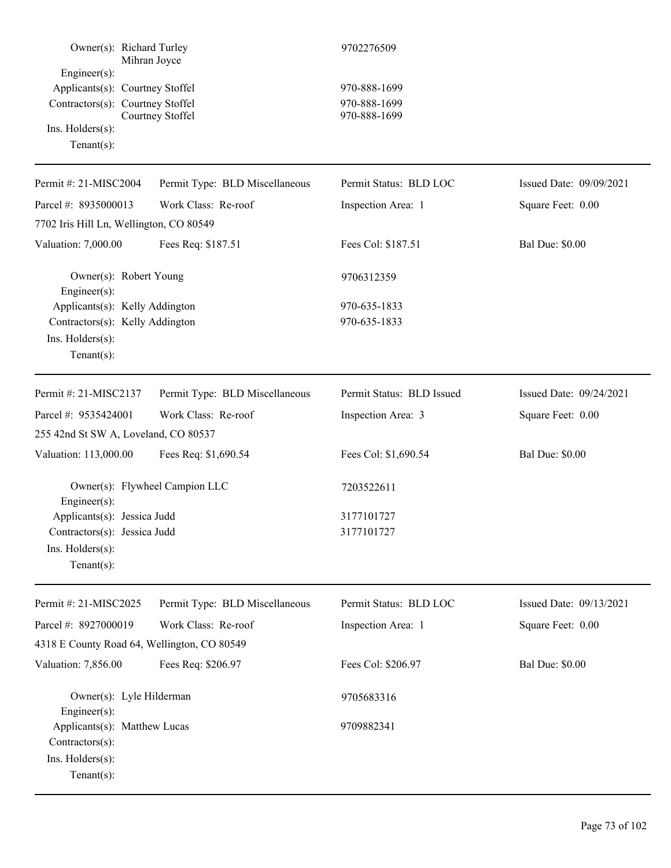| Owner(s): Richard Turley                                                                                                               | Mihran Joyce                                | 9702276509                                   |                         |
|----------------------------------------------------------------------------------------------------------------------------------------|---------------------------------------------|----------------------------------------------|-------------------------|
| $Engineering(s)$ :<br>Applicants(s): Courtney Stoffel<br>Contractors(s): Courtney Stoffel<br>Ins. $H$ olders $(s)$ :<br>Tenant $(s)$ : | Courtney Stoffel                            | 970-888-1699<br>970-888-1699<br>970-888-1699 |                         |
| Permit #: 21-MISC2004                                                                                                                  | Permit Type: BLD Miscellaneous              | Permit Status: BLD LOC                       | Issued Date: 09/09/2021 |
| Parcel #: 8935000013                                                                                                                   | Work Class: Re-roof                         | Inspection Area: 1                           | Square Feet: 0.00       |
| 7702 Iris Hill Ln, Wellington, CO 80549                                                                                                |                                             |                                              |                         |
| Valuation: 7,000.00                                                                                                                    | Fees Req: \$187.51                          | Fees Col: \$187.51                           | <b>Bal Due: \$0.00</b>  |
| Owner(s): Robert Young<br>Engineer(s):                                                                                                 |                                             | 9706312359                                   |                         |
| Applicants(s): Kelly Addington                                                                                                         |                                             | 970-635-1833                                 |                         |
| Contractors(s): Kelly Addington                                                                                                        |                                             | 970-635-1833                                 |                         |
| Ins. Holders(s):                                                                                                                       |                                             |                                              |                         |
| Tenant $(s)$ :                                                                                                                         |                                             |                                              |                         |
| Permit #: 21-MISC2137                                                                                                                  | Permit Type: BLD Miscellaneous              | Permit Status: BLD Issued                    | Issued Date: 09/24/2021 |
| Parcel #: 9535424001                                                                                                                   | Work Class: Re-roof                         | Inspection Area: 3                           | Square Feet: 0.00       |
| 255 42nd St SW A, Loveland, CO 80537                                                                                                   |                                             |                                              |                         |
| Valuation: 113,000.00                                                                                                                  | Fees Req: \$1,690.54                        | Fees Col: \$1,690.54                         | <b>Bal Due: \$0.00</b>  |
| Engineer(s):                                                                                                                           | Owner(s): Flywheel Campion LLC              | 7203522611                                   |                         |
| Applicants(s): Jessica Judd                                                                                                            |                                             | 3177101727                                   |                         |
| Contractors(s): Jessica Judd                                                                                                           |                                             | 3177101727                                   |                         |
| Ins. Holders(s):<br>$Tenant(s)$ :                                                                                                      |                                             |                                              |                         |
| Permit #: 21-MISC2025                                                                                                                  | Permit Type: BLD Miscellaneous              | Permit Status: BLD LOC                       | Issued Date: 09/13/2021 |
| Parcel #: 8927000019                                                                                                                   | Work Class: Re-roof                         | Inspection Area: 1                           | Square Feet: 0.00       |
|                                                                                                                                        | 4318 E County Road 64, Wellington, CO 80549 |                                              |                         |
| Valuation: 7,856.00                                                                                                                    | Fees Req: \$206.97                          | Fees Col: \$206.97                           | <b>Bal Due: \$0.00</b>  |
| Owner(s): Lyle Hilderman<br>Engineer(s):                                                                                               |                                             | 9705683316                                   |                         |
| Applicants(s): Matthew Lucas<br>Contractors(s):<br>Ins. Holders(s):<br>$Tenant(s)$ :                                                   |                                             | 9709882341                                   |                         |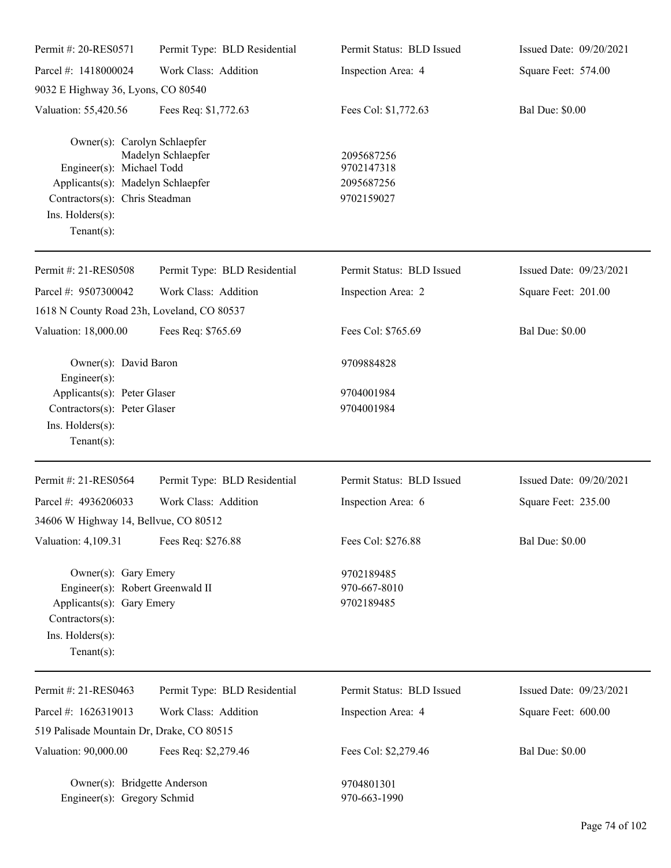| Permit #: 20-RES0571                                                                                                                                                  | Permit Type: BLD Residential | Permit Status: BLD Issued                            | Issued Date: 09/20/2021 |
|-----------------------------------------------------------------------------------------------------------------------------------------------------------------------|------------------------------|------------------------------------------------------|-------------------------|
| Parcel #: 1418000024                                                                                                                                                  | Work Class: Addition         | Inspection Area: 4                                   | Square Feet: 574.00     |
| 9032 E Highway 36, Lyons, CO 80540                                                                                                                                    |                              |                                                      |                         |
| Valuation: 55,420.56                                                                                                                                                  | Fees Req: \$1,772.63         | Fees Col: \$1,772.63                                 | <b>Bal Due: \$0.00</b>  |
| Owner(s): Carolyn Schlaepfer<br>Engineer(s): Michael Todd<br>Applicants(s): Madelyn Schlaepfer<br>Contractors(s): Chris Steadman<br>Ins. Holders(s):<br>$Tenant(s)$ : | Madelyn Schlaepfer           | 2095687256<br>9702147318<br>2095687256<br>9702159027 |                         |
| Permit #: 21-RES0508                                                                                                                                                  | Permit Type: BLD Residential | Permit Status: BLD Issued                            | Issued Date: 09/23/2021 |
| Parcel #: 9507300042                                                                                                                                                  | Work Class: Addition         | Inspection Area: 2                                   | Square Feet: 201.00     |
| 1618 N County Road 23h, Loveland, CO 80537                                                                                                                            |                              |                                                      |                         |
| Valuation: 18,000.00                                                                                                                                                  | Fees Req: \$765.69           | Fees Col: \$765.69                                   | <b>Bal Due: \$0.00</b>  |
| Owner(s): David Baron<br>Engineer(s):                                                                                                                                 |                              | 9709884828                                           |                         |
| Applicants(s): Peter Glaser                                                                                                                                           |                              | 9704001984                                           |                         |
| Contractors(s): Peter Glaser<br>Ins. Holders(s):<br>$Tenant(s)$ :                                                                                                     |                              | 9704001984                                           |                         |
| Permit #: 21-RES0564                                                                                                                                                  | Permit Type: BLD Residential | Permit Status: BLD Issued                            | Issued Date: 09/20/2021 |
| Parcel #: 4936206033                                                                                                                                                  | Work Class: Addition         | Inspection Area: 6                                   | Square Feet: 235.00     |
| 34606 W Highway 14, Bellvue, CO 80512                                                                                                                                 |                              |                                                      |                         |
| Valuation: 4,109.31                                                                                                                                                   | Fees Req: \$276.88           | Fees Col: \$276.88                                   | <b>Bal Due: \$0.00</b>  |
| Owner(s): Gary Emery<br>Engineer(s): Robert Greenwald II<br>Applicants(s): Gary Emery<br>Contractors(s):<br>Ins. Holders(s):<br>$Tenant(s)$ :                         |                              | 9702189485<br>970-667-8010<br>9702189485             |                         |
| Permit #: 21-RES0463                                                                                                                                                  | Permit Type: BLD Residential | Permit Status: BLD Issued                            | Issued Date: 09/23/2021 |
| Parcel #: 1626319013                                                                                                                                                  | Work Class: Addition         | Inspection Area: 4                                   | Square Feet: 600.00     |
| 519 Palisade Mountain Dr, Drake, CO 80515                                                                                                                             |                              |                                                      |                         |
| Valuation: 90,000.00                                                                                                                                                  | Fees Req: \$2,279.46         | Fees Col: \$2,279.46                                 | <b>Bal Due: \$0.00</b>  |
| Owner(s): Bridgette Anderson<br>Engineer(s): Gregory Schmid                                                                                                           |                              | 9704801301<br>970-663-1990                           |                         |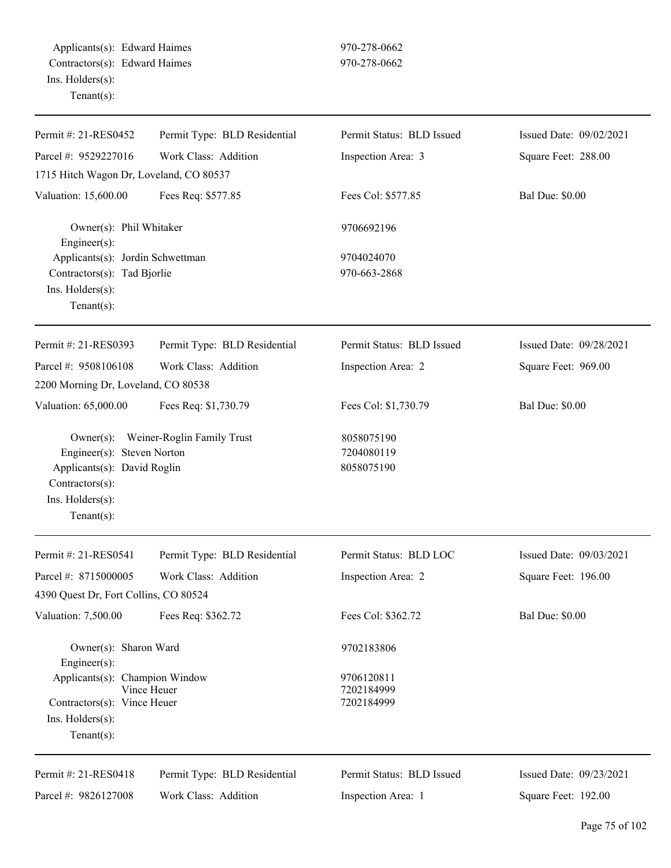| Permit #: 21-RES0452                                                                                                               | Permit Type: BLD Residential | Permit Status: BLD Issued              | Issued Date: 09/02/2021 |
|------------------------------------------------------------------------------------------------------------------------------------|------------------------------|----------------------------------------|-------------------------|
| Parcel #: 9529227016                                                                                                               | Work Class: Addition         | Inspection Area: 3                     | Square Feet: 288.00     |
| 1715 Hitch Wagon Dr, Loveland, CO 80537                                                                                            |                              |                                        |                         |
| Valuation: 15,600.00                                                                                                               | Fees Req: \$577.85           | Fees Col: \$577.85                     | <b>Bal Due: \$0.00</b>  |
| Owner(s): Phil Whitaker<br>Engineer(s):                                                                                            |                              | 9706692196                             |                         |
| Applicants(s): Jordin Schwettman<br>Contractors(s): Tad Bjorlie<br>Ins. Holders(s):<br>$Tenant(s)$ :                               |                              | 9704024070<br>970-663-2868             |                         |
| Permit #: 21-RES0393                                                                                                               | Permit Type: BLD Residential | Permit Status: BLD Issued              | Issued Date: 09/28/2021 |
| Parcel #: 9508106108                                                                                                               | Work Class: Addition         | Inspection Area: 2                     | Square Feet: 969.00     |
| 2200 Morning Dr, Loveland, CO 80538                                                                                                |                              |                                        |                         |
| Valuation: 65,000.00                                                                                                               | Fees Req: \$1,730.79         | Fees Col: \$1,730.79                   | <b>Bal Due: \$0.00</b>  |
| $Owner(s)$ :<br>Engineer(s): Steven Norton<br>Applicants(s): David Roglin<br>Contractors(s):<br>Ins. Holders(s):<br>Tenant $(s)$ : | Weiner-Roglin Family Trust   | 8058075190<br>7204080119<br>8058075190 |                         |
| Permit #: 21-RES0541                                                                                                               | Permit Type: BLD Residential | Permit Status: BLD LOC                 | Issued Date: 09/03/2021 |
| Parcel #: 8715000005                                                                                                               | Work Class: Addition         | Inspection Area: 2                     | Square Feet: 196.00     |
| 4390 Quest Dr, Fort Collins, CO 80524                                                                                              |                              |                                        |                         |
| Valuation: 7,500.00                                                                                                                | Fees Req: \$362.72           | Fees Col: \$362.72                     | <b>Bal Due: \$0.00</b>  |
| Owner(s): Sharon Ward<br>Engineer(s):                                                                                              |                              | 9702183806                             |                         |
| Applicants(s): Champion Window<br>Contractors(s): Vince Heuer<br>$Ins.$ Holders $(s)$ :<br>Tenant $(s)$ :                          | Vince Heuer                  | 9706120811<br>7202184999<br>7202184999 |                         |
| Permit #: 21-RES0418                                                                                                               | Permit Type: BLD Residential | Permit Status: BLD Issued              | Issued Date: 09/23/2021 |
| Parcel #: 9826127008                                                                                                               | Work Class: Addition         | Inspection Area: 1                     | Square Feet: 192.00     |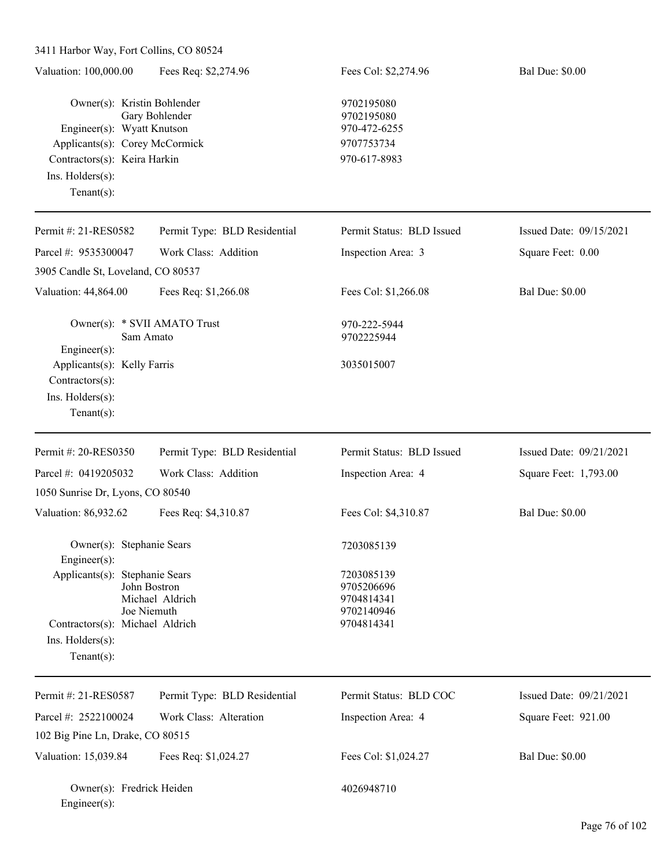| Valuation: 100,000.00                                                                                                                                             | Fees Req: \$2,274.96                           | Fees Col: \$2,274.96                                                   | <b>Bal Due: \$0.00</b>  |
|-------------------------------------------------------------------------------------------------------------------------------------------------------------------|------------------------------------------------|------------------------------------------------------------------------|-------------------------|
| Owner(s): Kristin Bohlender<br>Engineer(s): Wyatt Knutson<br>Applicants(s): Corey McCormick<br>Contractors(s): Keira Harkin<br>Ins. Holders(s):<br>Tenant $(s)$ : | Gary Bohlender                                 | 9702195080<br>9702195080<br>970-472-6255<br>9707753734<br>970-617-8983 |                         |
| Permit #: 21-RES0582                                                                                                                                              | Permit Type: BLD Residential                   | Permit Status: BLD Issued                                              | Issued Date: 09/15/2021 |
| Parcel #: 9535300047                                                                                                                                              | Work Class: Addition                           | Inspection Area: 3                                                     | Square Feet: 0.00       |
| 3905 Candle St, Loveland, CO 80537                                                                                                                                |                                                |                                                                        |                         |
| Valuation: 44,864.00                                                                                                                                              | Fees Req: \$1,266.08                           | Fees Col: \$1,266.08                                                   | <b>Bal Due: \$0.00</b>  |
| Owner(s): * SVII AMATO Trust<br>Engineer(s):                                                                                                                      | Sam Amato                                      | 970-222-5944<br>9702225944                                             |                         |
| Applicants(s): Kelly Farris<br>Contractors(s):<br>Ins. Holders(s):<br>Tenant $(s)$ :                                                                              |                                                | 3035015007                                                             |                         |
| Permit #: 20-RES0350                                                                                                                                              | Permit Type: BLD Residential                   | Permit Status: BLD Issued                                              | Issued Date: 09/21/2021 |
| Parcel #: 0419205032                                                                                                                                              | Work Class: Addition                           | Inspection Area: 4                                                     | Square Feet: 1,793.00   |
| 1050 Sunrise Dr, Lyons, CO 80540                                                                                                                                  |                                                |                                                                        |                         |
| Valuation: 86,932.62                                                                                                                                              | Fees Req: \$4,310.87                           | Fees Col: \$4,310.87                                                   | <b>Bal Due: \$0.00</b>  |
| Owner(s): Stephanie Sears<br>Engineer(s):                                                                                                                         |                                                | 7203085139                                                             |                         |
| Applicants(s): Stephanie Sears<br>Contractors(s): Michael Aldrich<br>Ins. Holders(s):<br>Tenant $(s)$ :                                                           | John Bostron<br>Michael Aldrich<br>Joe Niemuth | 7203085139<br>9705206696<br>9704814341<br>9702140946<br>9704814341     |                         |
| Permit #: 21-RES0587                                                                                                                                              | Permit Type: BLD Residential                   | Permit Status: BLD COC                                                 | Issued Date: 09/21/2021 |
| Parcel #: 2522100024                                                                                                                                              | Work Class: Alteration                         | Inspection Area: 4                                                     |                         |
| 102 Big Pine Ln, Drake, CO 80515                                                                                                                                  |                                                |                                                                        | Square Feet: 921.00     |
|                                                                                                                                                                   |                                                |                                                                        |                         |
| Valuation: 15,039.84                                                                                                                                              | Fees Req: \$1,024.27                           | Fees Col: \$1,024.27                                                   | <b>Bal Due: \$0.00</b>  |
| Owner(s): Fredrick Heiden<br>Engineer(s):                                                                                                                         |                                                | 4026948710                                                             |                         |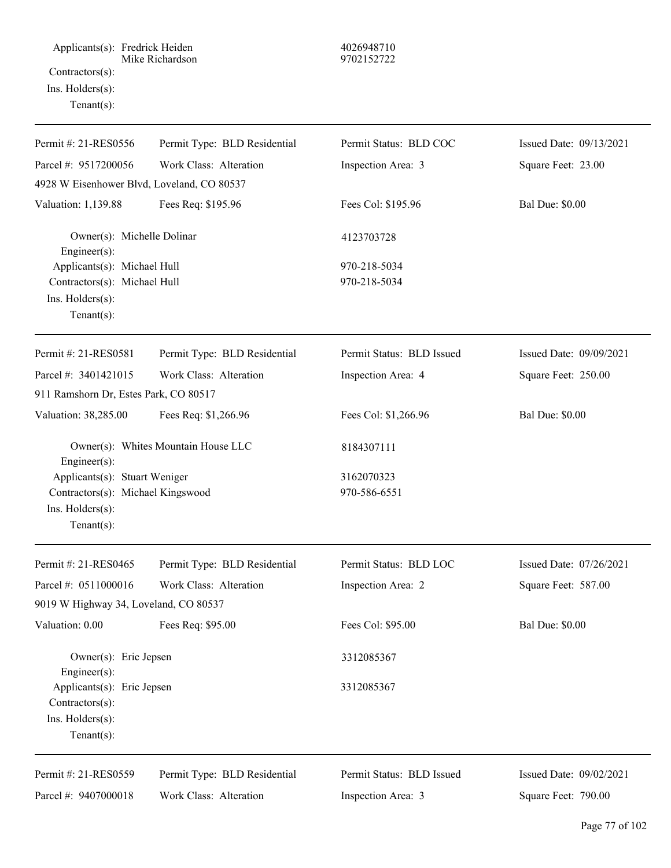Applicants(s): Fredrick Heiden 4026948710 Mike Richardson 9702152722 Contractors(s): Ins. Holders(s): Tenant(s):

| Permit #: 21-RES0556                          | Permit Type: BLD Residential        | Permit Status: BLD COC    | Issued Date: 09/13/2021 |
|-----------------------------------------------|-------------------------------------|---------------------------|-------------------------|
| Parcel #: 9517200056                          | Work Class: Alteration              | Inspection Area: 3        | Square Feet: 23.00      |
| 4928 W Eisenhower Blvd, Loveland, CO 80537    |                                     |                           |                         |
| Valuation: 1,139.88                           | Fees Req: \$195.96                  | Fees Col: \$195.96        | <b>Bal Due: \$0.00</b>  |
| Owner(s): Michelle Dolinar<br>Engineer(s):    |                                     | 4123703728                |                         |
| Applicants(s): Michael Hull                   |                                     | 970-218-5034              |                         |
| Contractors(s): Michael Hull                  |                                     | 970-218-5034              |                         |
| Ins. Holders(s):                              |                                     |                           |                         |
| Tenant $(s)$ :                                |                                     |                           |                         |
| Permit #: 21-RES0581                          | Permit Type: BLD Residential        | Permit Status: BLD Issued | Issued Date: 09/09/2021 |
| Parcel #: 3401421015                          | Work Class: Alteration              | Inspection Area: 4        | Square Feet: 250.00     |
| 911 Ramshorn Dr, Estes Park, CO 80517         |                                     |                           |                         |
| Valuation: 38,285.00                          | Fees Req: \$1,266.96                | Fees Col: \$1,266.96      | <b>Bal Due: \$0.00</b>  |
| Engineer(s):                                  | Owner(s): Whites Mountain House LLC | 8184307111                |                         |
| Applicants(s): Stuart Weniger                 |                                     | 3162070323                |                         |
| Contractors(s): Michael Kingswood             |                                     | 970-586-6551              |                         |
| Ins. Holders(s):                              |                                     |                           |                         |
| Tenant $(s)$ :                                |                                     |                           |                         |
| Permit #: 21-RES0465                          | Permit Type: BLD Residential        | Permit Status: BLD LOC    | Issued Date: 07/26/2021 |
| Parcel #: 0511000016                          | Work Class: Alteration              | Inspection Area: 2        | Square Feet: 587.00     |
| 9019 W Highway 34, Loveland, CO 80537         |                                     |                           |                         |
| Valuation: 0.00                               | Fees Req: \$95.00                   | Fees Col: \$95.00         | <b>Bal Due: \$0.00</b>  |
| Owner(s): Eric Jepsen                         |                                     | 3312085367                |                         |
| Engineer(s):                                  |                                     |                           |                         |
| Applicants(s): Eric Jepsen<br>Contractors(s): |                                     | 3312085367                |                         |
| Ins. Holders(s):                              |                                     |                           |                         |
| Tenant $(s)$ :                                |                                     |                           |                         |
| Permit #: 21-RES0559                          | Permit Type: BLD Residential        | Permit Status: BLD Issued | Issued Date: 09/02/2021 |
| Parcel #: 9407000018                          | Work Class: Alteration              | Inspection Area: 3        | Square Feet: 790.00     |
|                                               |                                     |                           |                         |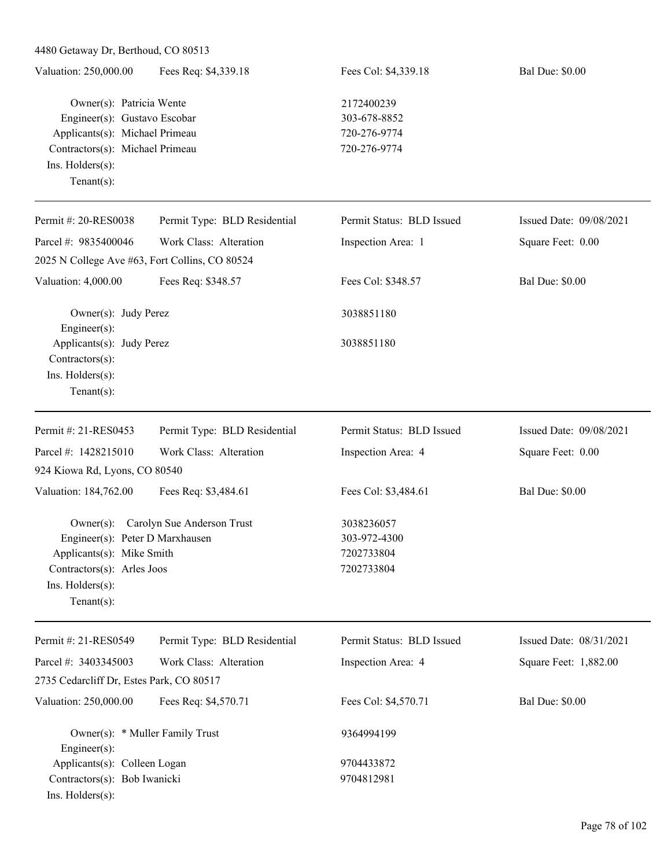| 4480 Getaway Dr, Berthoud, CO 80513                                                                                                                                        |                                      |                                                            |                         |  |
|----------------------------------------------------------------------------------------------------------------------------------------------------------------------------|--------------------------------------|------------------------------------------------------------|-------------------------|--|
| Valuation: 250,000.00                                                                                                                                                      | Fees Req: \$4,339.18                 | Fees Col: \$4,339.18                                       | <b>Bal Due: \$0.00</b>  |  |
| Owner(s): Patricia Wente<br>Engineer(s): Gustavo Escobar<br>Applicants(s): Michael Primeau<br>Contractors(s): Michael Primeau<br>Ins. $H$ olders $(s)$ :<br>Tenant $(s)$ : |                                      | 2172400239<br>303-678-8852<br>720-276-9774<br>720-276-9774 |                         |  |
| Permit #: 20-RES0038                                                                                                                                                       | Permit Type: BLD Residential         | Permit Status: BLD Issued                                  | Issued Date: 09/08/2021 |  |
| Parcel #: 9835400046                                                                                                                                                       | Work Class: Alteration               | Inspection Area: 1                                         | Square Feet: 0.00       |  |
| 2025 N College Ave #63, Fort Collins, CO 80524                                                                                                                             |                                      |                                                            |                         |  |
| Valuation: 4,000.00                                                                                                                                                        | Fees Req: \$348.57                   | Fees Col: \$348.57                                         | <b>Bal Due: \$0.00</b>  |  |
| Owner(s): Judy Perez<br>Engineer(s):                                                                                                                                       |                                      | 3038851180                                                 |                         |  |
| Applicants(s): Judy Perez<br>Contractors(s):<br>Ins. Holders(s):<br>Tenant $(s)$ :                                                                                         |                                      | 3038851180                                                 |                         |  |
| Permit #: 21-RES0453                                                                                                                                                       | Permit Type: BLD Residential         | Permit Status: BLD Issued                                  | Issued Date: 09/08/2021 |  |
| Parcel #: 1428215010                                                                                                                                                       | Work Class: Alteration               | Inspection Area: 4                                         | Square Feet: 0.00       |  |
| 924 Kiowa Rd, Lyons, CO 80540                                                                                                                                              |                                      |                                                            |                         |  |
| Valuation: 184,762.00                                                                                                                                                      | Fees Req: \$3,484.61                 | Fees Col: \$3,484.61                                       | <b>Bal Due: \$0.00</b>  |  |
| Engineer(s): Peter D Marxhausen<br>Applicants(s): Mike Smith<br>Contractors(s): Arles Joos<br>Ins. Holders(s):<br>Tenant $(s)$ :                                           | Owner(s): Carolyn Sue Anderson Trust | 3038236057<br>303-972-4300<br>7202733804<br>7202733804     |                         |  |
| Permit #: 21-RES0549                                                                                                                                                       | Permit Type: BLD Residential         | Permit Status: BLD Issued                                  | Issued Date: 08/31/2021 |  |
| Parcel #: 3403345003                                                                                                                                                       | Work Class: Alteration               | Inspection Area: 4                                         | Square Feet: 1,882.00   |  |
| 2735 Cedarcliff Dr, Estes Park, CO 80517                                                                                                                                   |                                      |                                                            |                         |  |
| Valuation: 250,000.00                                                                                                                                                      | Fees Req: \$4,570.71                 | Fees Col: \$4,570.71                                       | <b>Bal Due: \$0.00</b>  |  |
| Owner(s): * Muller Family Trust<br>Engineer(s):                                                                                                                            |                                      | 9364994199                                                 |                         |  |
| Applicants(s): Colleen Logan                                                                                                                                               |                                      | 9704433872                                                 |                         |  |
| Contractors(s): Bob Iwanicki<br>Ins. Holders(s):                                                                                                                           |                                      | 9704812981                                                 |                         |  |

 $\overline{\phantom{0}}$ 

L.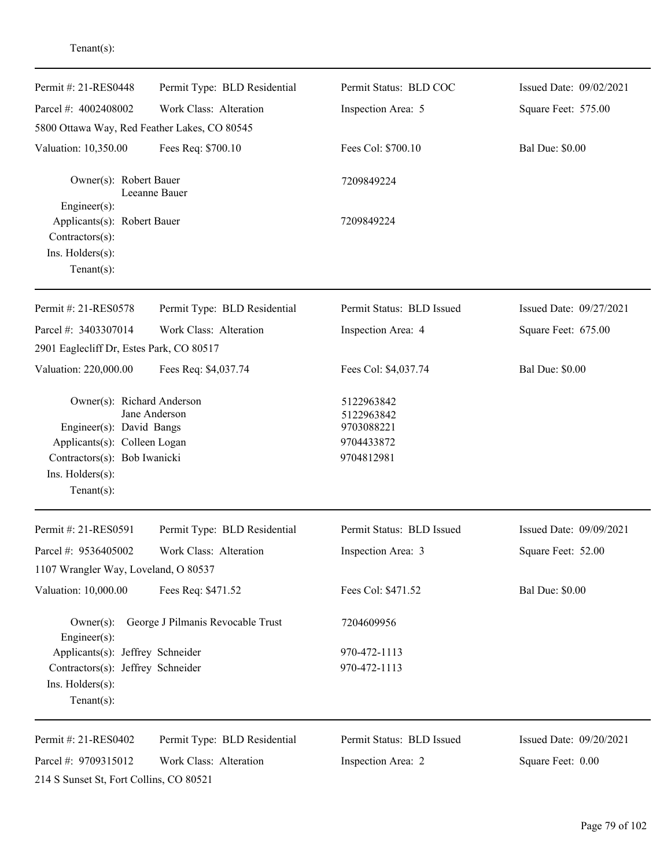| Permit #: 21-RES0448                                                                                                                       | Permit Type: BLD Residential      | Permit Status: BLD COC                                             | Issued Date: 09/02/2021 |
|--------------------------------------------------------------------------------------------------------------------------------------------|-----------------------------------|--------------------------------------------------------------------|-------------------------|
| Parcel #: 4002408002                                                                                                                       | Work Class: Alteration            | Inspection Area: 5                                                 | Square Feet: 575.00     |
| 5800 Ottawa Way, Red Feather Lakes, CO 80545                                                                                               |                                   |                                                                    |                         |
| Valuation: 10,350.00                                                                                                                       | Fees Req: \$700.10                | Fees Col: \$700.10                                                 | <b>Bal Due: \$0.00</b>  |
| Owner(s): Robert Bauer                                                                                                                     | Leeanne Bauer                     | 7209849224                                                         |                         |
| Engineer(s):<br>Applicants(s): Robert Bauer<br>Contractors(s):<br>Ins. Holders(s):<br>$Tenant(s)$ :                                        |                                   | 7209849224                                                         |                         |
| Permit #: 21-RES0578                                                                                                                       | Permit Type: BLD Residential      | Permit Status: BLD Issued                                          | Issued Date: 09/27/2021 |
| Parcel #: 3403307014                                                                                                                       | Work Class: Alteration            | Inspection Area: 4                                                 | Square Feet: 675.00     |
| 2901 Eaglecliff Dr, Estes Park, CO 80517                                                                                                   |                                   |                                                                    |                         |
| Valuation: 220,000.00                                                                                                                      | Fees Req: \$4,037.74              | Fees Col: \$4,037.74                                               | <b>Bal Due: \$0.00</b>  |
| Owner(s): Richard Anderson<br>Engineer(s): David Bangs<br>Applicants(s): Colleen Logan<br>Contractors(s): Bob Iwanicki<br>Ins. Holders(s): | Jane Anderson                     | 5122963842<br>5122963842<br>9703088221<br>9704433872<br>9704812981 |                         |
| Tenant $(s)$ :                                                                                                                             |                                   |                                                                    |                         |
| Permit #: 21-RES0591                                                                                                                       | Permit Type: BLD Residential      | Permit Status: BLD Issued                                          | Issued Date: 09/09/2021 |
| Parcel #: 9536405002<br>1107 Wrangler Way, Loveland, O 80537                                                                               | Work Class: Alteration            | Inspection Area: 3                                                 | Square Feet: 52.00      |
| Valuation: 10,000.00                                                                                                                       | Fees Req: \$471.52                | Fees Col: \$471.52                                                 | <b>Bal Due: \$0.00</b>  |
| $Owner(s)$ :<br>Engineer(s):                                                                                                               | George J Pilmanis Revocable Trust | 7204609956                                                         |                         |
| Applicants(s): Jeffrey Schneider                                                                                                           |                                   | 970-472-1113                                                       |                         |
| Contractors(s): Jeffrey Schneider<br>Ins. Holders(s):<br>Tenant $(s)$ :                                                                    |                                   | 970-472-1113                                                       |                         |
| Permit #: 21-RES0402                                                                                                                       | Permit Type: BLD Residential      | Permit Status: BLD Issued                                          | Issued Date: 09/20/2021 |
| Parcel #: 9709315012<br>214 S Sunset St, Fort Collins, CO 80521                                                                            | Work Class: Alteration            | Inspection Area: 2                                                 | Square Feet: 0.00       |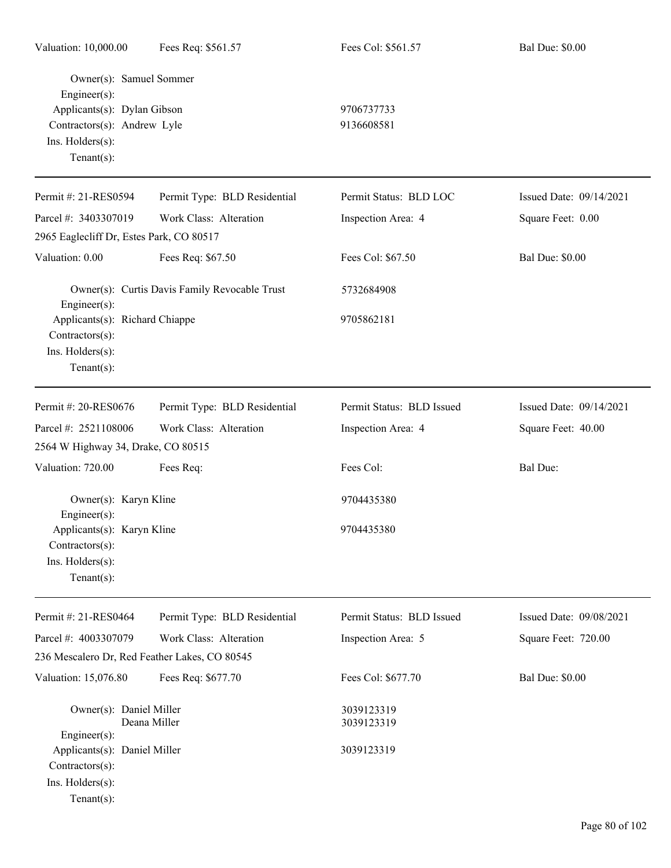| Valuation: 10,000.00                                                                                                                       | Fees Req: \$561.57                            | Fees Col: \$561.57        | <b>Bal Due: \$0.00</b>  |
|--------------------------------------------------------------------------------------------------------------------------------------------|-----------------------------------------------|---------------------------|-------------------------|
| Owner(s): Samuel Sommer<br>Engineer(s):<br>Applicants(s): Dylan Gibson<br>Contractors(s): Andrew Lyle<br>Ins. Holders(s):<br>$Tenant(s)$ : |                                               | 9706737733<br>9136608581  |                         |
| Permit #: 21-RES0594                                                                                                                       | Permit Type: BLD Residential                  | Permit Status: BLD LOC    | Issued Date: 09/14/2021 |
| Parcel #: 3403307019                                                                                                                       | Work Class: Alteration                        | Inspection Area: 4        | Square Feet: 0.00       |
| 2965 Eaglecliff Dr, Estes Park, CO 80517                                                                                                   |                                               |                           |                         |
| Valuation: 0.00                                                                                                                            | Fees Req: \$67.50                             | Fees Col: \$67.50         | <b>Bal Due: \$0.00</b>  |
| Engineer(s):                                                                                                                               | Owner(s): Curtis Davis Family Revocable Trust | 5732684908                |                         |
| Applicants(s): Richard Chiappe<br>Contractors(s):<br>Ins. Holders(s):<br>Tenant $(s)$ :                                                    |                                               | 9705862181                |                         |
| Permit #: 20-RES0676                                                                                                                       | Permit Type: BLD Residential                  | Permit Status: BLD Issued | Issued Date: 09/14/2021 |
| Parcel #: 2521108006                                                                                                                       | Work Class: Alteration                        | Inspection Area: 4        | Square Feet: 40.00      |
| 2564 W Highway 34, Drake, CO 80515                                                                                                         |                                               |                           |                         |
| Valuation: 720.00                                                                                                                          | Fees Req:                                     | Fees Col:                 | Bal Due:                |
| Owner(s): Karyn Kline<br>Engineer(s):                                                                                                      |                                               | 9704435380                |                         |
| Applicants(s): Karyn Kline<br>Contractors(s):<br>Ins. Holders(s):<br>$Tenant(s)$ :                                                         |                                               | 9704435380                |                         |
| Permit #: 21-RES0464                                                                                                                       | Permit Type: BLD Residential                  | Permit Status: BLD Issued | Issued Date: 09/08/2021 |
| Parcel #: 4003307079                                                                                                                       | Work Class: Alteration                        | Inspection Area: 5        | Square Feet: 720.00     |
| 236 Mescalero Dr, Red Feather Lakes, CO 80545                                                                                              |                                               |                           |                         |
| Valuation: 15,076.80                                                                                                                       | Fees Req: \$677.70                            | Fees Col: \$677.70        | <b>Bal Due: \$0.00</b>  |
| Owner(s): Daniel Miller                                                                                                                    | Deana Miller                                  | 3039123319<br>3039123319  |                         |
| Engineer(s):<br>Applicants(s): Daniel Miller<br>Contractors(s):<br>Ins. Holders(s):<br>$Tenant(s)$ :                                       |                                               | 3039123319                |                         |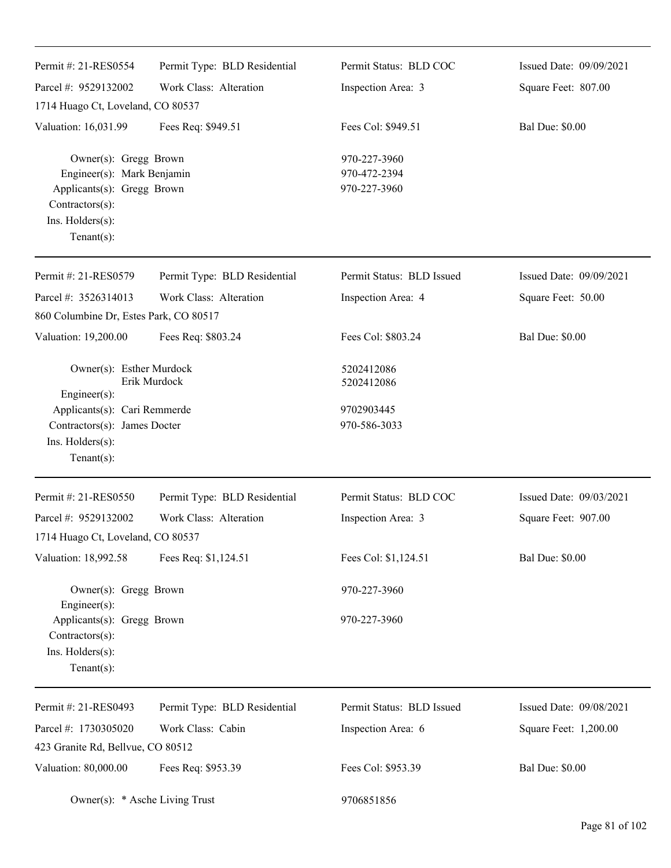| Permit #: 21-RES0554                                                                                                                             | Permit Type: BLD Residential | Permit Status: BLD COC                       | Issued Date: 09/09/2021 |
|--------------------------------------------------------------------------------------------------------------------------------------------------|------------------------------|----------------------------------------------|-------------------------|
| Parcel #: 9529132002                                                                                                                             | Work Class: Alteration       | Inspection Area: 3                           | Square Feet: 807.00     |
| 1714 Huago Ct, Loveland, CO 80537                                                                                                                |                              |                                              |                         |
| Valuation: 16,031.99                                                                                                                             | Fees Req: \$949.51           | Fees Col: \$949.51                           | <b>Bal Due: \$0.00</b>  |
| Owner(s): Gregg Brown<br>Engineer(s): Mark Benjamin<br>Applicants(s): Gregg Brown<br>Contractors(s):<br>Ins. $H$ olders $(s)$ :<br>$Tenant(s)$ : |                              | 970-227-3960<br>970-472-2394<br>970-227-3960 |                         |
| Permit #: 21-RES0579                                                                                                                             | Permit Type: BLD Residential | Permit Status: BLD Issued                    | Issued Date: 09/09/2021 |
| Parcel #: 3526314013                                                                                                                             | Work Class: Alteration       | Inspection Area: 4                           | Square Feet: 50.00      |
| 860 Columbine Dr, Estes Park, CO 80517                                                                                                           |                              |                                              |                         |
| Valuation: 19,200.00                                                                                                                             | Fees Req: \$803.24           | Fees Col: \$803.24                           | <b>Bal Due: \$0.00</b>  |
| Owner(s): Esther Murdock<br>Erik Murdock<br>$Engineering(s)$ :                                                                                   |                              | 5202412086<br>5202412086                     |                         |
| Applicants(s): Cari Remmerde<br>Contractors(s): James Docter<br>Ins. Holders(s):<br>$Tenant(s)$ :                                                |                              | 9702903445<br>970-586-3033                   |                         |
| Permit #: 21-RES0550                                                                                                                             | Permit Type: BLD Residential | Permit Status: BLD COC                       | Issued Date: 09/03/2021 |
| Parcel #: 9529132002                                                                                                                             | Work Class: Alteration       | Inspection Area: 3                           | Square Feet: 907.00     |
| 1714 Huago Ct, Loveland, CO 80537                                                                                                                |                              |                                              |                         |
| Valuation: 18,992.58                                                                                                                             | Fees Req: \$1,124.51         | Fees Col: \$1,124.51                         | <b>Bal Due: \$0.00</b>  |
| Owner(s): Gregg Brown<br>Engineer(s):                                                                                                            |                              | 970-227-3960                                 |                         |
| Applicants(s): Gregg Brown<br>Contractors(s):<br>Ins. Holders(s):<br>$Tenant(s)$ :                                                               |                              | 970-227-3960                                 |                         |
| Permit #: 21-RES0493                                                                                                                             | Permit Type: BLD Residential | Permit Status: BLD Issued                    | Issued Date: 09/08/2021 |
| Parcel #: 1730305020<br>423 Granite Rd, Bellvue, CO 80512                                                                                        | Work Class: Cabin            | Inspection Area: 6                           | Square Feet: 1,200.00   |
| Valuation: 80,000.00                                                                                                                             | Fees Req: \$953.39           | Fees Col: \$953.39                           | <b>Bal Due: \$0.00</b>  |
| Owner(s): * Asche Living Trust                                                                                                                   |                              | 9706851856                                   |                         |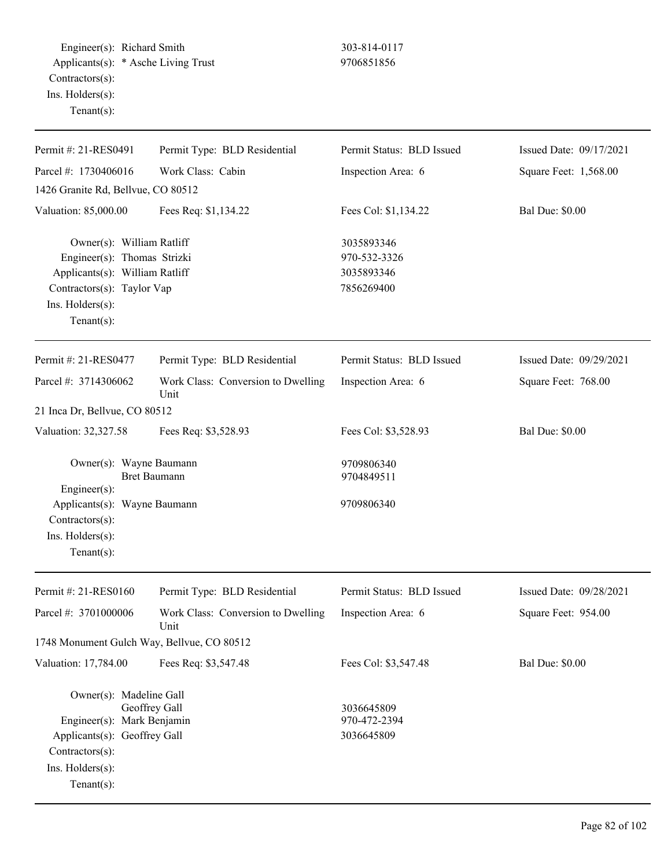Engineer(s): Richard Smith 303-814-0117 Applicants(s): \* Asche Living Trust 9706851856 Contractors(s): Ins. Holders(s): Tenant(s):

| Permit #: 21-RES0491                                                                                                                                           | Permit Type: BLD Residential               | Permit Status: BLD Issued                              | Issued Date: 09/17/2021 |
|----------------------------------------------------------------------------------------------------------------------------------------------------------------|--------------------------------------------|--------------------------------------------------------|-------------------------|
| Parcel #: 1730406016                                                                                                                                           | Work Class: Cabin                          | Inspection Area: 6                                     | Square Feet: 1,568.00   |
| 1426 Granite Rd, Bellvue, CO 80512                                                                                                                             |                                            |                                                        |                         |
| Valuation: 85,000.00                                                                                                                                           | Fees Req: \$1,134.22                       | Fees Col: \$1,134.22                                   | <b>Bal Due: \$0.00</b>  |
| Owner(s): William Ratliff<br>Engineer(s): Thomas Strizki<br>Applicants(s): William Ratliff<br>Contractors(s): Taylor Vap<br>Ins. Holders(s):<br>Tenant $(s)$ : |                                            | 3035893346<br>970-532-3326<br>3035893346<br>7856269400 |                         |
| Permit #: 21-RES0477                                                                                                                                           | Permit Type: BLD Residential               | Permit Status: BLD Issued                              | Issued Date: 09/29/2021 |
| Parcel #: 3714306062                                                                                                                                           | Work Class: Conversion to Dwelling<br>Unit | Inspection Area: 6                                     | Square Feet: 768.00     |
| 21 Inca Dr, Bellvue, CO 80512                                                                                                                                  |                                            |                                                        |                         |
| Valuation: 32,327.58                                                                                                                                           | Fees Req: \$3,528.93                       | Fees Col: \$3,528.93                                   | <b>Bal Due: \$0.00</b>  |
| Owner(s): Wayne Baumann<br>Engineer(s):                                                                                                                        | <b>Bret Baumann</b>                        | 9709806340<br>9704849511                               |                         |
| Applicants(s): Wayne Baumann<br>Contractors(s):<br>Ins. Holders(s):<br>Tenant $(s)$ :                                                                          |                                            | 9709806340                                             |                         |
| Permit #: 21-RES0160                                                                                                                                           | Permit Type: BLD Residential               | Permit Status: BLD Issued                              | Issued Date: 09/28/2021 |
| Parcel #: 3701000006                                                                                                                                           | Work Class: Conversion to Dwelling<br>Unit | Inspection Area: 6                                     | Square Feet: 954.00     |
| 1748 Monument Gulch Way, Bellvue, CO 80512                                                                                                                     |                                            |                                                        |                         |
| Valuation: 17,784.00                                                                                                                                           | Fees Req: \$3,547.48                       | Fees Col: \$3,547.48                                   | <b>Bal Due: \$0.00</b>  |
| Owner(s): Madeline Gall<br>Engineer(s): Mark Benjamin<br>Applicants(s): Geoffrey Gall<br>Contractors(s):<br>Ins. Holders(s):                                   | Geoffrey Gall                              | 3036645809<br>970-472-2394<br>3036645809               |                         |
| Tenant $(s)$ :                                                                                                                                                 |                                            |                                                        |                         |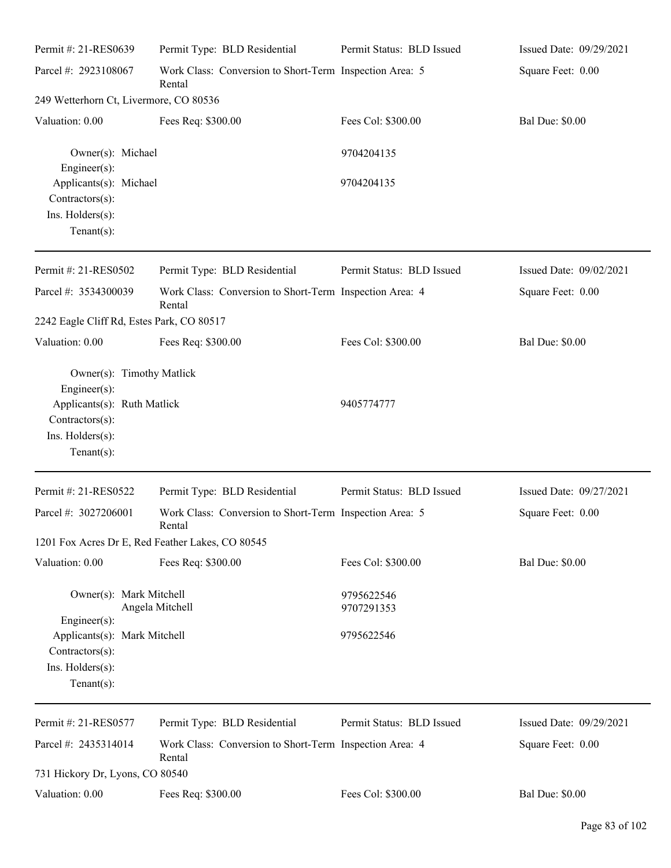| Permit #: 21-RES0639                                                                                                              | Permit Type: BLD Residential                                      | Permit Status: BLD Issued | Issued Date: 09/29/2021 |
|-----------------------------------------------------------------------------------------------------------------------------------|-------------------------------------------------------------------|---------------------------|-------------------------|
| Parcel #: 2923108067                                                                                                              | Work Class: Conversion to Short-Term Inspection Area: 5<br>Rental |                           | Square Feet: 0.00       |
| 249 Wetterhorn Ct, Livermore, CO 80536                                                                                            |                                                                   |                           |                         |
| Valuation: 0.00                                                                                                                   | Fees Req: \$300.00                                                | Fees Col: \$300.00        | <b>Bal Due: \$0.00</b>  |
| Owner(s): Michael<br>$Engineering(s)$ :                                                                                           |                                                                   | 9704204135                |                         |
| Applicants(s): Michael<br>Contractors(s):<br>Ins. Holders(s):<br>$Tenant(s)$ :                                                    |                                                                   | 9704204135                |                         |
| Permit #: 21-RES0502                                                                                                              | Permit Type: BLD Residential                                      | Permit Status: BLD Issued | Issued Date: 09/02/2021 |
| Parcel #: 3534300039                                                                                                              | Work Class: Conversion to Short-Term Inspection Area: 4<br>Rental |                           | Square Feet: 0.00       |
| 2242 Eagle Cliff Rd, Estes Park, CO 80517                                                                                         |                                                                   |                           |                         |
| Valuation: 0.00                                                                                                                   | Fees Req: \$300.00                                                | Fees Col: \$300.00        | <b>Bal Due: \$0.00</b>  |
| Owner(s): Timothy Matlick<br>Engineer(s):<br>Applicants(s): Ruth Matlick<br>Contractors(s):<br>Ins. Holders(s):<br>Tenant $(s)$ : |                                                                   | 9405774777                |                         |
| Permit #: 21-RES0522                                                                                                              | Permit Type: BLD Residential                                      | Permit Status: BLD Issued | Issued Date: 09/27/2021 |
| Parcel #: 3027206001                                                                                                              | Work Class: Conversion to Short-Term Inspection Area: 5<br>Rental |                           | Square Feet: 0.00       |
| 1201 Fox Acres Dr E, Red Feather Lakes, CO 80545                                                                                  |                                                                   |                           |                         |
| Valuation: 0.00                                                                                                                   | Fees Req: \$300.00                                                | Fees Col: \$300.00        | <b>Bal Due: \$0.00</b>  |
| Owner(s): Mark Mitchell                                                                                                           | Angela Mitchell                                                   | 9795622546<br>9707291353  |                         |
| Engineer $(s)$ :<br>Applicants(s): Mark Mitchell<br>$Contractors(s)$ :<br>Ins. Holders(s):<br>Tenant $(s)$ :                      |                                                                   | 9795622546                |                         |
| Permit #: 21-RES0577                                                                                                              | Permit Type: BLD Residential                                      | Permit Status: BLD Issued | Issued Date: 09/29/2021 |
| Parcel #: 2435314014                                                                                                              | Work Class: Conversion to Short-Term Inspection Area: 4<br>Rental |                           | Square Feet: 0.00       |
| 731 Hickory Dr, Lyons, CO 80540                                                                                                   |                                                                   |                           |                         |
| Valuation: 0.00                                                                                                                   | Fees Req: \$300.00                                                | Fees Col: \$300.00        | <b>Bal Due: \$0.00</b>  |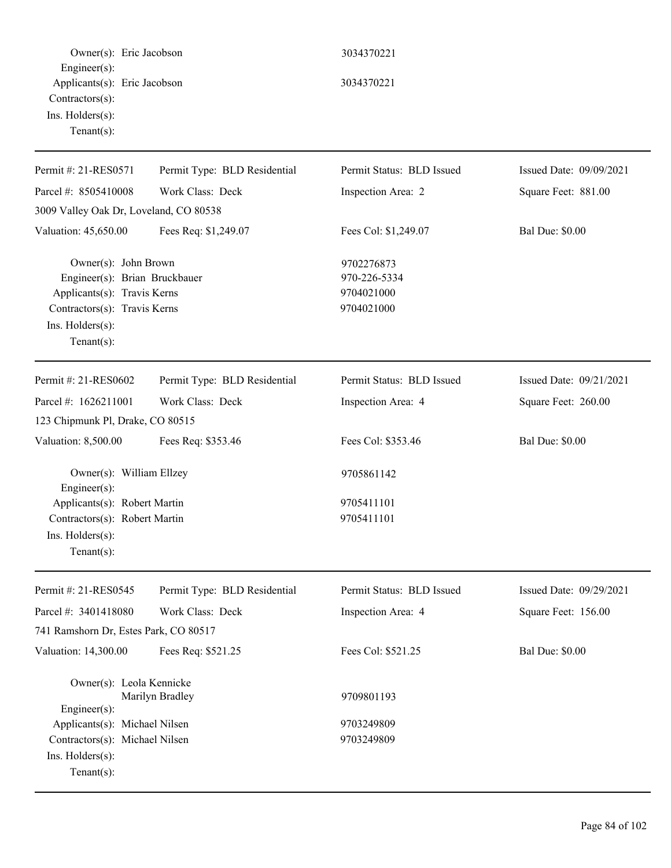Owner(s): Eric Jacobson 3034370221 Engineer(s): Applicants(s): Eric Jacobson 3034370221 Contractors(s): Ins. Holders(s): Tenant(s): Permit #: 21-RES0571 Parcel #: 8505410008 Permit Type: BLD Residential Work Class: Deck Permit Status: BLD Issued Inspection Area: 2 Issued Date: 09/09/2021 Square Feet: 881.00 3009 Valley Oak Dr, Loveland, CO 80538 Valuation: 45,650.00 Fees Req: \$1,249.07 Fees Col: \$1,249.07 Bal Due: \$0.00 Owner(s): John Brown 9702276873 Engineer(s): Brian Bruckbauer 970-226-5334 Applicants(s): Travis Kerns 9704021000 Contractors(s): Travis Kerns 9704021000 Ins. Holders(s): Tenant(s): Permit #: 21-RES0602 Parcel #: 1626211001 Permit Type: BLD Residential Work Class: Deck Permit Status: BLD Issued Inspection Area: 4 Issued Date: 09/21/2021 Square Feet: 260.00 123 Chipmunk Pl, Drake, CO 80515 Valuation: 8,500.00 Fees Req: \$353.46 Fees Col: \$353.46 Bal Due: \$0.00 Owner(s): William Ellzey 9705861142 Engineer(s): Applicants(s): Robert Martin 9705411101 Contractors(s): Robert Martin 9705411101 Ins. Holders(s): Tenant(s): Permit #: 21-RES0545 Parcel #: 3401418080 Permit Type: BLD Residential Work Class: Deck Permit Status: BLD Issued Inspection Area: 4 Issued Date: 09/29/2021 Square Feet: 156.00 741 Ramshorn Dr, Estes Park, CO 80517 Valuation: 14,300.00 Fees Req: \$521.25 Fees Col: \$521.25 Bal Due: \$0.00 Owner(s): Leola Kennicke Marilyn Bradley 9709801193 Engineer(s): Applicants(s): Michael Nilsen 9703249809 Contractors(s): Michael Nilsen 9703249809 Ins. Holders(s): Tenant(s):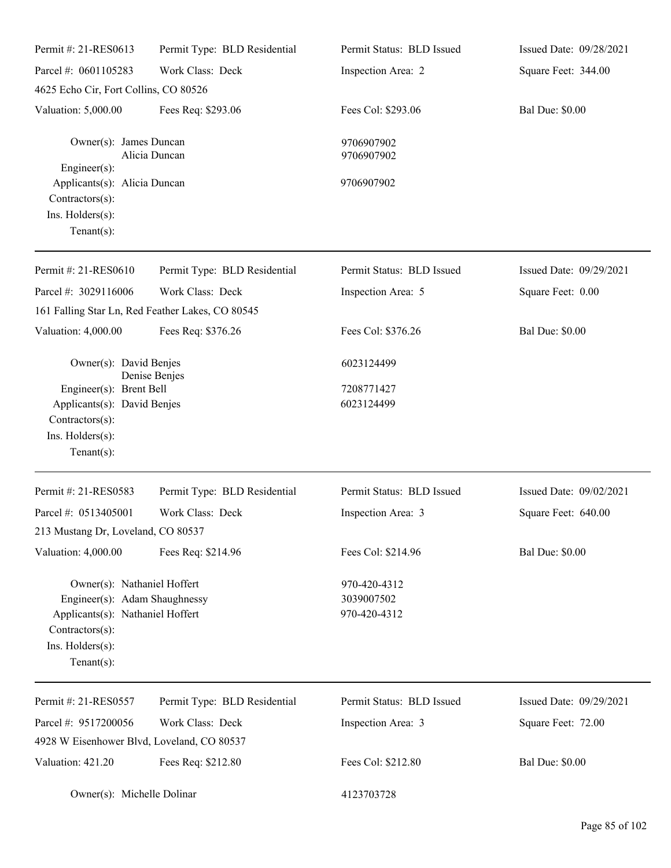| Permit #: 21-RES0613                                                                                                                                      | Permit Type: BLD Residential                     | Permit Status: BLD Issued                  | Issued Date: 09/28/2021 |
|-----------------------------------------------------------------------------------------------------------------------------------------------------------|--------------------------------------------------|--------------------------------------------|-------------------------|
| Parcel #: 0601105283                                                                                                                                      | Work Class: Deck                                 | Inspection Area: 2                         | Square Feet: 344.00     |
| 4625 Echo Cir, Fort Collins, CO 80526                                                                                                                     |                                                  |                                            |                         |
| Valuation: 5,000.00                                                                                                                                       | Fees Req: \$293.06                               | Fees Col: \$293.06                         | <b>Bal Due: \$0.00</b>  |
| Owner(s): James Duncan<br>Engineer(s):                                                                                                                    | Alicia Duncan                                    | 9706907902<br>9706907902                   |                         |
| Applicants(s): Alicia Duncan<br>Contractors(s):<br>Ins. Holders(s):<br>Tenant $(s)$ :                                                                     |                                                  | 9706907902                                 |                         |
| Permit #: 21-RES0610                                                                                                                                      | Permit Type: BLD Residential                     | Permit Status: BLD Issued                  | Issued Date: 09/29/2021 |
| Parcel #: 3029116006                                                                                                                                      | Work Class: Deck                                 | Inspection Area: 5                         | Square Feet: 0.00       |
|                                                                                                                                                           | 161 Falling Star Ln, Red Feather Lakes, CO 80545 |                                            |                         |
| Valuation: 4,000.00                                                                                                                                       | Fees Req: \$376.26                               | Fees Col: \$376.26                         | <b>Bal Due: \$0.00</b>  |
| Owner(s): David Benjes                                                                                                                                    |                                                  | 6023124499                                 |                         |
| Engineer(s): Brent Bell                                                                                                                                   | Denise Benjes                                    | 7208771427                                 |                         |
| Applicants(s): David Benjes                                                                                                                               |                                                  | 6023124499                                 |                         |
| Contractors(s):                                                                                                                                           |                                                  |                                            |                         |
| Ins. Holders(s):                                                                                                                                          |                                                  |                                            |                         |
| Tenant $(s)$ :                                                                                                                                            |                                                  |                                            |                         |
| Permit #: 21-RES0583                                                                                                                                      | Permit Type: BLD Residential                     | Permit Status: BLD Issued                  | Issued Date: 09/02/2021 |
| Parcel #: 0513405001                                                                                                                                      | Work Class: Deck                                 | Inspection Area: 3                         | Square Feet: 640.00     |
| 213 Mustang Dr, Loveland, CO 80537                                                                                                                        |                                                  |                                            |                         |
| Valuation: 4,000.00                                                                                                                                       | Fees Req: \$214.96                               | Fees Col: \$214.96                         | <b>Bal Due: \$0.00</b>  |
| Owner(s): Nathaniel Hoffert<br>Engineer(s): Adam Shaughnessy<br>Applicants(s): Nathaniel Hoffert<br>Contractors(s):<br>Ins. Holders(s):<br>Tenant $(s)$ : |                                                  | 970-420-4312<br>3039007502<br>970-420-4312 |                         |
| Permit #: 21-RES0557                                                                                                                                      | Permit Type: BLD Residential                     | Permit Status: BLD Issued                  | Issued Date: 09/29/2021 |
| Parcel #: 9517200056                                                                                                                                      | Work Class: Deck                                 | Inspection Area: 3                         | Square Feet: 72.00      |
| 4928 W Eisenhower Blvd, Loveland, CO 80537                                                                                                                |                                                  |                                            |                         |
| Valuation: 421.20                                                                                                                                         | Fees Req: \$212.80                               | Fees Col: \$212.80                         | <b>Bal Due: \$0.00</b>  |
| Owner(s): Michelle Dolinar                                                                                                                                |                                                  | 4123703728                                 |                         |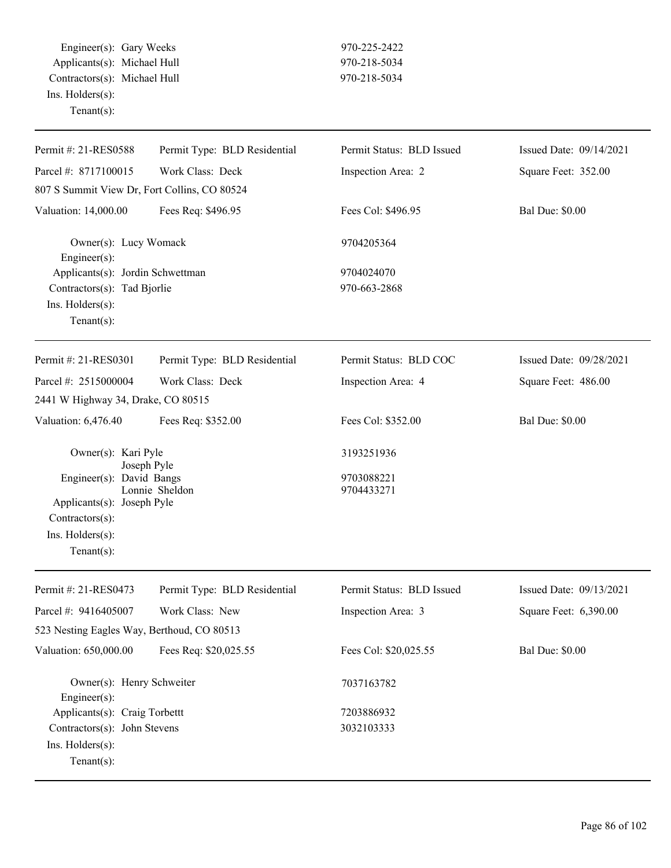Engineer(s): Gary Weeks 970-225-2422 Applicants(s): Michael Hull 970-218-5034 Contractors(s): Michael Hull 970-218-5034 Ins. Holders(s): Tenant(s):

| Permit #: 21-RES0588                                                                                         | Permit Type: BLD Residential | Permit Status: BLD Issued | Issued Date: 09/14/2021 |
|--------------------------------------------------------------------------------------------------------------|------------------------------|---------------------------|-------------------------|
| Parcel #: 8717100015                                                                                         | Work Class: Deck             | Inspection Area: 2        | Square Feet: 352.00     |
| 807 S Summit View Dr, Fort Collins, CO 80524                                                                 |                              |                           |                         |
| Valuation: 14,000.00                                                                                         | Fees Req: \$496.95           | Fees Col: \$496.95        | <b>Bal Due: \$0.00</b>  |
| Owner(s): Lucy Womack<br>Engineer $(s)$ :                                                                    |                              | 9704205364                |                         |
| Applicants(s): Jordin Schwettman                                                                             |                              | 9704024070                |                         |
| Contractors(s): Tad Bjorlie                                                                                  |                              | 970-663-2868              |                         |
| Ins. Holders(s):<br>$Tenant(s)$ :                                                                            |                              |                           |                         |
| Permit #: 21-RES0301                                                                                         | Permit Type: BLD Residential | Permit Status: BLD COC    | Issued Date: 09/28/2021 |
| Parcel #: 2515000004                                                                                         | Work Class: Deck             | Inspection Area: 4        | Square Feet: 486.00     |
| 2441 W Highway 34, Drake, CO 80515                                                                           |                              |                           |                         |
| Valuation: 6,476.40                                                                                          | Fees Req: \$352.00           | Fees Col: \$352.00        | <b>Bal Due: \$0.00</b>  |
| Owner(s): Kari Pyle                                                                                          |                              | 3193251936                |                         |
| Joseph Pyle<br>Engineer(s): David Bangs<br>Applicants(s): Joseph Pyle<br>Contractors(s):<br>Ins. Holders(s): | Lonnie Sheldon               | 9703088221<br>9704433271  |                         |
| $Tenant(s)$ :                                                                                                |                              |                           |                         |
| Permit #: 21-RES0473                                                                                         | Permit Type: BLD Residential | Permit Status: BLD Issued | Issued Date: 09/13/2021 |
| Parcel #: 9416405007                                                                                         | Work Class: New              | Inspection Area: 3        | Square Feet: 6,390.00   |
| 523 Nesting Eagles Way, Berthoud, CO 80513                                                                   |                              |                           |                         |
| Valuation: 650,000.00                                                                                        | Fees Req: \$20,025.55        | Fees Col: \$20,025.55     | <b>Bal Due: \$0.00</b>  |
| Owner(s): Henry Schweiter<br>Engineer(s):                                                                    |                              | 7037163782                |                         |
| Applicants(s): Craig Torbettt                                                                                |                              | 7203886932                |                         |
| Contractors(s): John Stevens<br>Ins. Holders(s):<br>$Tenant(s)$ :                                            |                              | 3032103333                |                         |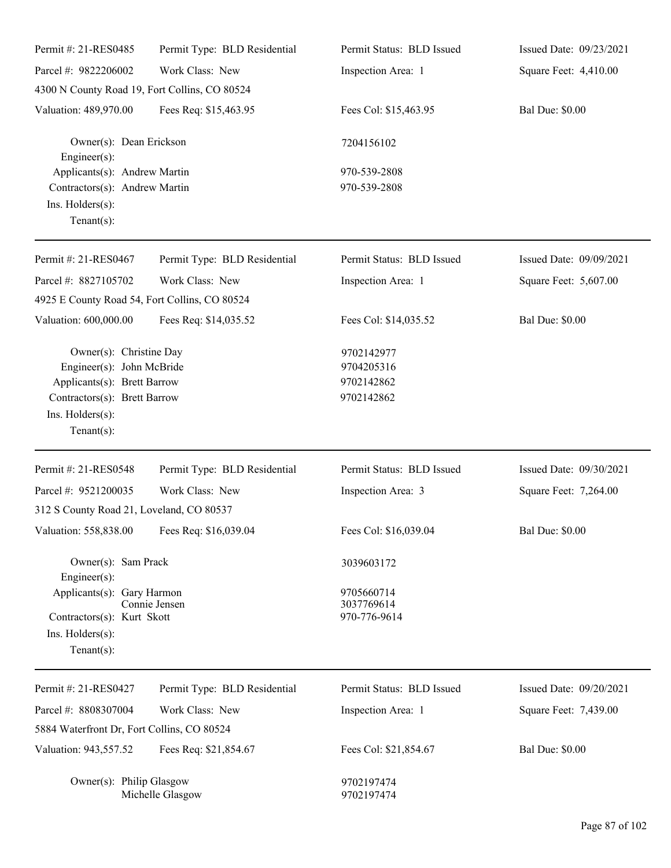| Permit #: 21-RES0485                                                                                                                                     | Permit Type: BLD Residential | Permit Status: BLD Issued                            | Issued Date: 09/23/2021 |
|----------------------------------------------------------------------------------------------------------------------------------------------------------|------------------------------|------------------------------------------------------|-------------------------|
| Parcel #: 9822206002                                                                                                                                     | Work Class: New              | Inspection Area: 1                                   | Square Feet: 4,410.00   |
| 4300 N County Road 19, Fort Collins, CO 80524                                                                                                            |                              |                                                      |                         |
| Valuation: 489,970.00                                                                                                                                    | Fees Req: \$15,463.95        | Fees Col: \$15,463.95                                | <b>Bal Due: \$0.00</b>  |
| Owner(s): Dean Erickson<br>Engineer(s):                                                                                                                  |                              | 7204156102                                           |                         |
| Applicants(s): Andrew Martin<br>Contractors(s): Andrew Martin<br>Ins. Holders(s):<br>Tenant $(s)$ :                                                      |                              | 970-539-2808<br>970-539-2808                         |                         |
| Permit #: 21-RES0467                                                                                                                                     | Permit Type: BLD Residential | Permit Status: BLD Issued                            | Issued Date: 09/09/2021 |
| Parcel #: 8827105702<br>4925 E County Road 54, Fort Collins, CO 80524                                                                                    | Work Class: New              | Inspection Area: 1                                   | Square Feet: 5,607.00   |
| Valuation: 600,000.00                                                                                                                                    | Fees Req: \$14,035.52        | Fees Col: \$14,035.52                                | <b>Bal Due: \$0.00</b>  |
| Owner(s): Christine Day<br>Engineer(s): John McBride<br>Applicants(s): Brett Barrow<br>Contractors(s): Brett Barrow<br>Ins. Holders(s):<br>$Tenant(s)$ : |                              | 9702142977<br>9704205316<br>9702142862<br>9702142862 |                         |
| Permit #: 21-RES0548                                                                                                                                     | Permit Type: BLD Residential | Permit Status: BLD Issued                            | Issued Date: 09/30/2021 |
| Parcel #: 9521200035                                                                                                                                     | Work Class: New              | Inspection Area: 3                                   | Square Feet: 7,264.00   |
| 312 S County Road 21, Loveland, CO 80537                                                                                                                 |                              |                                                      |                         |
| Valuation: 558,838.00 Fees Req: \$16,039.04                                                                                                              |                              | Fees Col: \$16,039.04                                | <b>Bal Due: \$0.00</b>  |
| Owner(s): Sam Prack<br>Engineer(s):                                                                                                                      |                              | 3039603172                                           |                         |
| Applicants(s): Gary Harmon<br>Contractors(s): Kurt Skott<br>Ins. Holders(s):<br>Tenant $(s)$ :                                                           | Connie Jensen                | 9705660714<br>3037769614<br>970-776-9614             |                         |
| Permit #: 21-RES0427                                                                                                                                     | Permit Type: BLD Residential | Permit Status: BLD Issued                            | Issued Date: 09/20/2021 |
| Parcel #: 8808307004                                                                                                                                     | Work Class: New              | Inspection Area: 1                                   | Square Feet: 7,439.00   |
| 5884 Waterfront Dr, Fort Collins, CO 80524                                                                                                               |                              |                                                      |                         |
| Valuation: 943,557.52                                                                                                                                    | Fees Req: \$21,854.67        | Fees Col: \$21,854.67                                | <b>Bal Due: \$0.00</b>  |
| Owner(s): Philip Glasgow                                                                                                                                 | Michelle Glasgow             | 9702197474<br>9702197474                             |                         |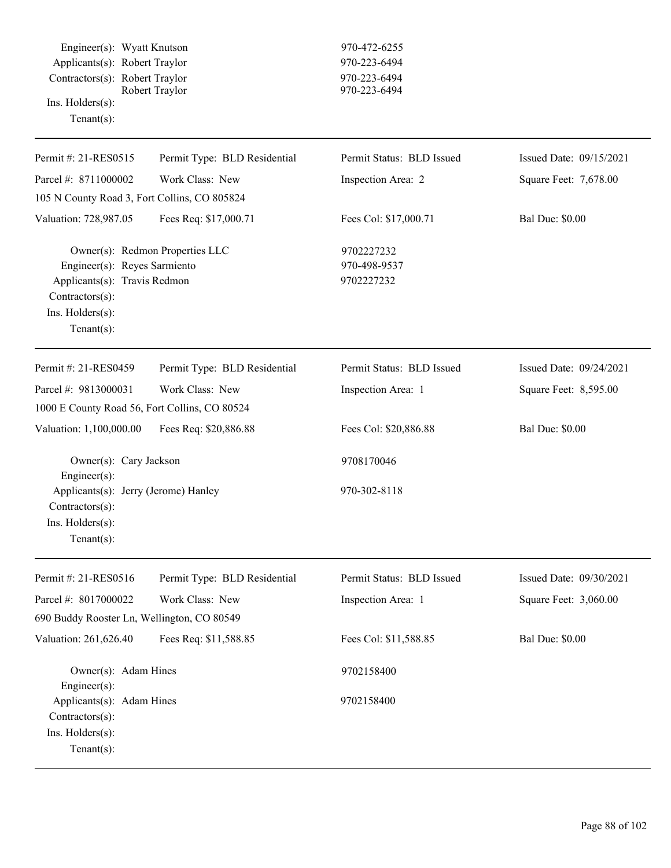Engineer(s): Wyatt Knutson 970-472-6255 Applicants(s): Robert Traylor 970-223-6494 Contractors(s): Robert Traylor<br>Robert Traylor 970-223-6494<br>970-223-6494 Robert Traylor Ins. Holders(s): Tenant(s):

| Permit #: 21-RES0515                                                                                                 | Permit Type: BLD Residential    | Permit Status: BLD Issued                | Issued Date: 09/15/2021 |
|----------------------------------------------------------------------------------------------------------------------|---------------------------------|------------------------------------------|-------------------------|
| Parcel #: 8711000002                                                                                                 | Work Class: New                 | Inspection Area: 2                       | Square Feet: 7,678.00   |
| 105 N County Road 3, Fort Collins, CO 805824                                                                         |                                 |                                          |                         |
| Valuation: 728,987.05                                                                                                | Fees Req: \$17,000.71           | Fees Col: \$17,000.71                    | <b>Bal Due: \$0.00</b>  |
| Engineer(s): Reyes Sarmiento<br>Applicants(s): Travis Redmon<br>Contractors(s):<br>Ins. Holders(s):<br>$Tenant(s)$ : | Owner(s): Redmon Properties LLC | 9702227232<br>970-498-9537<br>9702227232 |                         |
| Permit #: 21-RES0459                                                                                                 | Permit Type: BLD Residential    | Permit Status: BLD Issued                | Issued Date: 09/24/2021 |
| Parcel #: 9813000031                                                                                                 | Work Class: New                 | Inspection Area: 1                       | Square Feet: 8,595.00   |
| 1000 E County Road 56, Fort Collins, CO 80524                                                                        |                                 |                                          |                         |
| Valuation: 1,100,000.00                                                                                              | Fees Req: \$20,886.88           | Fees Col: \$20,886.88                    | <b>Bal Due: \$0.00</b>  |
| Owner(s): Cary Jackson<br>Engineer(s):                                                                               |                                 | 9708170046                               |                         |
| Applicants(s): Jerry (Jerome) Hanley<br>Contractors(s):<br>Ins. Holders(s):<br>Tenant $(s)$ :                        |                                 | 970-302-8118                             |                         |
| Permit #: 21-RES0516                                                                                                 | Permit Type: BLD Residential    | Permit Status: BLD Issued                | Issued Date: 09/30/2021 |
| Parcel #: 8017000022                                                                                                 | Work Class: New                 | Inspection Area: 1                       | Square Feet: 3,060.00   |
| 690 Buddy Rooster Ln, Wellington, CO 80549                                                                           |                                 |                                          |                         |
| Valuation: 261,626.40                                                                                                | Fees Req: \$11,588.85           | Fees Col: \$11,588.85                    | <b>Bal Due: \$0.00</b>  |
| Owner(s): Adam Hines<br>Engineer(s):                                                                                 |                                 | 9702158400                               |                         |
| Applicants(s): Adam Hines<br>Contractors(s):                                                                         |                                 | 9702158400                               |                         |

Ins. Holders(s): Tenant(s):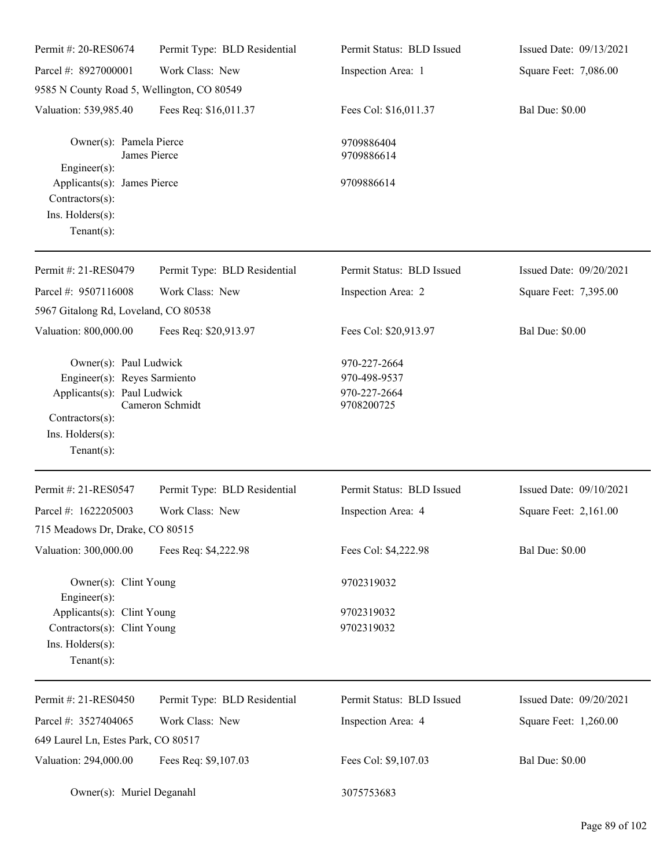| Permit #: 20-RES0674                                                                                                                          | Permit Type: BLD Residential | Permit Status: BLD Issued                                  | Issued Date: 09/13/2021 |
|-----------------------------------------------------------------------------------------------------------------------------------------------|------------------------------|------------------------------------------------------------|-------------------------|
| Parcel #: 8927000001                                                                                                                          | Work Class: New              | Inspection Area: 1                                         | Square Feet: 7,086.00   |
| 9585 N County Road 5, Wellington, CO 80549                                                                                                    |                              |                                                            |                         |
| Valuation: 539,985.40                                                                                                                         | Fees Req: \$16,011.37        | Fees Col: \$16,011.37                                      | <b>Bal Due: \$0.00</b>  |
| Owner(s): Pamela Pierce<br>Engineer(s):                                                                                                       | James Pierce                 | 9709886404<br>9709886614                                   |                         |
| Applicants(s): James Pierce<br>Contractors(s):<br>Ins. $H$ olders $(s)$ :<br>Tenant $(s)$ :                                                   |                              | 9709886614                                                 |                         |
| Permit #: 21-RES0479                                                                                                                          | Permit Type: BLD Residential | Permit Status: BLD Issued                                  | Issued Date: 09/20/2021 |
| Parcel #: 9507116008                                                                                                                          | Work Class: New              | Inspection Area: 2                                         | Square Feet: 7,395.00   |
| 5967 Gitalong Rd, Loveland, CO 80538                                                                                                          |                              |                                                            |                         |
| Valuation: 800,000.00                                                                                                                         | Fees Req: \$20,913.97        | Fees Col: \$20,913.97                                      | <b>Bal Due: \$0.00</b>  |
| Owner(s): Paul Ludwick<br>Engineer(s): Reyes Sarmiento<br>Applicants(s): Paul Ludwick<br>Contractors(s):<br>Ins. Holders(s):<br>$Tenant(s)$ : | Cameron Schmidt              | 970-227-2664<br>970-498-9537<br>970-227-2664<br>9708200725 |                         |
| Permit #: 21-RES0547                                                                                                                          | Permit Type: BLD Residential | Permit Status: BLD Issued                                  | Issued Date: 09/10/2021 |
| Parcel #: 1622205003                                                                                                                          | Work Class: New              | Inspection Area: 4                                         | Square Feet: 2,161.00   |
| 715 Meadows Dr, Drake, CO 80515                                                                                                               |                              |                                                            |                         |
| Valuation: 300,000.00                                                                                                                         | Fees Req: \$4,222.98         | Fees Col: \$4,222.98                                       | <b>Bal Due: \$0.00</b>  |
| Owner(s): Clint Young<br>Engineer(s):                                                                                                         |                              | 9702319032                                                 |                         |
| Applicants(s): Clint Young<br>Contractors(s): Clint Young<br>Ins. Holders(s):<br>Tenant $(s)$ :                                               |                              | 9702319032<br>9702319032                                   |                         |
| Permit #: 21-RES0450                                                                                                                          | Permit Type: BLD Residential | Permit Status: BLD Issued                                  | Issued Date: 09/20/2021 |
| Parcel #: 3527404065                                                                                                                          | Work Class: New              | Inspection Area: 4                                         | Square Feet: 1,260.00   |
| 649 Laurel Ln, Estes Park, CO 80517                                                                                                           |                              |                                                            |                         |
| Valuation: 294,000.00                                                                                                                         | Fees Req: \$9,107.03         | Fees Col: \$9,107.03                                       | <b>Bal Due: \$0.00</b>  |
| Owner(s): Muriel Deganahl                                                                                                                     |                              | 3075753683                                                 |                         |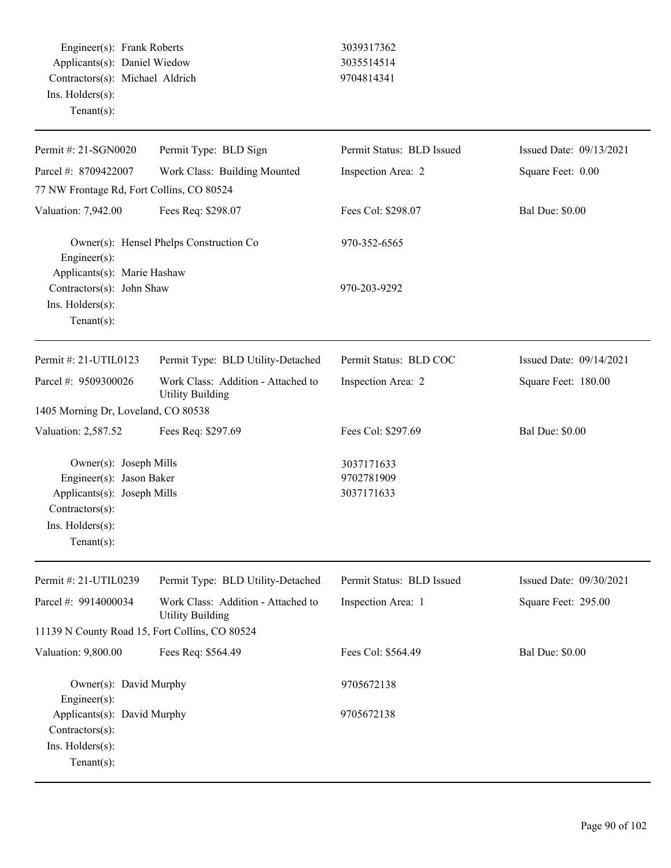Engineer(s): Frank Roberts 3039317362 Applicants(s): Daniel Wiedow 3035514514 Contractors(s): Michael Aldrich 9704814341 Ins. Holders(s): Tenant(s):

| Permit #: 21-SGN0020                                                                                                                      | Permit Type: BLD Sign                                         | Permit Status: BLD Issued              | Issued Date: 09/13/2021 |
|-------------------------------------------------------------------------------------------------------------------------------------------|---------------------------------------------------------------|----------------------------------------|-------------------------|
| Parcel #: 8709422007                                                                                                                      | Work Class: Building Mounted                                  | Inspection Area: 2                     | Square Feet: 0.00       |
| 77 NW Frontage Rd, Fort Collins, CO 80524                                                                                                 |                                                               |                                        |                         |
| Valuation: 7,942.00                                                                                                                       | Fees Req: \$298.07                                            | Fees Col: \$298.07                     | <b>Bal Due: \$0.00</b>  |
| Engineer(s):                                                                                                                              | Owner(s): Hensel Phelps Construction Co                       | 970-352-6565                           |                         |
| Applicants(s): Marie Hashaw                                                                                                               |                                                               |                                        |                         |
| Contractors(s): John Shaw<br>Ins. Holders(s):<br>Tenant $(s)$ :                                                                           |                                                               | 970-203-9292                           |                         |
| Permit #: 21-UTIL0123                                                                                                                     | Permit Type: BLD Utility-Detached                             | Permit Status: BLD COC                 | Issued Date: 09/14/2021 |
| Parcel #: 9509300026                                                                                                                      | Work Class: Addition - Attached to<br><b>Utility Building</b> | Inspection Area: 2                     | Square Feet: 180.00     |
| 1405 Morning Dr, Loveland, CO 80538                                                                                                       |                                                               |                                        |                         |
| Valuation: 2,587.52                                                                                                                       | Fees Req: \$297.69                                            | Fees Col: \$297.69                     | <b>Bal Due: \$0.00</b>  |
| Owner(s): Joseph Mills<br>Engineer(s): Jason Baker<br>Applicants(s): Joseph Mills<br>Contractors(s):<br>Ins. Holders(s):<br>$Tenant(s)$ : |                                                               | 3037171633<br>9702781909<br>3037171633 |                         |
| Permit #: 21-UTIL0239                                                                                                                     | Permit Type: BLD Utility-Detached                             | Permit Status: BLD Issued              | Issued Date: 09/30/2021 |
| Parcel #: 9914000034                                                                                                                      | Work Class: Addition - Attached to<br>Utility Building        | Inspection Area: 1                     | Square Feet: 295.00     |
| 11139 N County Road 15, Fort Collins, CO 80524                                                                                            |                                                               |                                        |                         |
| Valuation: 9,800.00                                                                                                                       | Fees Req: \$564.49                                            | Fees Col: \$564.49                     | <b>Bal Due: \$0.00</b>  |
| Owner(s): David Murphy<br>Engineer(s):                                                                                                    |                                                               | 9705672138                             |                         |
| Applicants(s): David Murphy<br>Contractors(s):<br>Ins. Holders(s):<br>Tenant $(s)$ :                                                      |                                                               | 9705672138                             |                         |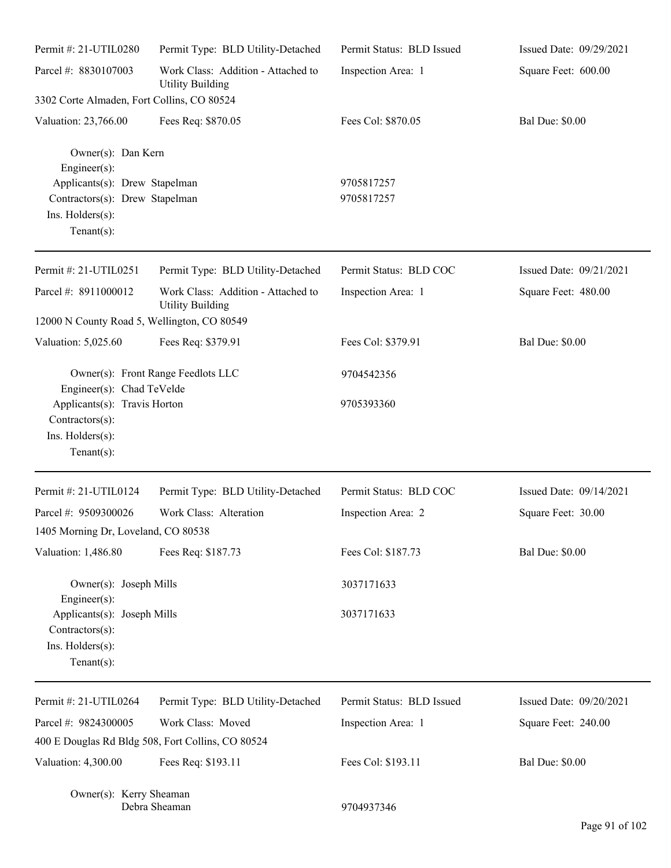| Permit #: 21-UTIL0280                                                                                 | Permit Type: BLD Utility-Detached                             | Permit Status: BLD Issued | Issued Date: 09/29/2021 |
|-------------------------------------------------------------------------------------------------------|---------------------------------------------------------------|---------------------------|-------------------------|
| Parcel #: 8830107003                                                                                  | Work Class: Addition - Attached to<br><b>Utility Building</b> | Inspection Area: 1        | Square Feet: 600.00     |
| 3302 Corte Almaden, Fort Collins, CO 80524                                                            |                                                               |                           |                         |
| Valuation: 23,766.00                                                                                  | Fees Req: \$870.05                                            | Fees Col: \$870.05        | <b>Bal Due: \$0.00</b>  |
| Owner(s): Dan Kern<br>$Engineering(s)$ :                                                              |                                                               |                           |                         |
| Applicants(s): Drew Stapelman<br>Contractors(s): Drew Stapelman<br>Ins. Holders(s):<br>Tenant $(s)$ : |                                                               | 9705817257<br>9705817257  |                         |
| Permit #: 21-UTIL0251                                                                                 | Permit Type: BLD Utility-Detached                             | Permit Status: BLD COC    | Issued Date: 09/21/2021 |
| Parcel #: 8911000012                                                                                  | Work Class: Addition - Attached to<br><b>Utility Building</b> | Inspection Area: 1        | Square Feet: 480.00     |
| 12000 N County Road 5, Wellington, CO 80549                                                           |                                                               |                           |                         |
| Valuation: 5,025.60                                                                                   | Fees Req: \$379.91                                            | Fees Col: \$379.91        | <b>Bal Due: \$0.00</b>  |
| Owner(s): Front Range Feedlots LLC<br>Engineer(s): Chad TeVelde                                       |                                                               | 9704542356                |                         |
| Applicants(s): Travis Horton<br>Contractors(s):<br>Ins. Holders(s):<br>Tenant $(s)$ :                 |                                                               | 9705393360                |                         |
| Permit #: 21-UTIL0124                                                                                 | Permit Type: BLD Utility-Detached                             | Permit Status: BLD COC    | Issued Date: 09/14/2021 |
| Parcel #: 9509300026                                                                                  | Work Class: Alteration                                        | Inspection Area: 2        | Square Feet: 30.00      |
| 1405 Morning Dr, Loveland, CO 80538                                                                   |                                                               |                           |                         |
| Valuation: 1,486.80                                                                                   | Fees Req: \$187.73                                            | Fees Col: \$187.73        | <b>Bal Due: \$0.00</b>  |
| Owner(s): Joseph Mills<br>$Engineering(s)$ :                                                          |                                                               | 3037171633                |                         |
| Applicants(s): Joseph Mills<br>Contractors(s):<br>Ins. Holders(s):<br>Tenant(s):                      |                                                               | 3037171633                |                         |
| Permit #: 21-UTIL0264                                                                                 | Permit Type: BLD Utility-Detached                             | Permit Status: BLD Issued | Issued Date: 09/20/2021 |
| Parcel #: 9824300005                                                                                  | Work Class: Moved                                             | Inspection Area: 1        | Square Feet: 240.00     |
|                                                                                                       | 400 E Douglas Rd Bldg 508, Fort Collins, CO 80524             |                           |                         |
| Valuation: 4,300.00                                                                                   | Fees Req: \$193.11                                            | Fees Col: \$193.11        | <b>Bal Due: \$0.00</b>  |
| Owner(s): Kerry Sheaman                                                                               | Debra Sheaman                                                 | 9704937346                |                         |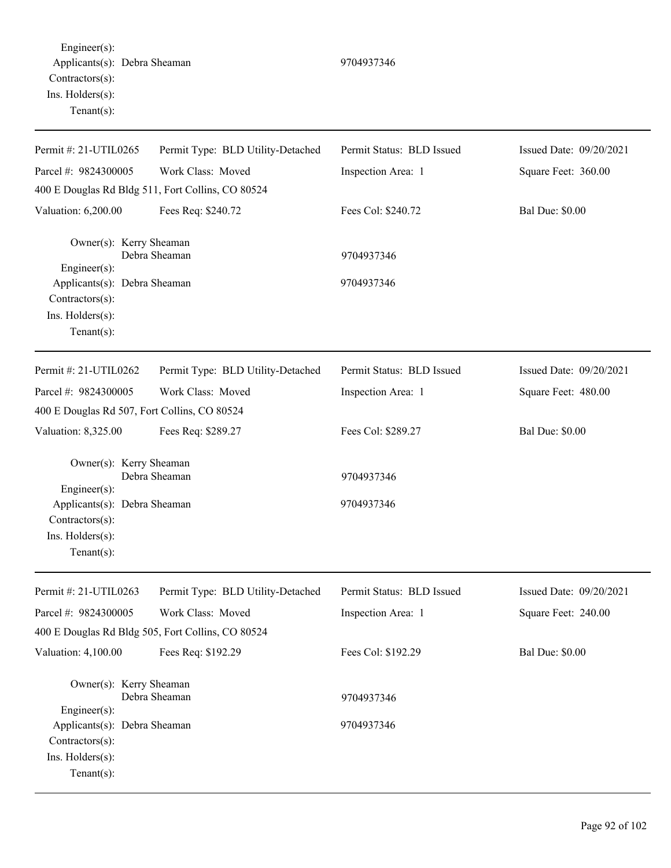Engineer(s): Applicants(s): Debra Sheaman 9704937346 Contractors(s): Ins. Holders(s): Tenant(s):

Permit #: 21-UTIL0265 Parcel #: 9824300005 Permit Type: BLD Utility-Detached Work Class: Moved Permit Status: BLD Issued Inspection Area: 1 Issued Date: 09/20/2021 Square Feet: 360.00 400 E Douglas Rd Bldg 511, Fort Collins, CO 80524 Valuation: 6,200.00 Fees Req: \$240.72 Fees Col: \$240.72 Bal Due: \$0.00 Owner(s): Kerry Sheaman Debra Sheaman 9704937346 Engineer(s): Applicants(s): Debra Sheaman 9704937346 Contractors(s): Ins. Holders(s): Tenant(s): Permit #: 21-UTIL0262 Parcel #: 9824300005 Permit Type: BLD Utility-Detached Work Class: Moved Permit Status: BLD Issued Inspection Area: 1 Issued Date: 09/20/2021 Square Feet: 480.00 400 E Douglas Rd 507, Fort Collins, CO 80524 Valuation: 8,325.00 Fees Req: \$289.27 Fees Col: \$289.27 Bal Due: \$0.00 Owner(s): Kerry Sheaman Debra Sheaman 9704937346 Engineer(s): Applicants(s): Debra Sheaman 9704937346 Contractors(s): Ins. Holders(s): Tenant(s): Permit #: 21-UTIL0263 Parcel #: 9824300005 Permit Type: BLD Utility-Detached Work Class: Moved Permit Status: BLD Issued Inspection Area: 1 Issued Date: 09/20/2021 Square Feet: 240.00 400 E Douglas Rd Bldg 505, Fort Collins, CO 80524 Valuation: 4,100.00 Fees Req: \$192.29 Fees Col: \$192.29 Bal Due: \$0.00 Owner(s): Kerry Sheaman Debra Sheaman 9704937346 Engineer(s): Applicants(s): Debra Sheaman 9704937346 Contractors(s): Ins. Holders(s): Tenant(s):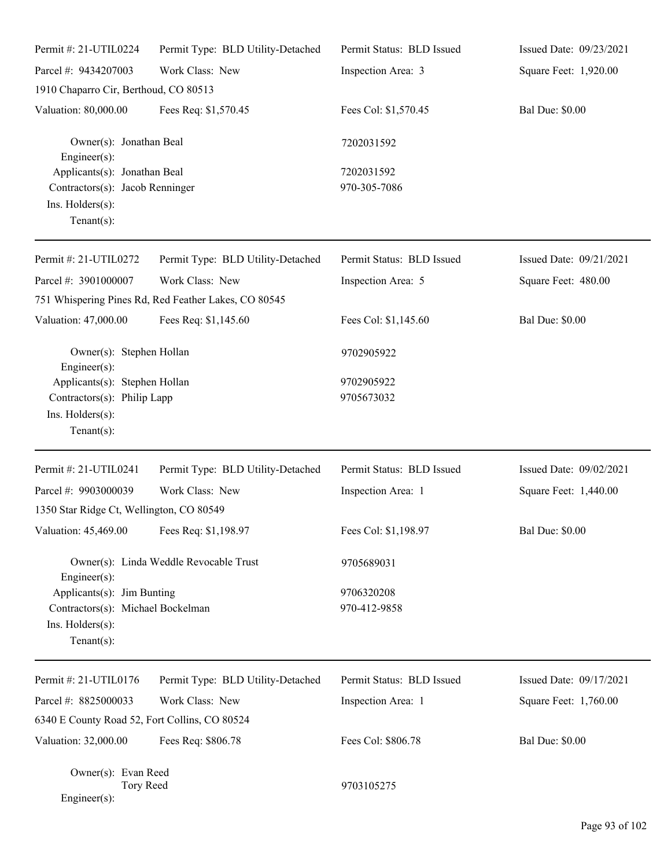| Permit #: 21-UTIL0224                                                                                 | Permit Type: BLD Utility-Detached                    | Permit Status: BLD Issued  | Issued Date: 09/23/2021 |
|-------------------------------------------------------------------------------------------------------|------------------------------------------------------|----------------------------|-------------------------|
| Parcel #: 9434207003                                                                                  | Work Class: New                                      | Inspection Area: 3         | Square Feet: 1,920.00   |
| 1910 Chaparro Cir, Berthoud, CO 80513                                                                 |                                                      |                            |                         |
| Valuation: 80,000.00                                                                                  | Fees Req: \$1,570.45                                 | Fees Col: \$1,570.45       | <b>Bal Due: \$0.00</b>  |
| Owner(s): Jonathan Beal<br>Engineer(s):                                                               |                                                      | 7202031592                 |                         |
| Applicants(s): Jonathan Beal<br>Contractors(s): Jacob Renninger<br>Ins. Holders(s):<br>Tenant $(s)$ : |                                                      | 7202031592<br>970-305-7086 |                         |
| Permit #: 21-UTIL0272                                                                                 | Permit Type: BLD Utility-Detached                    | Permit Status: BLD Issued  | Issued Date: 09/21/2021 |
| Parcel #: 3901000007                                                                                  | Work Class: New                                      | Inspection Area: 5         | Square Feet: 480.00     |
|                                                                                                       | 751 Whispering Pines Rd, Red Feather Lakes, CO 80545 |                            |                         |
| Valuation: 47,000.00                                                                                  | Fees Req: \$1,145.60                                 | Fees Col: \$1,145.60       | <b>Bal Due: \$0.00</b>  |
| Owner(s): Stephen Hollan<br>Engineer $(s)$ :                                                          |                                                      | 9702905922                 |                         |
| Applicants(s): Stephen Hollan                                                                         |                                                      | 9702905922                 |                         |
| Contractors(s): Philip Lapp<br>Ins. Holders(s):<br>$Tenant(s)$ :                                      |                                                      | 9705673032                 |                         |
| Permit #: 21-UTIL0241                                                                                 | Permit Type: BLD Utility-Detached                    | Permit Status: BLD Issued  | Issued Date: 09/02/2021 |
| Parcel #: 9903000039                                                                                  | Work Class: New                                      | Inspection Area: 1         | Square Feet: 1,440.00   |
| 1350 Star Ridge Ct, Wellington, CO 80549                                                              |                                                      |                            |                         |
| Valuation: 45,469.00 Fees Req: \$1,198.97                                                             |                                                      | Fees Col: \$1,198.97       | <b>Bal Due: \$0.00</b>  |
| Engineer(s):                                                                                          | Owner(s): Linda Weddle Revocable Trust               | 9705689031                 |                         |
| Applicants(s): Jim Bunting                                                                            |                                                      | 9706320208                 |                         |
| Contractors(s): Michael Bockelman                                                                     |                                                      | 970-412-9858               |                         |
| Ins. Holders(s):<br>Tenant $(s)$ :                                                                    |                                                      |                            |                         |
| Permit #: 21-UTIL0176                                                                                 | Permit Type: BLD Utility-Detached                    | Permit Status: BLD Issued  | Issued Date: 09/17/2021 |
| Parcel #: 8825000033                                                                                  | Work Class: New                                      | Inspection Area: 1         | Square Feet: 1,760.00   |
| 6340 E County Road 52, Fort Collins, CO 80524                                                         |                                                      |                            |                         |
| Valuation: 32,000.00                                                                                  | Fees Req: \$806.78                                   | Fees Col: \$806.78         | <b>Bal Due: \$0.00</b>  |
| Owner(s): Evan Reed<br>Tory Reed<br>Engineer(s):                                                      |                                                      | 9703105275                 |                         |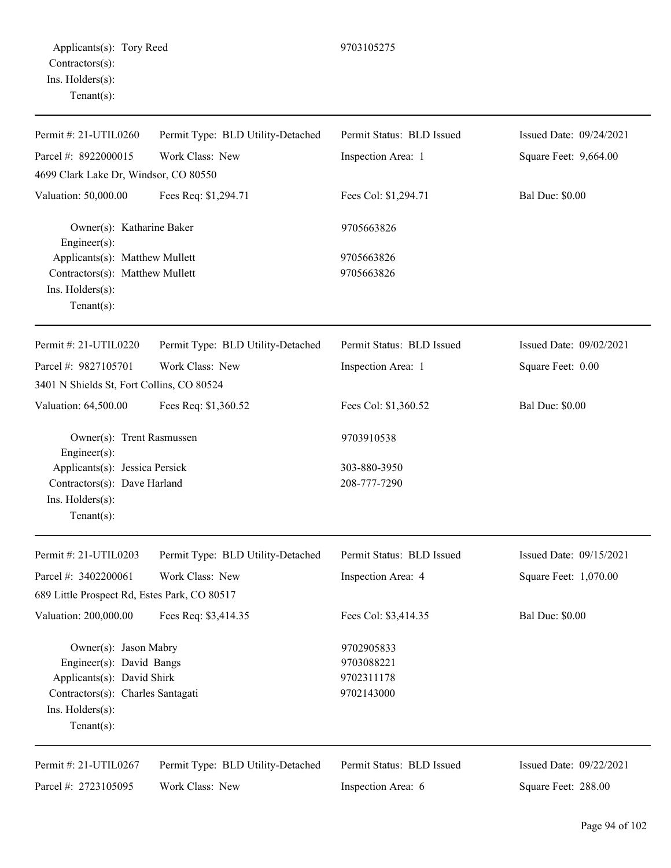| Permit #: 21-UTIL0260                             | Permit Type: BLD Utility-Detached | Permit Status: BLD Issued | Issued Date: 09/24/2021 |
|---------------------------------------------------|-----------------------------------|---------------------------|-------------------------|
| Parcel #: 8922000015                              | Work Class: New                   | Inspection Area: 1        | Square Feet: 9,664.00   |
| 4699 Clark Lake Dr, Windsor, CO 80550             |                                   |                           |                         |
| Valuation: 50,000.00                              | Fees Req: \$1,294.71              | Fees Col: \$1,294.71      | <b>Bal Due: \$0.00</b>  |
| Owner(s): Katharine Baker<br>$Engineering(s)$ :   |                                   | 9705663826                |                         |
| Applicants(s): Matthew Mullett                    |                                   | 9705663826                |                         |
| Contractors(s): Matthew Mullett                   |                                   | 9705663826                |                         |
| Ins. Holders(s):<br>$Tenant(s)$ :                 |                                   |                           |                         |
| Permit #: 21-UTIL0220                             | Permit Type: BLD Utility-Detached | Permit Status: BLD Issued | Issued Date: 09/02/2021 |
| Parcel #: 9827105701                              | Work Class: New                   | Inspection Area: 1        | Square Feet: 0.00       |
| 3401 N Shields St, Fort Collins, CO 80524         |                                   |                           |                         |
| Valuation: 64,500.00                              | Fees Req: \$1,360.52              | Fees Col: \$1,360.52      | <b>Bal Due: \$0.00</b>  |
| Owner(s): Trent Rasmussen<br>$Engineering(s)$ :   |                                   | 9703910538                |                         |
| Applicants(s): Jessica Persick                    |                                   | 303-880-3950              |                         |
| Contractors(s): Dave Harland                      |                                   | 208-777-7290              |                         |
| Ins. Holders(s):<br>$Tenant(s)$ :                 |                                   |                           |                         |
| Permit #: 21-UTIL0203                             | Permit Type: BLD Utility-Detached | Permit Status: BLD Issued | Issued Date: 09/15/2021 |
| Parcel #: 3402200061                              | Work Class: New                   | Inspection Area: 4        | Square Feet: 1,070.00   |
| 689 Little Prospect Rd, Estes Park, CO 80517      |                                   |                           |                         |
| Valuation: 200,000.00                             | Fees Req: \$3,414.35              | Fees Col: \$3,414.35      | <b>Bal Due: \$0.00</b>  |
| Owner(s): Jason Mabry<br>Engineer(s): David Bangs |                                   | 9702905833<br>9703088221  |                         |
| Applicants(s): David Shirk                        |                                   | 9702311178                |                         |
| Contractors(s): Charles Santagati                 |                                   | 9702143000                |                         |
| Ins. Holders(s):<br>Tenant $(s)$ :                |                                   |                           |                         |
| Permit #: 21-UTIL0267                             | Permit Type: BLD Utility-Detached | Permit Status: BLD Issued | Issued Date: 09/22/2021 |
| Parcel #: 2723105095                              | Work Class: New                   | Inspection Area: 6        | Square Feet: 288.00     |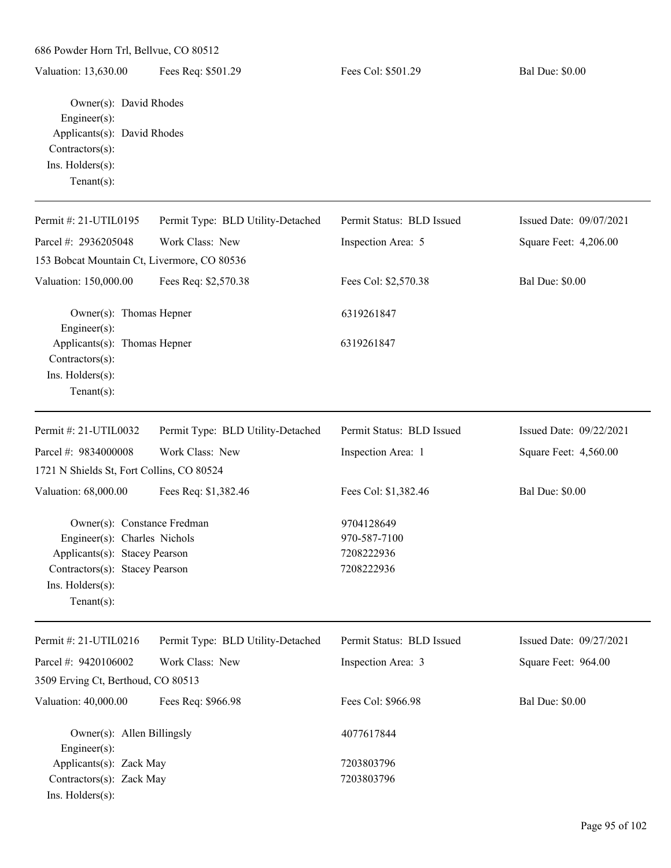Valuation: 13,630.00 Fees Req: \$501.29 Fees Col: \$501.29 Bal Due: \$0.00

Owner(s): David Rhodes Engineer(s): Applicants(s): David Rhodes Contractors(s): Ins. Holders(s): Tenant(s):

| Permit #: 21-UTIL0195                                               | Permit Type: BLD Utility-Detached | Permit Status: BLD Issued | Issued Date: 09/07/2021 |
|---------------------------------------------------------------------|-----------------------------------|---------------------------|-------------------------|
| Parcel #: 2936205048                                                | Work Class: New                   | Inspection Area: 5        | Square Feet: 4,206.00   |
| 153 Bobcat Mountain Ct, Livermore, CO 80536                         |                                   |                           |                         |
| Valuation: 150,000.00                                               | Fees Req: \$2,570.38              | Fees Col: \$2,570.38      | <b>Bal Due: \$0.00</b>  |
| Owner(s): Thomas Hepner<br>Engineer(s):                             |                                   | 6319261847                |                         |
| Applicants(s): Thomas Hepner<br>Contractors(s):<br>Ins. Holders(s): |                                   | 6319261847                |                         |
| Tenant $(s)$ :                                                      |                                   |                           |                         |
| Permit #: 21-UTIL0032                                               | Permit Type: BLD Utility-Detached | Permit Status: BLD Issued | Issued Date: 09/22/2021 |
| Parcel #: 9834000008                                                | Work Class: New                   | Inspection Area: 1        | Square Feet: 4,560.00   |
| 1721 N Shields St, Fort Collins, CO 80524                           |                                   |                           |                         |
| Valuation: 68,000.00                                                | Fees Req: \$1,382.46              | Fees Col: \$1,382.46      | <b>Bal Due: \$0.00</b>  |
| Owner(s): Constance Fredman                                         |                                   | 9704128649                |                         |
| Engineer(s): Charles Nichols                                        |                                   | 970-587-7100              |                         |
| Applicants(s): Stacey Pearson                                       |                                   | 7208222936                |                         |
| Contractors(s): Stacey Pearson                                      |                                   | 7208222936                |                         |
| Ins. Holders(s):<br>Tenant $(s)$ :                                  |                                   |                           |                         |
|                                                                     |                                   |                           |                         |
| Permit #: 21-UTIL0216                                               | Permit Type: BLD Utility-Detached | Permit Status: BLD Issued | Issued Date: 09/27/2021 |
| Parcel #: 9420106002                                                | Work Class: New                   | Inspection Area: 3        | Square Feet: 964.00     |
| 3509 Erving Ct, Berthoud, CO 80513                                  |                                   |                           |                         |
| Valuation: 40,000.00                                                | Fees Req: \$966.98                | Fees Col: \$966.98        | <b>Bal Due: \$0.00</b>  |
| Owner(s): Allen Billingsly<br>Engineer(s):                          |                                   | 4077617844                |                         |
| Applicants(s): Zack May                                             |                                   | 7203803796                |                         |
| Contractors(s): Zack May                                            |                                   | 7203803796                |                         |
| Ins. Holders(s):                                                    |                                   |                           |                         |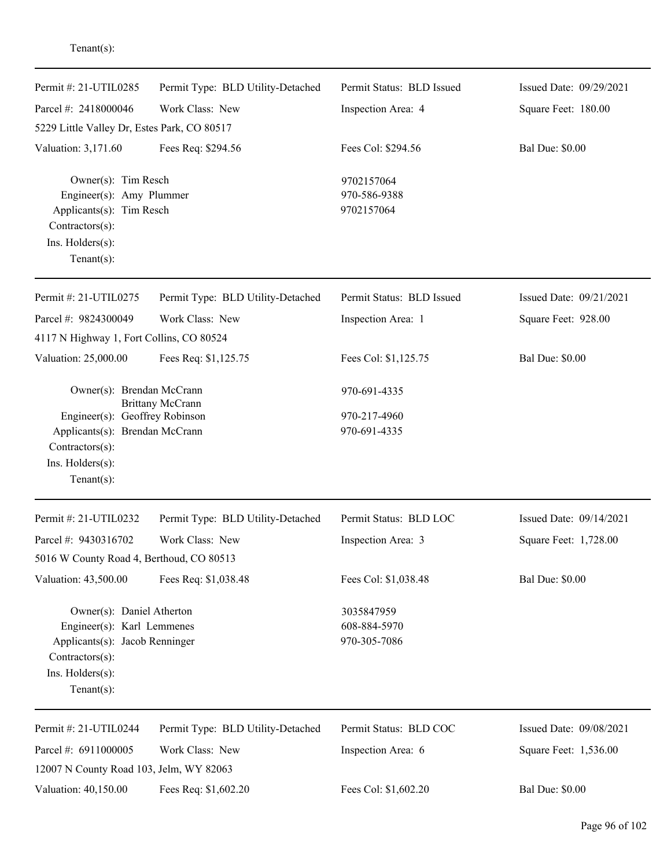| Permit #: 21-UTIL0285                                                                                                                              | Permit Type: BLD Utility-Detached | Permit Status: BLD Issued                  | Issued Date: 09/29/2021 |
|----------------------------------------------------------------------------------------------------------------------------------------------------|-----------------------------------|--------------------------------------------|-------------------------|
| Parcel #: 2418000046                                                                                                                               | Work Class: New                   | Inspection Area: 4                         | Square Feet: 180.00     |
| 5229 Little Valley Dr, Estes Park, CO 80517                                                                                                        |                                   |                                            |                         |
| Valuation: 3,171.60                                                                                                                                | Fees Req: \$294.56                | Fees Col: \$294.56                         | <b>Bal Due: \$0.00</b>  |
| Owner(s): Tim Resch<br>Engineer(s): Amy Plummer<br>Applicants(s): Tim Resch<br>Contractors(s):<br>Ins. Holders(s):<br>Tenant $(s)$ :               |                                   | 9702157064<br>970-586-9388<br>9702157064   |                         |
| Permit #: 21-UTIL0275                                                                                                                              | Permit Type: BLD Utility-Detached | Permit Status: BLD Issued                  | Issued Date: 09/21/2021 |
| Parcel #: 9824300049                                                                                                                               | Work Class: New                   | Inspection Area: 1                         | Square Feet: 928.00     |
| 4117 N Highway 1, Fort Collins, CO 80524                                                                                                           |                                   |                                            |                         |
| Valuation: 25,000.00                                                                                                                               | Fees Req: \$1,125.75              | Fees Col: \$1,125.75                       | <b>Bal Due: \$0.00</b>  |
| Owner(s): Brendan McCrann                                                                                                                          | <b>Brittany McCrann</b>           | 970-691-4335                               |                         |
| Engineer(s): Geoffrey Robinson<br>Applicants(s): Brendan McCrann<br>Contractors(s):<br>Ins. Holders(s):<br>Tenant $(s)$ :                          |                                   | 970-217-4960<br>970-691-4335               |                         |
| Permit #: 21-UTIL0232                                                                                                                              | Permit Type: BLD Utility-Detached | Permit Status: BLD LOC                     | Issued Date: 09/14/2021 |
| Parcel #: 9430316702                                                                                                                               | Work Class: New                   | Inspection Area: 3                         | Square Feet: 1,728.00   |
| 5016 W County Road 4, Berthoud, CO 80513                                                                                                           |                                   |                                            |                         |
| Valuation: 43,500.00                                                                                                                               | Fees Req: \$1,038.48              | Fees Col: \$1,038.48                       | <b>Bal Due: \$0.00</b>  |
| Owner(s): Daniel Atherton<br>Engineer(s): Karl Lemmenes<br>Applicants(s): Jacob Renninger<br>Contractors(s):<br>Ins. Holders(s):<br>Tenant $(s)$ : |                                   | 3035847959<br>608-884-5970<br>970-305-7086 |                         |
| Permit #: 21-UTIL0244                                                                                                                              | Permit Type: BLD Utility-Detached | Permit Status: BLD COC                     | Issued Date: 09/08/2021 |
| Parcel #: 6911000005<br>12007 N County Road 103, Jelm, WY 82063                                                                                    | Work Class: New                   | Inspection Area: 6                         | Square Feet: 1,536.00   |
| Valuation: 40,150.00                                                                                                                               | Fees Req: \$1,602.20              | Fees Col: \$1,602.20                       | <b>Bal Due: \$0.00</b>  |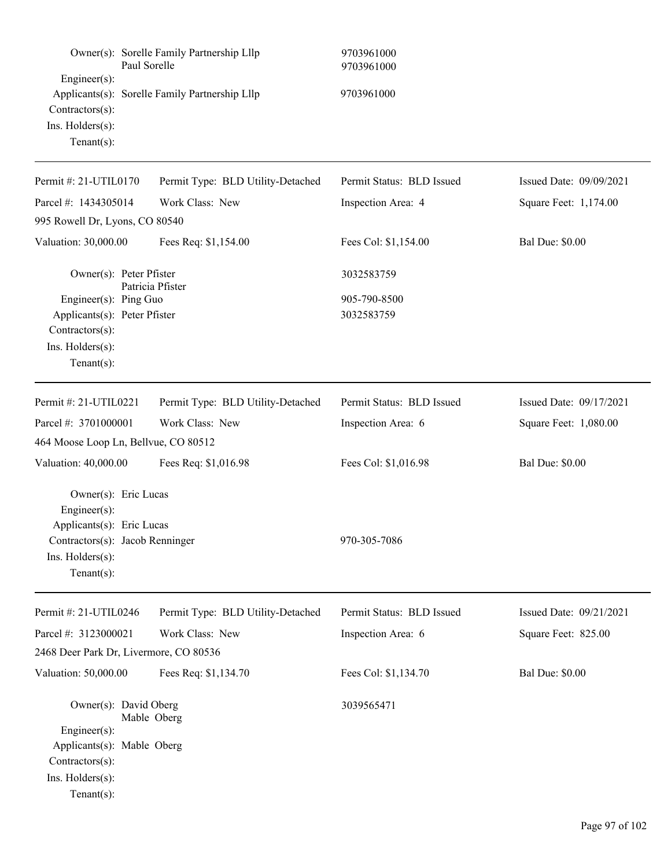| Paul Sorelle                                                                                                                              | Owner(s): Sorelle Family Partnership Lllp      | 9703961000<br>9703961000   |                         |
|-------------------------------------------------------------------------------------------------------------------------------------------|------------------------------------------------|----------------------------|-------------------------|
| Engineer(s):<br>Contractors(s):<br>Ins. Holders(s):<br>$Tenant(s)$ :                                                                      | Applicants(s): Sorelle Family Partnership Lllp | 9703961000                 |                         |
| Permit #: 21-UTIL0170                                                                                                                     | Permit Type: BLD Utility-Detached              | Permit Status: BLD Issued  | Issued Date: 09/09/2021 |
| Parcel #: 1434305014                                                                                                                      | Work Class: New                                | Inspection Area: 4         | Square Feet: 1,174.00   |
| 995 Rowell Dr, Lyons, CO 80540                                                                                                            |                                                |                            |                         |
| Valuation: 30,000.00                                                                                                                      | Fees Req: \$1,154.00                           | Fees Col: \$1,154.00       | <b>Bal Due: \$0.00</b>  |
| Owner(s): Peter Pfister                                                                                                                   | Patricia Pfister                               | 3032583759                 |                         |
| Engineer(s): Ping Guo<br>Applicants(s): Peter Pfister<br>Contractors(s):<br>Ins. Holders(s):<br>Tenant $(s)$ :                            |                                                | 905-790-8500<br>3032583759 |                         |
| Permit #: 21-UTIL0221                                                                                                                     | Permit Type: BLD Utility-Detached              | Permit Status: BLD Issued  | Issued Date: 09/17/2021 |
| Parcel #: 3701000001                                                                                                                      | Work Class: New                                | Inspection Area: 6         | Square Feet: 1,080.00   |
| 464 Moose Loop Ln, Bellvue, CO 80512                                                                                                      |                                                |                            |                         |
| Valuation: 40,000.00                                                                                                                      | Fees Req: \$1,016.98                           | Fees Col: \$1,016.98       | <b>Bal Due: \$0.00</b>  |
| Owner(s): Eric Lucas<br>Engineer(s):<br>Applicants(s): Eric Lucas<br>Contractors(s): Jacob Renninger<br>Ins. Holders(s):<br>$Tenant(s)$ : |                                                | 970-305-7086               |                         |
| Permit #: 21-UTIL0246                                                                                                                     | Permit Type: BLD Utility-Detached              | Permit Status: BLD Issued  | Issued Date: 09/21/2021 |
| Parcel #: 3123000021                                                                                                                      | Work Class: New                                | Inspection Area: 6         | Square Feet: 825.00     |
| 2468 Deer Park Dr, Livermore, CO 80536                                                                                                    |                                                |                            |                         |
| Valuation: 50,000.00                                                                                                                      | Fees Req: \$1,134.70                           | Fees Col: \$1,134.70       | <b>Bal Due: \$0.00</b>  |
| Owner(s): David Oberg<br>Engineer(s):<br>Applicants(s): Mable Oberg<br>Contractors(s):<br>Ins. Holders(s):<br>$Tenant(s)$ :               | Mable Oberg                                    | 3039565471                 |                         |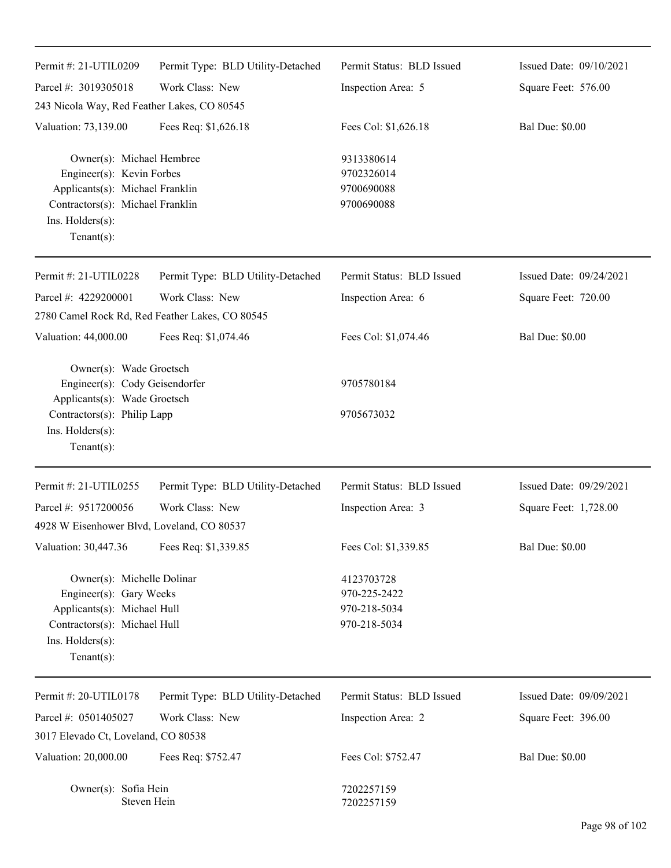| Permit #: 21-UTIL0209                                                                                                                                              | Permit Type: BLD Utility-Detached | Permit Status: BLD Issued                                  | Issued Date: 09/10/2021 |
|--------------------------------------------------------------------------------------------------------------------------------------------------------------------|-----------------------------------|------------------------------------------------------------|-------------------------|
| Parcel #: 3019305018                                                                                                                                               | Work Class: New                   | Inspection Area: 5                                         | Square Feet: 576.00     |
| 243 Nicola Way, Red Feather Lakes, CO 80545                                                                                                                        |                                   |                                                            |                         |
| Valuation: 73,139.00                                                                                                                                               | Fees Req: \$1,626.18              | Fees Col: \$1,626.18                                       | <b>Bal Due: \$0.00</b>  |
| Owner(s): Michael Hembree<br>Engineer(s): Kevin Forbes<br>Applicants(s): Michael Franklin<br>Contractors(s): Michael Franklin<br>Ins. Holders(s):<br>$Tenant(s)$ : |                                   | 9313380614<br>9702326014<br>9700690088<br>9700690088       |                         |
| Permit #: 21-UTIL0228                                                                                                                                              | Permit Type: BLD Utility-Detached | Permit Status: BLD Issued                                  | Issued Date: 09/24/2021 |
| Parcel #: 4229200001                                                                                                                                               | Work Class: New                   | Inspection Area: 6                                         | Square Feet: 720.00     |
| 2780 Camel Rock Rd, Red Feather Lakes, CO 80545                                                                                                                    |                                   |                                                            |                         |
| Valuation: 44,000.00                                                                                                                                               | Fees Req: \$1,074.46              | Fees Col: \$1,074.46                                       | <b>Bal Due: \$0.00</b>  |
| Owner(s): Wade Groetsch<br>Engineer(s): Cody Geisendorfer<br>Applicants(s): Wade Groetsch<br>Contractors(s): Philip Lapp<br>Ins. Holders(s):<br>$Tenant(s)$ :      |                                   | 9705780184<br>9705673032                                   |                         |
| Permit #: 21-UTIL0255                                                                                                                                              | Permit Type: BLD Utility-Detached | Permit Status: BLD Issued                                  | Issued Date: 09/29/2021 |
| Parcel #: 9517200056                                                                                                                                               | Work Class: New                   | Inspection Area: 3                                         | Square Feet: 1,728.00   |
| 4928 W Eisenhower Blvd, Loveland, CO 80537                                                                                                                         |                                   |                                                            |                         |
| Valuation: 30,447.36                                                                                                                                               | Fees Req: \$1,339.85              | Fees Col: \$1,339.85                                       | <b>Bal Due: \$0.00</b>  |
| Owner(s): Michelle Dolinar<br>Engineer(s): Gary Weeks<br>Applicants(s): Michael Hull<br>Contractors(s): Michael Hull<br>Ins. Holders(s):<br>$Tenant(s)$ :          |                                   | 4123703728<br>970-225-2422<br>970-218-5034<br>970-218-5034 |                         |
| Permit #: 20-UTIL0178                                                                                                                                              | Permit Type: BLD Utility-Detached | Permit Status: BLD Issued                                  | Issued Date: 09/09/2021 |
| Parcel #: 0501405027                                                                                                                                               | Work Class: New                   | Inspection Area: 2                                         | Square Feet: 396.00     |
| 3017 Elevado Ct, Loveland, CO 80538                                                                                                                                |                                   |                                                            |                         |
| Valuation: 20,000.00                                                                                                                                               | Fees Req: \$752.47                | Fees Col: \$752.47                                         | <b>Bal Due: \$0.00</b>  |
| Owner(s): Sofia Hein<br>Steven Hein                                                                                                                                |                                   | 7202257159<br>7202257159                                   |                         |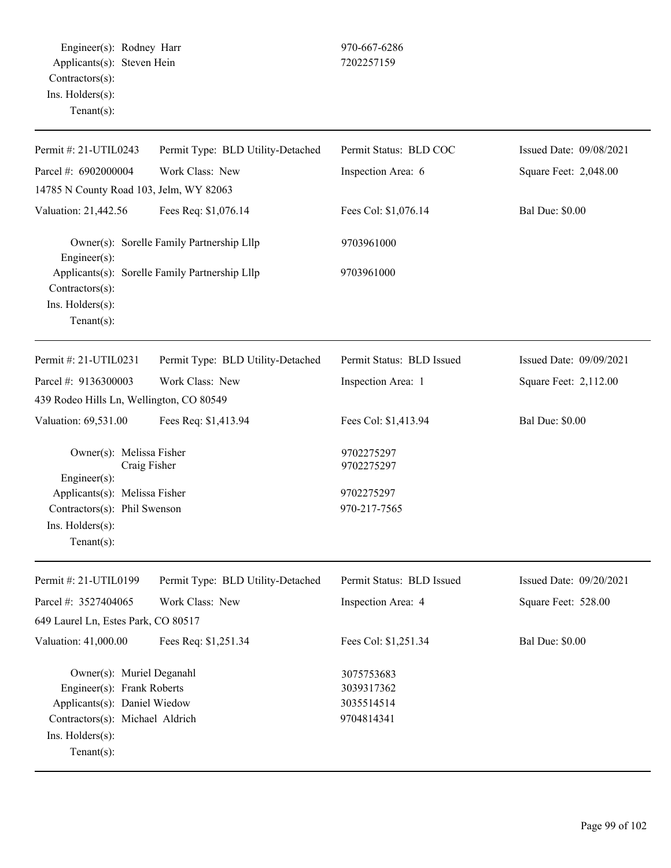Engineer(s): Rodney Harr 970-667-6286 Applicants(s): Steven Hein 7202257159 Contractors(s): Ins. Holders(s): Tenant(s):

| Permit #: 21-UTIL0243                                                                                               | Permit Type: BLD Utility-Detached              | Permit Status: BLD COC     | Issued Date: 09/08/2021 |
|---------------------------------------------------------------------------------------------------------------------|------------------------------------------------|----------------------------|-------------------------|
| Parcel #: 6902000004                                                                                                | Work Class: New                                | Inspection Area: 6         | Square Feet: 2,048.00   |
| 14785 N County Road 103, Jelm, WY 82063                                                                             |                                                |                            |                         |
| Valuation: 21,442.56                                                                                                | Fees Req: \$1,076.14                           | Fees Col: \$1,076.14       | <b>Bal Due: \$0.00</b>  |
| Owner(s): Sorelle Family Partnership Lllp<br>Engineer(s):                                                           |                                                | 9703961000                 |                         |
| Contractors(s):                                                                                                     | Applicants(s): Sorelle Family Partnership Lllp | 9703961000                 |                         |
| Ins. Holders(s):<br>Tenant $(s)$ :                                                                                  |                                                |                            |                         |
| Permit #: 21-UTIL0231                                                                                               | Permit Type: BLD Utility-Detached              | Permit Status: BLD Issued  | Issued Date: 09/09/2021 |
| Parcel #: 9136300003                                                                                                | Work Class: New                                | Inspection Area: 1         | Square Feet: 2,112.00   |
| 439 Rodeo Hills Ln, Wellington, CO 80549                                                                            |                                                |                            |                         |
| Valuation: 69,531.00                                                                                                | Fees Req: \$1,413.94                           | Fees Col: \$1,413.94       | <b>Bal Due: \$0.00</b>  |
| Owner(s): Melissa Fisher<br>Craig Fisher                                                                            |                                                | 9702275297<br>9702275297   |                         |
| Engineer(s):<br>Applicants(s): Melissa Fisher<br>Contractors(s): Phil Swenson<br>Ins. Holders(s):<br>Tenant $(s)$ : |                                                | 9702275297<br>970-217-7565 |                         |
| Permit #: 21-UTIL0199                                                                                               | Permit Type: BLD Utility-Detached              | Permit Status: BLD Issued  | Issued Date: 09/20/2021 |
| Parcel #: 3527404065                                                                                                | Work Class: New                                | Inspection Area: 4         | Square Feet: 528.00     |
| 649 Laurel Ln, Estes Park, CO 80517                                                                                 |                                                |                            |                         |
| Valuation: 41,000.00                                                                                                | Fees Req: \$1,251.34                           | Fees Col: \$1,251.34       | <b>Bal Due: \$0.00</b>  |
| Owner(s): Muriel Deganahl<br>Engineer(s): Frank Roberts                                                             |                                                | 3075753683<br>3039317362   |                         |
| Applicants(s): Daniel Wiedow<br>Contractors(s): Michael Aldrich<br>Ins. Holders(s):<br>$Tenant(s)$ :                |                                                | 3035514514<br>9704814341   |                         |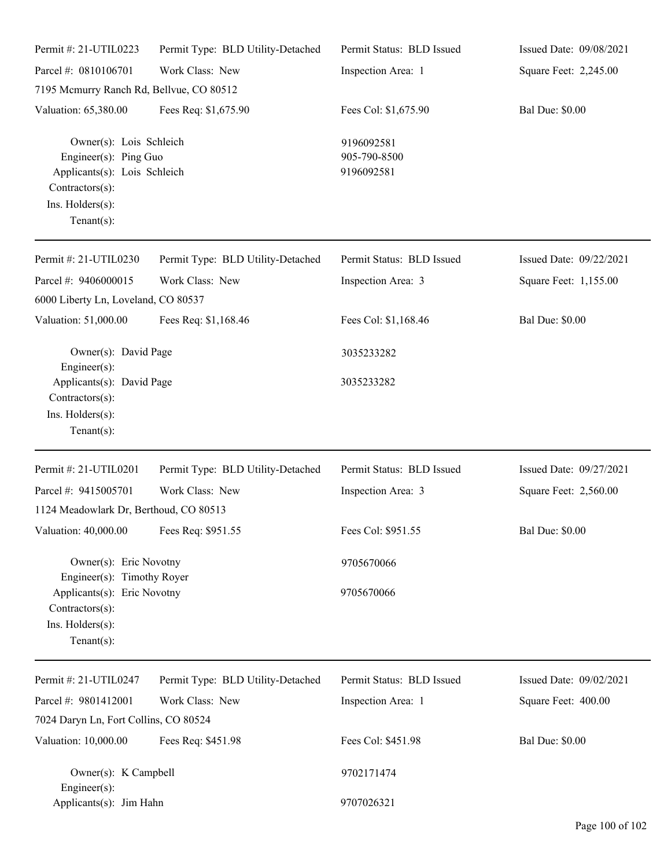| Permit #: 21-UTIL0223                                                                                                                     | Permit Type: BLD Utility-Detached | Permit Status: BLD Issued                | Issued Date: 09/08/2021 |
|-------------------------------------------------------------------------------------------------------------------------------------------|-----------------------------------|------------------------------------------|-------------------------|
| Parcel #: 0810106701                                                                                                                      | Work Class: New                   | Inspection Area: 1                       | Square Feet: 2,245.00   |
| 7195 Mcmurry Ranch Rd, Bellvue, CO 80512                                                                                                  |                                   |                                          |                         |
| Valuation: 65,380.00                                                                                                                      | Fees Req: \$1,675.90              | Fees Col: \$1,675.90                     | <b>Bal Due: \$0.00</b>  |
| Owner(s): Lois Schleich<br>Engineer(s): Ping Guo<br>Applicants(s): Lois Schleich<br>Contractors(s):<br>Ins. Holders(s):<br>Tenant $(s)$ : |                                   | 9196092581<br>905-790-8500<br>9196092581 |                         |
| Permit #: 21-UTIL0230                                                                                                                     | Permit Type: BLD Utility-Detached | Permit Status: BLD Issued                | Issued Date: 09/22/2021 |
| Parcel #: 9406000015<br>6000 Liberty Ln, Loveland, CO 80537                                                                               | Work Class: New                   | Inspection Area: 3                       | Square Feet: 1,155.00   |
| Valuation: 51,000.00                                                                                                                      | Fees Req: \$1,168.46              | Fees Col: \$1,168.46                     | <b>Bal Due: \$0.00</b>  |
| Owner(s): David Page<br>Engineer $(s)$ :                                                                                                  |                                   | 3035233282                               |                         |
| Applicants(s): David Page<br>Contractors(s):<br>Ins. Holders(s):<br>Tenant $(s)$ :                                                        |                                   | 3035233282                               |                         |
| Permit #: 21-UTIL0201                                                                                                                     | Permit Type: BLD Utility-Detached | Permit Status: BLD Issued                | Issued Date: 09/27/2021 |
| Parcel #: 9415005701                                                                                                                      | Work Class: New                   | Inspection Area: 3                       | Square Feet: 2,560.00   |
| 1124 Meadowlark Dr, Berthoud, CO 80513                                                                                                    |                                   |                                          |                         |
| Valuation: 40,000.00                                                                                                                      | Fees Req: \$951.55                | Fees Col: \$951.55                       | <b>Bal Due: \$0.00</b>  |
| Owner(s): Eric Novotny                                                                                                                    |                                   | 9705670066                               |                         |
| Engineer(s): Timothy Royer<br>Applicants(s): Eric Novotny<br>Contractors(s):<br>Ins. Holders(s):<br>Tenant $(s)$ :                        |                                   | 9705670066                               |                         |
| Permit #: 21-UTIL0247                                                                                                                     | Permit Type: BLD Utility-Detached | Permit Status: BLD Issued                | Issued Date: 09/02/2021 |
| Parcel #: 9801412001                                                                                                                      | Work Class: New                   | Inspection Area: 1                       | Square Feet: 400.00     |
| 7024 Daryn Ln, Fort Collins, CO 80524                                                                                                     |                                   |                                          |                         |
| Valuation: 10,000.00                                                                                                                      | Fees Req: \$451.98                | Fees Col: \$451.98                       | <b>Bal Due: \$0.00</b>  |
| Owner(s): K Campbell<br>Engineer(s):                                                                                                      |                                   | 9702171474                               |                         |
| Applicants(s): Jim Hahn                                                                                                                   |                                   | 9707026321                               |                         |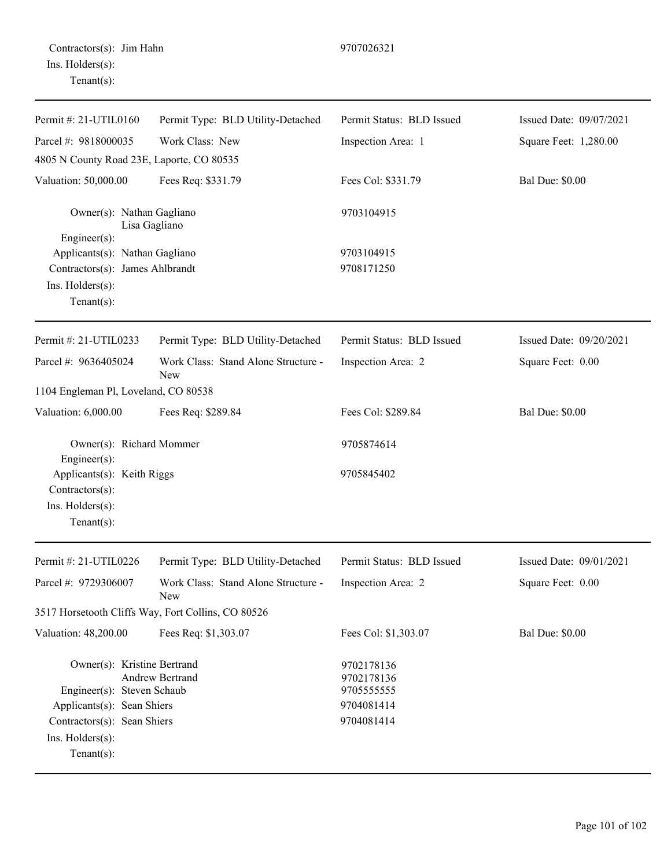| Permit #: 21-UTIL0160                                                               | Permit Type: BLD Utility-Detached                  | Permit Status: BLD Issued              | Issued Date: 09/07/2021 |
|-------------------------------------------------------------------------------------|----------------------------------------------------|----------------------------------------|-------------------------|
| Parcel #: 9818000035                                                                | Work Class: New                                    | Inspection Area: 1                     | Square Feet: 1,280.00   |
| 4805 N County Road 23E, Laporte, CO 80535                                           |                                                    |                                        |                         |
| Valuation: 50,000.00                                                                | Fees Req: \$331.79                                 | Fees Col: \$331.79                     | <b>Bal Due: \$0.00</b>  |
| Owner(s): Nathan Gagliano<br>Lisa Gagliano<br>Engineer(s):                          |                                                    | 9703104915                             |                         |
| Applicants(s): Nathan Gagliano                                                      |                                                    | 9703104915                             |                         |
| Contractors(s): James Ahlbrandt                                                     |                                                    | 9708171250                             |                         |
| Ins. Holders(s):<br>Tenant $(s)$ :                                                  |                                                    |                                        |                         |
| Permit #: 21-UTIL0233                                                               | Permit Type: BLD Utility-Detached                  | Permit Status: BLD Issued              | Issued Date: 09/20/2021 |
| Parcel #: 9636405024                                                                | Work Class: Stand Alone Structure -<br>New         | Inspection Area: 2                     | Square Feet: 0.00       |
| 1104 Engleman Pl, Loveland, CO 80538                                                |                                                    |                                        |                         |
| Valuation: 6,000.00                                                                 | Fees Req: \$289.84                                 | Fees Col: \$289.84                     | <b>Bal Due: \$0.00</b>  |
| Owner(s): Richard Mommer<br>Engineer(s):                                            |                                                    | 9705874614                             |                         |
| Applicants(s): Keith Riggs                                                          |                                                    | 9705845402                             |                         |
| Contractors(s):                                                                     |                                                    |                                        |                         |
| Ins. Holders(s):<br>Tenant $(s)$ :                                                  |                                                    |                                        |                         |
| Permit #: 21-UTIL0226                                                               | Permit Type: BLD Utility-Detached                  | Permit Status: BLD Issued              | Issued Date: 09/01/2021 |
| Parcel #: 9729306007                                                                | Work Class: Stand Alone Structure -<br>New         | Inspection Area: 2                     | Square Feet: 0.00       |
|                                                                                     | 3517 Horsetooth Cliffs Way, Fort Collins, CO 80526 |                                        |                         |
| Valuation: 48,200.00                                                                | Fees Req: \$1,303.07                               | Fees Col: \$1,303.07                   | <b>Bal Due: \$0.00</b>  |
| Owner(s): Kristine Bertrand<br><b>Andrew Bertrand</b><br>Engineer(s): Steven Schaub |                                                    | 9702178136<br>9702178136<br>9705555555 |                         |
| Applicants(s): Sean Shiers                                                          |                                                    | 9704081414                             |                         |
| Contractors(s): Sean Shiers                                                         |                                                    | 9704081414                             |                         |
| Ins. Holders(s):<br>Tenant $(s)$ :                                                  |                                                    |                                        |                         |
|                                                                                     |                                                    |                                        |                         |